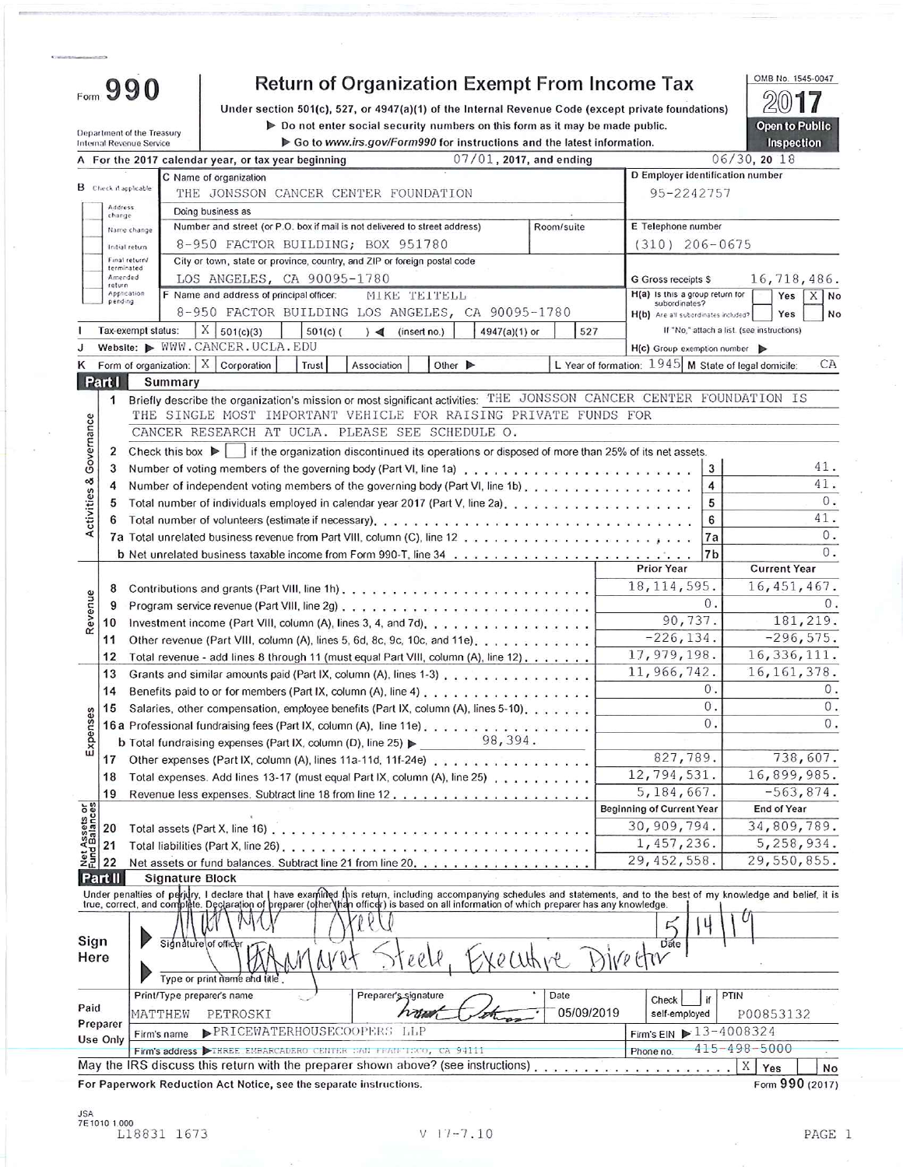Form 990

Department of the Treasury

# **Return of Organization Exempt From Income Tax**

Under section 501(c), 527, or 4947(a)(1) of the Internal Revenue Code (except private foundations)

Do not enter social security numbers on this form as it may be made public. Go to www.irs.gov/Form990 for instructions and the latest information

 $\overline{2}$ 0 **Open to Public** 

OMB No. 1545-0047

|                                |                              | internal Kevenue Service<br>Go to www.irs.gov/Formalistic for instructions and the latest information.                                                                     |            |                                                        |                  | mspection                                  |
|--------------------------------|------------------------------|----------------------------------------------------------------------------------------------------------------------------------------------------------------------------|------------|--------------------------------------------------------|------------------|--------------------------------------------|
|                                |                              | $07/01$ , 2017, and ending<br>A For the 2017 calendar year, or tax year beginning                                                                                          |            |                                                        |                  | 06/30, 2018                                |
|                                |                              | C Name of organization                                                                                                                                                     |            | D Employer identification number                       |                  |                                            |
|                                | <b>B</b> Check if applicable | THE JONSSON CANCER CENTER FOUNDATION                                                                                                                                       |            | 95-2242757                                             |                  |                                            |
|                                | Address<br>change            | Doing business as                                                                                                                                                          |            |                                                        |                  |                                            |
|                                |                              | Number and street (or P.O. box if mail is not delivered to street address)<br>Name change                                                                                  | Room/suite | E Telephone number                                     |                  |                                            |
|                                | Initial return               | 8-950 FACTOR BUILDING; BOX 951780                                                                                                                                          |            | $(310)$ 206-0675                                       |                  |                                            |
|                                | terminated                   | Final return/<br>City or town, state or province, country, and ZIP or foreign postal code                                                                                  |            |                                                        |                  |                                            |
|                                | Amended<br>return            | LOS ANGELES, CA 90095-1780                                                                                                                                                 |            | G Gross receipts \$                                    |                  | 16,718,486.                                |
|                                | Application<br>pending       | F Name and address of principal officer:<br>MIKE TEITELL                                                                                                                   |            | H(a) Is this a group return for<br>subordinates?       |                  | $X $ No<br>Yes                             |
|                                |                              | 8-950 FACTOR BUILDING LOS ANGELES, CA 90095-1780                                                                                                                           |            | H(b) Are all subordinates included?                    |                  | Yes<br>No                                  |
|                                |                              | $X \mid 501(c)(3)$<br>$501(c)$ (<br>Tax-exempt status:<br>$)$ (insert no.)<br>4947(a)(1) or                                                                                | 527        |                                                        |                  | If "No," attach a list. (see instructions) |
|                                |                              | Website: $\blacktriangleright$ WWW.CANCER.UCLA.EDU                                                                                                                         |            | H(c) Group exemption number                            |                  |                                            |
| ĸ                              |                              | Form of organization: $X \vert$ Corporation<br>Association<br>Other $\blacktriangleright$<br>Trust                                                                         |            | L Year of formation: $1945$ M State of legal domicile: |                  | СA                                         |
|                                | Part                         | Summary                                                                                                                                                                    |            |                                                        |                  |                                            |
|                                | 1                            | Briefly describe the organization's mission or most significant activities: THE JONSSON CANCER CENTER FOUNDATION IS                                                        |            |                                                        |                  |                                            |
|                                |                              | THE SINGLE MOST IMPORTANT VEHICLE FOR RAISING PRIVATE FUNDS FOR                                                                                                            |            |                                                        |                  |                                            |
|                                |                              | CANCER RESEARCH AT UCLA. PLEASE SEE SCHEDULE O.                                                                                                                            |            |                                                        |                  |                                            |
| Activities & Governance        | 2                            | Check this box $\blacktriangleright$   if the organization discontinued its operations or disposed of more than 25% of its net assets.                                     |            |                                                        |                  |                                            |
|                                | 3                            |                                                                                                                                                                            |            |                                                        | 3                | 41.                                        |
|                                | 4                            | Number of independent voting members of the governing body (Part VI, line 1b)                                                                                              |            |                                                        | 4                | 41.                                        |
|                                | 5                            |                                                                                                                                                                            |            |                                                        | 5                | 0.                                         |
|                                |                              |                                                                                                                                                                            |            |                                                        | 6                | 41.                                        |
|                                |                              |                                                                                                                                                                            |            |                                                        | 7a               | $0$ .                                      |
|                                |                              |                                                                                                                                                                            |            |                                                        | 7b               | 0.                                         |
|                                |                              |                                                                                                                                                                            |            | <b>Prior Year</b>                                      |                  | <b>Current Year</b>                        |
|                                | 8                            | Contributions and grants (Part VIII, line 1h)                                                                                                                              |            | 18, 114, 595.                                          |                  | 16,451,467.                                |
| Revenue                        | 9                            |                                                                                                                                                                            |            |                                                        | 0.               | $0$ .                                      |
|                                | 10                           | Investment income (Part VIII, column (A), lines 3, 4, and 7d).                                                                                                             |            | 90,737.                                                |                  | 181,219.                                   |
|                                | 11                           | Other revenue (Part VIII, column (A), lines 5, 6d, 8c, 9c, 10c, and 11e).                                                                                                  |            | $-226, 134.$                                           |                  | $-296, 575.$                               |
|                                | 12                           | Total revenue - add lines 8 through 11 (must equal Part VIII, column (A), line 12).                                                                                        |            | 17,979,198.                                            |                  | 16, 336, 111.                              |
|                                | 13                           | Grants and similar amounts paid (Part IX, column (A), lines 1-3)                                                                                                           |            | 11,966,742.                                            |                  | 16, 161, 378.                              |
|                                | 14                           |                                                                                                                                                                            |            |                                                        | 0.               | 0.                                         |
|                                | 15                           | Salaries, other compensation, employee benefits (Part IX, column (A), lines 5-10),                                                                                         |            |                                                        | $\overline{0}$ . | 0.                                         |
| Expenses                       |                              | 16 a Professional fundraising fees (Part IX, column (A), line 11e)                                                                                                         |            | 0.                                                     |                  | 0.                                         |
|                                |                              | 98,394.<br><b>b</b> Total fundraising expenses (Part IX, column (D), line 25) $\triangleright$                                                                             |            |                                                        |                  |                                            |
|                                | 17                           | Other expenses (Part IX, column (A), lines 11a-11d, 11f-24e)                                                                                                               |            | 827,789.                                               |                  | 738,607.                                   |
|                                | 18                           | Total expenses. Add lines 13-17 (must equal Part IX, column (A), line 25)                                                                                                  |            | 12,794,531.                                            |                  | 16,899,985.                                |
|                                | 19                           |                                                                                                                                                                            |            | 5, 184, 667.                                           |                  | $-563,874.$                                |
|                                |                              |                                                                                                                                                                            |            | <b>Beginning of Current Year</b>                       |                  | End of Year                                |
| Net Assets or<br>Fund Balances | 20                           | Total assets (Part X, line 16)<br>.<br>1960 - Johann John Stoff, Amerikaansk kalendar                                                                                      |            | 30,909,794.                                            |                  | 34,809,789.                                |
|                                | 21                           | Total liabilities (Part X, line 26).                                                                                                                                       |            | 1,457,236.                                             |                  | 5,258,934.                                 |
|                                | 22                           | Net assets or fund balances. Subtract line 21 from line 20.                                                                                                                |            | 29, 452, 558.                                          |                  | 29,550,855.                                |
|                                | Part II                      | <b>Signature Block</b>                                                                                                                                                     |            |                                                        |                  |                                            |
|                                |                              | Under penalties of peridry, I declare that I have examined this return, including accompanying schedules and statements, and to the best of my knowledge and belief, it is |            |                                                        |                  |                                            |
|                                |                              | true, correct, and complete. Declaration of breparer (other than officer) is based on all information of which preparer has any knowledge.                                 |            |                                                        |                  |                                            |
|                                |                              |                                                                                                                                                                            |            |                                                        |                  |                                            |
| Sign                           |                              | onature of officer                                                                                                                                                         |            | Date                                                   |                  |                                            |
| Here                           |                              |                                                                                                                                                                            |            | $11/2$ (try                                            |                  |                                            |
|                                |                              | Type or print name and title                                                                                                                                               |            |                                                        |                  |                                            |
|                                |                              | Print/Type preparer's name<br>Preparer's signature                                                                                                                         | Date       | Check                                                  | if               | PTIN                                       |
| Paid                           |                              | hrta<br>PETROSKI<br>MATTHEW                                                                                                                                                | 05/09/2019 | self-employed                                          |                  | P00853132                                  |
|                                | Preparer                     | PRICEWATERHOUSECOOPERS LLP<br>Firm's name                                                                                                                                  |            | Firm's EIN ▶ 13-4008324                                |                  |                                            |
|                                | Use Only                     | Firm's address FIHREE EMBARCADERO CENTER SAN FRANCISCO, CA 94111                                                                                                           |            | Phone no.                                              |                  | $415 - 498 - 5000$                         |
|                                |                              | May the IRS discuss this return with the preparer shown above? (see instructions)                                                                                          |            |                                                        |                  | X<br>Yes<br>No                             |
|                                |                              | For Paperwork Reduction Act Notice, see the separate instructions.                                                                                                         |            |                                                        |                  | Form 990 (2017)                            |
|                                |                              |                                                                                                                                                                            |            |                                                        |                  |                                            |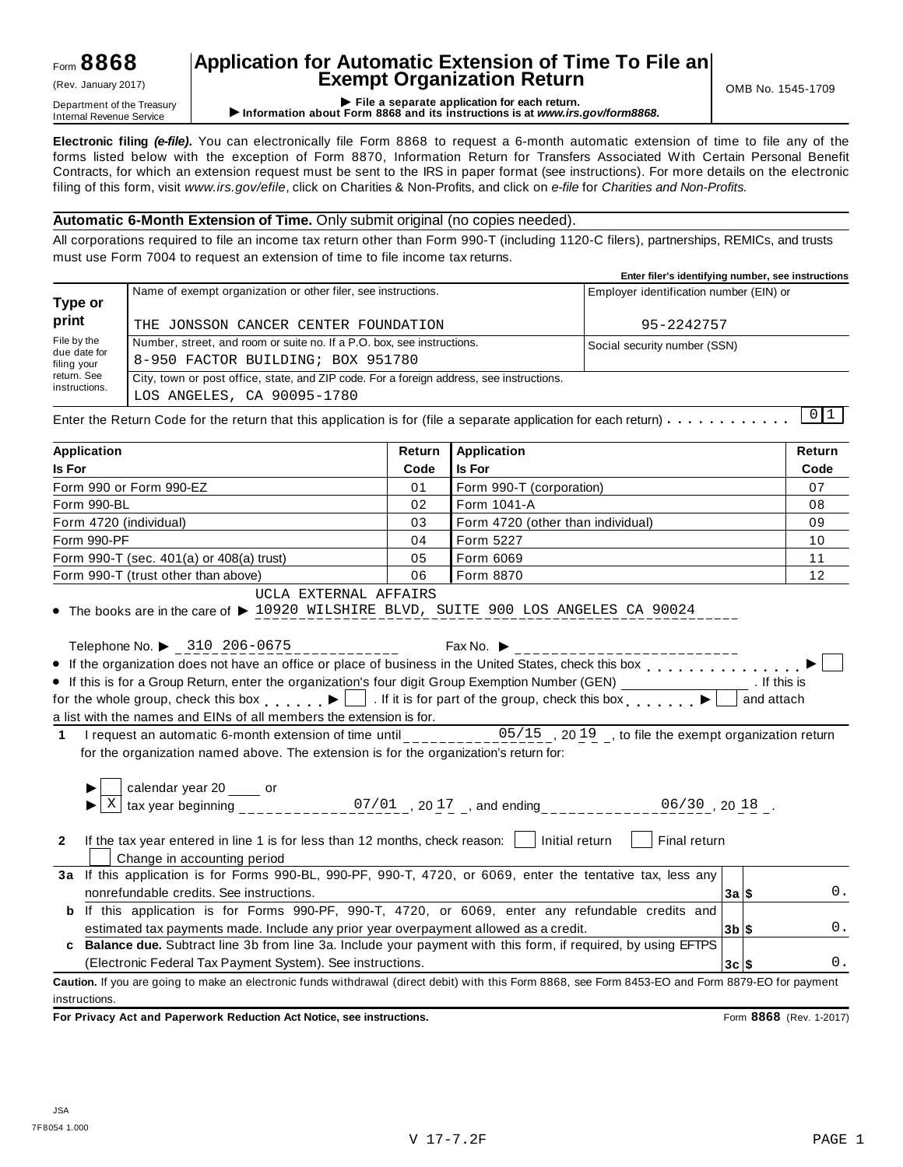## Form **8868**

# **Application for Automatic Extension of Time To File an Exempt Organization Return** (Rev. January 2017) OMB No. 1545-1709

Department of the Treasury<br>Department of the Treasury<br>Internal Revenue Service **CONFICE 1999 File a separate application for each return.**<br>Internal Revenue Service **CONFICE 1999 File a separate application for each return.** 

**Electronic filing** *(e-file)***.** You can electronically file Form 8868 to request a 6-month automatic extension of time to file any of the forms listed below with the exception of Form 8870, Information Return for Transfers Associated With Certain Personal Benefit Contracts, for which an extension request must be sent to the IRS in paper format (see instructions). For more details on the electronic filing of this form, visit *www.irs.gov/efile*, click on Charities & Non-Profits, and click on *e-file* for *Charities and Non-Profits.*

#### **Automatic 6-Month Extension of Time.** Only submit original (no copies needed).

All corporations required to file an income tax return other than Form 990-T (including 1120-C filers), partnerships, REMICs, and trusts must use Form 7004 to request an extension of time to file income tax returns.

|                             |                                                                                          | Enter filer's identifying number, see instructions |
|-----------------------------|------------------------------------------------------------------------------------------|----------------------------------------------------|
| Type or                     | Name of exempt organization or other filer, see instructions.                            | Employer identification number (EIN) or            |
| print                       | THE JONSSON CANCER CENTER FOUNDATION                                                     | 95-2242757                                         |
| File by the                 | Number, street, and room or suite no. If a P.O. box, see instructions.                   | Social security number (SSN)                       |
| due date for<br>filing your | 8-950 FACTOR BUILDING; BOX 951780                                                        |                                                    |
| return. See                 | City, town or post office, state, and ZIP code. For a foreign address, see instructions. |                                                    |
| instructions.               | LOS ANGELES, CA 90095-1780                                                               |                                                    |
|                             |                                                                                          | I ∩ I 1                                            |

Enter the Return Code for the return that this application is for (file a separate application for each return)  $\dots \dots \dots$  $U1$ 

| Application                                                                                                                                             | Return | <b>Application</b>                                                                                                   |                         | Return |
|---------------------------------------------------------------------------------------------------------------------------------------------------------|--------|----------------------------------------------------------------------------------------------------------------------|-------------------------|--------|
| <b>Is For</b>                                                                                                                                           | Code   | <b>Is For</b>                                                                                                        |                         | Code   |
| Form 990 or Form 990-EZ                                                                                                                                 | 01     | Form 990-T (corporation)                                                                                             |                         | 07     |
| Form 990-BL                                                                                                                                             | 02     | Form 1041-A                                                                                                          |                         | 08     |
| Form 4720 (individual)                                                                                                                                  | 03     | Form 4720 (other than individual)                                                                                    |                         | 09     |
| Form 990-PF                                                                                                                                             | 04     | Form 5227                                                                                                            |                         | 10     |
| Form 990-T (sec. 401(a) or 408(a) trust)                                                                                                                | 05     | Form 6069                                                                                                            |                         | 11     |
| Form 990-T (trust other than above)                                                                                                                     | 06     | Form 8870                                                                                                            |                         | 12     |
| • The books are in the care of $\blacktriangleright$ 10920 WILSHIRE BLVD, SUITE 900 LOS ANGELES CA 90024<br>Telephone No. $\triangleright$ 310 206-0675 |        | Fax No. $\triangleright$ ___________________________                                                                 |                         |        |
| • If the organization does not have an office or place of business in the United States, check this box                                                 |        |                                                                                                                      |                         |        |
| • If this is for a Group Return, enter the organization's four digit Group Exemption Number (GEN)                                                       |        |                                                                                                                      | . If this is            |        |
| for the whole group, check this box $\blacktriangleright$ $\blacksquare$ . If it is for part of the group, check this box                               |        |                                                                                                                      | and attach              |        |
| a list with the names and EINs of all members the extension is for.                                                                                     |        |                                                                                                                      |                         |        |
| 1 I request an automatic 6-month extension of time until _______________________, 2019 _, to file the exempt organization return                        |        |                                                                                                                      |                         |        |
| for the organization named above. The extension is for the organization's return for:                                                                   |        |                                                                                                                      |                         |        |
| $\mathbf{X}$                                                                                                                                            |        | calendar year 20 _____ or<br>tax year beginning ______________07/01_, 20 17_, and ending ____________06/30_, 20 18_. |                         |        |
| $\mathbf{2}$                                                                                                                                            |        | Final return                                                                                                         |                         |        |
| Change in accounting period<br>3a If this application is for Forms 990-BL, 990-PF, 990-T, 4720, or 6069, enter the tentative tax, less any              |        |                                                                                                                      |                         |        |
| nonrefundable credits. See instructions.                                                                                                                |        |                                                                                                                      | 3a S                    | 0.     |
| <b>b</b> If this application is for Forms 990-PF, 990-T, 4720, or 6069, enter any refundable credits and                                                |        |                                                                                                                      |                         |        |
| estimated tax payments made. Include any prior year overpayment allowed as a credit.                                                                    |        |                                                                                                                      | $3b$ $\vert s \vert$    | 0.     |
| c Balance due. Subtract line 3b from line 3a. Include your payment with this form, if required, by using EFTPS                                          |        |                                                                                                                      |                         |        |
| (Electronic Federal Tax Payment System). See instructions.                                                                                              |        |                                                                                                                      | $3c$ $s$                | 0.     |
| Caution. If you are going to make an electronic funds withdrawal (direct debit) with this Form 8868, see Form 8453-EO and Form 8879-EO for payment      |        |                                                                                                                      |                         |        |
| instructions.                                                                                                                                           |        |                                                                                                                      |                         |        |
| For Privacy Act and Paperwork Reduction Act Notice, see instructions.                                                                                   |        |                                                                                                                      | Form 8868 (Rev. 1-2017) |        |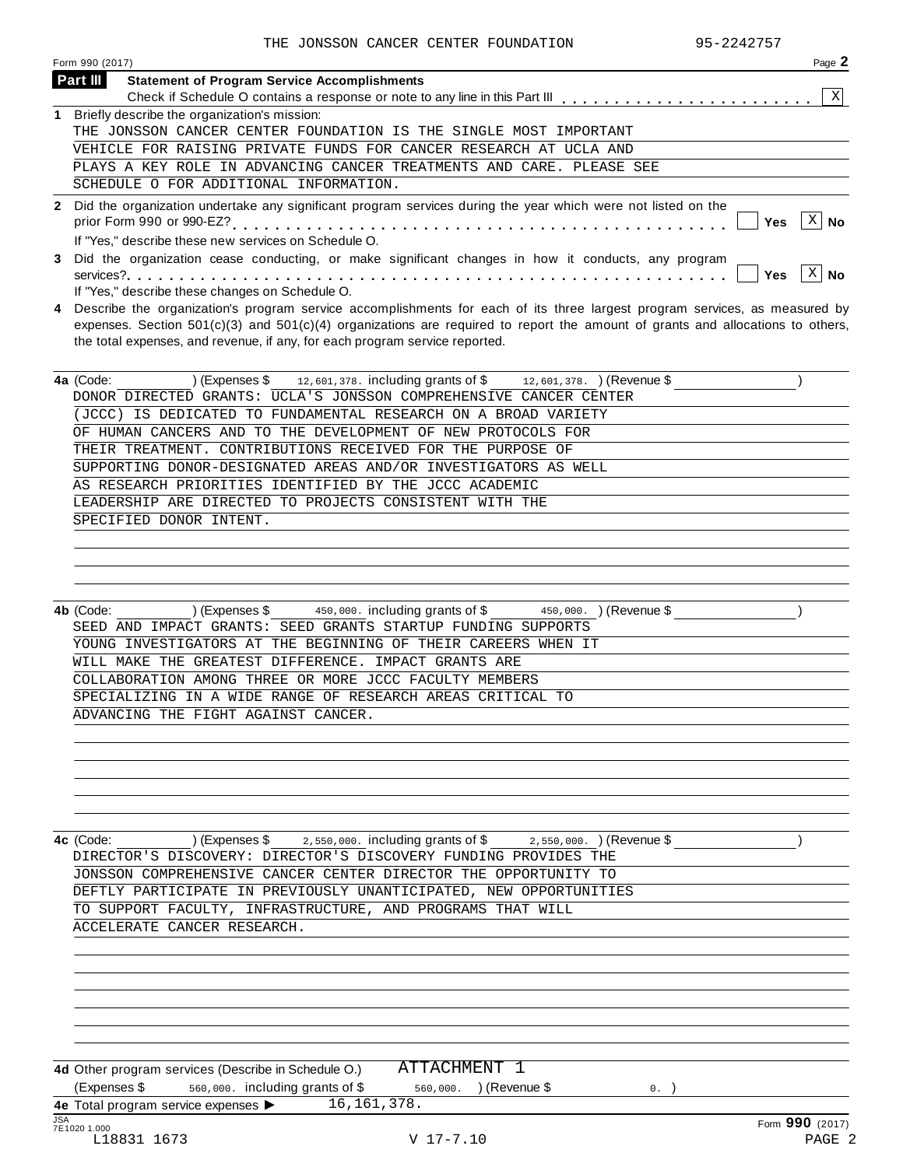|   | 95-2242757<br>THE JONSSON CANCER CENTER FOUNDATION                                                                             |
|---|--------------------------------------------------------------------------------------------------------------------------------|
|   | Page 2<br>Form 990 (2017)                                                                                                      |
|   | Part III<br><b>Statement of Program Service Accomplishments</b>                                                                |
|   | $\overline{\mathbf{x}}$                                                                                                        |
|   | Briefly describe the organization's mission:                                                                                   |
|   | THE JONSSON CANCER CENTER FOUNDATION IS THE SINGLE MOST IMPORTANT                                                              |
|   | VEHICLE FOR RAISING PRIVATE FUNDS FOR CANCER RESEARCH AT UCLA AND                                                              |
|   | PLAYS A KEY ROLE IN ADVANCING CANCER TREATMENTS AND CARE. PLEASE SEE                                                           |
|   | SCHEDULE O FOR ADDITIONAL INFORMATION.                                                                                         |
|   | 2 Did the organization undertake any significant program services during the year which were not listed on the                 |
|   | $\mathbf{X}$<br><b>Yes</b><br>No                                                                                               |
|   | If "Yes," describe these new services on Schedule O.                                                                           |
| 3 | Did the organization cease conducting, or make significant changes in how it conducts, any program                             |
|   | $\vert$ X $\vert$ No<br>Yes                                                                                                    |
|   | If "Yes," describe these changes on Schedule O.                                                                                |
|   | Describe the organization's program service accomplishments for each of its three largest program services, as measured by     |
|   | expenses. Section 501(c)(3) and 501(c)(4) organizations are required to report the amount of grants and allocations to others, |
|   | the total expenses, and revenue, if any, for each program service reported.                                                    |
|   |                                                                                                                                |
|   | 4a (Code:<br>(Expenses \$ 12,601,378. including grants of \$ 12,601,378. ) (Revenue \$ )                                       |
|   | DONOR DIRECTED GRANTS: UCLA'S JONSSON COMPREHENSIVE CANCER CENTER                                                              |
|   | (JCCC) IS DEDICATED TO FUNDAMENTAL RESEARCH ON A BROAD VARIETY                                                                 |
|   | OF HUMAN CANCERS AND TO THE DEVELOPMENT OF NEW PROTOCOLS FOR                                                                   |
|   | THEIR TREATMENT. CONTRIBUTIONS RECEIVED FOR THE PURPOSE OF                                                                     |
|   | SUPPORTING DONOR-DESIGNATED AREAS AND/OR INVESTIGATORS AS WELL                                                                 |
|   | AS RESEARCH PRIORITIES IDENTIFIED BY THE JCCC ACADEMIC                                                                         |
|   | LEADERSHIP ARE DIRECTED TO PROJECTS CONSISTENT WITH THE                                                                        |
|   | SPECIFIED DONOR INTENT.                                                                                                        |
|   |                                                                                                                                |
|   |                                                                                                                                |
|   |                                                                                                                                |
|   |                                                                                                                                |
|   | (Expenses \$450,000. including grants of \$450,000. ) (Revenue \$<br>4b (Code:                                                 |
|   | SEED AND IMPACT GRANTS: SEED GRANTS STARTUP FUNDING SUPPORTS                                                                   |
|   | YOUNG INVESTIGATORS AT THE BEGINNING OF THEIR CAREERS WHEN IT                                                                  |
|   | WILL MAKE THE GREATEST DIFFERENCE. IMPACT GRANTS ARE                                                                           |
|   | COLLABORATION AMONG THREE OR MORE JCCC FACULTY MEMBERS                                                                         |
|   | SPECIALIZING IN A WIDE RANGE OF RESEARCH AREAS CRITICAL TO                                                                     |
|   | ADVANCING THE FIGHT AGAINST CANCER.                                                                                            |
|   |                                                                                                                                |
|   |                                                                                                                                |
|   |                                                                                                                                |
|   |                                                                                                                                |
|   |                                                                                                                                |

**4c** (Code: ) (Expenses \$  $\quad$  2,550,000. including grants of \$  $\quad$  2,550,000.  $\,$  ) (Revenue \$  $\,$ DIRECTOR'S DISCOVERY: DIRECTOR'S DISCOVERY FUNDING PROVIDES THE JONSSON COMPREHENSIVE CANCER CENTER DIRECTOR THE OPPORTUNITY TO DEFTLY PARTICIPATE IN PREVIOUSLY UNANTICIPATED, NEW OPPORTUNITIES TO SUPPORT FACULTY, INFRASTRUCTURE, AND PROGRAMS THAT WILL ACCELERATE CANCER RESEARCH.

**4d** Other program services (Describe in Schedule O.) (Expenses \$ 560,000. including grants of \$ 560,000. ) (Revenue \$ 0. ) **4e** Total program service expenses ▶ [ATTACHMENT 1](#page-41-0) 16,161,378.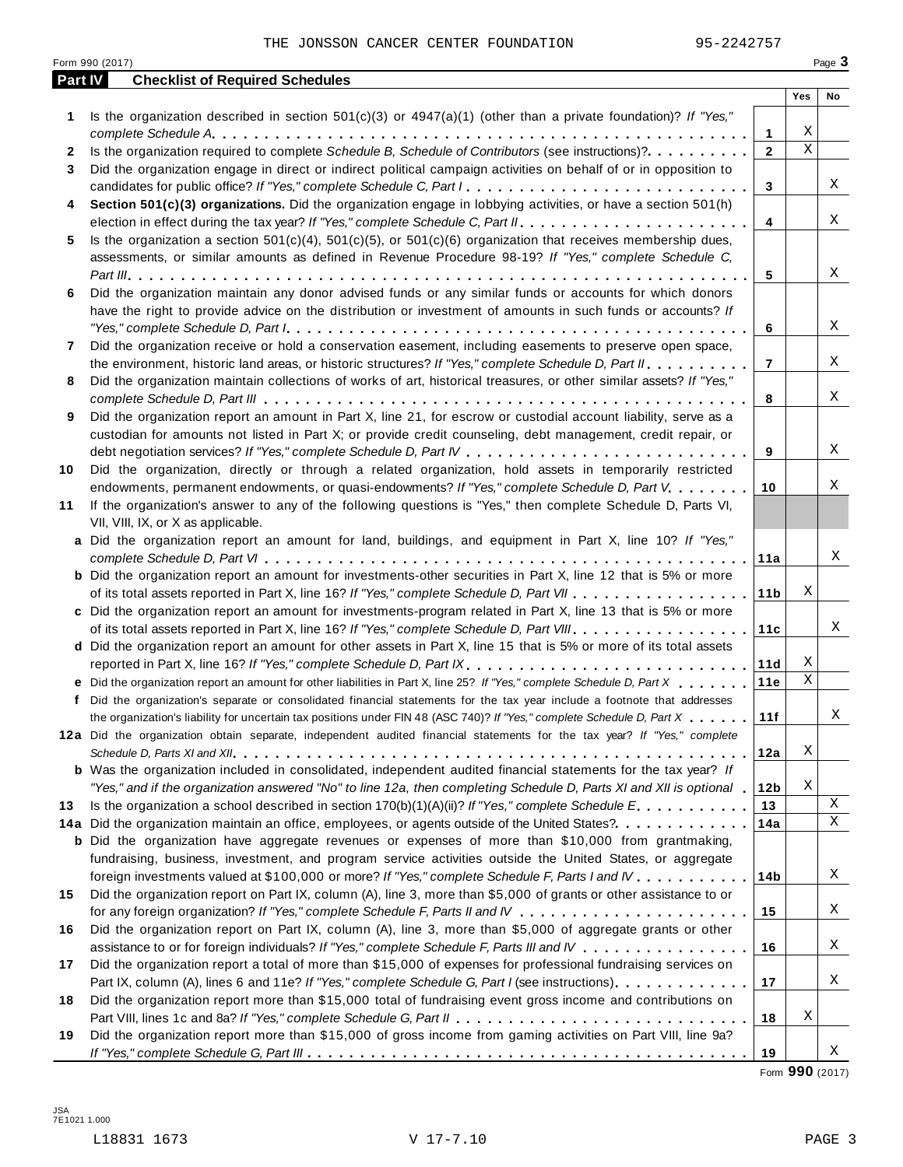|                | 95-2242757<br>THE JONSSON CANCER CENTER FOUNDATION<br>Form 990 (2017)                                                                                                                                                                                                                                                                                                                         |                 |                         | Page 3 |
|----------------|-----------------------------------------------------------------------------------------------------------------------------------------------------------------------------------------------------------------------------------------------------------------------------------------------------------------------------------------------------------------------------------------------|-----------------|-------------------------|--------|
| <b>Part IV</b> | <b>Checklist of Required Schedules</b>                                                                                                                                                                                                                                                                                                                                                        |                 |                         |        |
|                |                                                                                                                                                                                                                                                                                                                                                                                               |                 | Yes                     | No     |
| 1              | Is the organization described in section 501(c)(3) or 4947(a)(1) (other than a private foundation)? If "Yes,"                                                                                                                                                                                                                                                                                 |                 |                         |        |
|                |                                                                                                                                                                                                                                                                                                                                                                                               | 1               | Χ                       |        |
| 2              | Is the organization required to complete Schedule B, Schedule of Contributors (see instructions)?.                                                                                                                                                                                                                                                                                            | $\overline{2}$  | $\mathbf X$             |        |
| 3              | Did the organization engage in direct or indirect political campaign activities on behalf of or in opposition to                                                                                                                                                                                                                                                                              |                 |                         |        |
|                | candidates for public office? If "Yes," complete Schedule C, Part I.                                                                                                                                                                                                                                                                                                                          | 3               |                         | Χ      |
| 4              | Section 501(c)(3) organizations. Did the organization engage in lobbying activities, or have a section 501(h)                                                                                                                                                                                                                                                                                 |                 |                         |        |
|                |                                                                                                                                                                                                                                                                                                                                                                                               | 4               |                         | Χ      |
| 5              | Is the organization a section $501(c)(4)$ , $501(c)(5)$ , or $501(c)(6)$ organization that receives membership dues,                                                                                                                                                                                                                                                                          |                 |                         |        |
|                | assessments, or similar amounts as defined in Revenue Procedure 98-19? If "Yes," complete Schedule C,                                                                                                                                                                                                                                                                                         |                 |                         |        |
|                |                                                                                                                                                                                                                                                                                                                                                                                               | 5               |                         | Χ      |
| 6              | Did the organization maintain any donor advised funds or any similar funds or accounts for which donors                                                                                                                                                                                                                                                                                       |                 |                         |        |
|                | have the right to provide advice on the distribution or investment of amounts in such funds or accounts? If                                                                                                                                                                                                                                                                                   |                 |                         |        |
|                | "Yes," complete Schedule D, Part $l_1, \ldots, l_k, \ldots, l_k, \ldots, l_k, \ldots, l_k, \ldots, l_k, \ldots, l_k, \ldots, l_k, \ldots, l_k, \ldots, l_k, \ldots, l_k, \ldots, l_k, \ldots, l_k, \ldots, l_k, \ldots, l_k, \ldots, l_k, \ldots, l_k, \ldots, l_k, \ldots, l_k, \ldots, l_k, \ldots, l_k, \ldots, l_k, \ldots, l_k, \ldots, l_k, \ldots, l_k, \ldots, l_k, \ldots, l_k, \ld$ | 6               |                         | Χ      |
| 7              | Did the organization receive or hold a conservation easement, including easements to preserve open space,                                                                                                                                                                                                                                                                                     |                 |                         |        |
|                | the environment, historic land areas, or historic structures? If "Yes," complete Schedule D, Part II.                                                                                                                                                                                                                                                                                         | $\overline{7}$  |                         | Χ      |
| 8              | Did the organization maintain collections of works of art, historical treasures, or other similar assets? If "Yes,"                                                                                                                                                                                                                                                                           |                 |                         |        |
|                |                                                                                                                                                                                                                                                                                                                                                                                               | 8               |                         | Χ      |
| 9              | Did the organization report an amount in Part X, line 21, for escrow or custodial account liability, serve as a                                                                                                                                                                                                                                                                               |                 |                         |        |
|                | custodian for amounts not listed in Part X; or provide credit counseling, debt management, credit repair, or                                                                                                                                                                                                                                                                                  |                 |                         |        |
|                |                                                                                                                                                                                                                                                                                                                                                                                               | 9               |                         | Χ      |
| 10             | Did the organization, directly or through a related organization, hold assets in temporarily restricted                                                                                                                                                                                                                                                                                       |                 |                         |        |
|                | endowments, permanent endowments, or quasi-endowments? If "Yes," complete Schedule D, Part V.                                                                                                                                                                                                                                                                                                 | 10              |                         | Χ      |
| 11             | If the organization's answer to any of the following questions is "Yes," then complete Schedule D, Parts VI,                                                                                                                                                                                                                                                                                  |                 |                         |        |
|                | VII, VIII, IX, or X as applicable.                                                                                                                                                                                                                                                                                                                                                            |                 |                         |        |
|                | a Did the organization report an amount for land, buildings, and equipment in Part X, line 10? If "Yes,"                                                                                                                                                                                                                                                                                      |                 |                         | Χ      |
|                |                                                                                                                                                                                                                                                                                                                                                                                               | 11a             |                         |        |
|                | <b>b</b> Did the organization report an amount for investments-other securities in Part X, line 12 that is 5% or more                                                                                                                                                                                                                                                                         |                 | Χ                       |        |
|                |                                                                                                                                                                                                                                                                                                                                                                                               | 11 <sub>b</sub> |                         |        |
|                | c Did the organization report an amount for investments-program related in Part X, line 13 that is 5% or more                                                                                                                                                                                                                                                                                 |                 |                         | Χ      |
|                | d Did the organization report an amount for other assets in Part X, line 15 that is 5% or more of its total assets                                                                                                                                                                                                                                                                            | 11c             |                         |        |
|                | reported in Part X, line 16? If "Yes," complete Schedule D, Part IX.                                                                                                                                                                                                                                                                                                                          |                 | Χ                       |        |
|                | e Did the organization report an amount for other liabilities in Part X, line 25? If "Yes," complete Schedule D, Part X                                                                                                                                                                                                                                                                       | 11d<br>11e      | $\overline{\mathbf{x}}$ |        |
|                | f Did the organization's separate or consolidated financial statements for the tax year include a footnote that addresses                                                                                                                                                                                                                                                                     |                 |                         |        |
|                | the organization's liability for uncertain tax positions under FIN 48 (ASC 740)? If "Yes," complete Schedule D, Part X                                                                                                                                                                                                                                                                        | 11f             |                         | X      |
|                | 12a Did the organization obtain separate, independent audited financial statements for the tax year? If "Yes," complete                                                                                                                                                                                                                                                                       |                 |                         |        |
|                |                                                                                                                                                                                                                                                                                                                                                                                               | 12a             | Χ                       |        |
|                | <b>b</b> Was the organization included in consolidated, independent audited financial statements for the tax year? If                                                                                                                                                                                                                                                                         |                 |                         |        |
|                | "Yes," and if the organization answered "No" to line 12a, then completing Schedule D, Parts XI and XII is optional .                                                                                                                                                                                                                                                                          | 12b             | Χ                       |        |
| 13             | Is the organization a school described in section $170(b)(1)(A)(ii)?$ If "Yes," complete Schedule E.                                                                                                                                                                                                                                                                                          | 13              |                         | Χ      |
|                | 14a Did the organization maintain an office, employees, or agents outside of the United States?                                                                                                                                                                                                                                                                                               | 14a             |                         | Χ      |
|                | <b>b</b> Did the organization have aggregate revenues or expenses of more than \$10,000 from grantmaking,                                                                                                                                                                                                                                                                                     |                 |                         |        |
|                | fundraising, business, investment, and program service activities outside the United States, or aggregate                                                                                                                                                                                                                                                                                     |                 |                         |        |
|                | foreign investments valued at \$100,000 or more? If "Yes," complete Schedule F, Parts I and IV                                                                                                                                                                                                                                                                                                | 14b             |                         | Χ      |
| 15             | Did the organization report on Part IX, column (A), line 3, more than \$5,000 of grants or other assistance to or                                                                                                                                                                                                                                                                             |                 |                         |        |
|                |                                                                                                                                                                                                                                                                                                                                                                                               | 15              |                         | Χ      |
| 16             | Did the organization report on Part IX, column (A), line 3, more than \$5,000 of aggregate grants or other                                                                                                                                                                                                                                                                                    |                 |                         |        |
|                | assistance to or for foreign individuals? If "Yes," complete Schedule F, Parts III and IV                                                                                                                                                                                                                                                                                                     | 16              |                         | Χ      |
| 17             | Did the organization report a total of more than \$15,000 of expenses for professional fundraising services on                                                                                                                                                                                                                                                                                |                 |                         |        |
|                | Part IX, column (A), lines 6 and 11e? If "Yes," complete Schedule G, Part I (see instructions)                                                                                                                                                                                                                                                                                                | 17              |                         | Χ      |
| 18             | Did the organization report more than \$15,000 total of fundraising event gross income and contributions on                                                                                                                                                                                                                                                                                   |                 |                         |        |
|                |                                                                                                                                                                                                                                                                                                                                                                                               | 18              | Χ                       |        |
| 19             | Did the organization report more than \$15,000 of gross income from gaming activities on Part VIII, line 9a?                                                                                                                                                                                                                                                                                  |                 |                         |        |
|                |                                                                                                                                                                                                                                                                                                                                                                                               | 19              |                         | Χ      |
|                |                                                                                                                                                                                                                                                                                                                                                                                               |                 | Form 990 (2017)         |        |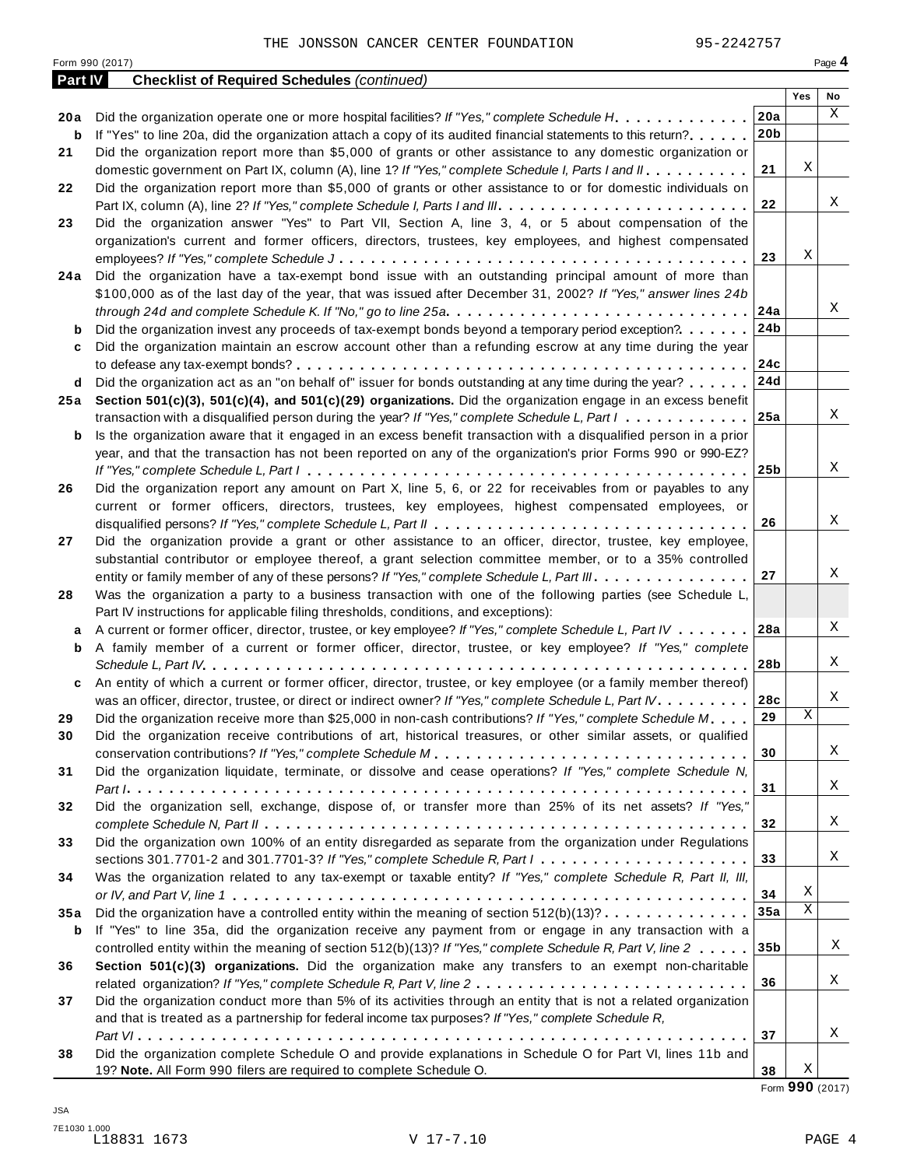| <b>Checklist of Required Schedules (continued)</b><br><b>Part IV</b><br>Yes<br>20a<br>Did the organization operate one or more hospital facilities? If "Yes," complete Schedule H.<br>20b<br>If "Yes" to line 20a, did the organization attach a copy of its audited financial statements to this return?<br>Did the organization report more than \$5,000 of grants or other assistance to any domestic organization or<br>Χ<br>21<br>domestic government on Part IX, column (A), line 1? If "Yes," complete Schedule I, Parts I and II.<br>Did the organization report more than \$5,000 of grants or other assistance to or for domestic individuals on<br>22<br>Did the organization answer "Yes" to Part VII, Section A, line 3, 4, or 5 about compensation of the<br>organization's current and former officers, directors, trustees, key employees, and highest compensated<br>Χ<br>23<br>Did the organization have a tax-exempt bond issue with an outstanding principal amount of more than<br>\$100,000 as of the last day of the year, that was issued after December 31, 2002? If "Yes," answer lines 24b<br>24a<br>24 <sub>b</sub><br>Did the organization invest any proceeds of tax-exempt bonds beyond a temporary period exception?<br>Did the organization maintain an escrow account other than a refunding escrow at any time during the year<br>24c<br>24d<br>Did the organization act as an "on behalf of" issuer for bonds outstanding at any time during the year?<br>Section 501(c)(3), 501(c)(4), and 501(c)(29) organizations. Did the organization engage in an excess benefit<br>25a<br>transaction with a disqualified person during the year? If "Yes," complete Schedule L, Part I<br>Is the organization aware that it engaged in an excess benefit transaction with a disqualified person in a prior<br>year, and that the transaction has not been reported on any of the organization's prior Forms 990 or 990-EZ?<br>25 <sub>b</sub><br>Did the organization report any amount on Part X, line 5, 6, or 22 for receivables from or payables to any<br>current or former officers, directors, trustees, key employees, highest compensated employees, or<br>26<br>Did the organization provide a grant or other assistance to an officer, director, trustee, key employee,<br>substantial contributor or employee thereof, a grant selection committee member, or to a 35% controlled<br>27<br>entity or family member of any of these persons? If "Yes," complete Schedule L, Part III.<br>Was the organization a party to a business transaction with one of the following parties (see Schedule L,<br>Part IV instructions for applicable filing thresholds, conditions, and exceptions):<br>28a<br>A current or former officer, director, trustee, or key employee? If "Yes," complete Schedule L, Part IV<br>a<br>A family member of a current or former officer, director, trustee, or key employee? If "Yes," complete<br>b<br>28b<br>An entity of which a current or former officer, director, trustee, or key employee (or a family member thereof)<br>C<br>28c<br>was an officer, director, trustee, or direct or indirect owner? If "Yes," complete Schedule L, Part IV.<br>X<br>29<br>Did the organization receive more than \$25,000 in non-cash contributions? If "Yes," complete Schedule M.<br>Did the organization receive contributions of art, historical treasures, or other similar assets, or qualified<br>30<br>Did the organization liquidate, terminate, or dissolve and cease operations? If "Yes," complete Schedule N,<br>31<br>Did the organization sell, exchange, dispose of, or transfer more than 25% of its net assets? If "Yes,"<br>32<br>Did the organization own 100% of an entity disregarded as separate from the organization under Regulations<br>sections 301.7701-2 and 301.7701-3? If "Yes," complete Schedule R, Part  <br>33<br>Was the organization related to any tax-exempt or taxable entity? If "Yes," complete Schedule R, Part II, III,<br>Χ<br>34<br>Χ<br>Did the organization have a controlled entity within the meaning of section $512(b)(13)$ ?<br>35a<br>If "Yes" to line 35a, did the organization receive any payment from or engage in any transaction with a<br>controlled entity within the meaning of section 512(b)(13)? If "Yes," complete Schedule R, Part V, line 2<br>35b<br>Section 501(c)(3) organizations. Did the organization make any transfers to an exempt non-charitable<br>36<br>Did the organization conduct more than 5% of its activities through an entity that is not a related organization<br>and that is treated as a partnership for federal income tax purposes? If "Yes," complete Schedule R,<br>37 |      | THE JONSSON CANCER CENTER FOUNDATION<br>95-2242757<br>Form 990 (2017)                                      |  | Page 4 |
|--------------------------------------------------------------------------------------------------------------------------------------------------------------------------------------------------------------------------------------------------------------------------------------------------------------------------------------------------------------------------------------------------------------------------------------------------------------------------------------------------------------------------------------------------------------------------------------------------------------------------------------------------------------------------------------------------------------------------------------------------------------------------------------------------------------------------------------------------------------------------------------------------------------------------------------------------------------------------------------------------------------------------------------------------------------------------------------------------------------------------------------------------------------------------------------------------------------------------------------------------------------------------------------------------------------------------------------------------------------------------------------------------------------------------------------------------------------------------------------------------------------------------------------------------------------------------------------------------------------------------------------------------------------------------------------------------------------------------------------------------------------------------------------------------------------------------------------------------------------------------------------------------------------------------------------------------------------------------------------------------------------------------------------------------------------------------------------------------------------------------------------------------------------------------------------------------------------------------------------------------------------------------------------------------------------------------------------------------------------------------------------------------------------------------------------------------------------------------------------------------------------------------------------------------------------------------------------------------------------------------------------------------------------------------------------------------------------------------------------------------------------------------------------------------------------------------------------------------------------------------------------------------------------------------------------------------------------------------------------------------------------------------------------------------------------------------------------------------------------------------------------------------------------------------------------------------------------------------------------------------------------------------------------------------------------------------------------------------------------------------------------------------------------------------------------------------------------------------------------------------------------------------------------------------------------------------------------------------------------------------------------------------------------------------------------------------------------------------------------------------------------------------------------------------------------------------------------------------------------------------------------------------------------------------------------------------------------------------------------------------------------------------------------------------------------------------------------------------------------------------------------------------------------------------------------------------------------------------------------------------------------------------------------------------------------------------------------------------------------------------------------------------------------------------------------------------------------------------------------------------------------------------------------------------------------------------------------------------------------------------------------------------------------------------------------------------------------------------------------|------|------------------------------------------------------------------------------------------------------------|--|--------|
|                                                                                                                                                                                                                                                                                                                                                                                                                                                                                                                                                                                                                                                                                                                                                                                                                                                                                                                                                                                                                                                                                                                                                                                                                                                                                                                                                                                                                                                                                                                                                                                                                                                                                                                                                                                                                                                                                                                                                                                                                                                                                                                                                                                                                                                                                                                                                                                                                                                                                                                                                                                                                                                                                                                                                                                                                                                                                                                                                                                                                                                                                                                                                                                                                                                                                                                                                                                                                                                                                                                                                                                                                                                                                                                                                                                                                                                                                                                                                                                                                                                                                                                                                                                                                                                                                                                                                                                                                                                                                                                                                                                                                                                                                                                                      |      |                                                                                                            |  |        |
|                                                                                                                                                                                                                                                                                                                                                                                                                                                                                                                                                                                                                                                                                                                                                                                                                                                                                                                                                                                                                                                                                                                                                                                                                                                                                                                                                                                                                                                                                                                                                                                                                                                                                                                                                                                                                                                                                                                                                                                                                                                                                                                                                                                                                                                                                                                                                                                                                                                                                                                                                                                                                                                                                                                                                                                                                                                                                                                                                                                                                                                                                                                                                                                                                                                                                                                                                                                                                                                                                                                                                                                                                                                                                                                                                                                                                                                                                                                                                                                                                                                                                                                                                                                                                                                                                                                                                                                                                                                                                                                                                                                                                                                                                                                                      |      |                                                                                                            |  | No     |
|                                                                                                                                                                                                                                                                                                                                                                                                                                                                                                                                                                                                                                                                                                                                                                                                                                                                                                                                                                                                                                                                                                                                                                                                                                                                                                                                                                                                                                                                                                                                                                                                                                                                                                                                                                                                                                                                                                                                                                                                                                                                                                                                                                                                                                                                                                                                                                                                                                                                                                                                                                                                                                                                                                                                                                                                                                                                                                                                                                                                                                                                                                                                                                                                                                                                                                                                                                                                                                                                                                                                                                                                                                                                                                                                                                                                                                                                                                                                                                                                                                                                                                                                                                                                                                                                                                                                                                                                                                                                                                                                                                                                                                                                                                                                      | 20 a |                                                                                                            |  | X      |
|                                                                                                                                                                                                                                                                                                                                                                                                                                                                                                                                                                                                                                                                                                                                                                                                                                                                                                                                                                                                                                                                                                                                                                                                                                                                                                                                                                                                                                                                                                                                                                                                                                                                                                                                                                                                                                                                                                                                                                                                                                                                                                                                                                                                                                                                                                                                                                                                                                                                                                                                                                                                                                                                                                                                                                                                                                                                                                                                                                                                                                                                                                                                                                                                                                                                                                                                                                                                                                                                                                                                                                                                                                                                                                                                                                                                                                                                                                                                                                                                                                                                                                                                                                                                                                                                                                                                                                                                                                                                                                                                                                                                                                                                                                                                      | b    |                                                                                                            |  |        |
|                                                                                                                                                                                                                                                                                                                                                                                                                                                                                                                                                                                                                                                                                                                                                                                                                                                                                                                                                                                                                                                                                                                                                                                                                                                                                                                                                                                                                                                                                                                                                                                                                                                                                                                                                                                                                                                                                                                                                                                                                                                                                                                                                                                                                                                                                                                                                                                                                                                                                                                                                                                                                                                                                                                                                                                                                                                                                                                                                                                                                                                                                                                                                                                                                                                                                                                                                                                                                                                                                                                                                                                                                                                                                                                                                                                                                                                                                                                                                                                                                                                                                                                                                                                                                                                                                                                                                                                                                                                                                                                                                                                                                                                                                                                                      | 21   |                                                                                                            |  |        |
|                                                                                                                                                                                                                                                                                                                                                                                                                                                                                                                                                                                                                                                                                                                                                                                                                                                                                                                                                                                                                                                                                                                                                                                                                                                                                                                                                                                                                                                                                                                                                                                                                                                                                                                                                                                                                                                                                                                                                                                                                                                                                                                                                                                                                                                                                                                                                                                                                                                                                                                                                                                                                                                                                                                                                                                                                                                                                                                                                                                                                                                                                                                                                                                                                                                                                                                                                                                                                                                                                                                                                                                                                                                                                                                                                                                                                                                                                                                                                                                                                                                                                                                                                                                                                                                                                                                                                                                                                                                                                                                                                                                                                                                                                                                                      |      |                                                                                                            |  |        |
|                                                                                                                                                                                                                                                                                                                                                                                                                                                                                                                                                                                                                                                                                                                                                                                                                                                                                                                                                                                                                                                                                                                                                                                                                                                                                                                                                                                                                                                                                                                                                                                                                                                                                                                                                                                                                                                                                                                                                                                                                                                                                                                                                                                                                                                                                                                                                                                                                                                                                                                                                                                                                                                                                                                                                                                                                                                                                                                                                                                                                                                                                                                                                                                                                                                                                                                                                                                                                                                                                                                                                                                                                                                                                                                                                                                                                                                                                                                                                                                                                                                                                                                                                                                                                                                                                                                                                                                                                                                                                                                                                                                                                                                                                                                                      | 22   |                                                                                                            |  |        |
|                                                                                                                                                                                                                                                                                                                                                                                                                                                                                                                                                                                                                                                                                                                                                                                                                                                                                                                                                                                                                                                                                                                                                                                                                                                                                                                                                                                                                                                                                                                                                                                                                                                                                                                                                                                                                                                                                                                                                                                                                                                                                                                                                                                                                                                                                                                                                                                                                                                                                                                                                                                                                                                                                                                                                                                                                                                                                                                                                                                                                                                                                                                                                                                                                                                                                                                                                                                                                                                                                                                                                                                                                                                                                                                                                                                                                                                                                                                                                                                                                                                                                                                                                                                                                                                                                                                                                                                                                                                                                                                                                                                                                                                                                                                                      |      |                                                                                                            |  | X      |
|                                                                                                                                                                                                                                                                                                                                                                                                                                                                                                                                                                                                                                                                                                                                                                                                                                                                                                                                                                                                                                                                                                                                                                                                                                                                                                                                                                                                                                                                                                                                                                                                                                                                                                                                                                                                                                                                                                                                                                                                                                                                                                                                                                                                                                                                                                                                                                                                                                                                                                                                                                                                                                                                                                                                                                                                                                                                                                                                                                                                                                                                                                                                                                                                                                                                                                                                                                                                                                                                                                                                                                                                                                                                                                                                                                                                                                                                                                                                                                                                                                                                                                                                                                                                                                                                                                                                                                                                                                                                                                                                                                                                                                                                                                                                      | 23   |                                                                                                            |  |        |
|                                                                                                                                                                                                                                                                                                                                                                                                                                                                                                                                                                                                                                                                                                                                                                                                                                                                                                                                                                                                                                                                                                                                                                                                                                                                                                                                                                                                                                                                                                                                                                                                                                                                                                                                                                                                                                                                                                                                                                                                                                                                                                                                                                                                                                                                                                                                                                                                                                                                                                                                                                                                                                                                                                                                                                                                                                                                                                                                                                                                                                                                                                                                                                                                                                                                                                                                                                                                                                                                                                                                                                                                                                                                                                                                                                                                                                                                                                                                                                                                                                                                                                                                                                                                                                                                                                                                                                                                                                                                                                                                                                                                                                                                                                                                      |      |                                                                                                            |  |        |
|                                                                                                                                                                                                                                                                                                                                                                                                                                                                                                                                                                                                                                                                                                                                                                                                                                                                                                                                                                                                                                                                                                                                                                                                                                                                                                                                                                                                                                                                                                                                                                                                                                                                                                                                                                                                                                                                                                                                                                                                                                                                                                                                                                                                                                                                                                                                                                                                                                                                                                                                                                                                                                                                                                                                                                                                                                                                                                                                                                                                                                                                                                                                                                                                                                                                                                                                                                                                                                                                                                                                                                                                                                                                                                                                                                                                                                                                                                                                                                                                                                                                                                                                                                                                                                                                                                                                                                                                                                                                                                                                                                                                                                                                                                                                      |      |                                                                                                            |  |        |
|                                                                                                                                                                                                                                                                                                                                                                                                                                                                                                                                                                                                                                                                                                                                                                                                                                                                                                                                                                                                                                                                                                                                                                                                                                                                                                                                                                                                                                                                                                                                                                                                                                                                                                                                                                                                                                                                                                                                                                                                                                                                                                                                                                                                                                                                                                                                                                                                                                                                                                                                                                                                                                                                                                                                                                                                                                                                                                                                                                                                                                                                                                                                                                                                                                                                                                                                                                                                                                                                                                                                                                                                                                                                                                                                                                                                                                                                                                                                                                                                                                                                                                                                                                                                                                                                                                                                                                                                                                                                                                                                                                                                                                                                                                                                      | 24 a |                                                                                                            |  |        |
|                                                                                                                                                                                                                                                                                                                                                                                                                                                                                                                                                                                                                                                                                                                                                                                                                                                                                                                                                                                                                                                                                                                                                                                                                                                                                                                                                                                                                                                                                                                                                                                                                                                                                                                                                                                                                                                                                                                                                                                                                                                                                                                                                                                                                                                                                                                                                                                                                                                                                                                                                                                                                                                                                                                                                                                                                                                                                                                                                                                                                                                                                                                                                                                                                                                                                                                                                                                                                                                                                                                                                                                                                                                                                                                                                                                                                                                                                                                                                                                                                                                                                                                                                                                                                                                                                                                                                                                                                                                                                                                                                                                                                                                                                                                                      |      |                                                                                                            |  |        |
|                                                                                                                                                                                                                                                                                                                                                                                                                                                                                                                                                                                                                                                                                                                                                                                                                                                                                                                                                                                                                                                                                                                                                                                                                                                                                                                                                                                                                                                                                                                                                                                                                                                                                                                                                                                                                                                                                                                                                                                                                                                                                                                                                                                                                                                                                                                                                                                                                                                                                                                                                                                                                                                                                                                                                                                                                                                                                                                                                                                                                                                                                                                                                                                                                                                                                                                                                                                                                                                                                                                                                                                                                                                                                                                                                                                                                                                                                                                                                                                                                                                                                                                                                                                                                                                                                                                                                                                                                                                                                                                                                                                                                                                                                                                                      |      |                                                                                                            |  | Χ      |
|                                                                                                                                                                                                                                                                                                                                                                                                                                                                                                                                                                                                                                                                                                                                                                                                                                                                                                                                                                                                                                                                                                                                                                                                                                                                                                                                                                                                                                                                                                                                                                                                                                                                                                                                                                                                                                                                                                                                                                                                                                                                                                                                                                                                                                                                                                                                                                                                                                                                                                                                                                                                                                                                                                                                                                                                                                                                                                                                                                                                                                                                                                                                                                                                                                                                                                                                                                                                                                                                                                                                                                                                                                                                                                                                                                                                                                                                                                                                                                                                                                                                                                                                                                                                                                                                                                                                                                                                                                                                                                                                                                                                                                                                                                                                      | b    |                                                                                                            |  |        |
|                                                                                                                                                                                                                                                                                                                                                                                                                                                                                                                                                                                                                                                                                                                                                                                                                                                                                                                                                                                                                                                                                                                                                                                                                                                                                                                                                                                                                                                                                                                                                                                                                                                                                                                                                                                                                                                                                                                                                                                                                                                                                                                                                                                                                                                                                                                                                                                                                                                                                                                                                                                                                                                                                                                                                                                                                                                                                                                                                                                                                                                                                                                                                                                                                                                                                                                                                                                                                                                                                                                                                                                                                                                                                                                                                                                                                                                                                                                                                                                                                                                                                                                                                                                                                                                                                                                                                                                                                                                                                                                                                                                                                                                                                                                                      | c    |                                                                                                            |  |        |
|                                                                                                                                                                                                                                                                                                                                                                                                                                                                                                                                                                                                                                                                                                                                                                                                                                                                                                                                                                                                                                                                                                                                                                                                                                                                                                                                                                                                                                                                                                                                                                                                                                                                                                                                                                                                                                                                                                                                                                                                                                                                                                                                                                                                                                                                                                                                                                                                                                                                                                                                                                                                                                                                                                                                                                                                                                                                                                                                                                                                                                                                                                                                                                                                                                                                                                                                                                                                                                                                                                                                                                                                                                                                                                                                                                                                                                                                                                                                                                                                                                                                                                                                                                                                                                                                                                                                                                                                                                                                                                                                                                                                                                                                                                                                      |      |                                                                                                            |  |        |
|                                                                                                                                                                                                                                                                                                                                                                                                                                                                                                                                                                                                                                                                                                                                                                                                                                                                                                                                                                                                                                                                                                                                                                                                                                                                                                                                                                                                                                                                                                                                                                                                                                                                                                                                                                                                                                                                                                                                                                                                                                                                                                                                                                                                                                                                                                                                                                                                                                                                                                                                                                                                                                                                                                                                                                                                                                                                                                                                                                                                                                                                                                                                                                                                                                                                                                                                                                                                                                                                                                                                                                                                                                                                                                                                                                                                                                                                                                                                                                                                                                                                                                                                                                                                                                                                                                                                                                                                                                                                                                                                                                                                                                                                                                                                      | d    |                                                                                                            |  |        |
|                                                                                                                                                                                                                                                                                                                                                                                                                                                                                                                                                                                                                                                                                                                                                                                                                                                                                                                                                                                                                                                                                                                                                                                                                                                                                                                                                                                                                                                                                                                                                                                                                                                                                                                                                                                                                                                                                                                                                                                                                                                                                                                                                                                                                                                                                                                                                                                                                                                                                                                                                                                                                                                                                                                                                                                                                                                                                                                                                                                                                                                                                                                                                                                                                                                                                                                                                                                                                                                                                                                                                                                                                                                                                                                                                                                                                                                                                                                                                                                                                                                                                                                                                                                                                                                                                                                                                                                                                                                                                                                                                                                                                                                                                                                                      | 25 a |                                                                                                            |  |        |
|                                                                                                                                                                                                                                                                                                                                                                                                                                                                                                                                                                                                                                                                                                                                                                                                                                                                                                                                                                                                                                                                                                                                                                                                                                                                                                                                                                                                                                                                                                                                                                                                                                                                                                                                                                                                                                                                                                                                                                                                                                                                                                                                                                                                                                                                                                                                                                                                                                                                                                                                                                                                                                                                                                                                                                                                                                                                                                                                                                                                                                                                                                                                                                                                                                                                                                                                                                                                                                                                                                                                                                                                                                                                                                                                                                                                                                                                                                                                                                                                                                                                                                                                                                                                                                                                                                                                                                                                                                                                                                                                                                                                                                                                                                                                      |      |                                                                                                            |  | Χ      |
|                                                                                                                                                                                                                                                                                                                                                                                                                                                                                                                                                                                                                                                                                                                                                                                                                                                                                                                                                                                                                                                                                                                                                                                                                                                                                                                                                                                                                                                                                                                                                                                                                                                                                                                                                                                                                                                                                                                                                                                                                                                                                                                                                                                                                                                                                                                                                                                                                                                                                                                                                                                                                                                                                                                                                                                                                                                                                                                                                                                                                                                                                                                                                                                                                                                                                                                                                                                                                                                                                                                                                                                                                                                                                                                                                                                                                                                                                                                                                                                                                                                                                                                                                                                                                                                                                                                                                                                                                                                                                                                                                                                                                                                                                                                                      | b    |                                                                                                            |  |        |
|                                                                                                                                                                                                                                                                                                                                                                                                                                                                                                                                                                                                                                                                                                                                                                                                                                                                                                                                                                                                                                                                                                                                                                                                                                                                                                                                                                                                                                                                                                                                                                                                                                                                                                                                                                                                                                                                                                                                                                                                                                                                                                                                                                                                                                                                                                                                                                                                                                                                                                                                                                                                                                                                                                                                                                                                                                                                                                                                                                                                                                                                                                                                                                                                                                                                                                                                                                                                                                                                                                                                                                                                                                                                                                                                                                                                                                                                                                                                                                                                                                                                                                                                                                                                                                                                                                                                                                                                                                                                                                                                                                                                                                                                                                                                      |      |                                                                                                            |  |        |
|                                                                                                                                                                                                                                                                                                                                                                                                                                                                                                                                                                                                                                                                                                                                                                                                                                                                                                                                                                                                                                                                                                                                                                                                                                                                                                                                                                                                                                                                                                                                                                                                                                                                                                                                                                                                                                                                                                                                                                                                                                                                                                                                                                                                                                                                                                                                                                                                                                                                                                                                                                                                                                                                                                                                                                                                                                                                                                                                                                                                                                                                                                                                                                                                                                                                                                                                                                                                                                                                                                                                                                                                                                                                                                                                                                                                                                                                                                                                                                                                                                                                                                                                                                                                                                                                                                                                                                                                                                                                                                                                                                                                                                                                                                                                      |      |                                                                                                            |  | Χ      |
|                                                                                                                                                                                                                                                                                                                                                                                                                                                                                                                                                                                                                                                                                                                                                                                                                                                                                                                                                                                                                                                                                                                                                                                                                                                                                                                                                                                                                                                                                                                                                                                                                                                                                                                                                                                                                                                                                                                                                                                                                                                                                                                                                                                                                                                                                                                                                                                                                                                                                                                                                                                                                                                                                                                                                                                                                                                                                                                                                                                                                                                                                                                                                                                                                                                                                                                                                                                                                                                                                                                                                                                                                                                                                                                                                                                                                                                                                                                                                                                                                                                                                                                                                                                                                                                                                                                                                                                                                                                                                                                                                                                                                                                                                                                                      | 26   |                                                                                                            |  |        |
|                                                                                                                                                                                                                                                                                                                                                                                                                                                                                                                                                                                                                                                                                                                                                                                                                                                                                                                                                                                                                                                                                                                                                                                                                                                                                                                                                                                                                                                                                                                                                                                                                                                                                                                                                                                                                                                                                                                                                                                                                                                                                                                                                                                                                                                                                                                                                                                                                                                                                                                                                                                                                                                                                                                                                                                                                                                                                                                                                                                                                                                                                                                                                                                                                                                                                                                                                                                                                                                                                                                                                                                                                                                                                                                                                                                                                                                                                                                                                                                                                                                                                                                                                                                                                                                                                                                                                                                                                                                                                                                                                                                                                                                                                                                                      |      |                                                                                                            |  |        |
|                                                                                                                                                                                                                                                                                                                                                                                                                                                                                                                                                                                                                                                                                                                                                                                                                                                                                                                                                                                                                                                                                                                                                                                                                                                                                                                                                                                                                                                                                                                                                                                                                                                                                                                                                                                                                                                                                                                                                                                                                                                                                                                                                                                                                                                                                                                                                                                                                                                                                                                                                                                                                                                                                                                                                                                                                                                                                                                                                                                                                                                                                                                                                                                                                                                                                                                                                                                                                                                                                                                                                                                                                                                                                                                                                                                                                                                                                                                                                                                                                                                                                                                                                                                                                                                                                                                                                                                                                                                                                                                                                                                                                                                                                                                                      |      |                                                                                                            |  | Χ      |
|                                                                                                                                                                                                                                                                                                                                                                                                                                                                                                                                                                                                                                                                                                                                                                                                                                                                                                                                                                                                                                                                                                                                                                                                                                                                                                                                                                                                                                                                                                                                                                                                                                                                                                                                                                                                                                                                                                                                                                                                                                                                                                                                                                                                                                                                                                                                                                                                                                                                                                                                                                                                                                                                                                                                                                                                                                                                                                                                                                                                                                                                                                                                                                                                                                                                                                                                                                                                                                                                                                                                                                                                                                                                                                                                                                                                                                                                                                                                                                                                                                                                                                                                                                                                                                                                                                                                                                                                                                                                                                                                                                                                                                                                                                                                      | 27   |                                                                                                            |  |        |
|                                                                                                                                                                                                                                                                                                                                                                                                                                                                                                                                                                                                                                                                                                                                                                                                                                                                                                                                                                                                                                                                                                                                                                                                                                                                                                                                                                                                                                                                                                                                                                                                                                                                                                                                                                                                                                                                                                                                                                                                                                                                                                                                                                                                                                                                                                                                                                                                                                                                                                                                                                                                                                                                                                                                                                                                                                                                                                                                                                                                                                                                                                                                                                                                                                                                                                                                                                                                                                                                                                                                                                                                                                                                                                                                                                                                                                                                                                                                                                                                                                                                                                                                                                                                                                                                                                                                                                                                                                                                                                                                                                                                                                                                                                                                      |      |                                                                                                            |  |        |
|                                                                                                                                                                                                                                                                                                                                                                                                                                                                                                                                                                                                                                                                                                                                                                                                                                                                                                                                                                                                                                                                                                                                                                                                                                                                                                                                                                                                                                                                                                                                                                                                                                                                                                                                                                                                                                                                                                                                                                                                                                                                                                                                                                                                                                                                                                                                                                                                                                                                                                                                                                                                                                                                                                                                                                                                                                                                                                                                                                                                                                                                                                                                                                                                                                                                                                                                                                                                                                                                                                                                                                                                                                                                                                                                                                                                                                                                                                                                                                                                                                                                                                                                                                                                                                                                                                                                                                                                                                                                                                                                                                                                                                                                                                                                      |      |                                                                                                            |  | Χ      |
|                                                                                                                                                                                                                                                                                                                                                                                                                                                                                                                                                                                                                                                                                                                                                                                                                                                                                                                                                                                                                                                                                                                                                                                                                                                                                                                                                                                                                                                                                                                                                                                                                                                                                                                                                                                                                                                                                                                                                                                                                                                                                                                                                                                                                                                                                                                                                                                                                                                                                                                                                                                                                                                                                                                                                                                                                                                                                                                                                                                                                                                                                                                                                                                                                                                                                                                                                                                                                                                                                                                                                                                                                                                                                                                                                                                                                                                                                                                                                                                                                                                                                                                                                                                                                                                                                                                                                                                                                                                                                                                                                                                                                                                                                                                                      | 28   |                                                                                                            |  |        |
|                                                                                                                                                                                                                                                                                                                                                                                                                                                                                                                                                                                                                                                                                                                                                                                                                                                                                                                                                                                                                                                                                                                                                                                                                                                                                                                                                                                                                                                                                                                                                                                                                                                                                                                                                                                                                                                                                                                                                                                                                                                                                                                                                                                                                                                                                                                                                                                                                                                                                                                                                                                                                                                                                                                                                                                                                                                                                                                                                                                                                                                                                                                                                                                                                                                                                                                                                                                                                                                                                                                                                                                                                                                                                                                                                                                                                                                                                                                                                                                                                                                                                                                                                                                                                                                                                                                                                                                                                                                                                                                                                                                                                                                                                                                                      |      |                                                                                                            |  |        |
|                                                                                                                                                                                                                                                                                                                                                                                                                                                                                                                                                                                                                                                                                                                                                                                                                                                                                                                                                                                                                                                                                                                                                                                                                                                                                                                                                                                                                                                                                                                                                                                                                                                                                                                                                                                                                                                                                                                                                                                                                                                                                                                                                                                                                                                                                                                                                                                                                                                                                                                                                                                                                                                                                                                                                                                                                                                                                                                                                                                                                                                                                                                                                                                                                                                                                                                                                                                                                                                                                                                                                                                                                                                                                                                                                                                                                                                                                                                                                                                                                                                                                                                                                                                                                                                                                                                                                                                                                                                                                                                                                                                                                                                                                                                                      |      |                                                                                                            |  | Χ      |
|                                                                                                                                                                                                                                                                                                                                                                                                                                                                                                                                                                                                                                                                                                                                                                                                                                                                                                                                                                                                                                                                                                                                                                                                                                                                                                                                                                                                                                                                                                                                                                                                                                                                                                                                                                                                                                                                                                                                                                                                                                                                                                                                                                                                                                                                                                                                                                                                                                                                                                                                                                                                                                                                                                                                                                                                                                                                                                                                                                                                                                                                                                                                                                                                                                                                                                                                                                                                                                                                                                                                                                                                                                                                                                                                                                                                                                                                                                                                                                                                                                                                                                                                                                                                                                                                                                                                                                                                                                                                                                                                                                                                                                                                                                                                      |      |                                                                                                            |  |        |
|                                                                                                                                                                                                                                                                                                                                                                                                                                                                                                                                                                                                                                                                                                                                                                                                                                                                                                                                                                                                                                                                                                                                                                                                                                                                                                                                                                                                                                                                                                                                                                                                                                                                                                                                                                                                                                                                                                                                                                                                                                                                                                                                                                                                                                                                                                                                                                                                                                                                                                                                                                                                                                                                                                                                                                                                                                                                                                                                                                                                                                                                                                                                                                                                                                                                                                                                                                                                                                                                                                                                                                                                                                                                                                                                                                                                                                                                                                                                                                                                                                                                                                                                                                                                                                                                                                                                                                                                                                                                                                                                                                                                                                                                                                                                      |      |                                                                                                            |  | Χ      |
|                                                                                                                                                                                                                                                                                                                                                                                                                                                                                                                                                                                                                                                                                                                                                                                                                                                                                                                                                                                                                                                                                                                                                                                                                                                                                                                                                                                                                                                                                                                                                                                                                                                                                                                                                                                                                                                                                                                                                                                                                                                                                                                                                                                                                                                                                                                                                                                                                                                                                                                                                                                                                                                                                                                                                                                                                                                                                                                                                                                                                                                                                                                                                                                                                                                                                                                                                                                                                                                                                                                                                                                                                                                                                                                                                                                                                                                                                                                                                                                                                                                                                                                                                                                                                                                                                                                                                                                                                                                                                                                                                                                                                                                                                                                                      |      |                                                                                                            |  |        |
|                                                                                                                                                                                                                                                                                                                                                                                                                                                                                                                                                                                                                                                                                                                                                                                                                                                                                                                                                                                                                                                                                                                                                                                                                                                                                                                                                                                                                                                                                                                                                                                                                                                                                                                                                                                                                                                                                                                                                                                                                                                                                                                                                                                                                                                                                                                                                                                                                                                                                                                                                                                                                                                                                                                                                                                                                                                                                                                                                                                                                                                                                                                                                                                                                                                                                                                                                                                                                                                                                                                                                                                                                                                                                                                                                                                                                                                                                                                                                                                                                                                                                                                                                                                                                                                                                                                                                                                                                                                                                                                                                                                                                                                                                                                                      |      |                                                                                                            |  | X      |
|                                                                                                                                                                                                                                                                                                                                                                                                                                                                                                                                                                                                                                                                                                                                                                                                                                                                                                                                                                                                                                                                                                                                                                                                                                                                                                                                                                                                                                                                                                                                                                                                                                                                                                                                                                                                                                                                                                                                                                                                                                                                                                                                                                                                                                                                                                                                                                                                                                                                                                                                                                                                                                                                                                                                                                                                                                                                                                                                                                                                                                                                                                                                                                                                                                                                                                                                                                                                                                                                                                                                                                                                                                                                                                                                                                                                                                                                                                                                                                                                                                                                                                                                                                                                                                                                                                                                                                                                                                                                                                                                                                                                                                                                                                                                      |      |                                                                                                            |  |        |
|                                                                                                                                                                                                                                                                                                                                                                                                                                                                                                                                                                                                                                                                                                                                                                                                                                                                                                                                                                                                                                                                                                                                                                                                                                                                                                                                                                                                                                                                                                                                                                                                                                                                                                                                                                                                                                                                                                                                                                                                                                                                                                                                                                                                                                                                                                                                                                                                                                                                                                                                                                                                                                                                                                                                                                                                                                                                                                                                                                                                                                                                                                                                                                                                                                                                                                                                                                                                                                                                                                                                                                                                                                                                                                                                                                                                                                                                                                                                                                                                                                                                                                                                                                                                                                                                                                                                                                                                                                                                                                                                                                                                                                                                                                                                      | 29   |                                                                                                            |  |        |
|                                                                                                                                                                                                                                                                                                                                                                                                                                                                                                                                                                                                                                                                                                                                                                                                                                                                                                                                                                                                                                                                                                                                                                                                                                                                                                                                                                                                                                                                                                                                                                                                                                                                                                                                                                                                                                                                                                                                                                                                                                                                                                                                                                                                                                                                                                                                                                                                                                                                                                                                                                                                                                                                                                                                                                                                                                                                                                                                                                                                                                                                                                                                                                                                                                                                                                                                                                                                                                                                                                                                                                                                                                                                                                                                                                                                                                                                                                                                                                                                                                                                                                                                                                                                                                                                                                                                                                                                                                                                                                                                                                                                                                                                                                                                      | 30   |                                                                                                            |  | Χ      |
|                                                                                                                                                                                                                                                                                                                                                                                                                                                                                                                                                                                                                                                                                                                                                                                                                                                                                                                                                                                                                                                                                                                                                                                                                                                                                                                                                                                                                                                                                                                                                                                                                                                                                                                                                                                                                                                                                                                                                                                                                                                                                                                                                                                                                                                                                                                                                                                                                                                                                                                                                                                                                                                                                                                                                                                                                                                                                                                                                                                                                                                                                                                                                                                                                                                                                                                                                                                                                                                                                                                                                                                                                                                                                                                                                                                                                                                                                                                                                                                                                                                                                                                                                                                                                                                                                                                                                                                                                                                                                                                                                                                                                                                                                                                                      |      |                                                                                                            |  |        |
|                                                                                                                                                                                                                                                                                                                                                                                                                                                                                                                                                                                                                                                                                                                                                                                                                                                                                                                                                                                                                                                                                                                                                                                                                                                                                                                                                                                                                                                                                                                                                                                                                                                                                                                                                                                                                                                                                                                                                                                                                                                                                                                                                                                                                                                                                                                                                                                                                                                                                                                                                                                                                                                                                                                                                                                                                                                                                                                                                                                                                                                                                                                                                                                                                                                                                                                                                                                                                                                                                                                                                                                                                                                                                                                                                                                                                                                                                                                                                                                                                                                                                                                                                                                                                                                                                                                                                                                                                                                                                                                                                                                                                                                                                                                                      | 31   |                                                                                                            |  | Χ      |
|                                                                                                                                                                                                                                                                                                                                                                                                                                                                                                                                                                                                                                                                                                                                                                                                                                                                                                                                                                                                                                                                                                                                                                                                                                                                                                                                                                                                                                                                                                                                                                                                                                                                                                                                                                                                                                                                                                                                                                                                                                                                                                                                                                                                                                                                                                                                                                                                                                                                                                                                                                                                                                                                                                                                                                                                                                                                                                                                                                                                                                                                                                                                                                                                                                                                                                                                                                                                                                                                                                                                                                                                                                                                                                                                                                                                                                                                                                                                                                                                                                                                                                                                                                                                                                                                                                                                                                                                                                                                                                                                                                                                                                                                                                                                      |      |                                                                                                            |  |        |
|                                                                                                                                                                                                                                                                                                                                                                                                                                                                                                                                                                                                                                                                                                                                                                                                                                                                                                                                                                                                                                                                                                                                                                                                                                                                                                                                                                                                                                                                                                                                                                                                                                                                                                                                                                                                                                                                                                                                                                                                                                                                                                                                                                                                                                                                                                                                                                                                                                                                                                                                                                                                                                                                                                                                                                                                                                                                                                                                                                                                                                                                                                                                                                                                                                                                                                                                                                                                                                                                                                                                                                                                                                                                                                                                                                                                                                                                                                                                                                                                                                                                                                                                                                                                                                                                                                                                                                                                                                                                                                                                                                                                                                                                                                                                      | 32   |                                                                                                            |  | Χ      |
|                                                                                                                                                                                                                                                                                                                                                                                                                                                                                                                                                                                                                                                                                                                                                                                                                                                                                                                                                                                                                                                                                                                                                                                                                                                                                                                                                                                                                                                                                                                                                                                                                                                                                                                                                                                                                                                                                                                                                                                                                                                                                                                                                                                                                                                                                                                                                                                                                                                                                                                                                                                                                                                                                                                                                                                                                                                                                                                                                                                                                                                                                                                                                                                                                                                                                                                                                                                                                                                                                                                                                                                                                                                                                                                                                                                                                                                                                                                                                                                                                                                                                                                                                                                                                                                                                                                                                                                                                                                                                                                                                                                                                                                                                                                                      |      |                                                                                                            |  |        |
|                                                                                                                                                                                                                                                                                                                                                                                                                                                                                                                                                                                                                                                                                                                                                                                                                                                                                                                                                                                                                                                                                                                                                                                                                                                                                                                                                                                                                                                                                                                                                                                                                                                                                                                                                                                                                                                                                                                                                                                                                                                                                                                                                                                                                                                                                                                                                                                                                                                                                                                                                                                                                                                                                                                                                                                                                                                                                                                                                                                                                                                                                                                                                                                                                                                                                                                                                                                                                                                                                                                                                                                                                                                                                                                                                                                                                                                                                                                                                                                                                                                                                                                                                                                                                                                                                                                                                                                                                                                                                                                                                                                                                                                                                                                                      | 33   |                                                                                                            |  | Χ      |
|                                                                                                                                                                                                                                                                                                                                                                                                                                                                                                                                                                                                                                                                                                                                                                                                                                                                                                                                                                                                                                                                                                                                                                                                                                                                                                                                                                                                                                                                                                                                                                                                                                                                                                                                                                                                                                                                                                                                                                                                                                                                                                                                                                                                                                                                                                                                                                                                                                                                                                                                                                                                                                                                                                                                                                                                                                                                                                                                                                                                                                                                                                                                                                                                                                                                                                                                                                                                                                                                                                                                                                                                                                                                                                                                                                                                                                                                                                                                                                                                                                                                                                                                                                                                                                                                                                                                                                                                                                                                                                                                                                                                                                                                                                                                      |      |                                                                                                            |  |        |
|                                                                                                                                                                                                                                                                                                                                                                                                                                                                                                                                                                                                                                                                                                                                                                                                                                                                                                                                                                                                                                                                                                                                                                                                                                                                                                                                                                                                                                                                                                                                                                                                                                                                                                                                                                                                                                                                                                                                                                                                                                                                                                                                                                                                                                                                                                                                                                                                                                                                                                                                                                                                                                                                                                                                                                                                                                                                                                                                                                                                                                                                                                                                                                                                                                                                                                                                                                                                                                                                                                                                                                                                                                                                                                                                                                                                                                                                                                                                                                                                                                                                                                                                                                                                                                                                                                                                                                                                                                                                                                                                                                                                                                                                                                                                      | 34   |                                                                                                            |  |        |
|                                                                                                                                                                                                                                                                                                                                                                                                                                                                                                                                                                                                                                                                                                                                                                                                                                                                                                                                                                                                                                                                                                                                                                                                                                                                                                                                                                                                                                                                                                                                                                                                                                                                                                                                                                                                                                                                                                                                                                                                                                                                                                                                                                                                                                                                                                                                                                                                                                                                                                                                                                                                                                                                                                                                                                                                                                                                                                                                                                                                                                                                                                                                                                                                                                                                                                                                                                                                                                                                                                                                                                                                                                                                                                                                                                                                                                                                                                                                                                                                                                                                                                                                                                                                                                                                                                                                                                                                                                                                                                                                                                                                                                                                                                                                      |      |                                                                                                            |  |        |
|                                                                                                                                                                                                                                                                                                                                                                                                                                                                                                                                                                                                                                                                                                                                                                                                                                                                                                                                                                                                                                                                                                                                                                                                                                                                                                                                                                                                                                                                                                                                                                                                                                                                                                                                                                                                                                                                                                                                                                                                                                                                                                                                                                                                                                                                                                                                                                                                                                                                                                                                                                                                                                                                                                                                                                                                                                                                                                                                                                                                                                                                                                                                                                                                                                                                                                                                                                                                                                                                                                                                                                                                                                                                                                                                                                                                                                                                                                                                                                                                                                                                                                                                                                                                                                                                                                                                                                                                                                                                                                                                                                                                                                                                                                                                      | 35a  |                                                                                                            |  |        |
|                                                                                                                                                                                                                                                                                                                                                                                                                                                                                                                                                                                                                                                                                                                                                                                                                                                                                                                                                                                                                                                                                                                                                                                                                                                                                                                                                                                                                                                                                                                                                                                                                                                                                                                                                                                                                                                                                                                                                                                                                                                                                                                                                                                                                                                                                                                                                                                                                                                                                                                                                                                                                                                                                                                                                                                                                                                                                                                                                                                                                                                                                                                                                                                                                                                                                                                                                                                                                                                                                                                                                                                                                                                                                                                                                                                                                                                                                                                                                                                                                                                                                                                                                                                                                                                                                                                                                                                                                                                                                                                                                                                                                                                                                                                                      | b    |                                                                                                            |  |        |
|                                                                                                                                                                                                                                                                                                                                                                                                                                                                                                                                                                                                                                                                                                                                                                                                                                                                                                                                                                                                                                                                                                                                                                                                                                                                                                                                                                                                                                                                                                                                                                                                                                                                                                                                                                                                                                                                                                                                                                                                                                                                                                                                                                                                                                                                                                                                                                                                                                                                                                                                                                                                                                                                                                                                                                                                                                                                                                                                                                                                                                                                                                                                                                                                                                                                                                                                                                                                                                                                                                                                                                                                                                                                                                                                                                                                                                                                                                                                                                                                                                                                                                                                                                                                                                                                                                                                                                                                                                                                                                                                                                                                                                                                                                                                      |      |                                                                                                            |  | Χ      |
|                                                                                                                                                                                                                                                                                                                                                                                                                                                                                                                                                                                                                                                                                                                                                                                                                                                                                                                                                                                                                                                                                                                                                                                                                                                                                                                                                                                                                                                                                                                                                                                                                                                                                                                                                                                                                                                                                                                                                                                                                                                                                                                                                                                                                                                                                                                                                                                                                                                                                                                                                                                                                                                                                                                                                                                                                                                                                                                                                                                                                                                                                                                                                                                                                                                                                                                                                                                                                                                                                                                                                                                                                                                                                                                                                                                                                                                                                                                                                                                                                                                                                                                                                                                                                                                                                                                                                                                                                                                                                                                                                                                                                                                                                                                                      | 36   |                                                                                                            |  |        |
|                                                                                                                                                                                                                                                                                                                                                                                                                                                                                                                                                                                                                                                                                                                                                                                                                                                                                                                                                                                                                                                                                                                                                                                                                                                                                                                                                                                                                                                                                                                                                                                                                                                                                                                                                                                                                                                                                                                                                                                                                                                                                                                                                                                                                                                                                                                                                                                                                                                                                                                                                                                                                                                                                                                                                                                                                                                                                                                                                                                                                                                                                                                                                                                                                                                                                                                                                                                                                                                                                                                                                                                                                                                                                                                                                                                                                                                                                                                                                                                                                                                                                                                                                                                                                                                                                                                                                                                                                                                                                                                                                                                                                                                                                                                                      |      |                                                                                                            |  | Χ      |
|                                                                                                                                                                                                                                                                                                                                                                                                                                                                                                                                                                                                                                                                                                                                                                                                                                                                                                                                                                                                                                                                                                                                                                                                                                                                                                                                                                                                                                                                                                                                                                                                                                                                                                                                                                                                                                                                                                                                                                                                                                                                                                                                                                                                                                                                                                                                                                                                                                                                                                                                                                                                                                                                                                                                                                                                                                                                                                                                                                                                                                                                                                                                                                                                                                                                                                                                                                                                                                                                                                                                                                                                                                                                                                                                                                                                                                                                                                                                                                                                                                                                                                                                                                                                                                                                                                                                                                                                                                                                                                                                                                                                                                                                                                                                      | 37   |                                                                                                            |  |        |
|                                                                                                                                                                                                                                                                                                                                                                                                                                                                                                                                                                                                                                                                                                                                                                                                                                                                                                                                                                                                                                                                                                                                                                                                                                                                                                                                                                                                                                                                                                                                                                                                                                                                                                                                                                                                                                                                                                                                                                                                                                                                                                                                                                                                                                                                                                                                                                                                                                                                                                                                                                                                                                                                                                                                                                                                                                                                                                                                                                                                                                                                                                                                                                                                                                                                                                                                                                                                                                                                                                                                                                                                                                                                                                                                                                                                                                                                                                                                                                                                                                                                                                                                                                                                                                                                                                                                                                                                                                                                                                                                                                                                                                                                                                                                      |      |                                                                                                            |  |        |
|                                                                                                                                                                                                                                                                                                                                                                                                                                                                                                                                                                                                                                                                                                                                                                                                                                                                                                                                                                                                                                                                                                                                                                                                                                                                                                                                                                                                                                                                                                                                                                                                                                                                                                                                                                                                                                                                                                                                                                                                                                                                                                                                                                                                                                                                                                                                                                                                                                                                                                                                                                                                                                                                                                                                                                                                                                                                                                                                                                                                                                                                                                                                                                                                                                                                                                                                                                                                                                                                                                                                                                                                                                                                                                                                                                                                                                                                                                                                                                                                                                                                                                                                                                                                                                                                                                                                                                                                                                                                                                                                                                                                                                                                                                                                      |      |                                                                                                            |  | Χ      |
| Χ<br>38<br>19? Note. All Form 990 filers are required to complete Schedule O.                                                                                                                                                                                                                                                                                                                                                                                                                                                                                                                                                                                                                                                                                                                                                                                                                                                                                                                                                                                                                                                                                                                                                                                                                                                                                                                                                                                                                                                                                                                                                                                                                                                                                                                                                                                                                                                                                                                                                                                                                                                                                                                                                                                                                                                                                                                                                                                                                                                                                                                                                                                                                                                                                                                                                                                                                                                                                                                                                                                                                                                                                                                                                                                                                                                                                                                                                                                                                                                                                                                                                                                                                                                                                                                                                                                                                                                                                                                                                                                                                                                                                                                                                                                                                                                                                                                                                                                                                                                                                                                                                                                                                                                        | 38   | Did the organization complete Schedule O and provide explanations in Schedule O for Part VI, lines 11b and |  |        |

Form **990** (2017)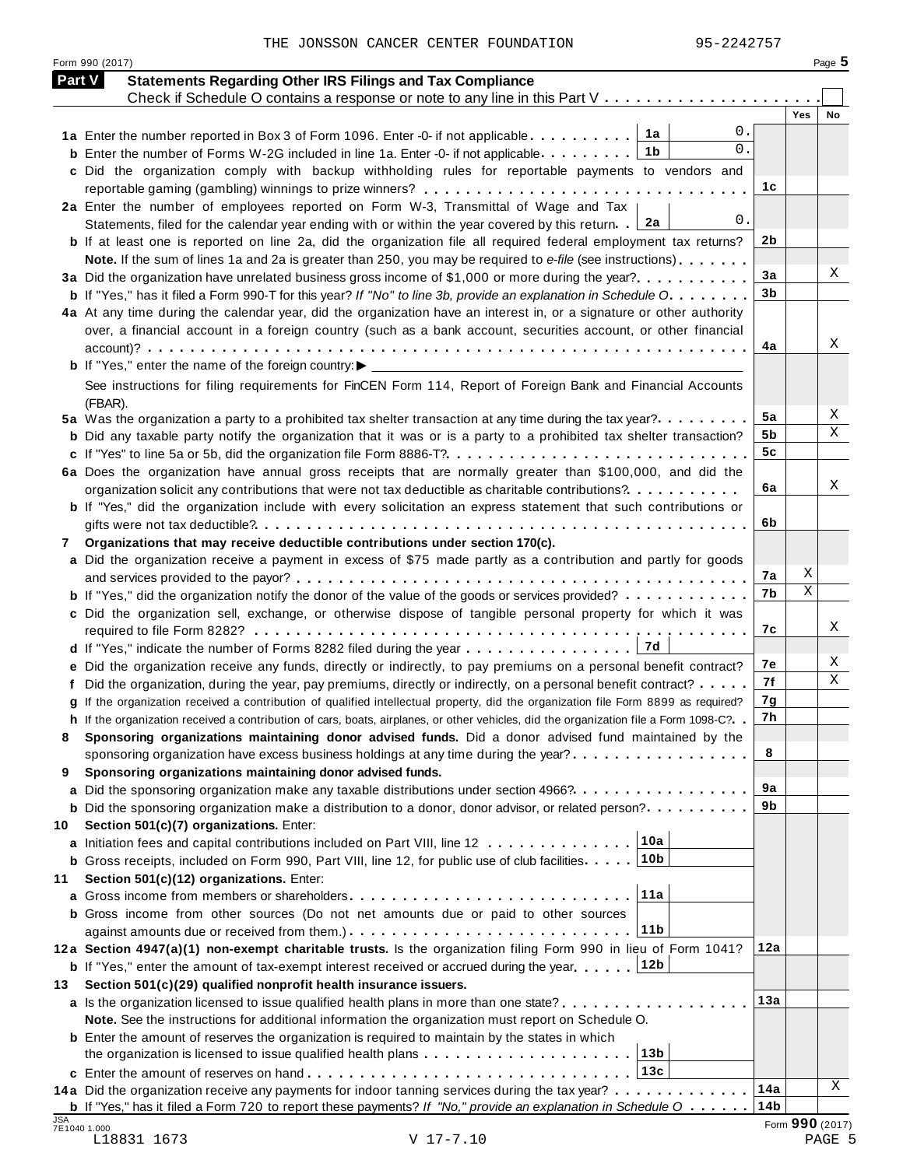|               | THE JONSSON CANCER CENTER FOUNDATION<br>95-2242757<br>Form 990 (2017)                                                                                                                                                                                |                 |                 | Page $5$ |
|---------------|------------------------------------------------------------------------------------------------------------------------------------------------------------------------------------------------------------------------------------------------------|-----------------|-----------------|----------|
| <b>Part V</b> | <b>Statements Regarding Other IRS Filings and Tax Compliance</b>                                                                                                                                                                                     |                 |                 |          |
|               |                                                                                                                                                                                                                                                      |                 | <b>Yes</b>      |          |
|               | 0.                                                                                                                                                                                                                                                   |                 |                 | No       |
|               | 1a Enter the number reported in Box 3 of Form 1096. Enter -0- if not applicable $\dots \dots \dots$<br>$\Omega$ .<br>1b<br><b>b</b> Enter the number of Forms W-2G included in line 1a. Enter -0- if not applicable.                                 |                 |                 |          |
|               | c Did the organization comply with backup withholding rules for reportable payments to vendors and                                                                                                                                                   |                 |                 |          |
|               |                                                                                                                                                                                                                                                      | 1c              |                 |          |
|               | 2a Enter the number of employees reported on Form W-3, Transmittal of Wage and Tax                                                                                                                                                                   |                 |                 |          |
|               | 0.<br>Statements, filed for the calendar year ending with or within the year covered by this return. $2a$                                                                                                                                            |                 |                 |          |
|               | <b>b</b> If at least one is reported on line 2a, did the organization file all required federal employment tax returns?                                                                                                                              | 2b              |                 |          |
|               | Note. If the sum of lines 1a and 2a is greater than 250, you may be required to e-file (see instructions)                                                                                                                                            |                 |                 |          |
|               | 3a Did the organization have unrelated business gross income of \$1,000 or more during the year?                                                                                                                                                     | 3a              |                 | Χ        |
|               | <b>b</b> If "Yes," has it filed a Form 990-T for this year? If "No" to line 3b, provide an explanation in Schedule O.                                                                                                                                | 3 <sub>b</sub>  |                 |          |
|               | 4a At any time during the calendar year, did the organization have an interest in, or a signature or other authority<br>over, a financial account in a foreign country (such as a bank account, securities account, or other financial               |                 |                 |          |
|               |                                                                                                                                                                                                                                                      | 4a              |                 | Χ        |
|               |                                                                                                                                                                                                                                                      |                 |                 |          |
|               | See instructions for filing requirements for FinCEN Form 114, Report of Foreign Bank and Financial Accounts                                                                                                                                          |                 |                 |          |
|               | (FBAR).                                                                                                                                                                                                                                              |                 |                 |          |
|               | 5a Was the organization a party to a prohibited tax shelter transaction at any time during the tax year?                                                                                                                                             | 5a              |                 | Х        |
|               | <b>b</b> Did any taxable party notify the organization that it was or is a party to a prohibited tax shelter transaction?                                                                                                                            | 5b              |                 | X        |
|               |                                                                                                                                                                                                                                                      | 5 <sub>c</sub>  |                 |          |
|               | 6a Does the organization have annual gross receipts that are normally greater than \$100,000, and did the                                                                                                                                            |                 |                 | X        |
|               | organization solicit any contributions that were not tax deductible as charitable contributions?                                                                                                                                                     | 6a              |                 |          |
|               | <b>b</b> If "Yes," did the organization include with every solicitation an express statement that such contributions or                                                                                                                              | 6b              |                 |          |
| 7             | Organizations that may receive deductible contributions under section 170(c).                                                                                                                                                                        |                 |                 |          |
|               | a Did the organization receive a payment in excess of \$75 made partly as a contribution and partly for goods                                                                                                                                        |                 |                 |          |
|               |                                                                                                                                                                                                                                                      | 7а              | Χ               |          |
|               | <b>b</b> If "Yes," did the organization notify the donor of the value of the goods or services provided?                                                                                                                                             | 7b              | $\mathbf x$     |          |
|               | c Did the organization sell, exchange, or otherwise dispose of tangible personal property for which it was                                                                                                                                           |                 |                 |          |
|               |                                                                                                                                                                                                                                                      | 7с              |                 | Χ        |
|               | 7d<br>d If "Yes," indicate the number of Forms 8282 filed during the year                                                                                                                                                                            |                 |                 | Χ        |
|               | e Did the organization receive any funds, directly or indirectly, to pay premiums on a personal benefit contract?                                                                                                                                    | 7e<br>7f        |                 | Χ        |
|               | f Did the organization, during the year, pay premiums, directly or indirectly, on a personal benefit contract?<br>g If the organization received a contribution of qualified intellectual property, did the organization file Form 8899 as required? | 7g              |                 |          |
|               | h If the organization received a contribution of cars, boats, airplanes, or other vehicles, did the organization file a Form 1098-C?. .                                                                                                              | 7h              |                 |          |
| 8             | Sponsoring organizations maintaining donor advised funds. Did a donor advised fund maintained by the                                                                                                                                                 |                 |                 |          |
|               | sponsoring organization have excess business holdings at any time during the year?                                                                                                                                                                   | 8               |                 |          |
| 9             | Sponsoring organizations maintaining donor advised funds.                                                                                                                                                                                            |                 |                 |          |
|               | a Did the sponsoring organization make any taxable distributions under section 4966?                                                                                                                                                                 | 9a              |                 |          |
|               | <b>b</b> Did the sponsoring organization make a distribution to a donor, donor advisor, or related person?                                                                                                                                           | 9b              |                 |          |
| 10            | Section 501(c)(7) organizations. Enter:                                                                                                                                                                                                              |                 |                 |          |
|               | 10a<br>a Initiation fees and capital contributions included on Part VIII, line 12<br>10b                                                                                                                                                             |                 |                 |          |
|               | <b>b</b> Gross receipts, included on Form 990, Part VIII, line 12, for public use of club facilities.                                                                                                                                                |                 |                 |          |
| 11            | Section 501(c)(12) organizations. Enter:<br>11a                                                                                                                                                                                                      |                 |                 |          |
|               | <b>b</b> Gross income from other sources (Do not net amounts due or paid to other sources                                                                                                                                                            |                 |                 |          |
|               | 11b                                                                                                                                                                                                                                                  |                 |                 |          |
|               | 12a Section 4947(a)(1) non-exempt charitable trusts. Is the organization filing Form 990 in lieu of Form 1041?                                                                                                                                       | 12a             |                 |          |
|               | <b>b</b> If "Yes," enter the amount of tax-exempt interest received or accrued during the year [12b                                                                                                                                                  |                 |                 |          |
| 13            | Section 501(c)(29) qualified nonprofit health insurance issuers.                                                                                                                                                                                     |                 |                 |          |
|               | <b>a</b> Is the organization licensed to issue qualified health plans in more than one state?                                                                                                                                                        | 13a             |                 |          |
|               | Note. See the instructions for additional information the organization must report on Schedule O.                                                                                                                                                    |                 |                 |          |
|               | <b>b</b> Enter the amount of reserves the organization is required to maintain by the states in which<br>13 <sub>b</sub><br>the organization is licensed to issue qualified health plans $\dots \dots \dots \dots \dots \dots \dots$                 |                 |                 |          |
|               | 13c                                                                                                                                                                                                                                                  |                 |                 |          |
|               | 14a Did the organization receive any payments for indoor tanning services during the tax year?                                                                                                                                                       | 14a             |                 | Χ        |
|               | <b>b</b> If "Yes," has it filed a Form 720 to report these payments? If "No," provide an explanation in Schedule $0$                                                                                                                                 | 14 <sub>b</sub> |                 |          |
| <b>JSA</b>    | 7E1040 1.000                                                                                                                                                                                                                                         |                 | Form 990 (2017) |          |
|               | L18831 1673<br>$V$ 17-7.10                                                                                                                                                                                                                           |                 |                 | PAGE 5   |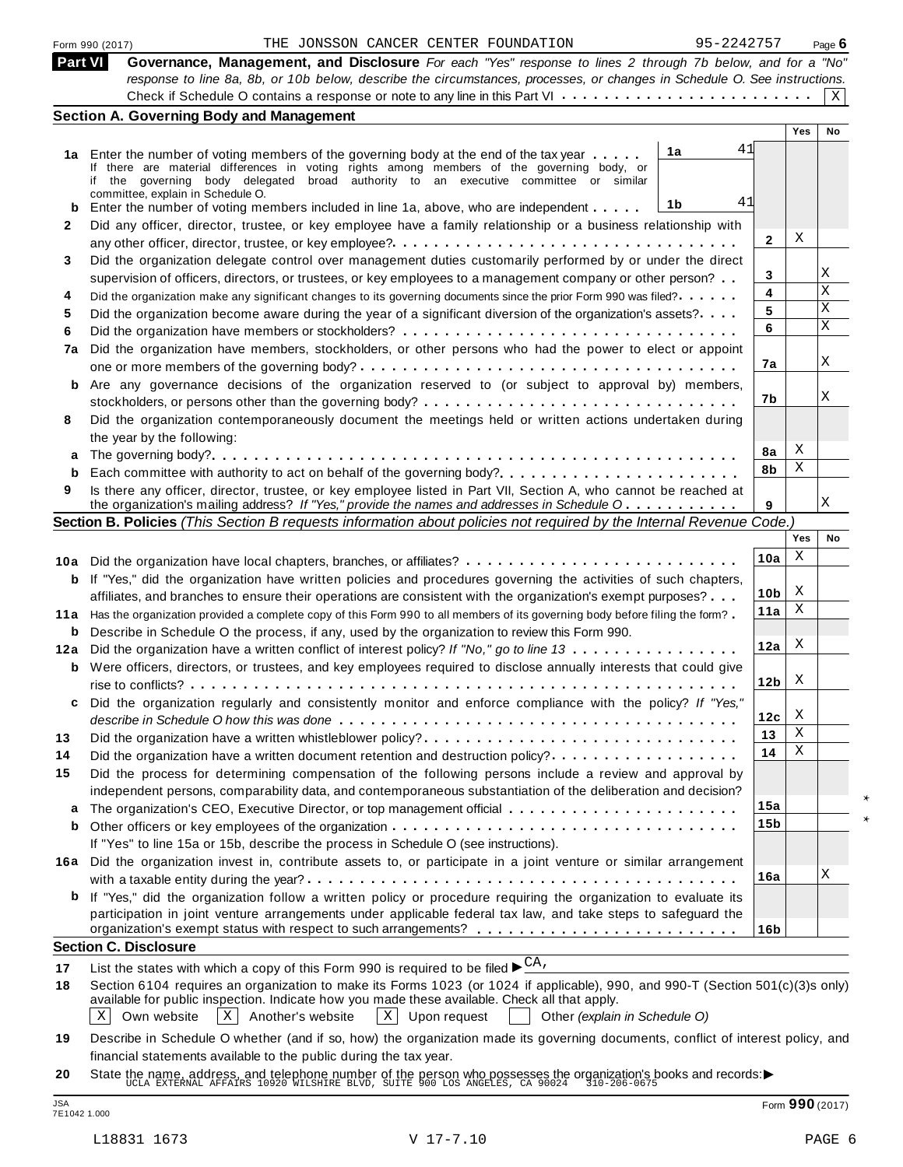| Form 990 (2017) | THE JONSSON CANCER CENTER FOUNDATION                                                                                      | 95-2242757 | Page $6$ |
|-----------------|---------------------------------------------------------------------------------------------------------------------------|------------|----------|
| Part VI         | Governance, Management, and Disclosure For each "Yes" response to lines 2 through 7b below, and for a "No"                |            |          |
|                 | response to line 8a, 8b, or 10b below, describe the circumstances, processes, or changes in Schedule O. See instructions. |            |          |
|                 |                                                                                                                           |            |          |
|                 | <b>Section A. Governing Body and Management</b>                                                                           |            |          |
|                 |                                                                                                                           |            |          |

| <b>Part VI</b> | Governance, Management, and Disclosure For each "Yes" response to lines 2 through 7b below, and for a "No"                                                                         |                 |     |             |
|----------------|------------------------------------------------------------------------------------------------------------------------------------------------------------------------------------|-----------------|-----|-------------|
|                | response to line 8a, 8b, or 10b below, describe the circumstances, processes, or changes in Schedule O. See instructions.                                                          |                 |     |             |
|                |                                                                                                                                                                                    |                 |     | $X \vert$   |
|                | <b>Section A. Governing Body and Management</b>                                                                                                                                    |                 |     |             |
|                |                                                                                                                                                                                    |                 | Yes | No          |
| 1a             | 41<br>1a<br>Enter the number of voting members of the governing body at the end of the tax year                                                                                    |                 |     |             |
|                | If there are material differences in voting rights among members of the governing body, or<br>if the governing body delegated broad authority to an executive committee or similar |                 |     |             |
|                | committee, explain in Schedule O.                                                                                                                                                  |                 |     |             |
|                | 41<br>1b<br>Enter the number of voting members included in line 1a, above, who are independent                                                                                     |                 |     |             |
| 2              | Did any officer, director, trustee, or key employee have a family relationship or a business relationship with                                                                     |                 |     |             |
|                |                                                                                                                                                                                    | $\mathbf{2}$    | Χ   |             |
| 3              | Did the organization delegate control over management duties customarily performed by or under the direct                                                                          |                 |     |             |
|                | supervision of officers, directors, or trustees, or key employees to a management company or other person?                                                                         | 3               |     | Χ           |
| 4              | Did the organization make any significant changes to its governing documents since the prior Form 990 was filed?                                                                   | 4               |     | $\mathbf X$ |
| 5              | Did the organization become aware during the year of a significant diversion of the organization's assets?                                                                         | 5               |     | X           |
| 6              |                                                                                                                                                                                    | 6               |     | X           |
| 7a             | Did the organization have members, stockholders, or other persons who had the power to elect or appoint                                                                            |                 |     |             |
|                |                                                                                                                                                                                    | 7a              |     | Χ           |
| b              | Are any governance decisions of the organization reserved to (or subject to approval by) members,                                                                                  |                 |     |             |
|                |                                                                                                                                                                                    | 7b              |     | Χ           |
| 8              | Did the organization contemporaneously document the meetings held or written actions undertaken during                                                                             |                 |     |             |
|                | the year by the following:                                                                                                                                                         |                 |     |             |
| a              |                                                                                                                                                                                    | 8а              | Χ   |             |
| b              | Each committee with authority to act on behalf of the governing body?                                                                                                              | 8b              | Χ   |             |
| 9              | Is there any officer, director, trustee, or key employee listed in Part VII, Section A, who cannot be reached at                                                                   |                 |     |             |
|                | the organization's mailing address? If "Yes," provide the names and addresses in Schedule O                                                                                        | 9               |     | Χ           |
|                | Section B. Policies (This Section B requests information about policies not required by the Internal Revenue Code.)                                                                |                 |     |             |
|                |                                                                                                                                                                                    |                 | Yes | No          |
|                | 10a Did the organization have local chapters, branches, or affiliates?                                                                                                             | 10a             | Χ   |             |
|                | <b>b</b> If "Yes," did the organization have written policies and procedures governing the activities of such chapters,                                                            |                 |     |             |
|                | affiliates, and branches to ensure their operations are consistent with the organization's exempt purposes?                                                                        | 10 <sub>b</sub> | X   |             |
| 11 a           | Has the organization provided a complete copy of this Form 990 to all members of its governing body before filing the form?                                                        | 11a             | Χ   |             |
| b              | Describe in Schedule O the process, if any, used by the organization to review this Form 990.                                                                                      |                 |     |             |
| 12a            | Did the organization have a written conflict of interest policy? If "No," go to line 13                                                                                            | 12a             | Χ   |             |
|                | <b>b</b> Were officers, directors, or trustees, and key employees required to disclose annually interests that could give                                                          |                 |     |             |
|                |                                                                                                                                                                                    | 12 <sub>b</sub> | X   |             |
|                | Did the organization regularly and consistently monitor and enforce compliance with the policy? If "Yes,"                                                                          |                 |     |             |
| c              |                                                                                                                                                                                    | 12c             | X   |             |
|                |                                                                                                                                                                                    | 13              | Χ   |             |
| 13             |                                                                                                                                                                                    | 14              | Χ   |             |
| 14             | Did the organization have a written document retention and destruction policy?                                                                                                     |                 |     |             |
| 15             | Did the process for determining compensation of the following persons include a review and approval by                                                                             |                 |     |             |
|                | independent persons, comparability data, and contemporaneous substantiation of the deliberation and decision?                                                                      | 15a             |     |             |
| а              | The organization's CEO, Executive Director, or top management official                                                                                                             | 15 <sub>b</sub> |     |             |
| b              |                                                                                                                                                                                    |                 |     |             |
|                | If "Yes" to line 15a or 15b, describe the process in Schedule O (see instructions).                                                                                                |                 |     |             |
| 16a            | Did the organization invest in, contribute assets to, or participate in a joint venture or similar arrangement                                                                     |                 |     | Χ           |
|                |                                                                                                                                                                                    | 16a             |     |             |
|                | <b>b</b> If "Yes," did the organization follow a written policy or procedure requiring the organization to evaluate its                                                            |                 |     |             |
|                | participation in joint venture arrangements under applicable federal tax law, and take steps to safeguard the                                                                      |                 |     |             |
|                |                                                                                                                                                                                    | 16 <sub>b</sub> |     |             |
|                | <b>Section C. Disclosure</b>                                                                                                                                                       |                 |     |             |
| 17             | List the states with which a copy of this Form 990 is required to be filed $\blacktriangleright^{\text{CA}}$ .                                                                     |                 |     |             |
| 18             | Section 6104 requires an organization to make its Forms 1023 (or 1024 if applicable), 990, and 990-T (Section 501(c)(3)s only)                                                     |                 |     |             |
|                | available for public inspection. Indicate how you made these available. Check all that apply.                                                                                      |                 |     |             |
|                | Own website<br>Another's website<br>$\vert X \vert$<br>X<br>$X \mid$<br>Upon request<br>Other (explain in Schedule O)                                                              |                 |     |             |

**19** Describe in Schedule O whether (and if so, how) the organization made its governing documents, conflict of interest policy, and financial statements available to the public during the tax year.

**20** nnancial statements available to the public during the tax year.<br>State the name, address, and telephone number of the person who possesses the organization's books and records:<br>UCLA EXTERNAL AFFAIRS 10920 WILSHIRE BLVD, SU

\* \*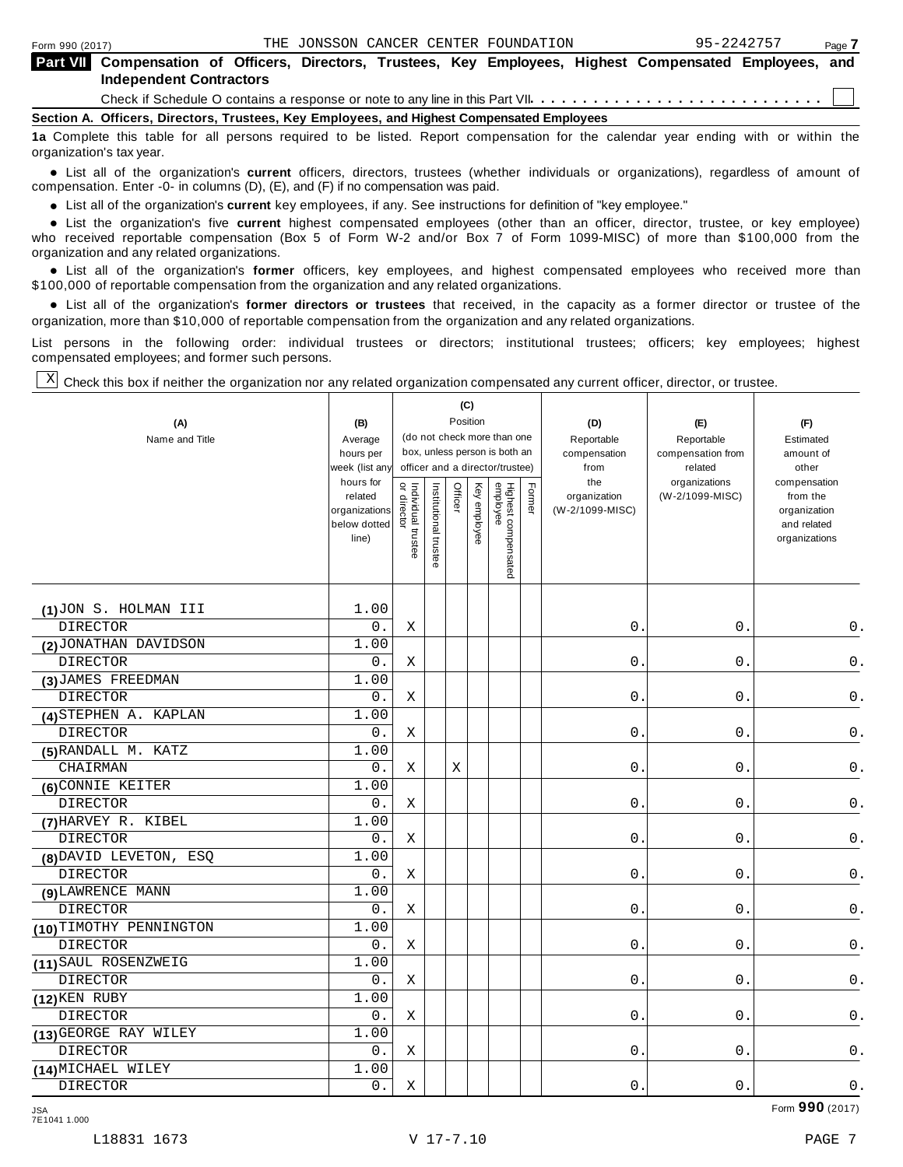|                          | Part VII Compensation of Officers, Directors, Trustees, Key Employees, Highest Compensated Employees, and                         |  |
|--------------------------|-----------------------------------------------------------------------------------------------------------------------------------|--|
|                          | <b>Independent Contractors</b>                                                                                                    |  |
|                          |                                                                                                                                   |  |
|                          | Section A. Officers, Directors, Trustees, Key Employees, and Highest Compensated Employees                                        |  |
| organization's tax year. | 1a Complete this table for all persons required to be listed. Report compensation for the calendar year ending with or within the |  |

anization's lax year.<br>● List all of the organization's **current** officers, directors, trustees (whether individuals or organizations), regardless of amount of<br>nnensation Enter -0- in columns (D) (E) and (E) if no compensa compensation. Enter -0- in columns (D), (E), and (F) if no compensation was paid.

• List all of the organization's **current** key employees, if any. See instructions for definition of "key employee."<br>● List the experientials five expect highest expressed explores (other than an efficer director of

**Example in the organization's current** key employees, if any. See instructions for definition of key employee.<br>• List the organization's five **current** highest compensated employees (other than an officer, director, trust who received reportable compensation (Box 5 of Form W-2 and/or Box 7 of Form 1099-MISC) of more than \$100,000 from the

organization and any related organizations.<br>• List all of the organization's **former** officers, key employees, and highest compensated employees who received more than<br>\$1.00.000 of reportable componention from the erganiza \$100,000 of reportable compensation from the organization and any related organizations.

% List all of the organization's **former directors or trustees** that received, in the capacity as a former director or trustee of the organization, more than \$10,000 of reportable compensation from the organization and any related organizations.

List persons in the following order: individual trustees or directors; institutional trustees; officers; key employees; highest compensated employees; and former such persons.

Check this box if neither the organization nor any related organization compensated any current officer, director, or trustee. X

| (A)<br>Name and Title   | (B)<br>Average<br>hours per<br>week (list any<br>hours for<br>related<br>organizations<br>below dotted<br>line) | Individual trustee<br>or director | Institutional trustee | Officer | (C)<br>Position<br>Key employee | (do not check more than one<br>box, unless person is both an<br>officer and a director/trustee)<br>Highest compensated<br>employee | Former | (D)<br>Reportable<br>compensation<br>from<br>the<br>organization<br>(W-2/1099-MISC) | (E)<br>Reportable<br>compensation from<br>related<br>organizations<br>(W-2/1099-MISC) | (F)<br>Estimated<br>amount of<br>other<br>compensation<br>from the<br>organization<br>and related<br>organizations |
|-------------------------|-----------------------------------------------------------------------------------------------------------------|-----------------------------------|-----------------------|---------|---------------------------------|------------------------------------------------------------------------------------------------------------------------------------|--------|-------------------------------------------------------------------------------------|---------------------------------------------------------------------------------------|--------------------------------------------------------------------------------------------------------------------|
|                         |                                                                                                                 |                                   |                       |         |                                 |                                                                                                                                    |        |                                                                                     |                                                                                       |                                                                                                                    |
| (1) JON S. HOLMAN III   | 1.00                                                                                                            |                                   |                       |         |                                 |                                                                                                                                    |        |                                                                                     |                                                                                       |                                                                                                                    |
| <b>DIRECTOR</b>         | 0.                                                                                                              | Χ                                 |                       |         |                                 |                                                                                                                                    |        | 0.                                                                                  | $0$ .                                                                                 | 0.                                                                                                                 |
| (2) JONATHAN DAVIDSON   | 1.00                                                                                                            |                                   |                       |         |                                 |                                                                                                                                    |        |                                                                                     |                                                                                       |                                                                                                                    |
| DIRECTOR                | $0$ .                                                                                                           | X                                 |                       |         |                                 |                                                                                                                                    |        | $0$ .                                                                               | $0$ .                                                                                 | $\mathsf 0$ .                                                                                                      |
| (3) JAMES FREEDMAN      | 1.00                                                                                                            |                                   |                       |         |                                 |                                                                                                                                    |        |                                                                                     |                                                                                       |                                                                                                                    |
| DIRECTOR                | 0.                                                                                                              | Χ                                 |                       |         |                                 |                                                                                                                                    |        | $0$ .                                                                               | $0$ .                                                                                 | $\mathsf 0$ .                                                                                                      |
| (4) STEPHEN A. KAPLAN   | 1.00                                                                                                            |                                   |                       |         |                                 |                                                                                                                                    |        |                                                                                     |                                                                                       |                                                                                                                    |
| DIRECTOR                | 0.                                                                                                              | Χ                                 |                       |         |                                 |                                                                                                                                    |        | 0.                                                                                  | 0.                                                                                    | $\mathsf 0$ .                                                                                                      |
| (5) RANDALL M. KATZ     | 1.00                                                                                                            |                                   |                       |         |                                 |                                                                                                                                    |        |                                                                                     |                                                                                       |                                                                                                                    |
| CHAIRMAN                | 0.                                                                                                              | Χ                                 |                       | Χ       |                                 |                                                                                                                                    |        | 0.                                                                                  | 0.                                                                                    | $\mathsf 0$ .                                                                                                      |
| (6) CONNIE KEITER       | 1.00                                                                                                            |                                   |                       |         |                                 |                                                                                                                                    |        |                                                                                     |                                                                                       |                                                                                                                    |
| <b>DIRECTOR</b>         | 0.                                                                                                              | Χ                                 |                       |         |                                 |                                                                                                                                    |        | 0.                                                                                  | 0.                                                                                    | 0.                                                                                                                 |
| (7) HARVEY R. KIBEL     | 1.00                                                                                                            |                                   |                       |         |                                 |                                                                                                                                    |        |                                                                                     |                                                                                       |                                                                                                                    |
| <b>DIRECTOR</b>         | 0.                                                                                                              | Χ                                 |                       |         |                                 |                                                                                                                                    |        | 0.                                                                                  | $0$ .                                                                                 | 0.                                                                                                                 |
| (8) DAVID LEVETON, ESQ  | 1.00                                                                                                            |                                   |                       |         |                                 |                                                                                                                                    |        |                                                                                     |                                                                                       |                                                                                                                    |
| DIRECTOR                | 0.                                                                                                              | Χ                                 |                       |         |                                 |                                                                                                                                    |        | 0.                                                                                  | $0$ .                                                                                 | $0$ .                                                                                                              |
| (9) LAWRENCE MANN       | 1.00                                                                                                            |                                   |                       |         |                                 |                                                                                                                                    |        |                                                                                     |                                                                                       |                                                                                                                    |
| <b>DIRECTOR</b>         | $0$ .                                                                                                           | $\mathbf X$                       |                       |         |                                 |                                                                                                                                    |        | $0$ .                                                                               | $0$ .                                                                                 | $0$ .                                                                                                              |
| (10) TIMOTHY PENNINGTON | 1.00                                                                                                            |                                   |                       |         |                                 |                                                                                                                                    |        |                                                                                     |                                                                                       |                                                                                                                    |
| DIRECTOR                | $0$ .                                                                                                           | Χ                                 |                       |         |                                 |                                                                                                                                    |        | $0$ .                                                                               | $0$ .                                                                                 | $0$ .                                                                                                              |
| (11) SAUL ROSENZWEIG    | 1.00                                                                                                            |                                   |                       |         |                                 |                                                                                                                                    |        |                                                                                     |                                                                                       |                                                                                                                    |
| <b>DIRECTOR</b>         | $0$ .                                                                                                           | Χ                                 |                       |         |                                 |                                                                                                                                    |        | 0.                                                                                  | 0.                                                                                    | 0.                                                                                                                 |
| $(12)$ KEN RUBY         | 1.00                                                                                                            |                                   |                       |         |                                 |                                                                                                                                    |        |                                                                                     |                                                                                       |                                                                                                                    |
| <b>DIRECTOR</b>         | 0.                                                                                                              | Χ                                 |                       |         |                                 |                                                                                                                                    |        | 0.                                                                                  | 0.                                                                                    | 0.                                                                                                                 |
| (13) GEORGE RAY WILEY   | 1.00                                                                                                            |                                   |                       |         |                                 |                                                                                                                                    |        |                                                                                     |                                                                                       |                                                                                                                    |
| <b>DIRECTOR</b>         | 0.                                                                                                              | Χ                                 |                       |         |                                 |                                                                                                                                    |        | 0.                                                                                  | 0.                                                                                    | 0.                                                                                                                 |
| (14) MICHAEL WILEY      | 1.00                                                                                                            |                                   |                       |         |                                 |                                                                                                                                    |        |                                                                                     |                                                                                       |                                                                                                                    |
| <b>DIRECTOR</b>         | 0.                                                                                                              | Χ                                 |                       |         |                                 |                                                                                                                                    |        | 0.                                                                                  | $0$ .                                                                                 | $0$ .                                                                                                              |

Form **990** (2017) JSA 7E1041 1.000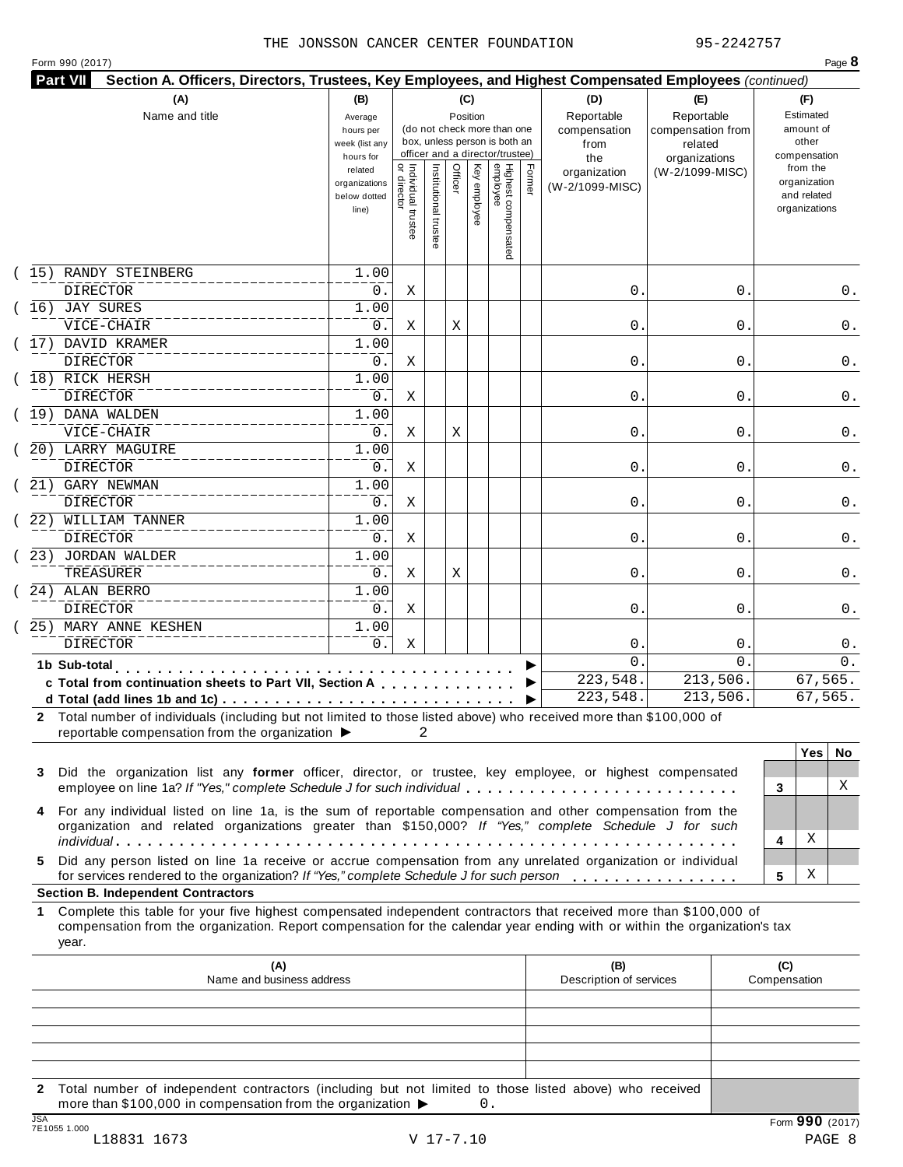#### THE JONSSON CANCER CENTER FOUNDATION 95-2242757

| Form 990 (2017) |  |
|-----------------|--|
|-----------------|--|

| Section A. Officers, Directors, Trustees, Key Employees, and Highest Compensated Employees (continued)<br>(A)                         | (B)                  |                                     |                       | (C)      |              |                                                                  |        | (D)                     | (E)                              | (F)                   |
|---------------------------------------------------------------------------------------------------------------------------------------|----------------------|-------------------------------------|-----------------------|----------|--------------|------------------------------------------------------------------|--------|-------------------------|----------------------------------|-----------------------|
| Name and title                                                                                                                        | Average              |                                     |                       | Position |              |                                                                  |        | Reportable              | Reportable                       | Estimated             |
|                                                                                                                                       | hours per            |                                     |                       |          |              | (do not check more than one                                      |        | compensation            | compensation from                | amount of             |
|                                                                                                                                       | week (list any       |                                     |                       |          |              | box, unless person is both an<br>officer and a director/trustee) |        | from                    | related                          | other<br>compensation |
|                                                                                                                                       | hours for<br>related |                                     |                       |          |              |                                                                  |        | the<br>organization     | organizations<br>(W-2/1099-MISC) | from the              |
|                                                                                                                                       | organizations        |                                     |                       | Officer  |              |                                                                  | Former | (W-2/1099-MISC)         |                                  | organization          |
|                                                                                                                                       | below dotted         |                                     |                       |          |              |                                                                  |        |                         |                                  | and related           |
|                                                                                                                                       | line)                |                                     |                       |          | Key employee |                                                                  |        |                         |                                  | organizations         |
|                                                                                                                                       |                      | Individual trustee<br>  or director | Institutional trustee |          |              | Highest compensated<br>employee                                  |        |                         |                                  |                       |
|                                                                                                                                       |                      |                                     |                       |          |              |                                                                  |        |                         |                                  |                       |
| 15) RANDY STEINBERG                                                                                                                   | 1.00                 |                                     |                       |          |              |                                                                  |        |                         |                                  |                       |
| <b>DIRECTOR</b>                                                                                                                       | 0.                   | Χ                                   |                       |          |              |                                                                  |        | 0.                      | 0                                | 0.                    |
| (16) JAY SURES                                                                                                                        | 1.00                 |                                     |                       |          |              |                                                                  |        |                         |                                  |                       |
| VICE-CHAIR                                                                                                                            | 0.                   | Χ                                   |                       | Χ        |              |                                                                  |        | 0.                      | 0                                | 0.                    |
| 17) DAVID KRAMER                                                                                                                      | 1.00                 |                                     |                       |          |              |                                                                  |        |                         |                                  |                       |
| <b>DIRECTOR</b>                                                                                                                       | 0.                   | Χ                                   |                       |          |              |                                                                  |        | 0.                      | 0                                | 0.                    |
| 18) RICK HERSH                                                                                                                        | 1.00                 |                                     |                       |          |              |                                                                  |        |                         |                                  |                       |
| DIRECTOR                                                                                                                              | 0.                   | Χ                                   |                       |          |              |                                                                  |        | 0.                      | 0                                | 0.                    |
| (19) DANA WALDEN                                                                                                                      | 1.00                 |                                     |                       |          |              |                                                                  |        |                         |                                  |                       |
| VICE-CHAIR                                                                                                                            | 0.                   | Χ                                   |                       | Χ        |              |                                                                  |        | 0.                      | 0                                | 0.                    |
| 20) LARRY MAGUIRE                                                                                                                     | 1.00                 |                                     |                       |          |              |                                                                  |        |                         |                                  |                       |
| <b>DIRECTOR</b>                                                                                                                       | 0.                   | Χ                                   |                       |          |              |                                                                  |        | 0.                      | 0                                | 0.                    |
| 21) GARY NEWMAN                                                                                                                       | 1.00                 |                                     |                       |          |              |                                                                  |        |                         |                                  |                       |
| <b>DIRECTOR</b>                                                                                                                       | 0.                   | Χ                                   |                       |          |              |                                                                  |        | 0.                      | 0                                | 0.                    |
| 22) WILLIAM TANNER                                                                                                                    | 1.00                 |                                     |                       |          |              |                                                                  |        |                         |                                  |                       |
| <b>DIRECTOR</b>                                                                                                                       | 0.                   | Χ                                   |                       |          |              |                                                                  |        | 0.                      | 0                                | 0.                    |
| 23) JORDAN WALDER                                                                                                                     | 1.00                 |                                     |                       |          |              |                                                                  |        |                         |                                  |                       |
| TREASURER                                                                                                                             | 0.                   | Χ                                   |                       | Χ        |              |                                                                  |        | 0.                      | 0                                | 0.                    |
| 24) ALAN BERRO                                                                                                                        | 1.00                 |                                     |                       |          |              |                                                                  |        |                         |                                  |                       |
| <b>DIRECTOR</b>                                                                                                                       | 0.                   | Χ                                   |                       |          |              |                                                                  |        | 0.                      | 0                                | 0.                    |
| 25) MARY ANNE KESHEN                                                                                                                  | 1.00                 |                                     |                       |          |              |                                                                  |        |                         |                                  |                       |
| <b>DIRECTOR</b>                                                                                                                       | 0.                   | Χ                                   |                       |          |              |                                                                  |        | $\mathsf{O}$            | 0                                | $0$ .                 |
| 1b Sub-total                                                                                                                          |                      |                                     |                       |          |              |                                                                  |        | 0.                      | 0                                | 0.                    |
| c Total from continuation sheets to Part VII, Section A                                                                               |                      |                                     |                       |          |              |                                                                  |        | 223,548.                | 213,506.                         | 67,565.               |
|                                                                                                                                       |                      |                                     |                       |          |              |                                                                  |        | 223,548.                | 213,506.                         | 67,565.               |
| 2 Total number of individuals (including but not limited to those listed above) who received more than \$100,000 of                   |                      |                                     |                       |          |              |                                                                  |        |                         |                                  |                       |
| reportable compensation from the organization ▶                                                                                       |                      |                                     | 2                     |          |              |                                                                  |        |                         |                                  |                       |
|                                                                                                                                       |                      |                                     |                       |          |              |                                                                  |        |                         |                                  | <b>Yes</b><br>No.     |
| Did the organization list any former officer, director, or trustee, key employee, or highest compensated<br>3                         |                      |                                     |                       |          |              |                                                                  |        |                         |                                  |                       |
| employee on line 1a? If "Yes," complete Schedule J for such individual                                                                |                      |                                     |                       |          |              |                                                                  |        |                         |                                  | X<br>3                |
| For any individual listed on line 1a, is the sum of reportable compensation and other compensation from the<br>4                      |                      |                                     |                       |          |              |                                                                  |        |                         |                                  |                       |
| organization and related organizations greater than \$150,000? If "Yes," complete Schedule J for such                                 |                      |                                     |                       |          |              |                                                                  |        |                         |                                  | х                     |
|                                                                                                                                       |                      |                                     |                       |          |              |                                                                  |        |                         |                                  | 4                     |
| Did any person listed on line 1a receive or accrue compensation from any unrelated organization or individual<br>5.                   |                      |                                     |                       |          |              |                                                                  |        |                         |                                  | х                     |
| for services rendered to the organization? If "Yes," complete Schedule J for such person<br><b>Section B. Independent Contractors</b> |                      |                                     |                       |          |              |                                                                  |        |                         |                                  | 5                     |
| Complete this table for your five highest compensated independent contractors that received more than \$100,000 of<br>1               |                      |                                     |                       |          |              |                                                                  |        |                         |                                  |                       |
| compensation from the organization. Report compensation for the calendar year ending with or within the organization's tax<br>year.   |                      |                                     |                       |          |              |                                                                  |        |                         |                                  |                       |
|                                                                                                                                       |                      |                                     |                       |          |              |                                                                  |        | (B)                     |                                  | (C)                   |
| (A)<br>Name and business address                                                                                                      |                      |                                     |                       |          |              |                                                                  |        | Description of services |                                  | Compensation          |
|                                                                                                                                       |                      |                                     |                       |          |              |                                                                  |        |                         |                                  |                       |
|                                                                                                                                       |                      |                                     |                       |          |              |                                                                  |        |                         |                                  |                       |
|                                                                                                                                       |                      |                                     |                       |          |              |                                                                  |        |                         |                                  |                       |
|                                                                                                                                       |                      |                                     |                       |          |              |                                                                  |        |                         |                                  |                       |
|                                                                                                                                       |                      |                                     |                       |          |              |                                                                  |        |                         |                                  |                       |

**2** Total number of independent contractors (including but not limited to those listed above) who received more than \$100,000 in compensation from the organization  $\triangleright$  0.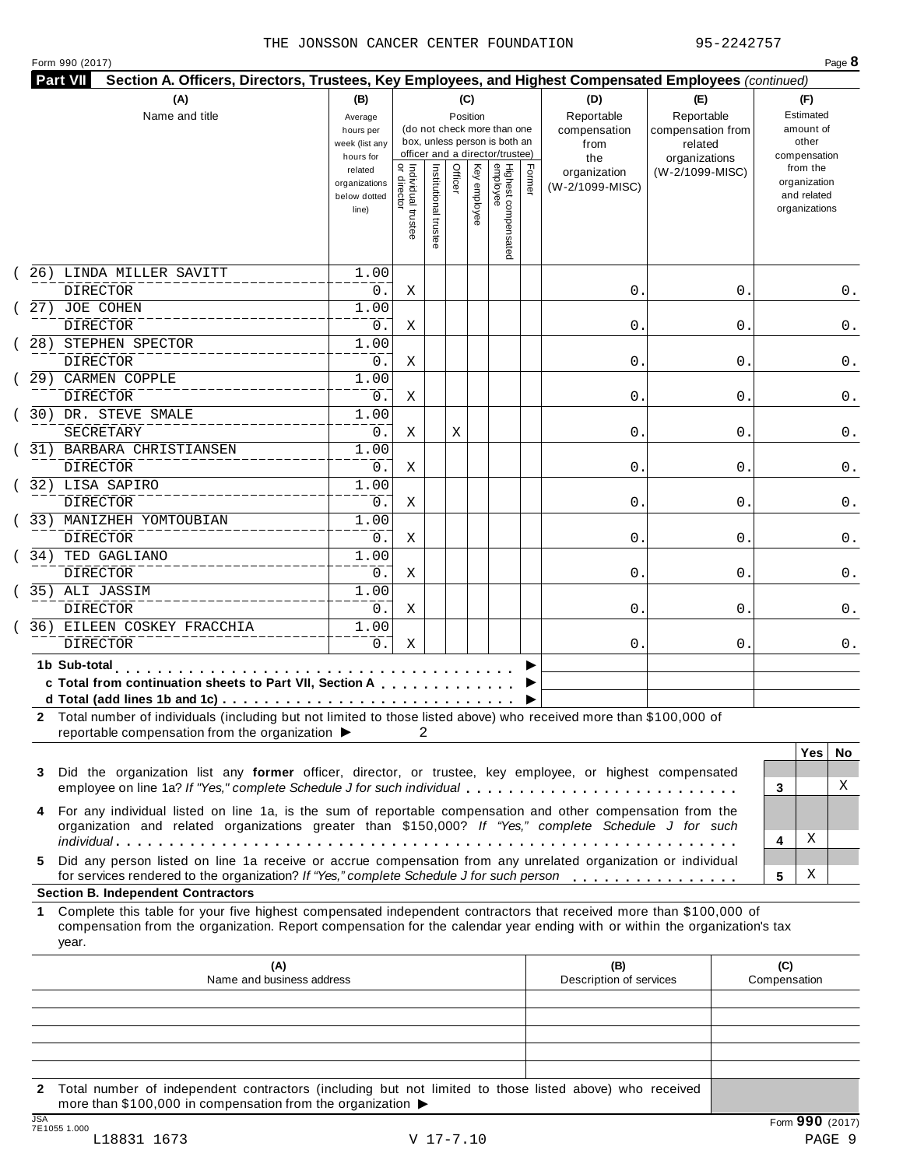#### THE JONSSON CANCER CENTER FOUNDATION 95-2242757

| Form 990 (2017) |
|-----------------|
|-----------------|

| (A)<br>Name and title                                                                                                                                                                                                                                                                                          | (B)<br>Average<br>hours per<br>week (list any<br>hours for<br>related |                                   |                     | Section A. Officers, Directors, Trustees, Key Employees, and Highest Compensated Employees (continued)<br>(C)<br>Position | (do not check more than one<br>box, unless person is both an<br>officer and a director/trustee) |        | (D)<br>Reportable<br>compensation<br>from<br>the<br>organization | (E)<br>Reportable<br>compensation from<br>related<br>organizations | (F)<br>Estimated<br>amount of<br>other<br>compensation<br>from the |
|----------------------------------------------------------------------------------------------------------------------------------------------------------------------------------------------------------------------------------------------------------------------------------------------------------------|-----------------------------------------------------------------------|-----------------------------------|---------------------|---------------------------------------------------------------------------------------------------------------------------|-------------------------------------------------------------------------------------------------|--------|------------------------------------------------------------------|--------------------------------------------------------------------|--------------------------------------------------------------------|
|                                                                                                                                                                                                                                                                                                                | organizations<br>below dotted<br>line)                                | Individual trustee<br>or director | Institutional trust | Officer<br>Κey<br>employee                                                                                                | Highest compensated<br>employee                                                                 | Former | (W-2/1099-MISC)                                                  | (W-2/1099-MISC)                                                    | organization<br>and related<br>organizations                       |
| 26) LINDA MILLER SAVITT                                                                                                                                                                                                                                                                                        | 1.00                                                                  |                                   |                     |                                                                                                                           |                                                                                                 |        |                                                                  |                                                                    |                                                                    |
| <b>DIRECTOR</b>                                                                                                                                                                                                                                                                                                | 0.                                                                    | Χ                                 |                     |                                                                                                                           |                                                                                                 |        | 0.                                                               | 0                                                                  | 0.                                                                 |
| 27) JOE COHEN                                                                                                                                                                                                                                                                                                  | 1.00                                                                  |                                   |                     |                                                                                                                           |                                                                                                 |        |                                                                  |                                                                    |                                                                    |
| <b>DIRECTOR</b>                                                                                                                                                                                                                                                                                                | 0.                                                                    | Χ                                 |                     |                                                                                                                           |                                                                                                 |        | $\mathsf{O}$ .                                                   | 0                                                                  | 0.                                                                 |
| 28) STEPHEN SPECTOR                                                                                                                                                                                                                                                                                            | 1.00                                                                  |                                   |                     |                                                                                                                           |                                                                                                 |        |                                                                  |                                                                    |                                                                    |
| <b>DIRECTOR</b>                                                                                                                                                                                                                                                                                                | 0.                                                                    | Χ                                 |                     |                                                                                                                           |                                                                                                 |        | $\mathsf{O}$ .                                                   | 0                                                                  | 0.                                                                 |
| 29) CARMEN COPPLE                                                                                                                                                                                                                                                                                              | 1.00                                                                  |                                   |                     |                                                                                                                           |                                                                                                 |        |                                                                  |                                                                    |                                                                    |
| <b>DIRECTOR</b>                                                                                                                                                                                                                                                                                                | 0.                                                                    | Χ                                 |                     |                                                                                                                           |                                                                                                 |        | $\mathbf{0}$ .                                                   | 0                                                                  | 0.                                                                 |
| 30) DR. STEVE SMALE<br>SECRETARY                                                                                                                                                                                                                                                                               | 1.00                                                                  |                                   |                     |                                                                                                                           |                                                                                                 |        |                                                                  |                                                                    |                                                                    |
| 31) BARBARA CHRISTIANSEN                                                                                                                                                                                                                                                                                       | 0.<br>1.00                                                            | Χ                                 |                     | Χ                                                                                                                         |                                                                                                 |        | $\mathbf{0}$ .                                                   | 0                                                                  | 0.                                                                 |
| <b>DIRECTOR</b>                                                                                                                                                                                                                                                                                                | 0.                                                                    | Χ                                 |                     |                                                                                                                           |                                                                                                 |        | 0.                                                               | 0                                                                  | 0.                                                                 |
| 32) LISA SAPIRO                                                                                                                                                                                                                                                                                                | 1.00                                                                  |                                   |                     |                                                                                                                           |                                                                                                 |        |                                                                  |                                                                    |                                                                    |
| <b>DIRECTOR</b>                                                                                                                                                                                                                                                                                                | 0.                                                                    | Χ                                 |                     |                                                                                                                           |                                                                                                 |        | 0.                                                               | 0                                                                  | 0.                                                                 |
| 33) MANIZHEH YOMTOUBIAN                                                                                                                                                                                                                                                                                        | 1.00                                                                  |                                   |                     |                                                                                                                           |                                                                                                 |        |                                                                  |                                                                    |                                                                    |
| <b>DIRECTOR</b>                                                                                                                                                                                                                                                                                                | 0.                                                                    | Χ                                 |                     |                                                                                                                           |                                                                                                 |        | $\mathbf{0}$ .                                                   | 0                                                                  | 0.                                                                 |
| 34) TED GAGLIANO                                                                                                                                                                                                                                                                                               | 1.00                                                                  |                                   |                     |                                                                                                                           |                                                                                                 |        |                                                                  |                                                                    |                                                                    |
| <b>DIRECTOR</b>                                                                                                                                                                                                                                                                                                | 0.                                                                    | Χ                                 |                     |                                                                                                                           |                                                                                                 |        | 0.                                                               | 0                                                                  | 0.                                                                 |
| 35) ALI JASSIM                                                                                                                                                                                                                                                                                                 | 1.00                                                                  |                                   |                     |                                                                                                                           |                                                                                                 |        |                                                                  |                                                                    |                                                                    |
| <b>DIRECTOR</b>                                                                                                                                                                                                                                                                                                | 0.                                                                    | Χ                                 |                     |                                                                                                                           |                                                                                                 |        | 0.                                                               | 0                                                                  | 0.                                                                 |
| 36) EILEEN COSKEY FRACCHIA                                                                                                                                                                                                                                                                                     | 1.00                                                                  |                                   |                     |                                                                                                                           |                                                                                                 |        |                                                                  |                                                                    |                                                                    |
| <b>DIRECTOR</b>                                                                                                                                                                                                                                                                                                | $0$ .                                                                 | Χ                                 |                     |                                                                                                                           |                                                                                                 |        | 0.                                                               | 0                                                                  | 0.                                                                 |
| 1b Sub-total<br>c Total from continuation sheets to Part VII, Section A<br>d Total (add lines 1b and 1c) $\ldots \ldots \ldots \ldots \ldots \ldots \ldots \ldots \ldots \ldots \ldots$<br>2 Total number of individuals (including but not limited to those listed above) who received more than \$100,000 of |                                                                       |                                   |                     |                                                                                                                           |                                                                                                 |        |                                                                  |                                                                    |                                                                    |
| reportable compensation from the organization ▶<br>Did the organization list any former officer, director, or trustee, key employee, or highest compensated<br>employee on line 1a? If "Yes," complete Schedule J for such individual                                                                          |                                                                       | 2                                 |                     |                                                                                                                           |                                                                                                 |        |                                                                  |                                                                    | <b>Yes</b><br>No.<br>X<br>3                                        |
| For any individual listed on line 1a, is the sum of reportable compensation and other compensation from the<br>4<br>organization and related organizations greater than \$150,000? If "Yes," complete Schedule J for such                                                                                      |                                                                       |                                   |                     |                                                                                                                           |                                                                                                 |        |                                                                  |                                                                    | х<br>4                                                             |
| Did any person listed on line 1a receive or accrue compensation from any unrelated organization or individual<br>for services rendered to the organization? If "Yes," complete Schedule J for such person                                                                                                      |                                                                       |                                   |                     |                                                                                                                           |                                                                                                 |        |                                                                  |                                                                    | х<br>5                                                             |
| <b>Section B. Independent Contractors</b>                                                                                                                                                                                                                                                                      |                                                                       |                                   |                     |                                                                                                                           |                                                                                                 |        |                                                                  |                                                                    |                                                                    |
| 1 Complete this table for your five highest compensated independent contractors that received more than \$100,000 of<br>compensation from the organization. Report compensation for the calendar year ending with or within the organization's tax<br>year.                                                    |                                                                       |                                   |                     |                                                                                                                           |                                                                                                 |        |                                                                  |                                                                    |                                                                    |
| (A)<br>Name and business address                                                                                                                                                                                                                                                                               |                                                                       |                                   |                     |                                                                                                                           |                                                                                                 |        | (B)<br>Description of services                                   |                                                                    | (C)<br>Compensation                                                |
|                                                                                                                                                                                                                                                                                                                |                                                                       |                                   |                     |                                                                                                                           |                                                                                                 |        |                                                                  |                                                                    |                                                                    |
|                                                                                                                                                                                                                                                                                                                |                                                                       |                                   |                     |                                                                                                                           |                                                                                                 |        |                                                                  |                                                                    |                                                                    |

**2** Total number of independent contractors (including but not limited to those listed above) who received more than \$100,000 in compensation from the organization  $\blacktriangleright$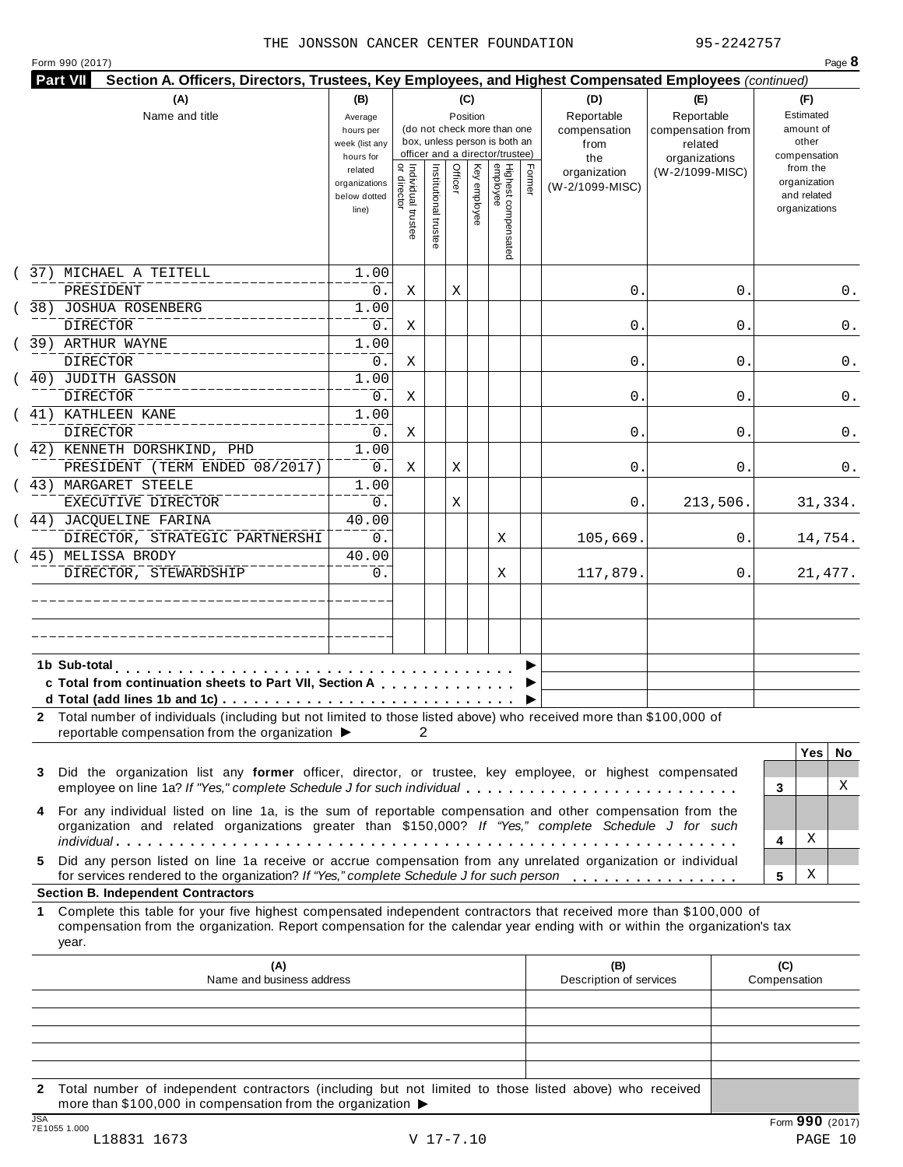|  | Form 990 (2017) |
|--|-----------------|
|  |                 |

| (A)<br>Name and title                                                                                                                                                                                                                                                                               | (B)<br>Average<br>hours per<br>week (list any<br>hours for |                                           |                       | (C)<br>Position | (do not check more than one<br>box, unless person is both an<br>officer and a director/trustee) |        | (D)<br>Reportable<br>compensation<br>from<br>the | (E)<br>Reportable<br>compensation from<br>related<br>organizations | (F)<br>Estimated<br>amount of<br>other<br>compensation |                                                          |          |
|-----------------------------------------------------------------------------------------------------------------------------------------------------------------------------------------------------------------------------------------------------------------------------------------------------|------------------------------------------------------------|-------------------------------------------|-----------------------|-----------------|-------------------------------------------------------------------------------------------------|--------|--------------------------------------------------|--------------------------------------------------------------------|--------------------------------------------------------|----------------------------------------------------------|----------|
|                                                                                                                                                                                                                                                                                                     | related<br>organizations<br>below dotted<br>line)          | <br>  Individual trustee<br>  or director | Institutional trustee | Officer         | Highest compensated<br>employee<br>Key employee                                                 | Former | organization<br>(W-2/1099-MISC)                  | (W-2/1099-MISC)                                                    |                                                        | from the<br>organization<br>and related<br>organizations |          |
| 37) MICHAEL A TEITELL<br>PRESIDENT                                                                                                                                                                                                                                                                  | 1.00<br>0.                                                 | Χ                                         |                       | Χ               |                                                                                                 |        | 0.                                               | 0.                                                                 |                                                        |                                                          | 0.       |
| 38) JOSHUA ROSENBERG<br><b>DIRECTOR</b>                                                                                                                                                                                                                                                             | 1.00<br>0.                                                 | Χ                                         |                       |                 |                                                                                                 |        | 0.                                               | 0                                                                  |                                                        |                                                          | 0.       |
| 39) ARTHUR WAYNE<br><b>DIRECTOR</b>                                                                                                                                                                                                                                                                 | 1.00<br>0.                                                 | Χ                                         |                       |                 |                                                                                                 |        | 0.                                               | 0                                                                  |                                                        |                                                          | 0.       |
| 40) JUDITH GASSON<br>DIRECTOR                                                                                                                                                                                                                                                                       | 1.00<br>0.                                                 | Χ                                         |                       |                 |                                                                                                 |        | 0.                                               | 0                                                                  |                                                        |                                                          | 0.       |
| 41) KATHLEEN KANE<br>DIRECTOR                                                                                                                                                                                                                                                                       | 1.00<br>0.                                                 | Χ                                         |                       |                 |                                                                                                 |        | 0.                                               | 0                                                                  |                                                        |                                                          | 0.       |
| (42) KENNETH DORSHKIND, PHD<br>PRESIDENT (TERM ENDED 08/2017)                                                                                                                                                                                                                                       | 1.00<br>$0$ .                                              | Χ                                         |                       | Χ               |                                                                                                 |        | 0.                                               | 0                                                                  |                                                        |                                                          | 0.       |
| (43) MARGARET STEELE<br>EXECUTIVE DIRECTOR                                                                                                                                                                                                                                                          | 1.00<br>0.                                                 |                                           |                       | Χ               |                                                                                                 |        | 0.                                               | 213,506.                                                           |                                                        | 31,334.                                                  |          |
| (44) JACQUELINE FARINA<br>DIRECTOR, STRATEGIC PARTNERSHI                                                                                                                                                                                                                                            | 40.00<br>$0$ .                                             |                                           |                       |                 | Χ                                                                                               |        | 105,669.                                         | 0.                                                                 |                                                        | 14,754.                                                  |          |
| 45) MELISSA BRODY<br>DIRECTOR, STEWARDSHIP                                                                                                                                                                                                                                                          | 40.00<br>0.                                                |                                           |                       |                 | Χ                                                                                               |        | 117,879.                                         | 0.                                                                 |                                                        | 21, 477.                                                 |          |
|                                                                                                                                                                                                                                                                                                     |                                                            |                                           |                       |                 |                                                                                                 |        |                                                  |                                                                    |                                                        |                                                          |          |
|                                                                                                                                                                                                                                                                                                     |                                                            |                                           |                       |                 |                                                                                                 |        |                                                  |                                                                    |                                                        |                                                          |          |
| 1b Sub-total<br>c Total from continuation sheets to Part VII, Section A                                                                                                                                                                                                                             |                                                            |                                           |                       |                 |                                                                                                 |        |                                                  |                                                                    |                                                        |                                                          |          |
| 2 Total number of individuals (including but not limited to those listed above) who received more than \$100,000 of<br>reportable compensation from the organization ▶                                                                                                                              |                                                            | 2                                         |                       |                 |                                                                                                 |        |                                                  |                                                                    |                                                        |                                                          |          |
| Did the organization list any former officer, director, or trustee, key employee, or highest compensated<br>3                                                                                                                                                                                       |                                                            |                                           |                       |                 |                                                                                                 |        |                                                  |                                                                    |                                                        | <b>Yes</b>                                               | No.<br>X |
| employee on line 1a? If "Yes," complete Schedule J for such individual<br>For any individual listed on line 1a, is the sum of reportable compensation and other compensation from the<br>4<br>organization and related organizations greater than \$150,000? If "Yes," complete Schedule J for such |                                                            |                                           |                       |                 |                                                                                                 |        |                                                  |                                                                    | 3                                                      |                                                          |          |
| Did any person listed on line 1a receive or accrue compensation from any unrelated organization or individual<br>5.<br>for services rendered to the organization? If "Yes," complete Schedule J for such person                                                                                     |                                                            |                                           |                       |                 |                                                                                                 |        |                                                  |                                                                    | 4<br>5                                                 | х<br>х                                                   |          |
| <b>Section B. Independent Contractors</b>                                                                                                                                                                                                                                                           |                                                            |                                           |                       |                 |                                                                                                 |        |                                                  |                                                                    |                                                        |                                                          |          |
| Complete this table for your five highest compensated independent contractors that received more than \$100,000 of<br>1<br>compensation from the organization. Report compensation for the calendar year ending with or within the organization's tax<br>year.                                      |                                                            |                                           |                       |                 |                                                                                                 |        |                                                  |                                                                    |                                                        |                                                          |          |
| (A)<br>Name and business address                                                                                                                                                                                                                                                                    |                                                            |                                           |                       |                 |                                                                                                 |        | (B)<br>Description of services                   |                                                                    | (C)<br>Compensation                                    |                                                          |          |
|                                                                                                                                                                                                                                                                                                     |                                                            |                                           |                       |                 |                                                                                                 |        |                                                  |                                                                    |                                                        |                                                          |          |
|                                                                                                                                                                                                                                                                                                     |                                                            |                                           |                       |                 |                                                                                                 |        |                                                  |                                                                    |                                                        |                                                          |          |
|                                                                                                                                                                                                                                                                                                     |                                                            |                                           |                       |                 |                                                                                                 |        |                                                  |                                                                    |                                                        |                                                          |          |

**2** Total number of independent contractors (including but not limited to those listed above) who received more than \$100,000 in compensation from the organization  $\blacktriangleright$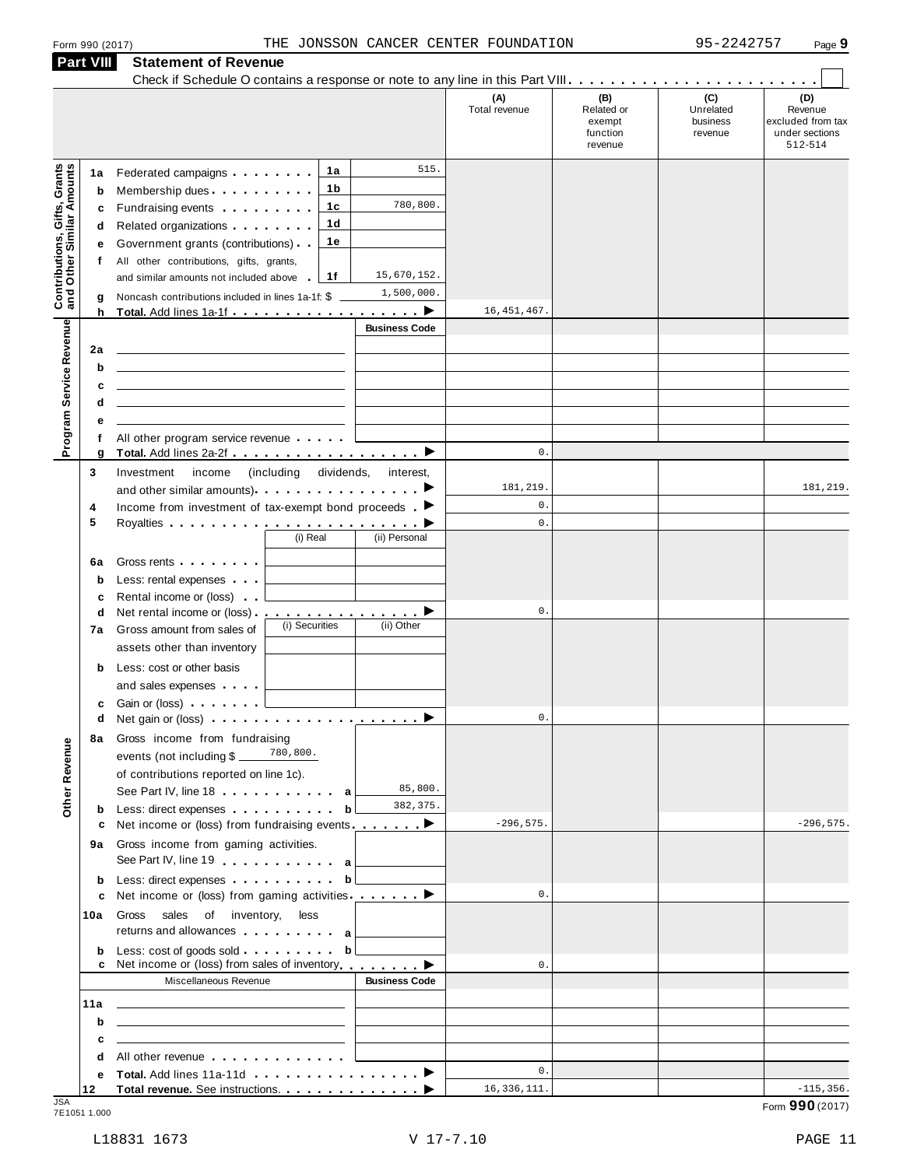|                                                                  | <b>Part VIII</b>                      | <b>Statement of Revenue</b>                                                                                                                                                                                                                                                                                                                                                                                                      |                                               |                                            |                                                    |                                         |                                                                  |
|------------------------------------------------------------------|---------------------------------------|----------------------------------------------------------------------------------------------------------------------------------------------------------------------------------------------------------------------------------------------------------------------------------------------------------------------------------------------------------------------------------------------------------------------------------|-----------------------------------------------|--------------------------------------------|----------------------------------------------------|-----------------------------------------|------------------------------------------------------------------|
|                                                                  |                                       |                                                                                                                                                                                                                                                                                                                                                                                                                                  |                                               | (A)<br>Total revenue                       | (B)<br>Related or<br>exempt<br>function<br>revenue | (C)<br>Unrelated<br>business<br>revenue | (D)<br>Revenue<br>excluded from tax<br>under sections<br>512-514 |
| <b>Contributions, Gifts, Grants</b><br>and Other Similar Amounts | 1a<br>b<br>c<br>d<br>е<br>f<br>g<br>h | 1a<br>Federated campaigns <b>Federated</b><br>1 b<br>Membership dues<br>1c<br>Fundraising events <b>Fundraising</b><br>1d<br>Related organizations <b>contains</b> and <b>Related</b> organizations <b>and relations</b><br>1е<br>Government grants (contributions)<br>All other contributions, gifts, grants,<br>and similar amounts not included above<br>1f<br>Noncash contributions included in lines 1a-1f: \$              | 515.<br>780,800.<br>15,670,152.<br>1,500,000. | 16, 451, 467.                              |                                                    |                                         |                                                                  |
| Program Service Revenue                                          | 2a<br>b<br>c<br>d<br>е<br>f<br>g      | All other program service revenue                                                                                                                                                                                                                                                                                                                                                                                                | <b>Business Code</b>                          | $\mathbb O$ .                              |                                                    |                                         |                                                                  |
|                                                                  | 3<br>4<br>5                           | (including dividends,<br>Investment<br>income<br>and other similar amounts) $\cdots$ $\cdots$ $\cdots$ $\cdots$<br>Income from investment of tax-exempt bond proceeds $\blacksquare$<br>(i) Real                                                                                                                                                                                                                                 | interest,<br>(ii) Personal                    | 181,219<br>$\mathbf 0$ .<br>$\mathbf{0}$ . |                                                    |                                         | 181,219.                                                         |
|                                                                  | 6a<br>$\mathbf b$<br>c<br>d<br>7a     | Gross rents <b>Container and Container</b><br>Less: rental expenses<br>Rental income or (loss)<br>Net rental income or (loss) <b>interact in the set of the set of the set of the set of the set of the set of the set of the set of the set of the set of the set of the set of the set of the set of the set of the set of the </b><br>(i) Securities<br>Gross amount from sales of<br>assets other than inventory             | (ii) Other                                    | $\mathsf{0}$ .                             |                                                    |                                         |                                                                  |
|                                                                  | b<br>с<br>d<br>8а                     | Less: cost or other basis<br>and sales expenses<br>Net gain or (loss) example and the set of the set of the set of the set of the set of the set of the set of the set of the set of the set of the set of the set of the set of the set of the set of the set of the set of the<br>Gross income from fundraising<br>780,800.                                                                                                    |                                               | 0.                                         |                                                    |                                         |                                                                  |
| Other Revenue                                                    | b<br>c<br>9а                          | events (not including \$ _<br>of contributions reported on line 1c).<br>See Part IV, line 18 and the same state of the same state of the same state of the same state of the same state of the same state of the same state of the same state of the same state of the same state of the same state of<br>Less: direct expenses<br>Net income or (loss) from fundraising events ________<br>Gross income from gaming activities. | 85,800.<br>382, 375.<br>b                     | $-296,575.$                                |                                                    |                                         | $-296,575.$                                                      |
|                                                                  | b<br>c<br>10a                         | See Part IV, line 19 and the set of the set of the set of the set of the set of the set of the set of the set of the set of the set of the set of the set of the set of the set of the set of the set of the set of the set of<br>Less: direct expenses<br>Net income or (loss) from gaming activities $\ldots$<br>Gross<br>sales of inventory, less                                                                             | b                                             | $\mathbf{0}$ .                             |                                                    |                                         |                                                                  |
|                                                                  | b                                     | returns and allowances and allowances<br>Net income or (loss) from sales of inventory ▶ ▶ ▶                                                                                                                                                                                                                                                                                                                                      | b <sub>l</sub>                                | $\mathbf{0}$ .                             |                                                    |                                         |                                                                  |
|                                                                  | 11a<br>b<br>с                         | Miscellaneous Revenue                                                                                                                                                                                                                                                                                                                                                                                                            | <b>Business Code</b>                          |                                            |                                                    |                                         |                                                                  |
| <b>JSA</b>                                                       | d<br>е<br>12                          | All other revenue entitled and a series of the series of the series of the series of the series of the series<br>Total revenue. See instructions.                                                                                                                                                                                                                                                                                |                                               | $\mathbf{0}$ .<br>16, 336, 111.            |                                                    |                                         | $-115, 356.$                                                     |

JSA Form **990** (2017) 7E1051 1.000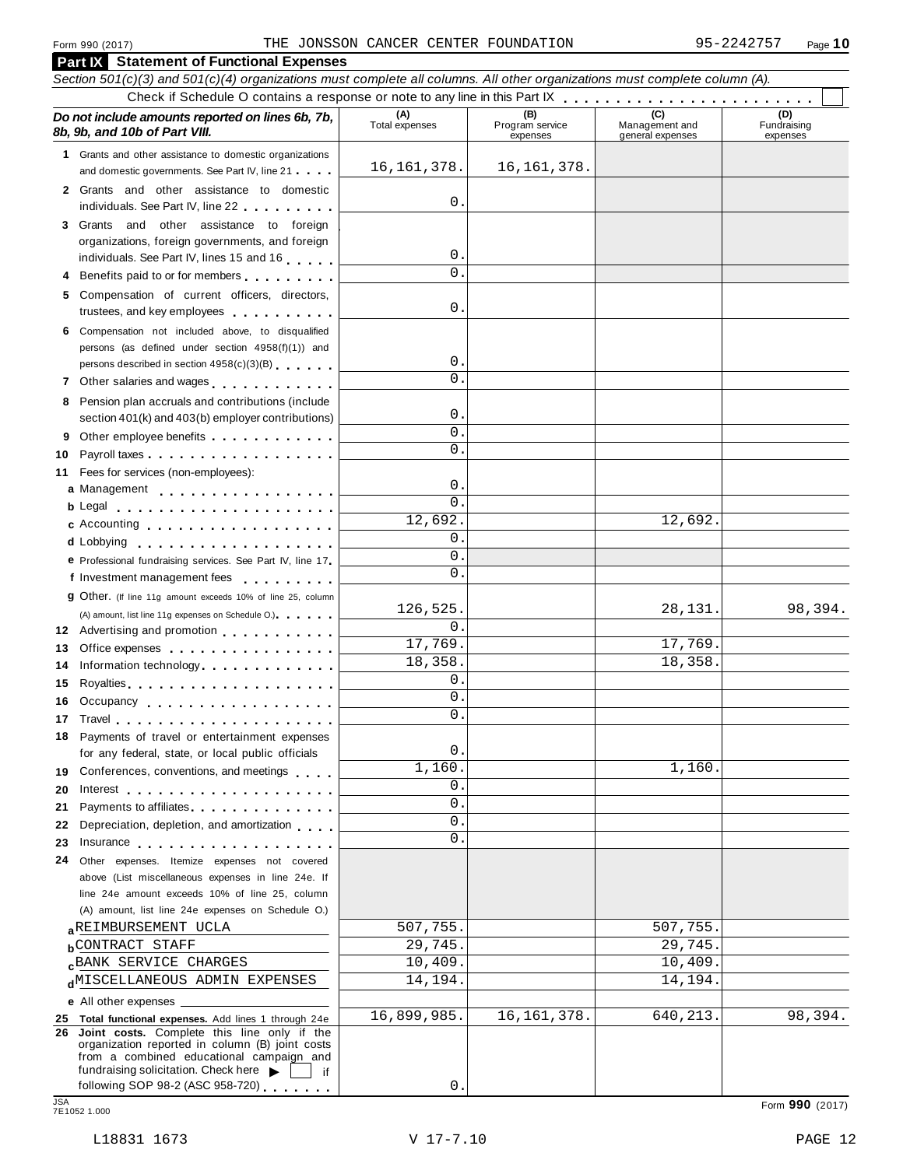|            | <b>Part IX</b> Statement of Functional Expenses                                                                                                                                                                                |                       |                                    |                                           |                                |
|------------|--------------------------------------------------------------------------------------------------------------------------------------------------------------------------------------------------------------------------------|-----------------------|------------------------------------|-------------------------------------------|--------------------------------|
|            | Section 501(c)(3) and 501(c)(4) organizations must complete all columns. All other organizations must complete column (A).                                                                                                     |                       |                                    |                                           |                                |
|            |                                                                                                                                                                                                                                |                       |                                    |                                           |                                |
|            | Do not include amounts reported on lines 6b, 7b,<br>8b, 9b, and 10b of Part VIII.                                                                                                                                              | (A)<br>Total expenses | (B)<br>Program service<br>expenses | (C)<br>Management and<br>general expenses | (D)<br>Fundraising<br>expenses |
|            | 1 Grants and other assistance to domestic organizations                                                                                                                                                                        |                       |                                    |                                           |                                |
|            | and domestic governments. See Part IV, line 21                                                                                                                                                                                 | 16, 161, 378.         | 16, 161, 378.                      |                                           |                                |
|            | 2 Grants and other assistance to domestic<br>individuals. See Part IV, line 22                                                                                                                                                 | 0.                    |                                    |                                           |                                |
|            | 3 Grants and other assistance to foreign                                                                                                                                                                                       |                       |                                    |                                           |                                |
|            | organizations, foreign governments, and foreign                                                                                                                                                                                |                       |                                    |                                           |                                |
|            | individuals. See Part IV, lines 15 and 16                                                                                                                                                                                      | 0.                    |                                    |                                           |                                |
|            | 4 Benefits paid to or for members                                                                                                                                                                                              | $\Omega$ .            |                                    |                                           |                                |
|            | 5 Compensation of current officers, directors,<br>trustees, and key employees                                                                                                                                                  | 0.                    |                                    |                                           |                                |
|            | 6 Compensation not included above, to disqualified                                                                                                                                                                             |                       |                                    |                                           |                                |
|            | persons (as defined under section 4958(f)(1)) and<br>persons described in section 4958(c)(3)(B)                                                                                                                                | 0.                    |                                    |                                           |                                |
|            | 7 Other salaries and wages <b>container and all the sales of the sales</b>                                                                                                                                                     | $\Omega$ .            |                                    |                                           |                                |
|            | 8 Pension plan accruals and contributions (include                                                                                                                                                                             |                       |                                    |                                           |                                |
|            | section 401(k) and 403(b) employer contributions)                                                                                                                                                                              | 0.                    |                                    |                                           |                                |
|            |                                                                                                                                                                                                                                | $\mathbf 0$ .         |                                    |                                           |                                |
|            | 9 Other employee benefits                                                                                                                                                                                                      | 0.                    |                                    |                                           |                                |
| 10         |                                                                                                                                                                                                                                |                       |                                    |                                           |                                |
| 11         | Fees for services (non-employees):                                                                                                                                                                                             | 0.                    |                                    |                                           |                                |
|            | a Management                                                                                                                                                                                                                   | 0.                    |                                    |                                           |                                |
|            | b Legal entering the service of the service of the service of the service of the service of the service of the                                                                                                                 | 12,692.               |                                    | 12,692.                                   |                                |
|            | c Accounting                                                                                                                                                                                                                   | 0.                    |                                    |                                           |                                |
|            | d Lobbying                                                                                                                                                                                                                     | $\mathbf 0$ .         |                                    |                                           |                                |
|            | e Professional fundraising services. See Part IV, line 17                                                                                                                                                                      | $\Omega$ .            |                                    |                                           |                                |
|            | f Investment management fees                                                                                                                                                                                                   |                       |                                    |                                           |                                |
|            | 9 Other. (If line 11g amount exceeds 10% of line 25, column                                                                                                                                                                    | 126,525.              |                                    | 28,131.                                   | 98,394.                        |
|            | (A) amount, list line 11g expenses on Schedule O.)                                                                                                                                                                             | 0.                    |                                    |                                           |                                |
|            | 12 Advertising and promotion                                                                                                                                                                                                   | 17,769.               |                                    | 17,769.                                   |                                |
| 13         | Office expenses example and the set of the set of the set of the set of the set of the set of the set of the set of the set of the set of the set of the set of the set of the set of the set of the set of the set of the set | 18,358.               |                                    | 18,358.                                   |                                |
| 14         | Information technology                                                                                                                                                                                                         | 0.                    |                                    |                                           |                                |
| 15         | Royalties Royalties Processes and Royalties                                                                                                                                                                                    | 0.                    |                                    |                                           |                                |
|            | 16 Occupancy                                                                                                                                                                                                                   | $\overline{0}$ .      |                                    |                                           |                                |
|            |                                                                                                                                                                                                                                |                       |                                    |                                           |                                |
|            | 18 Payments of travel or entertainment expenses                                                                                                                                                                                |                       |                                    |                                           |                                |
|            | for any federal, state, or local public officials                                                                                                                                                                              | 0.                    |                                    |                                           |                                |
|            | 19 Conferences, conventions, and meetings                                                                                                                                                                                      | 1,160.                |                                    | 1,160.                                    |                                |
| 20         |                                                                                                                                                                                                                                | 0.                    |                                    |                                           |                                |
| 21         | Payments to affiliates.                                                                                                                                                                                                        | $\mathsf{0}$ .        |                                    |                                           |                                |
| 22         | Depreciation, depletion, and amortization                                                                                                                                                                                      | $\Omega$ .            |                                    |                                           |                                |
| 23         | Insurance                                                                                                                                                                                                                      | 0.                    |                                    |                                           |                                |
| 24         | Other expenses. Itemize expenses not covered                                                                                                                                                                                   |                       |                                    |                                           |                                |
|            | above (List miscellaneous expenses in line 24e. If                                                                                                                                                                             |                       |                                    |                                           |                                |
|            | line 24e amount exceeds 10% of line 25, column                                                                                                                                                                                 |                       |                                    |                                           |                                |
|            | (A) amount, list line 24e expenses on Schedule O.)                                                                                                                                                                             |                       |                                    |                                           |                                |
|            | <b>AREIMBURSEMENT UCLA</b>                                                                                                                                                                                                     | 507,755.              |                                    | 507,755.                                  |                                |
|            | <b>b</b> CONTRACT STAFF                                                                                                                                                                                                        | 29,745.               |                                    | 29,745.                                   |                                |
|            | BANK SERVICE CHARGES                                                                                                                                                                                                           | 10,409.               |                                    | 10,409.                                   |                                |
|            | dMISCELLANEOUS ADMIN EXPENSES                                                                                                                                                                                                  | 14,194.               |                                    | 14,194.                                   |                                |
|            |                                                                                                                                                                                                                                |                       |                                    |                                           |                                |
|            | 25 Total functional expenses. Add lines 1 through 24e                                                                                                                                                                          | 16,899,985.           | 16, 161, 378.                      | 640,213.                                  | 98,394.                        |
|            | 26 Joint costs. Complete this line only if the<br>organization reported in column (B) joint costs<br>from a combined educational campaign and                                                                                  |                       |                                    |                                           |                                |
|            | fundraising solicitation. Check here $\blacktriangleright$<br>if<br>following SOP 98-2 (ASC 958-720)                                                                                                                           | 0                     |                                    |                                           |                                |
| <b>JSA</b> |                                                                                                                                                                                                                                |                       |                                    |                                           |                                |
|            | 7E1052 1.000                                                                                                                                                                                                                   |                       |                                    |                                           | Form 990 (2017)                |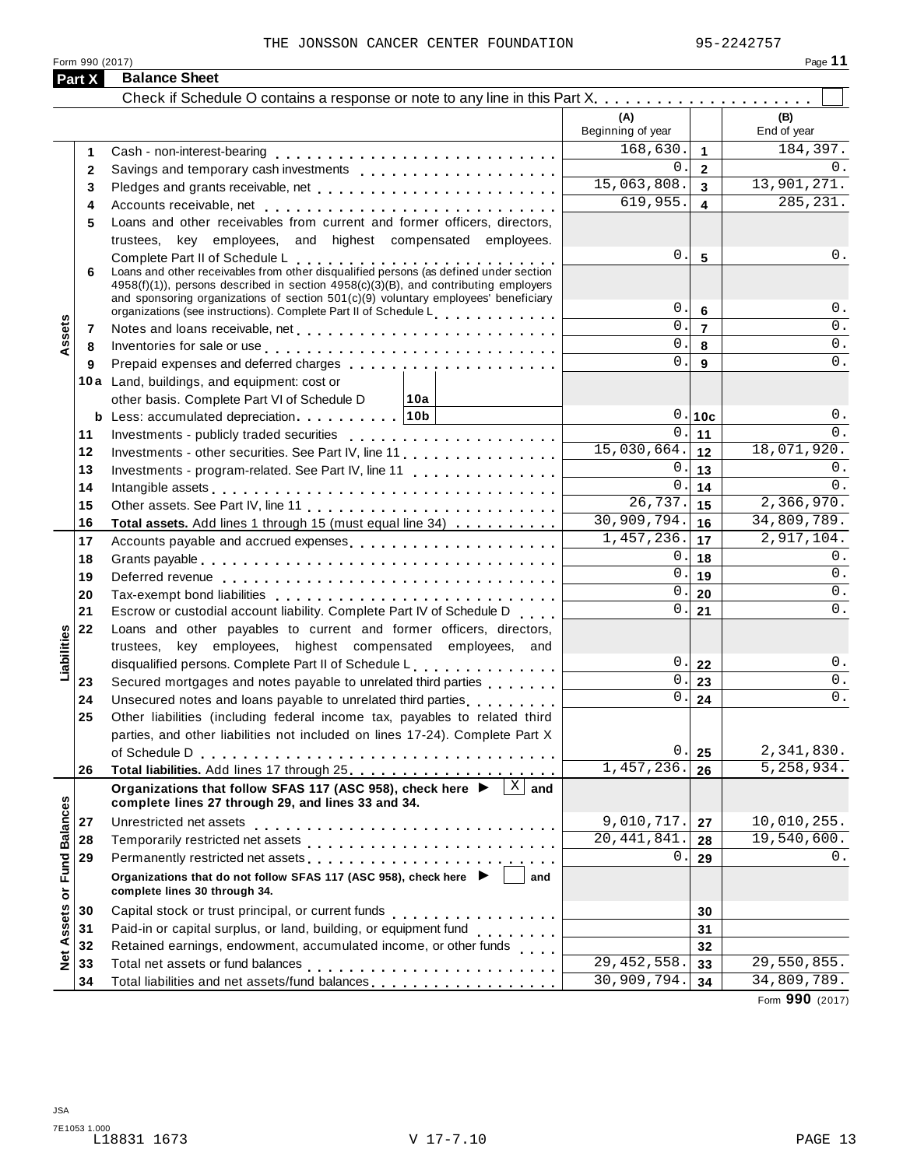Form <sup>990</sup> (2017) Page **11**

|                             | Part X | <b>Balance Sheet</b>                                                                                                                                                                                                                                                                                                                                                                                            |                          |                  |                    |
|-----------------------------|--------|-----------------------------------------------------------------------------------------------------------------------------------------------------------------------------------------------------------------------------------------------------------------------------------------------------------------------------------------------------------------------------------------------------------------|--------------------------|------------------|--------------------|
|                             |        |                                                                                                                                                                                                                                                                                                                                                                                                                 |                          |                  |                    |
|                             |        |                                                                                                                                                                                                                                                                                                                                                                                                                 | (A)<br>Beginning of year |                  | (B)<br>End of year |
|                             | 1.     |                                                                                                                                                                                                                                                                                                                                                                                                                 | 168,630.                 | $\mathbf{1}$     | 184, 397.          |
|                             | 2      |                                                                                                                                                                                                                                                                                                                                                                                                                 | 0                        | $\overline{2}$   | 0.                 |
|                             | 3      | Pledges and grants receivable, net enterpresent resources and grants receivable, net enterpresent resources                                                                                                                                                                                                                                                                                                     | 15,063,808.              | 3                | 13,901,271.        |
|                             | 4      |                                                                                                                                                                                                                                                                                                                                                                                                                 | 619,955.                 | $\blacktriangle$ | 285, 231.          |
|                             | 5      | Loans and other receivables from current and former officers, directors,                                                                                                                                                                                                                                                                                                                                        |                          |                  |                    |
|                             |        | trustees, key employees, and highest compensated employees.                                                                                                                                                                                                                                                                                                                                                     |                          |                  |                    |
|                             | 6      | Complete Part II of Schedule L<br>Loans and other receivables from other disqualified persons (as defined under section<br>4958(f)(1)), persons described in section 4958(c)(3)(B), and contributing employers<br>and sponsoring organizations of section $501(c)(9)$ voluntary employees' beneficiary<br>organizations (see instructions). Complete Part II of Schedule Letter and Letter Letter Letter Letter | 0.<br>0.                 | 5<br>6           | 0.<br>$0$ .        |
|                             | 7      |                                                                                                                                                                                                                                                                                                                                                                                                                 | 0.                       | $\overline{7}$   | 0.                 |
| Assets                      | 8      | Inventories for sale or use enterpreteral resources in the set of the set of the set of the set of the set of the set of the set of the set of the set of the set of the set of the set of the set of the set of the set of th                                                                                                                                                                                  | $\overline{0}$ .         | 8                | 0.                 |
|                             | 9      |                                                                                                                                                                                                                                                                                                                                                                                                                 | $\Omega$ .               | 9                | 0.                 |
|                             |        | 10a Land, buildings, and equipment: cost or                                                                                                                                                                                                                                                                                                                                                                     |                          |                  |                    |
|                             |        | other basis. Complete Part VI of Schedule D<br>∣10a                                                                                                                                                                                                                                                                                                                                                             |                          |                  |                    |
|                             |        | <b>b</b> Less: accumulated depreciation $\ldots$ , ,    10b                                                                                                                                                                                                                                                                                                                                                     |                          | 0.10c            | $0$ .              |
|                             | 11     |                                                                                                                                                                                                                                                                                                                                                                                                                 | 0.1                      | 11               | 0.                 |
|                             | 12     | Investments - other securities. See Part IV, line 11                                                                                                                                                                                                                                                                                                                                                            | 15,030,664.              | 12               | 18,071,920.        |
|                             | 13     | Investments - program-related. See Part IV, line 11                                                                                                                                                                                                                                                                                                                                                             | 0.                       | 13               | 0.                 |
|                             | 14     |                                                                                                                                                                                                                                                                                                                                                                                                                 | 0                        | 14               | $0$ .              |
|                             | 15     |                                                                                                                                                                                                                                                                                                                                                                                                                 | 26, 737.                 | 15               | 2,366,970.         |
|                             | 16     | Total assets. Add lines 1 through 15 (must equal line 34)                                                                                                                                                                                                                                                                                                                                                       | 30,909,794.              | 16               | 34,809,789.        |
|                             | 17     | Accounts payable and accrued expenses                                                                                                                                                                                                                                                                                                                                                                           | 1,457,236.               | 17               | 2,917,104.         |
|                             | 18     |                                                                                                                                                                                                                                                                                                                                                                                                                 | 0.                       | 18               | 0.                 |
|                             | 19     |                                                                                                                                                                                                                                                                                                                                                                                                                 | 0.1                      | 19               | 0.                 |
|                             | 20     |                                                                                                                                                                                                                                                                                                                                                                                                                 | 0.                       | 20               | 0.                 |
|                             | 21     | Escrow or custodial account liability. Complete Part IV of Schedule D                                                                                                                                                                                                                                                                                                                                           | 0.                       | 21               | 0.                 |
|                             | 22     | Loans and other payables to current and former officers, directors,                                                                                                                                                                                                                                                                                                                                             |                          |                  |                    |
|                             |        | trustees, key employees, highest compensated employees, and                                                                                                                                                                                                                                                                                                                                                     |                          |                  |                    |
| Liabilities                 |        | disqualified persons. Complete Part II of Schedule L.                                                                                                                                                                                                                                                                                                                                                           | 0.1                      | 22               | $0$ .              |
|                             | 23     | Secured mortgages and notes payable to unrelated third parties                                                                                                                                                                                                                                                                                                                                                  | 0.<br>0.                 | 23               | 0.                 |
|                             | 24     | Unsecured notes and loans payable to unrelated third parties                                                                                                                                                                                                                                                                                                                                                    |                          | 24               | $0$ .              |
|                             | 25     | Other liabilities (including federal income tax, payables to related third<br>parties, and other liabilities not included on lines 17-24). Complete Part X                                                                                                                                                                                                                                                      |                          |                  |                    |
|                             |        |                                                                                                                                                                                                                                                                                                                                                                                                                 | $0$ .                    | 25               | 2,341,830.         |
|                             | 26     |                                                                                                                                                                                                                                                                                                                                                                                                                 | 1,457,236.               | 26               | 5, 258, 934.       |
|                             |        | $X \mid$ and<br>Organizations that follow SFAS 117 (ASC 958), check here ▶<br>complete lines 27 through 29, and lines 33 and 34.                                                                                                                                                                                                                                                                                |                          |                  |                    |
|                             | 27     | Unrestricted net assets                                                                                                                                                                                                                                                                                                                                                                                         | 9,010,717.               | 27               | 10,010,255.        |
|                             | 28     |                                                                                                                                                                                                                                                                                                                                                                                                                 | 20, 441, 841             | 28               | 19,540,600.        |
|                             | 29     | Permanently restricted net assets entertainment resumes and research and research and response to the results                                                                                                                                                                                                                                                                                                   | 0.                       | 29               | $0$ .              |
| Net Assets or Fund Balances |        | Organizations that do not follow SFAS 117 (ASC 958), check here ▶<br>and<br>complete lines 30 through 34.                                                                                                                                                                                                                                                                                                       |                          |                  |                    |
|                             | 30     | Capital stock or trust principal, or current funds                                                                                                                                                                                                                                                                                                                                                              |                          | 30               |                    |
|                             | 31     | .<br>Paid-in or capital surplus, or land, building, or equipment fund<br>                                                                                                                                                                                                                                                                                                                                       |                          | 31               |                    |
|                             | 32     | Retained earnings, endowment, accumulated income, or other funds                                                                                                                                                                                                                                                                                                                                                |                          | 32               |                    |
|                             | 33     | Total net assets or fund balances                                                                                                                                                                                                                                                                                                                                                                               | 29, 452, 558             | 33               | 29,550,855.        |
|                             | 34     | Total liabilities and net assets/fund balances                                                                                                                                                                                                                                                                                                                                                                  | 30,909,794.              | 34               | 34,809,789.        |

Form **990** (2017)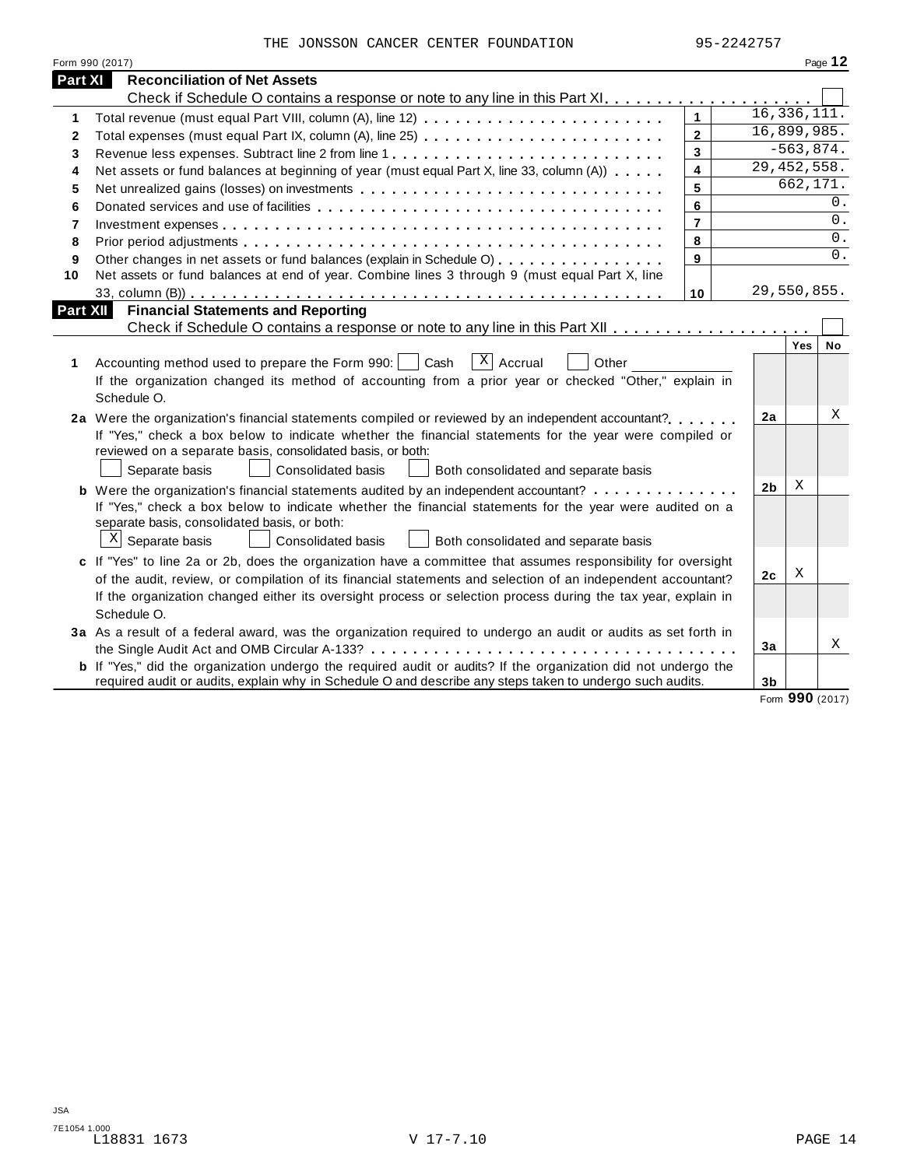|  |  | THE JONSSON CANCER CENTER FOUNDATION | 95-2242757 |
|--|--|--------------------------------------|------------|
|  |  |                                      |            |

|          | Form 990 (2017)                                                                                                                                                      |                         |                |             | Page 12   |
|----------|----------------------------------------------------------------------------------------------------------------------------------------------------------------------|-------------------------|----------------|-------------|-----------|
| Part XI  | <b>Reconciliation of Net Assets</b>                                                                                                                                  |                         |                |             |           |
|          |                                                                                                                                                                      |                         |                |             |           |
| 1        |                                                                                                                                                                      | $\mathbf{1}$            | 16,336,111.    |             |           |
| 2        | Total expenses (must equal Part IX, column (A), line 25)                                                                                                             | $\mathbf{2}$            | 16,899,985.    |             |           |
| 3        |                                                                                                                                                                      | $\overline{\mathbf{3}}$ |                | $-563,874.$ |           |
| 4        | Net assets or fund balances at beginning of year (must equal Part X, line 33, column (A))                                                                            | $\overline{\mathbf{4}}$ | 29, 452, 558.  |             |           |
| 5        | Net unrealized gains (losses) on investments                                                                                                                         | 5                       |                | 662,171.    |           |
| 6        |                                                                                                                                                                      | 6                       |                |             | $0$ .     |
| 7        |                                                                                                                                                                      | $\overline{7}$          |                |             | 0.        |
| 8        |                                                                                                                                                                      | 8                       |                |             | $0$ .     |
| 9        | Other changes in net assets or fund balances (explain in Schedule O)                                                                                                 | 9                       |                |             | 0.        |
| 10       | Net assets or fund balances at end of year. Combine lines 3 through 9 (must equal Part X, line                                                                       |                         |                |             |           |
|          |                                                                                                                                                                      | 10                      | 29,550,855.    |             |           |
| Part XII | <b>Financial Statements and Reporting</b>                                                                                                                            |                         |                |             |           |
|          |                                                                                                                                                                      |                         |                |             |           |
| 1        | $ X $ Accrual<br>Accounting method used to prepare the Form 990:     Cash<br>Other                                                                                   |                         |                | Yes         | <b>No</b> |
|          | If the organization changed its method of accounting from a prior year or checked "Other," explain in<br>Schedule O.                                                 |                         |                |             |           |
|          | 2a Were the organization's financial statements compiled or reviewed by an independent accountant?                                                                   |                         | 2a             |             | Χ         |
|          | If "Yes," check a box below to indicate whether the financial statements for the year were compiled or<br>reviewed on a separate basis, consolidated basis, or both: |                         |                |             |           |
|          | Separate basis<br><b>Consolidated basis</b><br>Both consolidated and separate basis                                                                                  |                         |                |             |           |
|          | <b>b</b> Were the organization's financial statements audited by an independent accountant?                                                                          |                         | 2 <sub>b</sub> | Χ           |           |
|          | If "Yes," check a box below to indicate whether the financial statements for the year were audited on a                                                              |                         |                |             |           |
|          | separate basis, consolidated basis, or both:                                                                                                                         |                         |                |             |           |
|          | $X$ Separate basis<br><b>Consolidated basis</b><br>Both consolidated and separate basis                                                                              |                         |                |             |           |
|          | c If "Yes" to line 2a or 2b, does the organization have a committee that assumes responsibility for oversight                                                        |                         |                |             |           |
|          | of the audit, review, or compilation of its financial statements and selection of an independent accountant?                                                         |                         | 2c             | X           |           |
|          | If the organization changed either its oversight process or selection process during the tax year, explain in                                                        |                         |                |             |           |
|          | Schedule O.                                                                                                                                                          |                         |                |             |           |
|          | 3a As a result of a federal award, was the organization required to undergo an audit or audits as set forth in                                                       |                         |                |             |           |
|          |                                                                                                                                                                      |                         | 3a             |             | X         |
|          | <b>b</b> If "Yes," did the organization undergo the required audit or audits? If the organization did not undergo the                                                |                         |                |             |           |
|          | required audit or audits, explain why in Schedule O and describe any steps taken to undergo such audits.                                                             |                         | 3b             |             |           |

Form **990** (2017)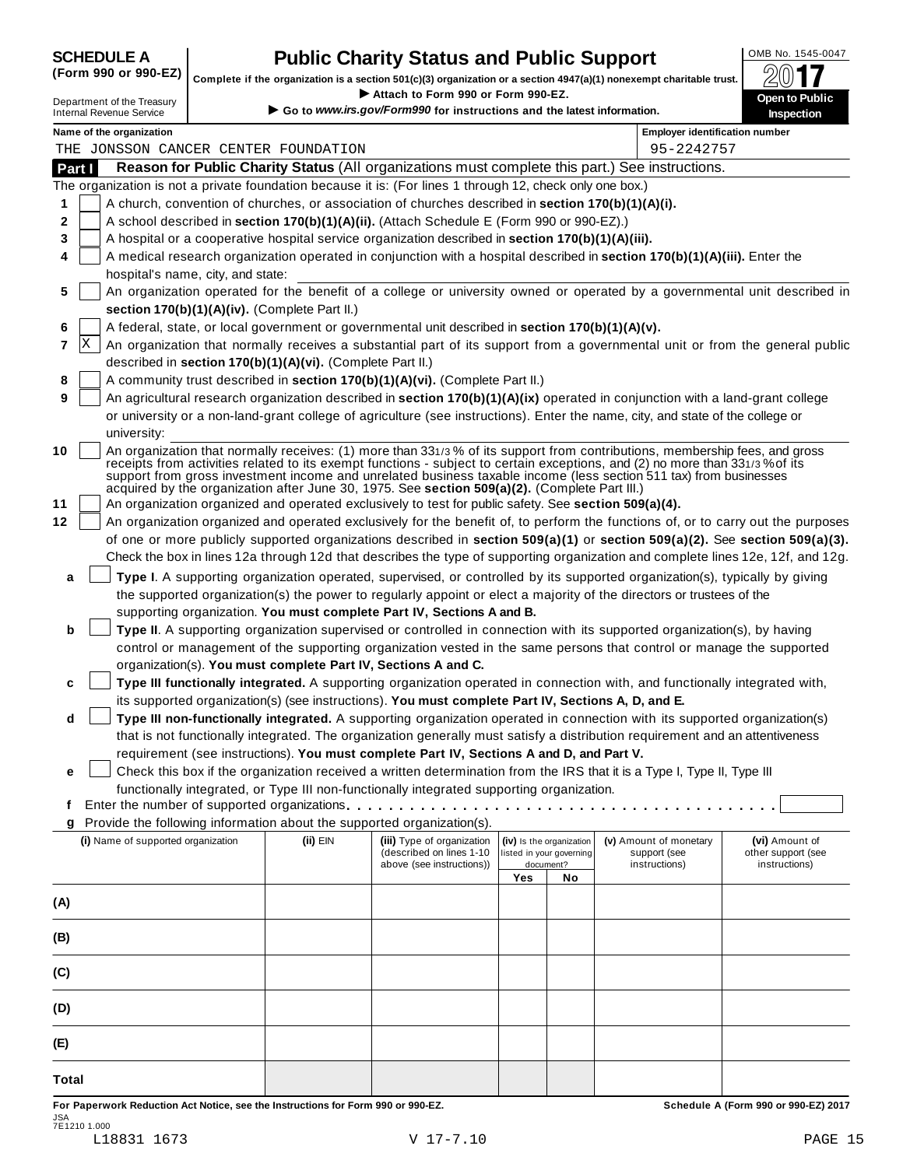# **CHEDULE A Public Charity Status and Public Support**  $\frac{100\text{dB No. }1545-0047}{000\text{dB}}$

(Form 990 or 990-EZ) complete if the organization is a section 501(c)(3) organization or a section 4947(a)(1) nonexempt charitable trust.  $2017$ 

|              |                                                               |                                                            |                                                                                                              |     |                                       | Complete if the organization is a section 501(c)(3) organization or a section 4947(a)(1) nonexempt charitable trust.                                                                                                                              | ZV I I                                                                                                                           |
|--------------|---------------------------------------------------------------|------------------------------------------------------------|--------------------------------------------------------------------------------------------------------------|-----|---------------------------------------|---------------------------------------------------------------------------------------------------------------------------------------------------------------------------------------------------------------------------------------------------|----------------------------------------------------------------------------------------------------------------------------------|
|              | Department of the Treasury<br><b>Internal Revenue Service</b> |                                                            | Attach to Form 990 or Form 990-EZ.<br>Go to www.irs.gov/Form990 for instructions and the latest information. |     |                                       |                                                                                                                                                                                                                                                   | Open to Public<br>Inspection                                                                                                     |
|              | Name of the organization                                      |                                                            |                                                                                                              |     |                                       | <b>Employer identification number</b>                                                                                                                                                                                                             |                                                                                                                                  |
|              |                                                               | THE JONSSON CANCER CENTER FOUNDATION                       |                                                                                                              |     |                                       | 95-2242757                                                                                                                                                                                                                                        |                                                                                                                                  |
| Part I       |                                                               |                                                            |                                                                                                              |     |                                       | Reason for Public Charity Status (All organizations must complete this part.) See instructions.                                                                                                                                                   |                                                                                                                                  |
|              |                                                               |                                                            | The organization is not a private foundation because it is: (For lines 1 through 12, check only one box.)    |     |                                       |                                                                                                                                                                                                                                                   |                                                                                                                                  |
| 1            |                                                               |                                                            | A church, convention of churches, or association of churches described in section 170(b)(1)(A)(i).           |     |                                       |                                                                                                                                                                                                                                                   |                                                                                                                                  |
| 2            |                                                               |                                                            | A school described in section 170(b)(1)(A)(ii). (Attach Schedule E (Form 990 or 990-EZ).)                    |     |                                       |                                                                                                                                                                                                                                                   |                                                                                                                                  |
| 3            |                                                               |                                                            | A hospital or a cooperative hospital service organization described in section 170(b)(1)(A)(iii).            |     |                                       |                                                                                                                                                                                                                                                   |                                                                                                                                  |
| 4            | hospital's name, city, and state:                             |                                                            |                                                                                                              |     |                                       | A medical research organization operated in conjunction with a hospital described in section 170(b)(1)(A)(iii). Enter the                                                                                                                         |                                                                                                                                  |
| 5            |                                                               |                                                            |                                                                                                              |     |                                       |                                                                                                                                                                                                                                                   | An organization operated for the benefit of a college or university owned or operated by a governmental unit described in        |
|              |                                                               | section 170(b)(1)(A)(iv). (Complete Part II.)              |                                                                                                              |     |                                       |                                                                                                                                                                                                                                                   |                                                                                                                                  |
| 6            |                                                               |                                                            | A federal, state, or local government or governmental unit described in section 170(b)(1)(A)(v).             |     |                                       |                                                                                                                                                                                                                                                   |                                                                                                                                  |
| 7            | X                                                             |                                                            |                                                                                                              |     |                                       |                                                                                                                                                                                                                                                   | An organization that normally receives a substantial part of its support from a governmental unit or from the general public     |
|              |                                                               | described in section 170(b)(1)(A)(vi). (Complete Part II.) |                                                                                                              |     |                                       |                                                                                                                                                                                                                                                   |                                                                                                                                  |
| 8            |                                                               |                                                            | A community trust described in section 170(b)(1)(A)(vi). (Complete Part II.)                                 |     |                                       |                                                                                                                                                                                                                                                   |                                                                                                                                  |
| 9            |                                                               |                                                            |                                                                                                              |     |                                       | An agricultural research organization described in section 170(b)(1)(A)(ix) operated in conjunction with a land-grant college                                                                                                                     |                                                                                                                                  |
|              |                                                               |                                                            |                                                                                                              |     |                                       | or university or a non-land-grant college of agriculture (see instructions). Enter the name, city, and state of the college or                                                                                                                    |                                                                                                                                  |
|              | university:                                                   |                                                            |                                                                                                              |     |                                       | An organization that normally receives: (1) more than 331/3% of its support from contributions, membership fees, and gross                                                                                                                        |                                                                                                                                  |
| 10           |                                                               |                                                            | acquired by the organization after June 30, 1975. See section 509(a)(2). (Complete Part III.)                |     |                                       | receipts from activities related to its exempt functions - subject to certain exceptions, and (2) no more than 331/3% of its<br>support from gross investment income and unrelated business taxable income (less section 511 tax) from businesses |                                                                                                                                  |
| 11           |                                                               |                                                            | An organization organized and operated exclusively to test for public safety. See section 509(a)(4).         |     |                                       |                                                                                                                                                                                                                                                   |                                                                                                                                  |
| 12           |                                                               |                                                            |                                                                                                              |     |                                       |                                                                                                                                                                                                                                                   | An organization organized and operated exclusively for the benefit of, to perform the functions of, or to carry out the purposes |
|              |                                                               |                                                            |                                                                                                              |     |                                       |                                                                                                                                                                                                                                                   | of one or more publicly supported organizations described in section 509(a)(1) or section 509(a)(2). See section 509(a)(3).      |
|              |                                                               |                                                            |                                                                                                              |     |                                       |                                                                                                                                                                                                                                                   | Check the box in lines 12a through 12d that describes the type of supporting organization and complete lines 12e, 12f, and 12g.  |
|              |                                                               |                                                            |                                                                                                              |     |                                       |                                                                                                                                                                                                                                                   |                                                                                                                                  |
| а            |                                                               |                                                            |                                                                                                              |     |                                       | Type I. A supporting organization operated, supervised, or controlled by its supported organization(s), typically by giving                                                                                                                       |                                                                                                                                  |
|              |                                                               |                                                            |                                                                                                              |     |                                       | the supported organization(s) the power to regularly appoint or elect a majority of the directors or trustees of the                                                                                                                              |                                                                                                                                  |
|              |                                                               |                                                            | supporting organization. You must complete Part IV, Sections A and B.                                        |     |                                       |                                                                                                                                                                                                                                                   |                                                                                                                                  |
| b            |                                                               |                                                            |                                                                                                              |     |                                       | Type II. A supporting organization supervised or controlled in connection with its supported organization(s), by having                                                                                                                           |                                                                                                                                  |
|              |                                                               |                                                            |                                                                                                              |     |                                       | control or management of the supporting organization vested in the same persons that control or manage the supported                                                                                                                              |                                                                                                                                  |
|              |                                                               |                                                            | organization(s). You must complete Part IV, Sections A and C.                                                |     |                                       |                                                                                                                                                                                                                                                   |                                                                                                                                  |
| c            |                                                               |                                                            |                                                                                                              |     |                                       | Type III functionally integrated. A supporting organization operated in connection with, and functionally integrated with,                                                                                                                        |                                                                                                                                  |
|              |                                                               |                                                            | its supported organization(s) (see instructions). You must complete Part IV, Sections A, D, and E.           |     |                                       |                                                                                                                                                                                                                                                   |                                                                                                                                  |
| d            |                                                               |                                                            |                                                                                                              |     |                                       | Type III non-functionally integrated. A supporting organization operated in connection with its supported organization(s)                                                                                                                         |                                                                                                                                  |
|              |                                                               |                                                            |                                                                                                              |     |                                       | that is not functionally integrated. The organization generally must satisfy a distribution requirement and an attentiveness                                                                                                                      |                                                                                                                                  |
|              |                                                               |                                                            | requirement (see instructions). You must complete Part IV, Sections A and D, and Part V.                     |     |                                       |                                                                                                                                                                                                                                                   |                                                                                                                                  |
| е            |                                                               |                                                            |                                                                                                              |     |                                       | Check this box if the organization received a written determination from the IRS that it is a Type I, Type II, Type III                                                                                                                           |                                                                                                                                  |
|              |                                                               |                                                            | functionally integrated, or Type III non-functionally integrated supporting organization.                    |     |                                       |                                                                                                                                                                                                                                                   |                                                                                                                                  |
| f            |                                                               |                                                            |                                                                                                              |     |                                       |                                                                                                                                                                                                                                                   |                                                                                                                                  |
| g            |                                                               |                                                            | Provide the following information about the supported organization(s).                                       |     |                                       |                                                                                                                                                                                                                                                   |                                                                                                                                  |
|              | (i) Name of supported organization                            | $(ii)$ EIN                                                 | (iii) Type of organization                                                                                   |     | (iv) Is the organization              | (v) Amount of monetary                                                                                                                                                                                                                            | (vi) Amount of                                                                                                                   |
|              |                                                               |                                                            | (described on lines 1-10<br>above (see instructions))                                                        |     | listed in your governing<br>document? | support (see<br>instructions)                                                                                                                                                                                                                     | other support (see<br>instructions)                                                                                              |
|              |                                                               |                                                            |                                                                                                              | Yes | No                                    |                                                                                                                                                                                                                                                   |                                                                                                                                  |
| (A)          |                                                               |                                                            |                                                                                                              |     |                                       |                                                                                                                                                                                                                                                   |                                                                                                                                  |
|              |                                                               |                                                            |                                                                                                              |     |                                       |                                                                                                                                                                                                                                                   |                                                                                                                                  |
| (B)          |                                                               |                                                            |                                                                                                              |     |                                       |                                                                                                                                                                                                                                                   |                                                                                                                                  |
|              |                                                               |                                                            |                                                                                                              |     |                                       |                                                                                                                                                                                                                                                   |                                                                                                                                  |
| (C)          |                                                               |                                                            |                                                                                                              |     |                                       |                                                                                                                                                                                                                                                   |                                                                                                                                  |
| (D)          |                                                               |                                                            |                                                                                                              |     |                                       |                                                                                                                                                                                                                                                   |                                                                                                                                  |
|              |                                                               |                                                            |                                                                                                              |     |                                       |                                                                                                                                                                                                                                                   |                                                                                                                                  |
| (E)          |                                                               |                                                            |                                                                                                              |     |                                       |                                                                                                                                                                                                                                                   |                                                                                                                                  |
| <b>Total</b> |                                                               |                                                            |                                                                                                              |     |                                       |                                                                                                                                                                                                                                                   |                                                                                                                                  |

For Paperwork Reduction Act Notice, see the Instructions for Form 990 or 990-EZ. Schedule A (Form 990 or 990-EZ) 2017 JSA 7E1210 1.000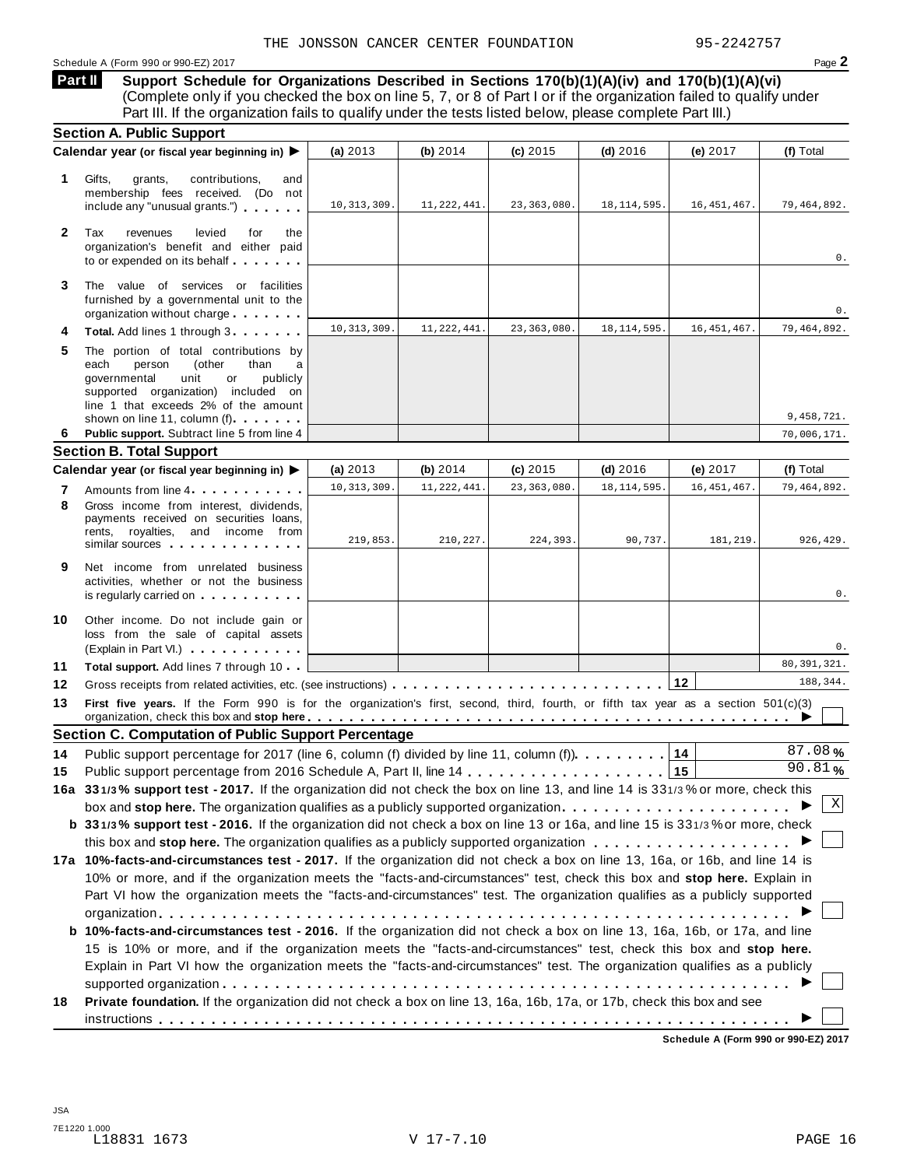Schedule <sup>A</sup> (Form <sup>990</sup> or 990-EZ) <sup>2017</sup> Page **2 Support Schedule for Organizations Described in Sections 170(b)(1)(A)(iv) and 170(b)(1)(A)(vi)**

(Complete only if you checked the box on line 5, 7, or 8 of Part I or if the organization failed to qualify under Part III. If the organization fails to qualify under the tests listed below, please complete Part III.) **Part II**

|                      | Calendar year (or fiscal year beginning in) ▶                                                                                                                                                                                                                                                                                                                        | (a) 2013      | (b) 2014      | (c) 2015      | $(d)$ 2016    | (e) 2017      | (f) Total     |
|----------------------|----------------------------------------------------------------------------------------------------------------------------------------------------------------------------------------------------------------------------------------------------------------------------------------------------------------------------------------------------------------------|---------------|---------------|---------------|---------------|---------------|---------------|
| 1                    | Gifts,<br>grants,<br>contributions.<br>and<br>membership fees received. (Do not<br>include any "unusual grants.")                                                                                                                                                                                                                                                    | 10, 313, 309. | 11, 222, 441. | 23, 363, 080. | 18, 114, 595. | 16, 451, 467. | 79,464,892.   |
| 2                    | Tax<br>revenues<br>levied<br>for<br>the<br>organization's benefit and either paid<br>to or expended on its behalf                                                                                                                                                                                                                                                    |               |               |               |               |               | 0.            |
| 3                    | The value of services or facilities<br>furnished by a governmental unit to the<br>organization without charge                                                                                                                                                                                                                                                        |               |               |               |               |               | 0.            |
| 4                    | Total. Add lines 1 through 3                                                                                                                                                                                                                                                                                                                                         | 10, 313, 309. | 11, 222, 441. | 23, 363, 080. | 18, 114, 595. | 16, 451, 467. | 79,464,892.   |
| 5                    | The portion of total contributions by<br>each<br>person<br>(other<br>than<br>a<br>governmental<br>unit<br>publicly<br>or<br>supported organization) included on<br>line 1 that exceeds 2% of the amount<br>shown on line 11, column (f)                                                                                                                              |               |               |               |               |               | 9,458,721.    |
| 6                    | Public support. Subtract line 5 from line 4                                                                                                                                                                                                                                                                                                                          |               |               |               |               |               | 70,006,171.   |
|                      | <b>Section B. Total Support</b>                                                                                                                                                                                                                                                                                                                                      |               |               |               |               |               |               |
|                      | Calendar year (or fiscal year beginning in) ▶                                                                                                                                                                                                                                                                                                                        | (a) $2013$    | (b) 2014      | (c) 2015      | $(d)$ 2016    | (e) 2017      | (f) Total     |
| 7                    | Amounts from line 4                                                                                                                                                                                                                                                                                                                                                  | 10, 313, 309  | 11, 222, 441. | 23, 363, 080. | 18, 114, 595  | 16, 451, 467. | 79,464,892.   |
| 8                    | Gross income from interest. dividends.<br>payments received on securities loans,<br>rents, royalties, and income from<br>similar sources experiences                                                                                                                                                                                                                 | 219,853.      | 210,227.      | 224,393.      | 90,737.       | 181,219.      | 926,429.      |
| 9                    | Net income from unrelated business<br>activities, whether or not the business<br>is regularly carried on the control of the set of the set of the set of the set of the set of the set of the s                                                                                                                                                                      |               |               |               |               |               | 0.            |
| 10                   | Other income. Do not include gain or<br>loss from the sale of capital assets<br>(Explain in Part VI.)                                                                                                                                                                                                                                                                |               |               |               |               |               | 0.            |
|                      | Total support. Add lines 7 through 10                                                                                                                                                                                                                                                                                                                                |               |               |               |               |               | 80, 391, 321. |
|                      |                                                                                                                                                                                                                                                                                                                                                                      |               |               |               |               |               | 188,344.      |
|                      |                                                                                                                                                                                                                                                                                                                                                                      |               |               |               |               |               |               |
|                      | First five years. If the Form 990 is for the organization's first, second, third, fourth, or fifth tax year as a section 501(c)(3)<br>organization, check this box and stop here entirially stated by the state of the state of the state of the state of the state of the state of the state of the state of the state of the state of the state of the state of th |               |               |               |               |               | ▸             |
|                      | <b>Section C. Computation of Public Support Percentage</b>                                                                                                                                                                                                                                                                                                           |               |               |               |               |               |               |
|                      | Public support percentage for 2017 (line 6, column (f) divided by line 11, column (f)).                                                                                                                                                                                                                                                                              |               |               |               |               | 14            | 87.08%        |
|                      |                                                                                                                                                                                                                                                                                                                                                                      |               |               |               |               | 15            | 90.81%        |
|                      | 16a 331/3% support test - 2017. If the organization did not check the box on line 13, and line 14 is 331/3% or more, check this                                                                                                                                                                                                                                      |               |               |               |               |               |               |
|                      | box and stop here. The organization qualifies as a publicly supported organization $\ldots \ldots \ldots \ldots \ldots \ldots \ldots$                                                                                                                                                                                                                                |               |               |               |               |               | Χ             |
|                      | b 331/3% support test - 2016. If the organization did not check a box on line 13 or 16a, and line 15 is 331/3% or more, check                                                                                                                                                                                                                                        |               |               |               |               |               |               |
|                      |                                                                                                                                                                                                                                                                                                                                                                      |               |               |               |               |               |               |
|                      | 17a 10%-facts-and-circumstances test - 2017. If the organization did not check a box on line 13, 16a, or 16b, and line 14 is                                                                                                                                                                                                                                         |               |               |               |               |               |               |
|                      | 10% or more, and if the organization meets the "facts-and-circumstances" test, check this box and stop here. Explain in                                                                                                                                                                                                                                              |               |               |               |               |               |               |
|                      | Part VI how the organization meets the "facts-and-circumstances" test. The organization qualifies as a publicly supported                                                                                                                                                                                                                                            |               |               |               |               |               |               |
|                      |                                                                                                                                                                                                                                                                                                                                                                      |               |               |               |               |               |               |
|                      | b 10%-facts-and-circumstances test - 2016. If the organization did not check a box on line 13, 16a, 16b, or 17a, and line                                                                                                                                                                                                                                            |               |               |               |               |               |               |
| 11<br>13<br>14<br>15 | 15 is 10% or more, and if the organization meets the "facts-and-circumstances" test, check this box and stop here.                                                                                                                                                                                                                                                   |               |               |               |               |               |               |
|                      | Explain in Part VI how the organization meets the "facts-and-circumstances" test. The organization qualifies as a publicly                                                                                                                                                                                                                                           |               |               |               |               |               |               |
| 12<br>18             | Private foundation. If the organization did not check a box on line 13, 16a, 16b, 17a, or 17b, check this box and see                                                                                                                                                                                                                                                |               |               |               |               |               |               |

**Schedule A (Form 990 or 990-EZ) 2017**

JSA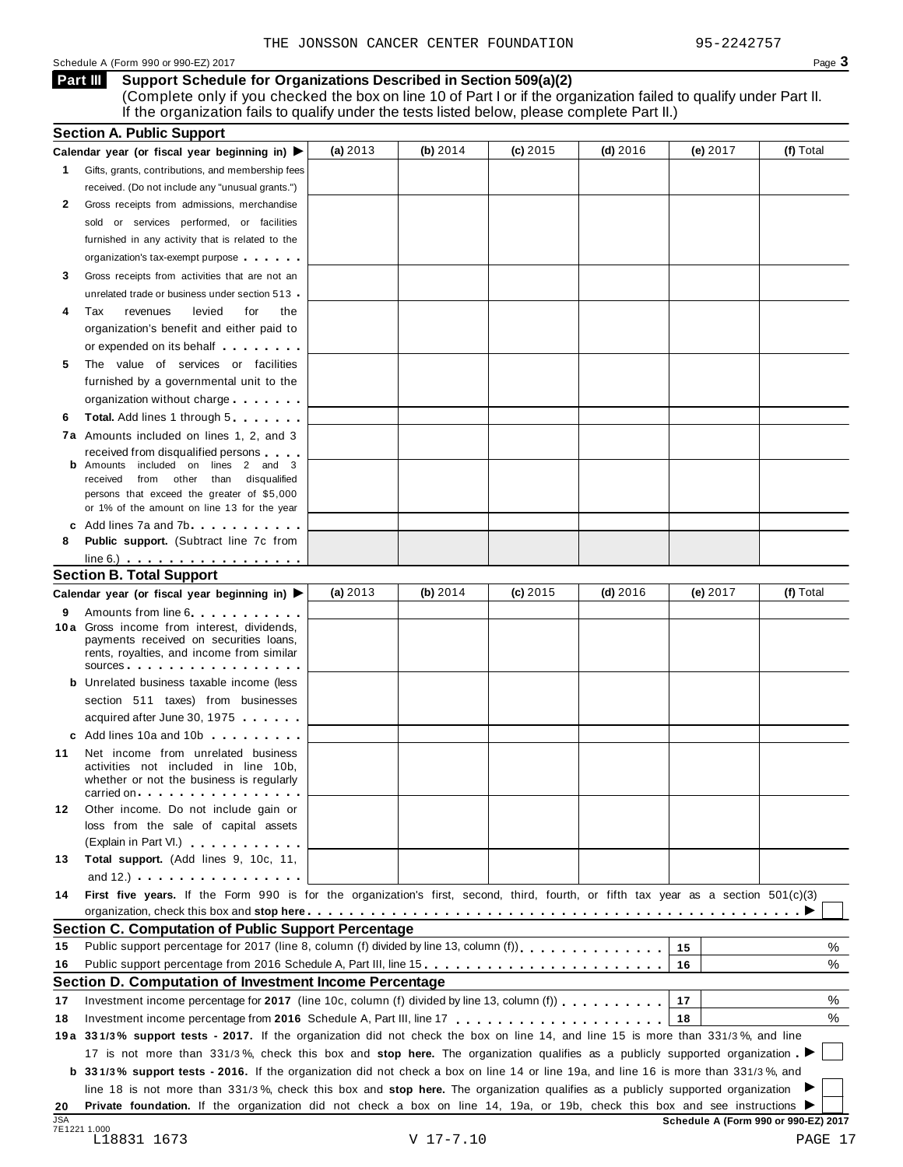#### Schedule <sup>A</sup> (Form <sup>990</sup> or 990-EZ) <sup>2017</sup> Page **3**

**Support Schedule for Organizations Described in Section 509(a)(2)** (Complete only if you checked the box on line 10 of Part I or if the organization failed to qualify under Part II. If the organization fails to qualify under the tests listed below, please complete Part II.) **Part III**

|                            | <b>Section A. Public Support</b>                                                                                                                                                                                                                                      |            |            |            |            |          |                  |
|----------------------------|-----------------------------------------------------------------------------------------------------------------------------------------------------------------------------------------------------------------------------------------------------------------------|------------|------------|------------|------------|----------|------------------|
|                            | Calendar year (or fiscal year beginning in) $\blacktriangleright$                                                                                                                                                                                                     | (a) $2013$ | (b) $2014$ | $(c)$ 2015 | $(d)$ 2016 | (e) 2017 | (f) Total        |
| 1                          | Gifts, grants, contributions, and membership fees                                                                                                                                                                                                                     |            |            |            |            |          |                  |
|                            | received. (Do not include any "unusual grants.")                                                                                                                                                                                                                      |            |            |            |            |          |                  |
| 2                          | Gross receipts from admissions, merchandise                                                                                                                                                                                                                           |            |            |            |            |          |                  |
|                            | sold or services performed, or facilities                                                                                                                                                                                                                             |            |            |            |            |          |                  |
|                            | furnished in any activity that is related to the                                                                                                                                                                                                                      |            |            |            |            |          |                  |
|                            | organization's tax-exempt purpose                                                                                                                                                                                                                                     |            |            |            |            |          |                  |
| 3                          | Gross receipts from activities that are not an                                                                                                                                                                                                                        |            |            |            |            |          |                  |
|                            | unrelated trade or business under section 513 .                                                                                                                                                                                                                       |            |            |            |            |          |                  |
| 4                          | Tax<br>revenues<br>levied<br>for<br>the                                                                                                                                                                                                                               |            |            |            |            |          |                  |
|                            | organization's benefit and either paid to                                                                                                                                                                                                                             |            |            |            |            |          |                  |
|                            | or expended on its behalf <b>contains the set of the set of the set of the set of the set of the set of the set of the set of the set of the set of the set of the set of the set of the set of the set of the set of the set of</b>                                  |            |            |            |            |          |                  |
| 5                          | The value of services or facilities                                                                                                                                                                                                                                   |            |            |            |            |          |                  |
|                            | furnished by a governmental unit to the                                                                                                                                                                                                                               |            |            |            |            |          |                  |
|                            | organization without charge                                                                                                                                                                                                                                           |            |            |            |            |          |                  |
| 6                          | <b>Total.</b> Add lines 1 through 5                                                                                                                                                                                                                                   |            |            |            |            |          |                  |
|                            | 7a Amounts included on lines 1, 2, and 3                                                                                                                                                                                                                              |            |            |            |            |          |                  |
|                            | received from disqualified persons                                                                                                                                                                                                                                    |            |            |            |            |          |                  |
|                            | Amounts included on lines 2 and 3                                                                                                                                                                                                                                     |            |            |            |            |          |                  |
|                            | from other than disqualified<br>received                                                                                                                                                                                                                              |            |            |            |            |          |                  |
|                            | persons that exceed the greater of \$5,000                                                                                                                                                                                                                            |            |            |            |            |          |                  |
|                            | or 1% of the amount on line 13 for the year                                                                                                                                                                                                                           |            |            |            |            |          |                  |
|                            | c Add lines 7a and 7b                                                                                                                                                                                                                                                 |            |            |            |            |          |                  |
| 8                          | <b>Public support.</b> (Subtract line 7c from                                                                                                                                                                                                                         |            |            |            |            |          |                  |
|                            | $line 6.)$                                                                                                                                                                                                                                                            |            |            |            |            |          |                  |
|                            | <b>Section B. Total Support</b>                                                                                                                                                                                                                                       |            |            |            |            |          |                  |
|                            | Calendar year (or fiscal year beginning in) ▶                                                                                                                                                                                                                         | (a) $2013$ | (b) $2014$ | $(c)$ 2015 | $(d)$ 2016 | (e) 2017 | (f) Total        |
| 9                          | Amounts from line 6. The state of the state of the state of the state of the state of the state of the state of the state of the state of the state of the state of the state of the state of the state of the state of the st                                        |            |            |            |            |          |                  |
|                            | 10 a Gross income from interest, dividends,<br>payments received on securities loans,                                                                                                                                                                                 |            |            |            |            |          |                  |
|                            | rents, royalties, and income from similar                                                                                                                                                                                                                             |            |            |            |            |          |                  |
|                            | $sources$                                                                                                                                                                                                                                                             |            |            |            |            |          |                  |
|                            | <b>b</b> Unrelated business taxable income (less                                                                                                                                                                                                                      |            |            |            |            |          |                  |
|                            | section 511 taxes) from businesses                                                                                                                                                                                                                                    |            |            |            |            |          |                  |
|                            | acquired after June 30, 1975                                                                                                                                                                                                                                          |            |            |            |            |          |                  |
|                            | c Add lines 10a and 10b                                                                                                                                                                                                                                               |            |            |            |            |          |                  |
| 11                         | Net income from unrelated business                                                                                                                                                                                                                                    |            |            |            |            |          |                  |
|                            | activities not included in line 10b,                                                                                                                                                                                                                                  |            |            |            |            |          |                  |
|                            | whether or not the business is regularly                                                                                                                                                                                                                              |            |            |            |            |          |                  |
| 12                         | carried on the carried on the control of the care of the control of the control of the control of the control of the control of the control of the control of the control of the control of the control of the control of the<br>Other income. Do not include gain or |            |            |            |            |          |                  |
|                            | loss from the sale of capital assets                                                                                                                                                                                                                                  |            |            |            |            |          |                  |
|                            | (Explain in Part VI.) <b>All Accords</b>                                                                                                                                                                                                                              |            |            |            |            |          |                  |
| 13                         | Total support. (Add lines 9, 10c, 11,                                                                                                                                                                                                                                 |            |            |            |            |          |                  |
|                            | and $12.$ ) $\cdots$ $\cdots$ $\cdots$ $\cdots$                                                                                                                                                                                                                       |            |            |            |            |          |                  |
| 14                         | First five years. If the Form 990 is for the organization's first, second, third, fourth, or fifth tax year as a section 501(c)(3)                                                                                                                                    |            |            |            |            |          |                  |
|                            |                                                                                                                                                                                                                                                                       |            |            |            |            |          |                  |
|                            |                                                                                                                                                                                                                                                                       |            |            |            |            |          |                  |
|                            |                                                                                                                                                                                                                                                                       |            |            |            |            |          |                  |
|                            | <b>Section C. Computation of Public Support Percentage</b>                                                                                                                                                                                                            |            |            |            |            |          |                  |
|                            |                                                                                                                                                                                                                                                                       |            |            |            |            | 15       |                  |
|                            |                                                                                                                                                                                                                                                                       |            |            |            |            | 16       |                  |
|                            | Section D. Computation of Investment Income Percentage                                                                                                                                                                                                                |            |            |            |            |          |                  |
|                            | Investment income percentage for 2017 (line 10c, column (f) divided by line 13, column (f) $\ldots$ ,,,,,,,,                                                                                                                                                          |            |            |            |            | 17       |                  |
|                            |                                                                                                                                                                                                                                                                       |            |            |            |            | 18       |                  |
|                            | 19a 331/3% support tests - 2017. If the organization did not check the box on line 14, and line 15 is more than 331/3%, and line                                                                                                                                      |            |            |            |            |          |                  |
|                            | 17 is not more than 331/3%, check this box and stop here. The organization qualifies as a publicly supported organization                                                                                                                                             |            |            |            |            |          |                  |
|                            | <b>b</b> 331/3% support tests - 2016. If the organization did not check a box on line 14 or line 19a, and line 16 is more than 331/3%, and                                                                                                                            |            |            |            |            |          |                  |
|                            | line 18 is not more than 331/3%, check this box and stop here. The organization qualifies as a publicly supported organization                                                                                                                                        |            |            |            |            |          |                  |
| 15<br>16<br>17<br>18<br>20 | Private foundation. If the organization did not check a box on line 14, 19a, or 19b, check this box and see instructions ▶                                                                                                                                            |            |            |            |            |          | %<br>%<br>%<br>% |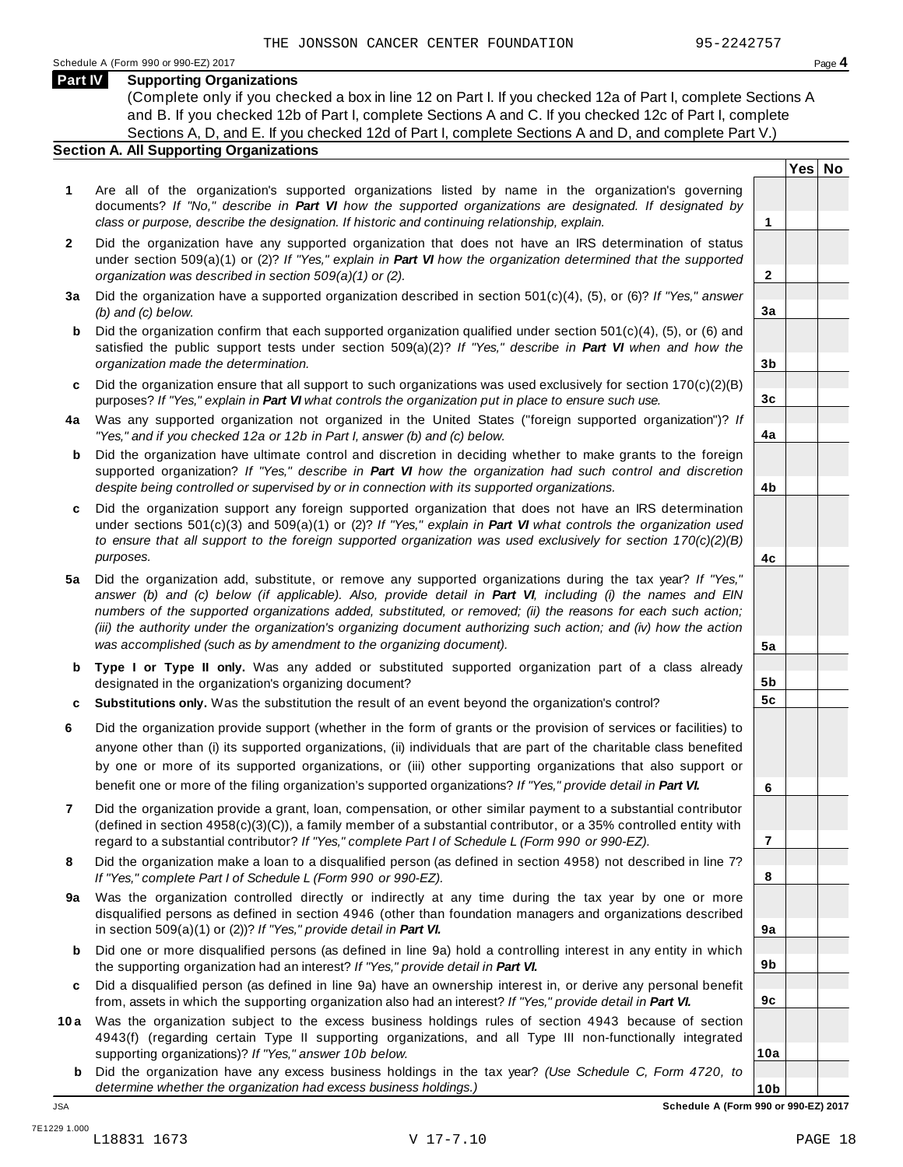**Yes No**

**2**

**3a**

**3b**

**3c**

**4a**

**4b**

**4c**

**5a**

**5b 5c**

**6**

**7**

**8**

**9a**

**9b**

**9c**

**10a**

**10b**

#### **Part IV Supporting Organizations**

(Complete only if you checked a box in line 12 on Part I. If you checked 12a of Part I, complete Sections A and B. If you checked 12b of Part I, complete Sections A and C. If you checked 12c of Part I, complete Sections A, D, and E. If you checked 12d of Part I, complete Sections A and D, and complete Part V.)

#### **Section A. All Supporting Organizations**

- **1** Are all of the organization's supported organizations listed by name in the organization's governing documents? *If "No," describe in Part VI how the supported organizations are designated. If designated by class or purpose, describe the designation. If historic and continuing relationship, explain.* **1**
- **2** Did the organization have any supported organization that does not have an IRS determination of status under section 509(a)(1) or (2)? *If"Yes," explain in Part VI how the organization determined that the supported organization was described in section 509(a)(1) or (2).*
- **3 a** Did the organization have a supported organization described in section 501(c)(4), (5), or (6)? *If "Yes," answer (b) and (c) below.*
- **b** Did the organization confirm that each supported organization qualified under section 501(c)(4), (5), or (6) and | satisfied the public support tests under section 509(a)(2)? *If "Yes," describe in Part VI when and how the organization made the determination.*
- **c** Did the organization ensure that all support to such organizations was used exclusively for section 170(c)(2)(B) purposes? *If"Yes," explain in Part VI what controls the organization put in place to ensure such use.*
- **4 a** Was any supported organization not organized in the United States ("foreign supported organization")? *If "Yes," and if you checked 12a or 12b in Part I, answer (b) and (c) below.*
- **b** Did the organization have ultimate control and discretion in deciding whether to make grants to the foreign | supported organization? *If "Yes," describe in Part VI how the organization had such control and discretion despite being controlled or supervised by or in connection with its supported organizations.*
- **c** Did the organization support any foreign supported organization that does not have an IRS determination | under sections 501(c)(3) and 509(a)(1) or (2)? *If "Yes," explain in Part VI what controls the organization used to ensure that all support to the foreign supported organization was used exclusively for section 170(c)(2)(B) purposes.*
- **5 a** Did the organization add, substitute, or remove any supported organizations during the tax year? *If "Yes,"* answer (b) and (c) below (if applicable). Also, provide detail in Part VI, including (i) the names and EIN *numbers of the supported organizations added, substituted, or removed; (ii) the reasons for each such action;* (iii) the authority under the organization's organizing document authorizing such action; and (iv) how the action *was accomplished (such as by amendment to the organizing document).*
- **b** Type I or Type II only. Was any added or substituted supported organization part of a class already | designated in the organization's organizing document?
- **c Substitutions only.** Was the substitution the result of an event beyond the organization's control?
- **6** Did the organization provide support (whether in the form of grants or the provision of services or facilities) to anyone other than (i) its supported organizations, (ii) individuals that are part of the charitable class benefited by one or more of its supported organizations, or (iii) other supporting organizations that also support or benefit one or more of the filing organization's supported organizations? *If"Yes," provide detail in Part VI.*
- **7** Did the organization provide a grant, loan, compensation, or other similar payment to a substantial contributor (defined in section 4958(c)(3)(C)), a family member of a substantial contributor, or a 35% controlled entity with regard to a substantial contributor? *If"Yes," complete Part I of Schedule L (Form 990 or 990-EZ).*
- **8** Did the organization make a loan to a disqualified person (as defined in section 4958) not described in line 7? *If "Yes," complete Part I of Schedule L (Form 990 or 990-EZ).*
- **a** Was the organization controlled directly or indirectly at any time during the tax year by one or more | **9** disqualified persons as defined in section 4946 (other than foundation managers and organizations described in section 509(a)(1) or (2))? *If"Yes," provide detail in Part VI.*
- **b** Did one or more disqualified persons (as defined in line 9a) hold a controlling interest in any entity in which | the supporting organization had an interest? *If"Yes," provide detail in Part VI.*
- **c** Did a disqualified person (as defined in line 9a) have an ownership interest in, or derive any personal benefit from, assets in which the supporting organization also had an interest? *If"Yes," provide detail in Part VI.*
- **10a** Was the organization subject to the excess business holdings rules of section 4943 because of section | 4943(f) (regarding certain Type II supporting organizations, and all Type III non-functionally integrated supporting organizations)? *If"Yes," answer 10b below.*
	- **b** Did the organization have any excess business holdings in the tax year? *(Use Schedule C, Form 4720, to determine whether the organization had excess business holdings.)*

JSA **Schedule A (Form 990 or 990-EZ) 2017**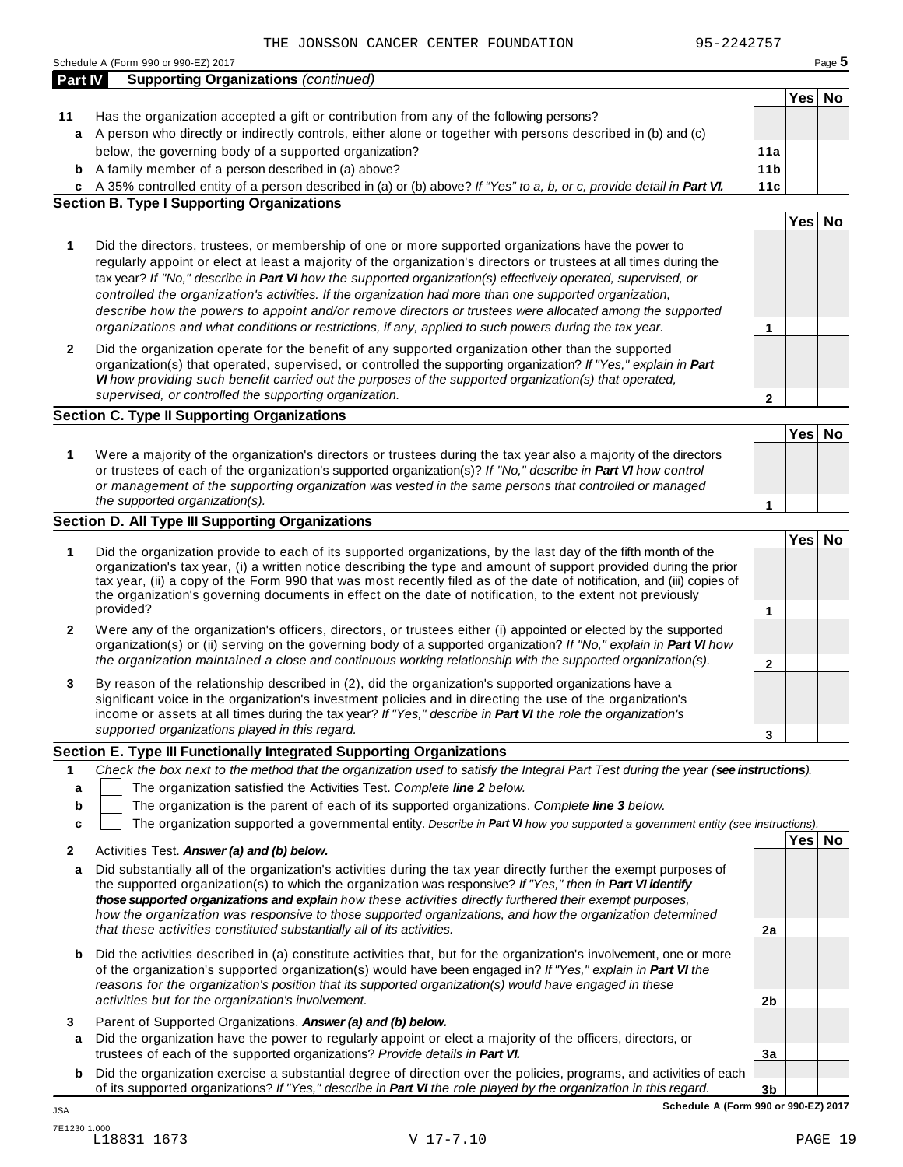|                | 95-2242757<br>THE JONSSON CANCER CENTER FOUNDATION                                                                                                                                                                                                                                                                                                                                                                                                                                                                                                                                                                                                                           |                 |        |        |
|----------------|------------------------------------------------------------------------------------------------------------------------------------------------------------------------------------------------------------------------------------------------------------------------------------------------------------------------------------------------------------------------------------------------------------------------------------------------------------------------------------------------------------------------------------------------------------------------------------------------------------------------------------------------------------------------------|-----------------|--------|--------|
|                | Schedule A (Form 990 or 990-EZ) 2017                                                                                                                                                                                                                                                                                                                                                                                                                                                                                                                                                                                                                                         |                 |        | Page 5 |
| <b>Part IV</b> | <b>Supporting Organizations (continued)</b>                                                                                                                                                                                                                                                                                                                                                                                                                                                                                                                                                                                                                                  |                 |        |        |
|                |                                                                                                                                                                                                                                                                                                                                                                                                                                                                                                                                                                                                                                                                              |                 | Yes No |        |
| 11             | Has the organization accepted a gift or contribution from any of the following persons?<br>A person who directly or indirectly controls, either alone or together with persons described in (b) and (c)                                                                                                                                                                                                                                                                                                                                                                                                                                                                      |                 |        |        |
| a              | below, the governing body of a supported organization?                                                                                                                                                                                                                                                                                                                                                                                                                                                                                                                                                                                                                       | 11a             |        |        |
| b              | A family member of a person described in (a) above?                                                                                                                                                                                                                                                                                                                                                                                                                                                                                                                                                                                                                          | 11 <sub>b</sub> |        |        |
| c              | A 35% controlled entity of a person described in (a) or (b) above? If "Yes" to a, b, or c, provide detail in Part VI.                                                                                                                                                                                                                                                                                                                                                                                                                                                                                                                                                        | 11c             |        |        |
|                | <b>Section B. Type I Supporting Organizations</b>                                                                                                                                                                                                                                                                                                                                                                                                                                                                                                                                                                                                                            |                 |        |        |
|                |                                                                                                                                                                                                                                                                                                                                                                                                                                                                                                                                                                                                                                                                              |                 | Yes No |        |
| 1              | Did the directors, trustees, or membership of one or more supported organizations have the power to<br>regularly appoint or elect at least a majority of the organization's directors or trustees at all times during the<br>tax year? If "No," describe in Part VI how the supported organization(s) effectively operated, supervised, or<br>controlled the organization's activities. If the organization had more than one supported organization,<br>describe how the powers to appoint and/or remove directors or trustees were allocated among the supported<br>organizations and what conditions or restrictions, if any, applied to such powers during the tax year. | 1               |        |        |
| 2              | Did the organization operate for the benefit of any supported organization other than the supported<br>organization(s) that operated, supervised, or controlled the supporting organization? If "Yes," explain in Part<br>VI how providing such benefit carried out the purposes of the supported organization(s) that operated,<br>supervised, or controlled the supporting organization.                                                                                                                                                                                                                                                                                   | $\mathbf{2}$    |        |        |
|                | <b>Section C. Type II Supporting Organizations</b>                                                                                                                                                                                                                                                                                                                                                                                                                                                                                                                                                                                                                           |                 |        |        |
|                |                                                                                                                                                                                                                                                                                                                                                                                                                                                                                                                                                                                                                                                                              |                 | Yes No |        |
| 1              | Were a majority of the organization's directors or trustees during the tax year also a majority of the directors<br>or trustees of each of the organization's supported organization(s)? If "No," describe in Part VI how control<br>or management of the supporting organization was vested in the same persons that controlled or managed<br>the supported organization(s).                                                                                                                                                                                                                                                                                                | 1               |        |        |
|                | <b>Section D. All Type III Supporting Organizations</b>                                                                                                                                                                                                                                                                                                                                                                                                                                                                                                                                                                                                                      |                 |        |        |
|                |                                                                                                                                                                                                                                                                                                                                                                                                                                                                                                                                                                                                                                                                              |                 | Yes No |        |
| 1              | Did the organization provide to each of its supported organizations, by the last day of the fifth month of the<br>organization's tax year, (i) a written notice describing the type and amount of support provided during the prior<br>tax year, (ii) a copy of the Form 990 that was most recently filed as of the date of notification, and (iii) copies of<br>the organization's governing documents in effect on the date of notification, to the extent not previously<br>provided?                                                                                                                                                                                     | 1               |        |        |
| 2              | Were any of the organization's officers, directors, or trustees either (i) appointed or elected by the supported<br>organization(s) or (ii) serving on the governing body of a supported organization? If "No," explain in Part VI how<br>the organization maintained a close and continuous working relationship with the supported organization(s).                                                                                                                                                                                                                                                                                                                        | $\mathbf{2}$    |        |        |
| 3              | By reason of the relationship described in (2), did the organization's supported organizations have a<br>significant voice in the organization's investment policies and in directing the use of the organization's<br>income or assets at all times during the tax year? If "Yes," describe in Part VI the role the organization's<br>supported organizations played in this regard.                                                                                                                                                                                                                                                                                        | 3               |        |        |
|                | Section E. Type III Functionally Integrated Supporting Organizations                                                                                                                                                                                                                                                                                                                                                                                                                                                                                                                                                                                                         |                 |        |        |
| 1<br>a<br>b    | Check the box next to the method that the organization used to satisfy the Integral Part Test during the year (see instructions).<br>The organization satisfied the Activities Test. Complete line 2 below.<br>The organization is the parent of each of its supported organizations. Complete line 3 below.                                                                                                                                                                                                                                                                                                                                                                 |                 |        |        |
| C              | The organization supported a governmental entity. Describe in Part VI how you supported a government entity (see instructions).                                                                                                                                                                                                                                                                                                                                                                                                                                                                                                                                              |                 |        |        |
| 2              | Activities Test. Answer (a) and (b) below.                                                                                                                                                                                                                                                                                                                                                                                                                                                                                                                                                                                                                                   |                 | Yes No |        |
| а              | Did substantially all of the organization's activities during the tax year directly further the exempt purposes of<br>the supported organization(s) to which the organization was responsive? If "Yes," then in Part VI identify<br>those supported organizations and explain how these activities directly furthered their exempt purposes,<br>how the organization was responsive to those supported organizations, and how the organization determined                                                                                                                                                                                                                    |                 |        |        |
|                | that these activities constituted substantially all of its activities.                                                                                                                                                                                                                                                                                                                                                                                                                                                                                                                                                                                                       | 2a              |        |        |
| b              | Did the activities described in (a) constitute activities that, but for the organization's involvement, one or more<br>of the organization's supported organization(s) would have been engaged in? If "Yes," explain in Part VI the<br>reasons for the organization's position that its supported organization(s) would have engaged in these<br>activities but for the organization's involvement.                                                                                                                                                                                                                                                                          | 2b              |        |        |
| 3              | Parent of Supported Organizations. Answer (a) and (b) below.                                                                                                                                                                                                                                                                                                                                                                                                                                                                                                                                                                                                                 |                 |        |        |
| a              | Did the organization have the power to regularly appoint or elect a majority of the officers, directors, or<br>trustees of each of the supported organizations? Provide details in Part VI.                                                                                                                                                                                                                                                                                                                                                                                                                                                                                  | 3a              |        |        |

**b** Did the organization exercise a substantial degree of direction over the policies, programs, and activities of each of its supported organizations? *If"Yes," describe in Part VI the role played by the organization in this regard.* **Schedule A (Form 990 or 990-EZ) 2017**

**3b**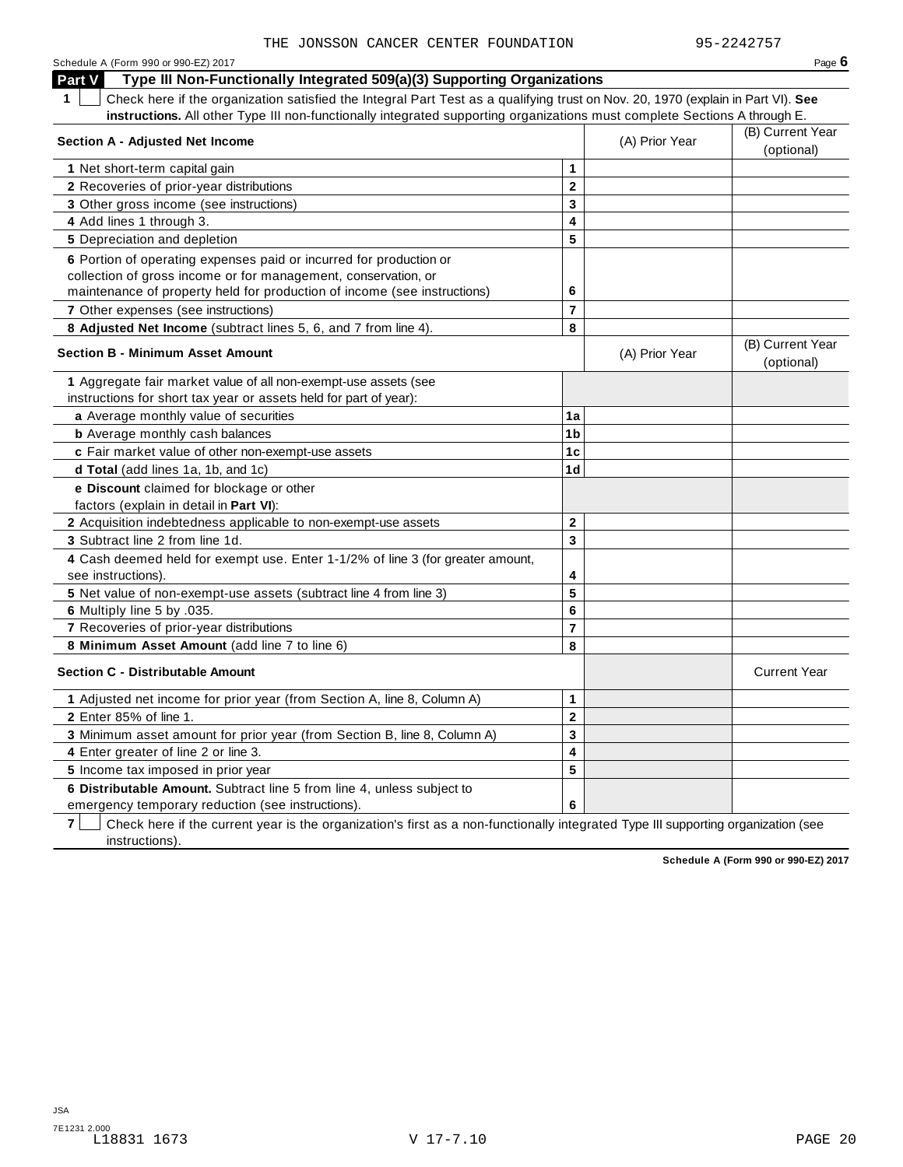| Schedule A (Form 990 or 990-EZ) 2017                                                                                                  |                     |                | Page $6$                       |
|---------------------------------------------------------------------------------------------------------------------------------------|---------------------|----------------|--------------------------------|
| Type III Non-Functionally Integrated 509(a)(3) Supporting Organizations<br>Part V                                                     |                     |                |                                |
| 1<br>Check here if the organization satisfied the Integral Part Test as a qualifying trust on Nov. 20, 1970 (explain in Part VI). See |                     |                |                                |
| instructions. All other Type III non-functionally integrated supporting organizations must complete Sections A through E.             |                     |                |                                |
| <b>Section A - Adjusted Net Income</b>                                                                                                |                     | (A) Prior Year | (B) Current Year               |
|                                                                                                                                       |                     |                | (optional)                     |
| 1 Net short-term capital gain                                                                                                         | 1                   |                |                                |
| 2 Recoveries of prior-year distributions                                                                                              | $\overline{2}$      |                |                                |
| 3 Other gross income (see instructions)                                                                                               | 3                   |                |                                |
| 4 Add lines 1 through 3.                                                                                                              | 4                   |                |                                |
| 5 Depreciation and depletion                                                                                                          | 5                   |                |                                |
| 6 Portion of operating expenses paid or incurred for production or                                                                    |                     |                |                                |
| collection of gross income or for management, conservation, or                                                                        |                     |                |                                |
| maintenance of property held for production of income (see instructions)                                                              | 6                   |                |                                |
| 7 Other expenses (see instructions)                                                                                                   | $\overline{7}$      |                |                                |
| 8 Adjusted Net Income (subtract lines 5, 6, and 7 from line 4).                                                                       | 8                   |                |                                |
| <b>Section B - Minimum Asset Amount</b>                                                                                               |                     | (A) Prior Year | (B) Current Year<br>(optional) |
| 1 Aggregate fair market value of all non-exempt-use assets (see                                                                       |                     |                |                                |
| instructions for short tax year or assets held for part of year):                                                                     |                     |                |                                |
| a Average monthly value of securities                                                                                                 | 1a                  |                |                                |
| <b>b</b> Average monthly cash balances                                                                                                | 1 <sub>b</sub>      |                |                                |
| c Fair market value of other non-exempt-use assets                                                                                    | 1c                  |                |                                |
| d Total (add lines 1a, 1b, and 1c)                                                                                                    | 1 <sub>d</sub>      |                |                                |
| e Discount claimed for blockage or other                                                                                              |                     |                |                                |
| factors (explain in detail in Part VI):                                                                                               |                     |                |                                |
| 2 Acquisition indebtedness applicable to non-exempt-use assets                                                                        | $\mathbf{2}$        |                |                                |
| 3 Subtract line 2 from line 1d.                                                                                                       | 3                   |                |                                |
| 4 Cash deemed held for exempt use. Enter 1-1/2% of line 3 (for greater amount,                                                        |                     |                |                                |
| see instructions).                                                                                                                    | 4                   |                |                                |
| 5 Net value of non-exempt-use assets (subtract line 4 from line 3)                                                                    | 5                   |                |                                |
| 6 Multiply line 5 by .035.                                                                                                            | 6                   |                |                                |
| 7 Recoveries of prior-year distributions<br>8 Minimum Asset Amount (add line 7 to line 6)                                             | $\overline{7}$<br>8 |                |                                |
|                                                                                                                                       |                     |                |                                |
| <b>Section C - Distributable Amount</b>                                                                                               |                     |                | <b>Current Year</b>            |
| 1 Adjusted net income for prior year (from Section A, line 8, Column A)                                                               | 1                   |                |                                |
| 2 Enter 85% of line 1.                                                                                                                | $\overline{2}$      |                |                                |
| <b>3</b> Minimum asset amount for prior year (from Section B, line 8, Column A)                                                       | 3                   |                |                                |
| 4 Enter greater of line 2 or line 3.                                                                                                  | 4                   |                |                                |
| 5 Income tax imposed in prior year                                                                                                    | 5                   |                |                                |
| 6 Distributable Amount. Subtract line 5 from line 4, unless subject to                                                                |                     |                |                                |
| emergency temporary reduction (see instructions).                                                                                     | 6                   |                |                                |

**7** | Check here if the current year is the organization's first as a non-functionally integrated Type III supporting organization (see instructions).

**Schedule A (Form 990 or 990-EZ) 2017**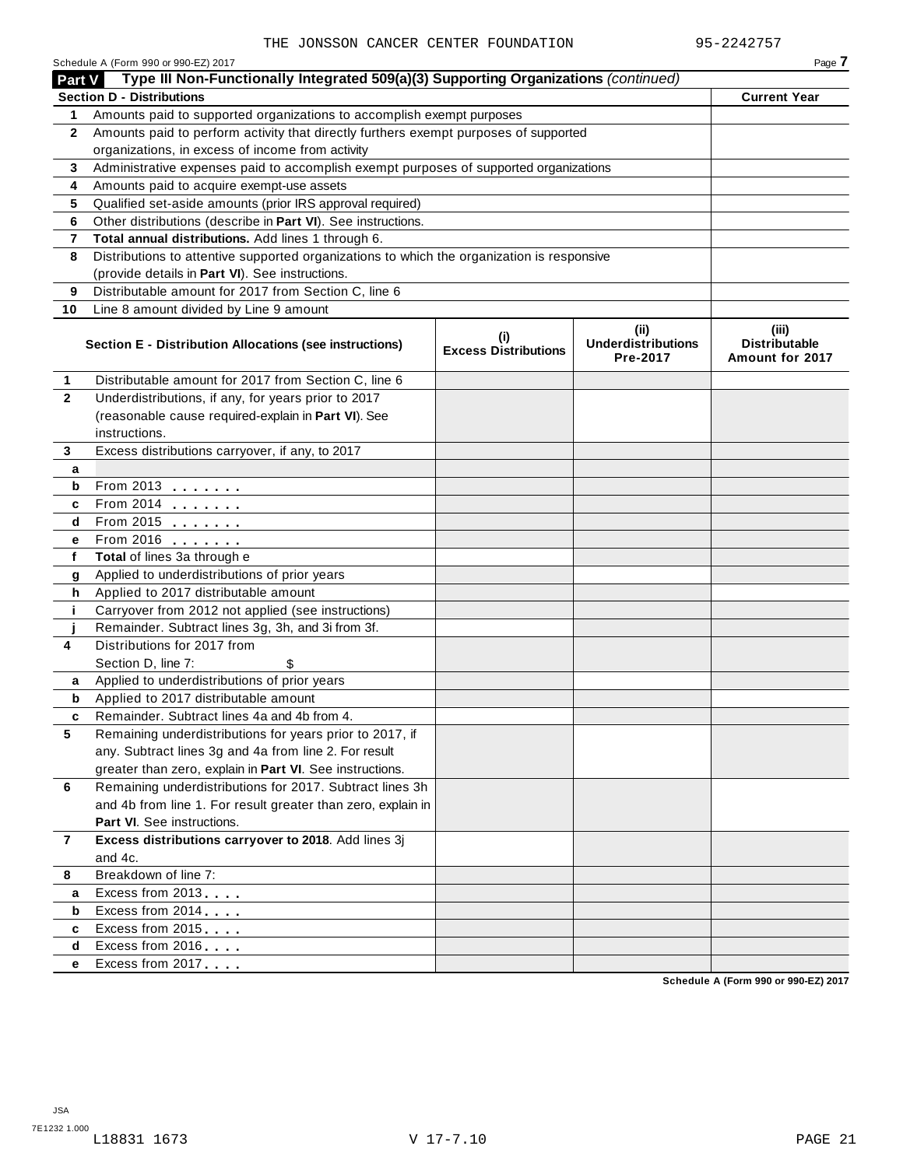|              | Schedule A (Form 990 or 990-EZ) 2017                                                                                                                                                                                                  |                                             |                                               | Page 7                                                  |
|--------------|---------------------------------------------------------------------------------------------------------------------------------------------------------------------------------------------------------------------------------------|---------------------------------------------|-----------------------------------------------|---------------------------------------------------------|
| Part V       | Type III Non-Functionally Integrated 509(a)(3) Supporting Organizations (continued)                                                                                                                                                   |                                             |                                               |                                                         |
|              | <b>Section D - Distributions</b>                                                                                                                                                                                                      |                                             |                                               | <b>Current Year</b>                                     |
| 1            | Amounts paid to supported organizations to accomplish exempt purposes                                                                                                                                                                 |                                             |                                               |                                                         |
| $\mathbf{2}$ | Amounts paid to perform activity that directly furthers exempt purposes of supported                                                                                                                                                  |                                             |                                               |                                                         |
|              | organizations, in excess of income from activity                                                                                                                                                                                      |                                             |                                               |                                                         |
| 3            | Administrative expenses paid to accomplish exempt purposes of supported organizations                                                                                                                                                 |                                             |                                               |                                                         |
| 4            | Amounts paid to acquire exempt-use assets                                                                                                                                                                                             |                                             |                                               |                                                         |
| 5            | Qualified set-aside amounts (prior IRS approval required)                                                                                                                                                                             |                                             |                                               |                                                         |
| 6            | Other distributions (describe in Part VI). See instructions.                                                                                                                                                                          |                                             |                                               |                                                         |
| 7            | Total annual distributions. Add lines 1 through 6.                                                                                                                                                                                    |                                             |                                               |                                                         |
| 8            | Distributions to attentive supported organizations to which the organization is responsive                                                                                                                                            |                                             |                                               |                                                         |
|              | (provide details in Part VI). See instructions.                                                                                                                                                                                       |                                             |                                               |                                                         |
| 9            | Distributable amount for 2017 from Section C, line 6                                                                                                                                                                                  |                                             |                                               |                                                         |
| 10           | Line 8 amount divided by Line 9 amount                                                                                                                                                                                                |                                             |                                               |                                                         |
|              | Section E - Distribution Allocations (see instructions)                                                                                                                                                                               | $\mathbf{I}$<br><b>Excess Distributions</b> | (ii)<br><b>Underdistributions</b><br>Pre-2017 | (iii)<br><b>Distributable</b><br><b>Amount for 2017</b> |
| 1            | Distributable amount for 2017 from Section C, line 6                                                                                                                                                                                  |                                             |                                               |                                                         |
| $\mathbf{2}$ | Underdistributions, if any, for years prior to 2017                                                                                                                                                                                   |                                             |                                               |                                                         |
|              | (reasonable cause required-explain in Part VI). See                                                                                                                                                                                   |                                             |                                               |                                                         |
|              | instructions.                                                                                                                                                                                                                         |                                             |                                               |                                                         |
| 3            | Excess distributions carryover, if any, to 2017                                                                                                                                                                                       |                                             |                                               |                                                         |
| a            |                                                                                                                                                                                                                                       |                                             |                                               |                                                         |
| b            | From 2013                                                                                                                                                                                                                             |                                             |                                               |                                                         |
| c            | From 2014 <b>Figure 1.1</b>                                                                                                                                                                                                           |                                             |                                               |                                                         |
| d            | From 2015 $\qquad \qquad$                                                                                                                                                                                                             |                                             |                                               |                                                         |
| е            | From 2016 <b>Fig. 1.1.1.1.</b>                                                                                                                                                                                                        |                                             |                                               |                                                         |
| f            | Total of lines 3a through e                                                                                                                                                                                                           |                                             |                                               |                                                         |
| g            | Applied to underdistributions of prior years                                                                                                                                                                                          |                                             |                                               |                                                         |
| h            | Applied to 2017 distributable amount                                                                                                                                                                                                  |                                             |                                               |                                                         |
| j.           | Carryover from 2012 not applied (see instructions)                                                                                                                                                                                    |                                             |                                               |                                                         |
|              | Remainder. Subtract lines 3g, 3h, and 3i from 3f.                                                                                                                                                                                     |                                             |                                               |                                                         |
| 4            | Distributions for 2017 from                                                                                                                                                                                                           |                                             |                                               |                                                         |
|              | Section D, line 7:<br>\$                                                                                                                                                                                                              |                                             |                                               |                                                         |
| a            | Applied to underdistributions of prior years                                                                                                                                                                                          |                                             |                                               |                                                         |
| b            | Applied to 2017 distributable amount                                                                                                                                                                                                  |                                             |                                               |                                                         |
| c            | Remainder. Subtract lines 4a and 4b from 4.                                                                                                                                                                                           |                                             |                                               |                                                         |
| 5            | Remaining underdistributions for years prior to 2017, if                                                                                                                                                                              |                                             |                                               |                                                         |
|              | any. Subtract lines 3g and 4a from line 2. For result                                                                                                                                                                                 |                                             |                                               |                                                         |
|              | greater than zero, explain in Part VI. See instructions.                                                                                                                                                                              |                                             |                                               |                                                         |
| 6            | Remaining underdistributions for 2017. Subtract lines 3h                                                                                                                                                                              |                                             |                                               |                                                         |
|              | all of the contract of $\blacksquare$ is a contract of the contract of the contract of the contract of the contract of the contract of the contract of the contract of the contract of the contract of the contract of the contract o |                                             |                                               |                                                         |

**6 7 8 a a** Excess from 2013<br>**b** Excess from 2014 **c c** Excess from 2015<br>**d** Excess from 2016 ... **e** greater than zer Remaining unde and 4b from line 1. For result greater than zero, explain in **Part VI**. See instructions. **Excess distributions carryover to 2018**. Add lines 3j and 4c. Breakdown of line 7: Breakdown of line 7:<br>Excess from 2013 Excess from 2014<br>Excess from 2015 Excess from 2016<br>Excess from 2017

**Schedule A (Form 990 or 990-EZ) 2017**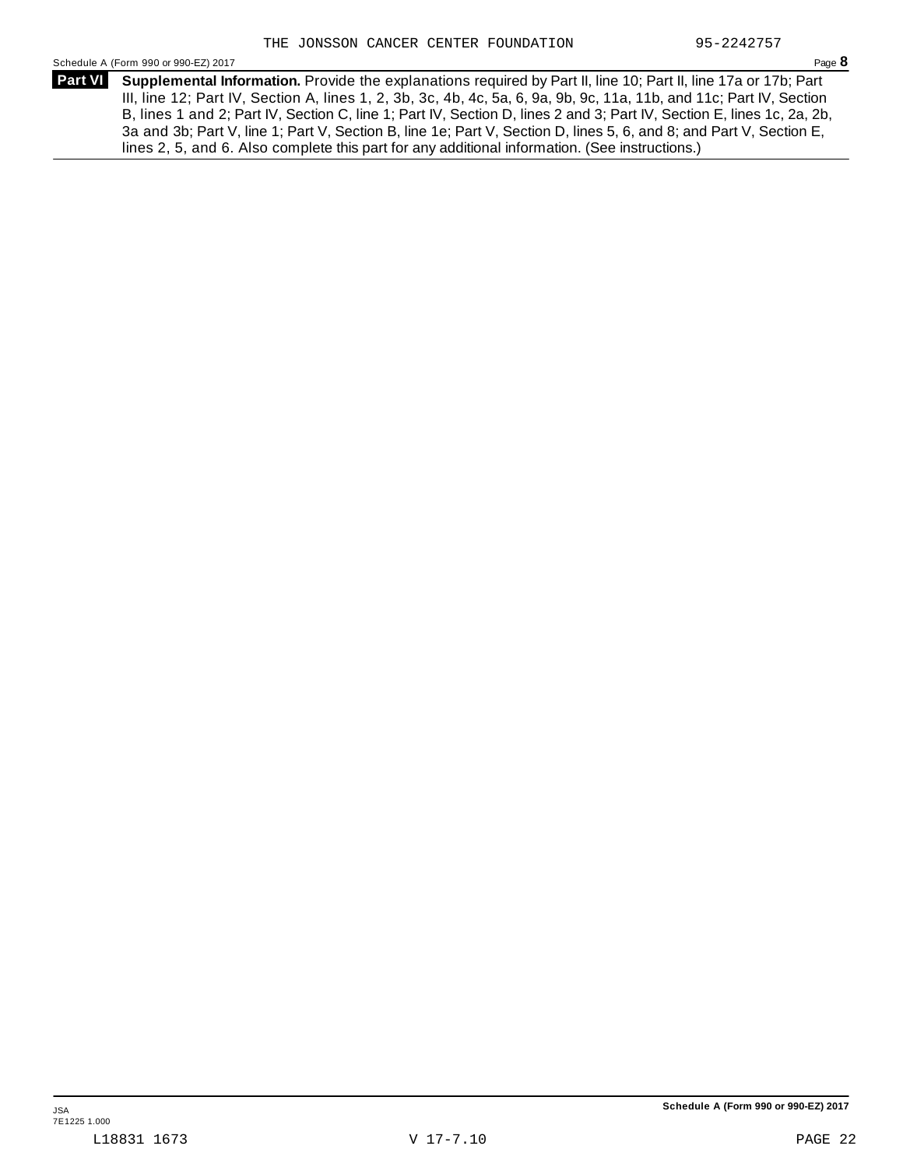Schedule <sup>A</sup> (Form <sup>990</sup> or 990-EZ) <sup>2017</sup> Page **8**

**Supplemental Information.** Provide the explanations required by Part II, line 10; Part II, line 17a or 17b; Part **Part VI** III, line 12; Part IV, Section A, lines 1, 2, 3b, 3c, 4b, 4c, 5a, 6, 9a, 9b, 9c, 11a, 11b, and 11c; Part IV, Section B, lines 1 and 2; Part IV, Section C, line 1; Part IV, Section D, lines 2 and 3; Part IV, Section E, lines 1c, 2a, 2b, 3a and 3b; Part V, line 1; Part V, Section B, line 1e; Part V, Section D, lines 5, 6, and 8; and Part V, Section E, lines 2, 5, and 6. Also complete this part for any additional information. (See instructions.)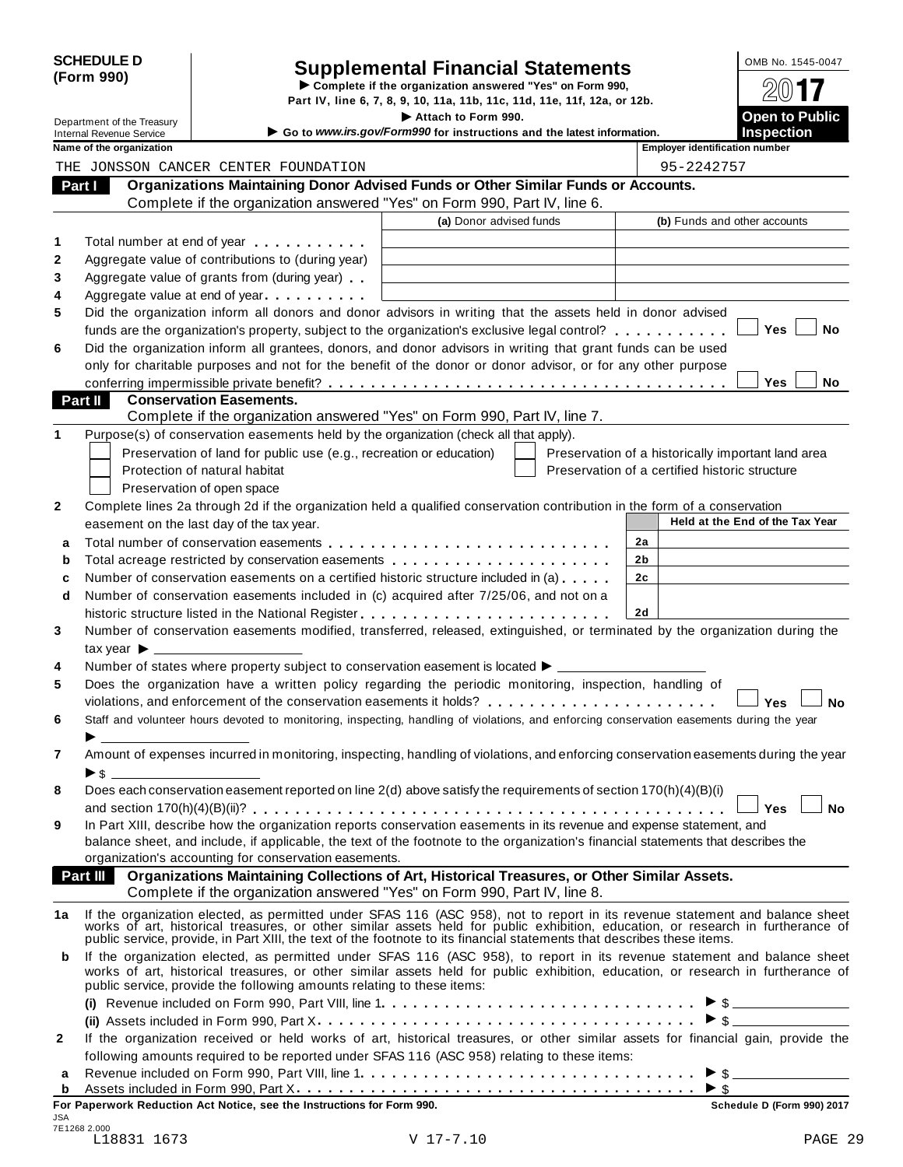| <b>SCHEDULE D</b> |  |
|-------------------|--|
| (Form 990)        |  |

# SCHEDULE D<br>
Supplemental Financial Statements<br>
Form 990) Part IV, line 6, 7, 8, 9, 10, 11a, 11b, 11c, 11d, 11e, 11f, 12a, or 12b.

Department of the Treasury Integration of the Treasury Integration of the Treasury **I and CO2 Contract of the Treasury Contract of the Treasury Contract of the Treasury <b>I** and CO2 **Contract of the Integration** of th

Department of the Treasury<br>Internal Revenue Service I is a service in the Go to www.irs.gov/Form990 for instructions and the latest information.<br>Inspection

|        | Name of the organization |  |                                                                                   | <b>Employer identification number</b> |
|--------|--------------------------|--|-----------------------------------------------------------------------------------|---------------------------------------|
|        |                          |  | THE JONSSON CANCER CENTER FOUNDATION                                              | 95-2242757                            |
| Part I |                          |  | Organizations Maintaining Donor Advised Funds or Other Similar Funds or Accounts. |                                       |

| Organizations Maintaining Donor Advised Funds or Other Similar Funds or Accounts.<br>Part I<br>Complete if the organization answered "Yes" on Form 990, Part IV, line 6.<br>(a) Donor advised funds<br>(b) Funds and other accounts<br>1<br>Total number at end of year entitled as a set of the set of the set of the set of the set of the set of the set of the set of the set of the set of the set of the set of the set of the set of the set of the set of the set<br>Aggregate value of contributions to (during year)<br>2<br>3<br>Aggregate value of grants from (during year)<br>4<br>Aggregate value at end of year<br>5<br>Did the organization inform all donors and donor advisors in writing that the assets held in donor advised<br>Yes<br>funds are the organization's property, subject to the organization's exclusive legal control?<br>Did the organization inform all grantees, donors, and donor advisors in writing that grant funds can be used<br>6<br>only for charitable purposes and not for the benefit of the donor or donor advisor, or for any other purpose<br>Yes<br><b>Conservation Easements.</b><br>Part II<br>Complete if the organization answered "Yes" on Form 990, Part IV, line 7.<br>1<br>Purpose(s) of conservation easements held by the organization (check all that apply).<br>Preservation of land for public use (e.g., recreation or education)<br>Preservation of a historically important land area<br>Protection of natural habitat<br>Preservation of a certified historic structure<br>Preservation of open space<br>Complete lines 2a through 2d if the organization held a qualified conservation contribution in the form of a conservation<br>Held at the End of the Tax Year<br>easement on the last day of the tax year.<br>2a<br>a<br>Total acreage restricted by conservation easements<br>2b<br>b<br>Number of conservation easements on a certified historic structure included in (a)<br>2 <sub>c</sub><br>c<br>Number of conservation easements included in (c) acquired after 7/25/06, and not on a<br>d<br>2d | No<br>No |
|----------------------------------------------------------------------------------------------------------------------------------------------------------------------------------------------------------------------------------------------------------------------------------------------------------------------------------------------------------------------------------------------------------------------------------------------------------------------------------------------------------------------------------------------------------------------------------------------------------------------------------------------------------------------------------------------------------------------------------------------------------------------------------------------------------------------------------------------------------------------------------------------------------------------------------------------------------------------------------------------------------------------------------------------------------------------------------------------------------------------------------------------------------------------------------------------------------------------------------------------------------------------------------------------------------------------------------------------------------------------------------------------------------------------------------------------------------------------------------------------------------------------------------------------------------------------------------------------------------------------------------------------------------------------------------------------------------------------------------------------------------------------------------------------------------------------------------------------------------------------------------------------------------------------------------------------------------------------------------------------------------------------------------------------------------------------------------------|----------|
|                                                                                                                                                                                                                                                                                                                                                                                                                                                                                                                                                                                                                                                                                                                                                                                                                                                                                                                                                                                                                                                                                                                                                                                                                                                                                                                                                                                                                                                                                                                                                                                                                                                                                                                                                                                                                                                                                                                                                                                                                                                                                        |          |
|                                                                                                                                                                                                                                                                                                                                                                                                                                                                                                                                                                                                                                                                                                                                                                                                                                                                                                                                                                                                                                                                                                                                                                                                                                                                                                                                                                                                                                                                                                                                                                                                                                                                                                                                                                                                                                                                                                                                                                                                                                                                                        |          |
|                                                                                                                                                                                                                                                                                                                                                                                                                                                                                                                                                                                                                                                                                                                                                                                                                                                                                                                                                                                                                                                                                                                                                                                                                                                                                                                                                                                                                                                                                                                                                                                                                                                                                                                                                                                                                                                                                                                                                                                                                                                                                        |          |
|                                                                                                                                                                                                                                                                                                                                                                                                                                                                                                                                                                                                                                                                                                                                                                                                                                                                                                                                                                                                                                                                                                                                                                                                                                                                                                                                                                                                                                                                                                                                                                                                                                                                                                                                                                                                                                                                                                                                                                                                                                                                                        |          |
|                                                                                                                                                                                                                                                                                                                                                                                                                                                                                                                                                                                                                                                                                                                                                                                                                                                                                                                                                                                                                                                                                                                                                                                                                                                                                                                                                                                                                                                                                                                                                                                                                                                                                                                                                                                                                                                                                                                                                                                                                                                                                        |          |
|                                                                                                                                                                                                                                                                                                                                                                                                                                                                                                                                                                                                                                                                                                                                                                                                                                                                                                                                                                                                                                                                                                                                                                                                                                                                                                                                                                                                                                                                                                                                                                                                                                                                                                                                                                                                                                                                                                                                                                                                                                                                                        |          |
|                                                                                                                                                                                                                                                                                                                                                                                                                                                                                                                                                                                                                                                                                                                                                                                                                                                                                                                                                                                                                                                                                                                                                                                                                                                                                                                                                                                                                                                                                                                                                                                                                                                                                                                                                                                                                                                                                                                                                                                                                                                                                        |          |
|                                                                                                                                                                                                                                                                                                                                                                                                                                                                                                                                                                                                                                                                                                                                                                                                                                                                                                                                                                                                                                                                                                                                                                                                                                                                                                                                                                                                                                                                                                                                                                                                                                                                                                                                                                                                                                                                                                                                                                                                                                                                                        |          |
|                                                                                                                                                                                                                                                                                                                                                                                                                                                                                                                                                                                                                                                                                                                                                                                                                                                                                                                                                                                                                                                                                                                                                                                                                                                                                                                                                                                                                                                                                                                                                                                                                                                                                                                                                                                                                                                                                                                                                                                                                                                                                        |          |
|                                                                                                                                                                                                                                                                                                                                                                                                                                                                                                                                                                                                                                                                                                                                                                                                                                                                                                                                                                                                                                                                                                                                                                                                                                                                                                                                                                                                                                                                                                                                                                                                                                                                                                                                                                                                                                                                                                                                                                                                                                                                                        |          |
|                                                                                                                                                                                                                                                                                                                                                                                                                                                                                                                                                                                                                                                                                                                                                                                                                                                                                                                                                                                                                                                                                                                                                                                                                                                                                                                                                                                                                                                                                                                                                                                                                                                                                                                                                                                                                                                                                                                                                                                                                                                                                        |          |
|                                                                                                                                                                                                                                                                                                                                                                                                                                                                                                                                                                                                                                                                                                                                                                                                                                                                                                                                                                                                                                                                                                                                                                                                                                                                                                                                                                                                                                                                                                                                                                                                                                                                                                                                                                                                                                                                                                                                                                                                                                                                                        |          |
|                                                                                                                                                                                                                                                                                                                                                                                                                                                                                                                                                                                                                                                                                                                                                                                                                                                                                                                                                                                                                                                                                                                                                                                                                                                                                                                                                                                                                                                                                                                                                                                                                                                                                                                                                                                                                                                                                                                                                                                                                                                                                        |          |
|                                                                                                                                                                                                                                                                                                                                                                                                                                                                                                                                                                                                                                                                                                                                                                                                                                                                                                                                                                                                                                                                                                                                                                                                                                                                                                                                                                                                                                                                                                                                                                                                                                                                                                                                                                                                                                                                                                                                                                                                                                                                                        |          |
|                                                                                                                                                                                                                                                                                                                                                                                                                                                                                                                                                                                                                                                                                                                                                                                                                                                                                                                                                                                                                                                                                                                                                                                                                                                                                                                                                                                                                                                                                                                                                                                                                                                                                                                                                                                                                                                                                                                                                                                                                                                                                        |          |
| 2                                                                                                                                                                                                                                                                                                                                                                                                                                                                                                                                                                                                                                                                                                                                                                                                                                                                                                                                                                                                                                                                                                                                                                                                                                                                                                                                                                                                                                                                                                                                                                                                                                                                                                                                                                                                                                                                                                                                                                                                                                                                                      |          |
|                                                                                                                                                                                                                                                                                                                                                                                                                                                                                                                                                                                                                                                                                                                                                                                                                                                                                                                                                                                                                                                                                                                                                                                                                                                                                                                                                                                                                                                                                                                                                                                                                                                                                                                                                                                                                                                                                                                                                                                                                                                                                        |          |
|                                                                                                                                                                                                                                                                                                                                                                                                                                                                                                                                                                                                                                                                                                                                                                                                                                                                                                                                                                                                                                                                                                                                                                                                                                                                                                                                                                                                                                                                                                                                                                                                                                                                                                                                                                                                                                                                                                                                                                                                                                                                                        |          |
|                                                                                                                                                                                                                                                                                                                                                                                                                                                                                                                                                                                                                                                                                                                                                                                                                                                                                                                                                                                                                                                                                                                                                                                                                                                                                                                                                                                                                                                                                                                                                                                                                                                                                                                                                                                                                                                                                                                                                                                                                                                                                        |          |
|                                                                                                                                                                                                                                                                                                                                                                                                                                                                                                                                                                                                                                                                                                                                                                                                                                                                                                                                                                                                                                                                                                                                                                                                                                                                                                                                                                                                                                                                                                                                                                                                                                                                                                                                                                                                                                                                                                                                                                                                                                                                                        |          |
|                                                                                                                                                                                                                                                                                                                                                                                                                                                                                                                                                                                                                                                                                                                                                                                                                                                                                                                                                                                                                                                                                                                                                                                                                                                                                                                                                                                                                                                                                                                                                                                                                                                                                                                                                                                                                                                                                                                                                                                                                                                                                        |          |
|                                                                                                                                                                                                                                                                                                                                                                                                                                                                                                                                                                                                                                                                                                                                                                                                                                                                                                                                                                                                                                                                                                                                                                                                                                                                                                                                                                                                                                                                                                                                                                                                                                                                                                                                                                                                                                                                                                                                                                                                                                                                                        |          |
|                                                                                                                                                                                                                                                                                                                                                                                                                                                                                                                                                                                                                                                                                                                                                                                                                                                                                                                                                                                                                                                                                                                                                                                                                                                                                                                                                                                                                                                                                                                                                                                                                                                                                                                                                                                                                                                                                                                                                                                                                                                                                        |          |
|                                                                                                                                                                                                                                                                                                                                                                                                                                                                                                                                                                                                                                                                                                                                                                                                                                                                                                                                                                                                                                                                                                                                                                                                                                                                                                                                                                                                                                                                                                                                                                                                                                                                                                                                                                                                                                                                                                                                                                                                                                                                                        |          |
|                                                                                                                                                                                                                                                                                                                                                                                                                                                                                                                                                                                                                                                                                                                                                                                                                                                                                                                                                                                                                                                                                                                                                                                                                                                                                                                                                                                                                                                                                                                                                                                                                                                                                                                                                                                                                                                                                                                                                                                                                                                                                        |          |
| Number of conservation easements modified, transferred, released, extinguished, or terminated by the organization during the<br>3                                                                                                                                                                                                                                                                                                                                                                                                                                                                                                                                                                                                                                                                                                                                                                                                                                                                                                                                                                                                                                                                                                                                                                                                                                                                                                                                                                                                                                                                                                                                                                                                                                                                                                                                                                                                                                                                                                                                                      |          |
| tax year $\triangleright$ ____                                                                                                                                                                                                                                                                                                                                                                                                                                                                                                                                                                                                                                                                                                                                                                                                                                                                                                                                                                                                                                                                                                                                                                                                                                                                                                                                                                                                                                                                                                                                                                                                                                                                                                                                                                                                                                                                                                                                                                                                                                                         |          |
| Number of states where property subject to conservation easement is located ▶ _____<br>4                                                                                                                                                                                                                                                                                                                                                                                                                                                                                                                                                                                                                                                                                                                                                                                                                                                                                                                                                                                                                                                                                                                                                                                                                                                                                                                                                                                                                                                                                                                                                                                                                                                                                                                                                                                                                                                                                                                                                                                               |          |
| 5<br>Does the organization have a written policy regarding the periodic monitoring, inspection, handling of                                                                                                                                                                                                                                                                                                                                                                                                                                                                                                                                                                                                                                                                                                                                                                                                                                                                                                                                                                                                                                                                                                                                                                                                                                                                                                                                                                                                                                                                                                                                                                                                                                                                                                                                                                                                                                                                                                                                                                            |          |
| Yes                                                                                                                                                                                                                                                                                                                                                                                                                                                                                                                                                                                                                                                                                                                                                                                                                                                                                                                                                                                                                                                                                                                                                                                                                                                                                                                                                                                                                                                                                                                                                                                                                                                                                                                                                                                                                                                                                                                                                                                                                                                                                    | No       |
| 6<br>Staff and volunteer hours devoted to monitoring, inspecting, handling of violations, and enforcing conservation easements during the year                                                                                                                                                                                                                                                                                                                                                                                                                                                                                                                                                                                                                                                                                                                                                                                                                                                                                                                                                                                                                                                                                                                                                                                                                                                                                                                                                                                                                                                                                                                                                                                                                                                                                                                                                                                                                                                                                                                                         |          |
|                                                                                                                                                                                                                                                                                                                                                                                                                                                                                                                                                                                                                                                                                                                                                                                                                                                                                                                                                                                                                                                                                                                                                                                                                                                                                                                                                                                                                                                                                                                                                                                                                                                                                                                                                                                                                                                                                                                                                                                                                                                                                        |          |
| Amount of expenses incurred in monitoring, inspecting, handling of violations, and enforcing conservation easements during the year<br>7                                                                                                                                                                                                                                                                                                                                                                                                                                                                                                                                                                                                                                                                                                                                                                                                                                                                                                                                                                                                                                                                                                                                                                                                                                                                                                                                                                                                                                                                                                                                                                                                                                                                                                                                                                                                                                                                                                                                               |          |
| ►s                                                                                                                                                                                                                                                                                                                                                                                                                                                                                                                                                                                                                                                                                                                                                                                                                                                                                                                                                                                                                                                                                                                                                                                                                                                                                                                                                                                                                                                                                                                                                                                                                                                                                                                                                                                                                                                                                                                                                                                                                                                                                     |          |
| Does each conservation easement reported on line 2(d) above satisfy the requirements of section 170(h)(4)(B)(i)<br>8                                                                                                                                                                                                                                                                                                                                                                                                                                                                                                                                                                                                                                                                                                                                                                                                                                                                                                                                                                                                                                                                                                                                                                                                                                                                                                                                                                                                                                                                                                                                                                                                                                                                                                                                                                                                                                                                                                                                                                   |          |
| Yes                                                                                                                                                                                                                                                                                                                                                                                                                                                                                                                                                                                                                                                                                                                                                                                                                                                                                                                                                                                                                                                                                                                                                                                                                                                                                                                                                                                                                                                                                                                                                                                                                                                                                                                                                                                                                                                                                                                                                                                                                                                                                    | No       |
| In Part XIII, describe how the organization reports conservation easements in its revenue and expense statement, and                                                                                                                                                                                                                                                                                                                                                                                                                                                                                                                                                                                                                                                                                                                                                                                                                                                                                                                                                                                                                                                                                                                                                                                                                                                                                                                                                                                                                                                                                                                                                                                                                                                                                                                                                                                                                                                                                                                                                                   |          |
| balance sheet, and include, if applicable, the text of the footnote to the organization's financial statements that describes the                                                                                                                                                                                                                                                                                                                                                                                                                                                                                                                                                                                                                                                                                                                                                                                                                                                                                                                                                                                                                                                                                                                                                                                                                                                                                                                                                                                                                                                                                                                                                                                                                                                                                                                                                                                                                                                                                                                                                      |          |
| organization's accounting for conservation easements.                                                                                                                                                                                                                                                                                                                                                                                                                                                                                                                                                                                                                                                                                                                                                                                                                                                                                                                                                                                                                                                                                                                                                                                                                                                                                                                                                                                                                                                                                                                                                                                                                                                                                                                                                                                                                                                                                                                                                                                                                                  |          |
| Organizations Maintaining Collections of Art, Historical Treasures, or Other Similar Assets.<br>Part III L                                                                                                                                                                                                                                                                                                                                                                                                                                                                                                                                                                                                                                                                                                                                                                                                                                                                                                                                                                                                                                                                                                                                                                                                                                                                                                                                                                                                                                                                                                                                                                                                                                                                                                                                                                                                                                                                                                                                                                             |          |
| Complete if the organization answered "Yes" on Form 990, Part IV, line 8.                                                                                                                                                                                                                                                                                                                                                                                                                                                                                                                                                                                                                                                                                                                                                                                                                                                                                                                                                                                                                                                                                                                                                                                                                                                                                                                                                                                                                                                                                                                                                                                                                                                                                                                                                                                                                                                                                                                                                                                                              |          |
|                                                                                                                                                                                                                                                                                                                                                                                                                                                                                                                                                                                                                                                                                                                                                                                                                                                                                                                                                                                                                                                                                                                                                                                                                                                                                                                                                                                                                                                                                                                                                                                                                                                                                                                                                                                                                                                                                                                                                                                                                                                                                        |          |
|                                                                                                                                                                                                                                                                                                                                                                                                                                                                                                                                                                                                                                                                                                                                                                                                                                                                                                                                                                                                                                                                                                                                                                                                                                                                                                                                                                                                                                                                                                                                                                                                                                                                                                                                                                                                                                                                                                                                                                                                                                                                                        |          |
|                                                                                                                                                                                                                                                                                                                                                                                                                                                                                                                                                                                                                                                                                                                                                                                                                                                                                                                                                                                                                                                                                                                                                                                                                                                                                                                                                                                                                                                                                                                                                                                                                                                                                                                                                                                                                                                                                                                                                                                                                                                                                        |          |
| If the organization elected, as permitted under SFAS 116 (ASC 958), not to report in its revenue statement and balance sheet works of art, historical treasures, or other similar assets held for public exhibition, education                                                                                                                                                                                                                                                                                                                                                                                                                                                                                                                                                                                                                                                                                                                                                                                                                                                                                                                                                                                                                                                                                                                                                                                                                                                                                                                                                                                                                                                                                                                                                                                                                                                                                                                                                                                                                                                         |          |
| If the organization elected, as permitted under SFAS 116 (ASC 958), to report in its revenue statement and balance sheet<br>b                                                                                                                                                                                                                                                                                                                                                                                                                                                                                                                                                                                                                                                                                                                                                                                                                                                                                                                                                                                                                                                                                                                                                                                                                                                                                                                                                                                                                                                                                                                                                                                                                                                                                                                                                                                                                                                                                                                                                          |          |
| works of art, historical treasures, or other similar assets held for public exhibition, education, or research in furtherance of<br>public service, provide the following amounts relating to these items:                                                                                                                                                                                                                                                                                                                                                                                                                                                                                                                                                                                                                                                                                                                                                                                                                                                                                                                                                                                                                                                                                                                                                                                                                                                                                                                                                                                                                                                                                                                                                                                                                                                                                                                                                                                                                                                                             |          |
| $\triangleright$ \$                                                                                                                                                                                                                                                                                                                                                                                                                                                                                                                                                                                                                                                                                                                                                                                                                                                                                                                                                                                                                                                                                                                                                                                                                                                                                                                                                                                                                                                                                                                                                                                                                                                                                                                                                                                                                                                                                                                                                                                                                                                                    |          |
| $\triangleright$ \$                                                                                                                                                                                                                                                                                                                                                                                                                                                                                                                                                                                                                                                                                                                                                                                                                                                                                                                                                                                                                                                                                                                                                                                                                                                                                                                                                                                                                                                                                                                                                                                                                                                                                                                                                                                                                                                                                                                                                                                                                                                                    |          |
|                                                                                                                                                                                                                                                                                                                                                                                                                                                                                                                                                                                                                                                                                                                                                                                                                                                                                                                                                                                                                                                                                                                                                                                                                                                                                                                                                                                                                                                                                                                                                                                                                                                                                                                                                                                                                                                                                                                                                                                                                                                                                        |          |
| 1a<br>If the organization received or held works of art, historical treasures, or other similar assets for financial gain, provide the<br>2                                                                                                                                                                                                                                                                                                                                                                                                                                                                                                                                                                                                                                                                                                                                                                                                                                                                                                                                                                                                                                                                                                                                                                                                                                                                                                                                                                                                                                                                                                                                                                                                                                                                                                                                                                                                                                                                                                                                            |          |
| following amounts required to be reported under SFAS 116 (ASC 958) relating to these items:<br>а                                                                                                                                                                                                                                                                                                                                                                                                                                                                                                                                                                                                                                                                                                                                                                                                                                                                                                                                                                                                                                                                                                                                                                                                                                                                                                                                                                                                                                                                                                                                                                                                                                                                                                                                                                                                                                                                                                                                                                                       |          |

|              | For Paperwork Reduction Act Notice, see the Instructions for Form 990. | Schedule D (Form 990) 2017 |
|--------------|------------------------------------------------------------------------|----------------------------|
| <b>JSA</b>   |                                                                        |                            |
| 7E1268 2.000 |                                                                        |                            |
| L18831 1673  | V 17-7 10                                                              | PAGE 29                    |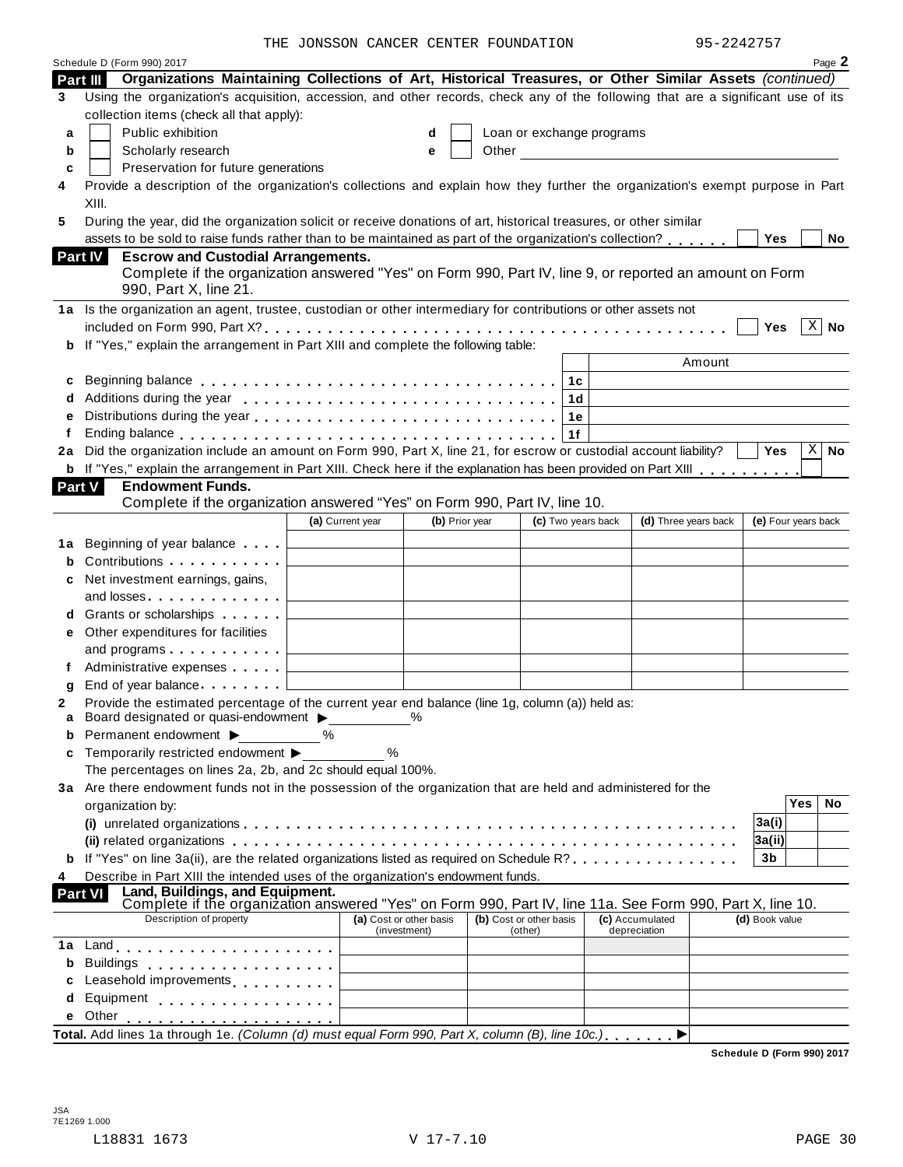THE JONSSON CANCER CENTER FOUNDATION 95-2242757

|                | Schedule D (Form 990) 2017                                                                                                                                                                                                     |                                         |                |                                    |                           |                                 |                     |     | Page 2      |
|----------------|--------------------------------------------------------------------------------------------------------------------------------------------------------------------------------------------------------------------------------|-----------------------------------------|----------------|------------------------------------|---------------------------|---------------------------------|---------------------|-----|-------------|
|                | Organizations Maintaining Collections of Art, Historical Treasures, or Other Similar Assets (continued)<br>Part III                                                                                                            |                                         |                |                                    |                           |                                 |                     |     |             |
| 3              | Using the organization's acquisition, accession, and other records, check any of the following that are a significant use of its<br>collection items (check all that apply):                                                   |                                         |                |                                    |                           |                                 |                     |     |             |
| a              | Public exhibition                                                                                                                                                                                                              |                                         | d              |                                    | Loan or exchange programs |                                 |                     |     |             |
| b              | Scholarly research                                                                                                                                                                                                             |                                         | е              |                                    |                           |                                 |                     |     |             |
| c              | Preservation for future generations                                                                                                                                                                                            |                                         |                |                                    |                           |                                 |                     |     |             |
| 4              | Provide a description of the organization's collections and explain how they further the organization's exempt purpose in Part<br>XIII.                                                                                        |                                         |                |                                    |                           |                                 |                     |     |             |
| 5              |                                                                                                                                                                                                                                |                                         |                |                                    |                           |                                 |                     |     |             |
|                | During the year, did the organization solicit or receive donations of art, historical treasures, or other similar<br>assets to be sold to raise funds rather than to be maintained as part of the organization's collection?   |                                         |                |                                    |                           |                                 | Yes                 |     | No          |
| Part IV        | <b>Escrow and Custodial Arrangements.</b>                                                                                                                                                                                      |                                         |                |                                    |                           |                                 |                     |     |             |
|                | Complete if the organization answered "Yes" on Form 990, Part IV, line 9, or reported an amount on Form<br>990, Part X, line 21.                                                                                               |                                         |                |                                    |                           |                                 |                     |     |             |
|                | 1a Is the organization an agent, trustee, custodian or other intermediary for contributions or other assets not                                                                                                                |                                         |                |                                    |                           |                                 |                     |     |             |
|                |                                                                                                                                                                                                                                |                                         |                |                                    |                           |                                 | Yes                 |     | $X \mid$ No |
| b              | If "Yes," explain the arrangement in Part XIII and complete the following table:                                                                                                                                               |                                         |                |                                    |                           |                                 |                     |     |             |
|                |                                                                                                                                                                                                                                |                                         |                |                                    |                           | Amount                          |                     |     |             |
| с              |                                                                                                                                                                                                                                |                                         |                |                                    | 1с.                       |                                 |                     |     |             |
|                | Additions during the year enterpretation of the state of the state of the state of the state of the state of t                                                                                                                 |                                         |                |                                    | 1d                        |                                 |                     |     |             |
|                |                                                                                                                                                                                                                                |                                         |                |                                    |                           |                                 |                     |     |             |
|                |                                                                                                                                                                                                                                |                                         |                |                                    | 1e                        |                                 |                     |     |             |
| f              | Did the organization include an amount on Form 990, Part X, line 21, for escrow or custodial account liability?                                                                                                                |                                         |                |                                    | 1f                        |                                 | <b>Yes</b>          | Χ   | <b>No</b>   |
| 2a             |                                                                                                                                                                                                                                |                                         |                |                                    |                           |                                 |                     |     |             |
|                | <b>b</b> If "Yes," explain the arrangement in Part XIII. Check here if the explanation has been provided on Part XIII                                                                                                          |                                         |                |                                    |                           |                                 |                     |     |             |
| <b>Part V</b>  | <b>Endowment Funds.</b>                                                                                                                                                                                                        |                                         |                |                                    |                           |                                 |                     |     |             |
|                | Complete if the organization answered "Yes" on Form 990, Part IV, line 10.                                                                                                                                                     |                                         |                |                                    |                           |                                 |                     |     |             |
|                |                                                                                                                                                                                                                                | (a) Current year                        | (b) Prior year |                                    | (c) Two years back        | (d) Three years back            | (e) Four years back |     |             |
| 1а             | Beginning of year balance entitled                                                                                                                                                                                             |                                         |                |                                    |                           |                                 |                     |     |             |
| b              | Contributions <b>Contributions</b>                                                                                                                                                                                             |                                         |                |                                    |                           |                                 |                     |     |             |
|                | Net investment earnings, gains,                                                                                                                                                                                                |                                         |                |                                    |                           |                                 |                     |     |             |
|                | and losses <b>and in the set of the set of the set of the set of the set of the set of the set of the set of the s</b>                                                                                                         |                                         |                |                                    |                           |                                 |                     |     |             |
|                | Grants or scholarships                                                                                                                                                                                                         |                                         |                |                                    |                           |                                 |                     |     |             |
| е              | Other expenditures for facilities                                                                                                                                                                                              |                                         |                |                                    |                           |                                 |                     |     |             |
|                | and programs                                                                                                                                                                                                                   |                                         |                |                                    |                           |                                 |                     |     |             |
| f              | Administrative expenses                                                                                                                                                                                                        |                                         |                |                                    |                           |                                 |                     |     |             |
| g              | End of year balance [1]                                                                                                                                                                                                        |                                         |                |                                    |                           |                                 |                     |     |             |
| 2              | Provide the estimated percentage of the current year end balance (line 1g, column (a)) held as:                                                                                                                                |                                         |                |                                    |                           |                                 |                     |     |             |
| a              | Board designated or quasi-endowment >                                                                                                                                                                                          |                                         |                |                                    |                           |                                 |                     |     |             |
| b              | Permanent endowment ▶                                                                                                                                                                                                          | %                                       |                |                                    |                           |                                 |                     |     |             |
| c              | Temporarily restricted endowment ▶                                                                                                                                                                                             | %                                       |                |                                    |                           |                                 |                     |     |             |
|                | The percentages on lines 2a, 2b, and 2c should equal 100%.                                                                                                                                                                     |                                         |                |                                    |                           |                                 |                     |     |             |
|                | 3a Are there endowment funds not in the possession of the organization that are held and administered for the                                                                                                                  |                                         |                |                                    |                           |                                 |                     |     |             |
|                | organization by:                                                                                                                                                                                                               |                                         |                |                                    |                           |                                 |                     | Yes | No          |
|                |                                                                                                                                                                                                                                |                                         |                |                                    |                           |                                 | 3a(i)               |     |             |
|                |                                                                                                                                                                                                                                |                                         |                |                                    |                           |                                 | 3a(ii)              |     |             |
|                | <b>b</b> If "Yes" on line 3a(ii), are the related organizations listed as required on Schedule R?                                                                                                                              |                                         |                |                                    |                           |                                 | 3b                  |     |             |
| 4              | Describe in Part XIII the intended uses of the organization's endowment funds.                                                                                                                                                 |                                         |                |                                    |                           |                                 |                     |     |             |
| <b>Part VI</b> | Land, Buildings, and Equipment.<br>Complete if the organization answered "Yes" on Form 990, Part IV, line 11a. See Form 990, Part X, line 10.                                                                                  |                                         |                |                                    |                           |                                 |                     |     |             |
|                |                                                                                                                                                                                                                                |                                         |                |                                    |                           |                                 |                     |     |             |
|                | Description of property                                                                                                                                                                                                        | (a) Cost or other basis<br>(investment) |                | (b) Cost or other basis<br>(other) |                           | (c) Accumulated<br>depreciation | (d) Book value      |     |             |
| 1a             | Land experience in the series of the series of the series of the series of the series of the series of the series of the series of the series of the series of the series of the series of the series of the series of the ser |                                         |                |                                    |                           |                                 |                     |     |             |
| b              | <b>Buildings</b><br>.                                                                                                                                                                                                          |                                         |                |                                    |                           |                                 |                     |     |             |
| c              | Leasehold improvements                                                                                                                                                                                                         |                                         |                |                                    |                           |                                 |                     |     |             |
| d              | Equipment                                                                                                                                                                                                                      |                                         |                |                                    |                           |                                 |                     |     |             |
| е              | .<br>Other                                                                                                                                                                                                                     |                                         |                |                                    |                           |                                 |                     |     |             |
|                | Total. Add lines 1a through 1e. (Column (d) must equal Form 990, Part X, column (B), line 10c.), $\blacksquare$                                                                                                                |                                         |                |                                    |                           |                                 |                     |     |             |
|                |                                                                                                                                                                                                                                |                                         |                |                                    |                           |                                 |                     |     |             |

**Schedule D (Form 990) 2017**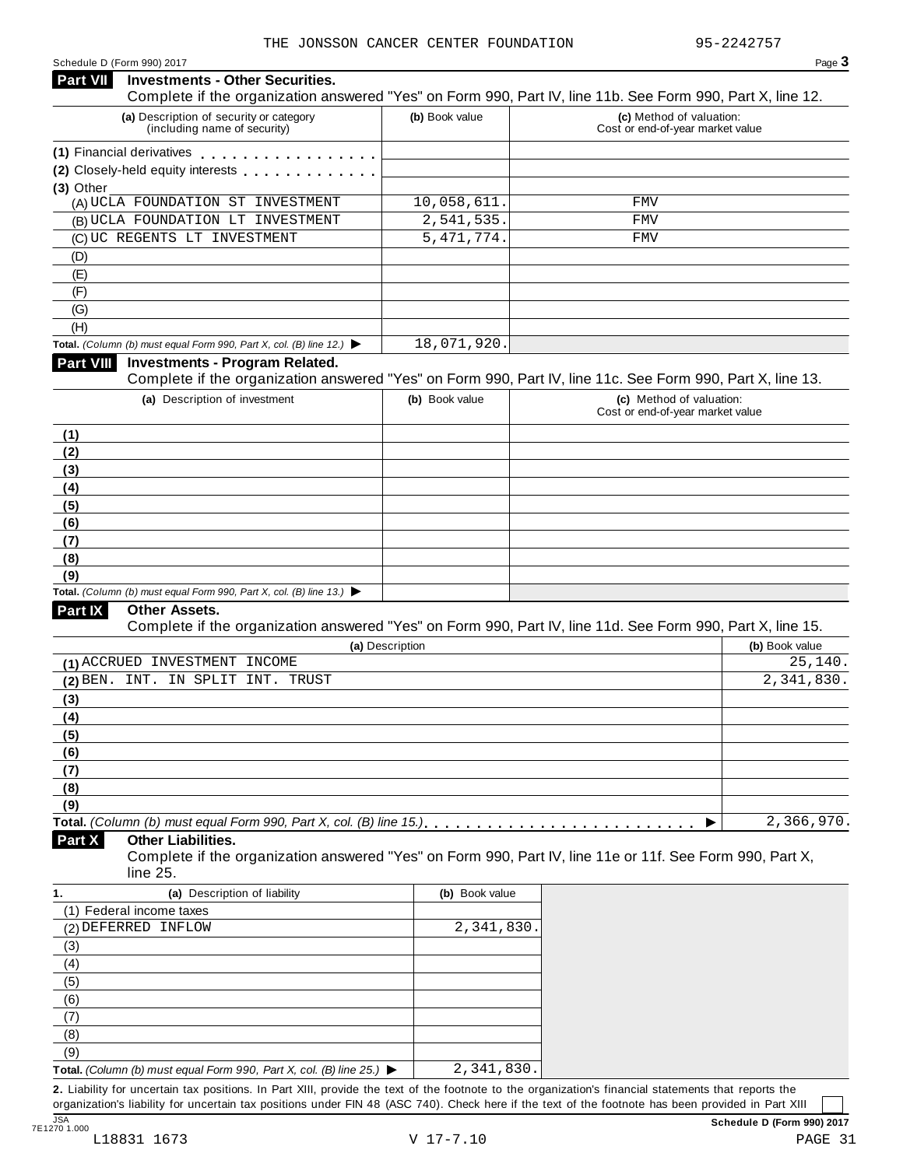| Schedule D (Form 990) 2017                                                               |                 | Page 3                                                                                                     |
|------------------------------------------------------------------------------------------|-----------------|------------------------------------------------------------------------------------------------------------|
| <b>Part VII</b><br><b>Investments - Other Securities.</b>                                |                 |                                                                                                            |
|                                                                                          |                 | Complete if the organization answered "Yes" on Form 990, Part IV, line 11b. See Form 990, Part X, line 12. |
| (a) Description of security or category<br>(including name of security)                  | (b) Book value  | (c) Method of valuation:<br>Cost or end-of-year market value                                               |
| (1) Financial derivatives <b>All Accords</b>                                             |                 |                                                                                                            |
| (2) Closely-held equity interests                                                        |                 |                                                                                                            |
| $(3)$ Other                                                                              |                 |                                                                                                            |
| (A) UCLA FOUNDATION ST INVESTMENT                                                        | 10,058,611.     | FMV                                                                                                        |
| (B) UCLA FOUNDATION LT INVESTMENT                                                        | 2,541,535.      | <b>FMV</b>                                                                                                 |
| (C) UC REGENTS LT INVESTMENT                                                             | 5, 471, 774.    | FMV                                                                                                        |
| (D)                                                                                      |                 |                                                                                                            |
| (E)                                                                                      |                 |                                                                                                            |
| (F)                                                                                      |                 |                                                                                                            |
| (G)<br>(H)                                                                               |                 |                                                                                                            |
| Total. (Column (b) must equal Form 990, Part X, col. (B) line 12.) $\blacktriangleright$ | 18,071,920      |                                                                                                            |
| <b>Part VIII</b><br><b>Investments - Program Related.</b>                                |                 |                                                                                                            |
|                                                                                          |                 | Complete if the organization answered "Yes" on Form 990, Part IV, line 11c. See Form 990, Part X, line 13. |
| (a) Description of investment                                                            | (b) Book value  | (c) Method of valuation:                                                                                   |
|                                                                                          |                 | Cost or end-of-year market value                                                                           |
| (1)                                                                                      |                 |                                                                                                            |
| (2)                                                                                      |                 |                                                                                                            |
| (3)                                                                                      |                 |                                                                                                            |
| (4)                                                                                      |                 |                                                                                                            |
| (5)                                                                                      |                 |                                                                                                            |
| (6)                                                                                      |                 |                                                                                                            |
| (7)                                                                                      |                 |                                                                                                            |
| (8)                                                                                      |                 |                                                                                                            |
| (9)                                                                                      |                 |                                                                                                            |
| Total. (Column (b) must equal Form 990, Part X, col. (B) line 13.) $\blacktriangleright$ |                 |                                                                                                            |
| Part IX<br>Other Assets.                                                                 |                 |                                                                                                            |
|                                                                                          |                 | Complete if the organization answered "Yes" on Form 990, Part IV, line 11d. See Form 990, Part X, line 15. |
|                                                                                          | (a) Description | (b) Book value                                                                                             |
| (1) ACCRUED INVESTMENT INCOME                                                            |                 | 25,140.                                                                                                    |
| (2) BEN. INT. IN SPLIT INT. TRUST                                                        |                 | 2,341,830.                                                                                                 |
| (3)                                                                                      |                 |                                                                                                            |
| <u>(4)</u>                                                                               |                 |                                                                                                            |
| (5)                                                                                      |                 |                                                                                                            |
| (6)<br>(7)                                                                               |                 |                                                                                                            |
| (8)                                                                                      |                 |                                                                                                            |
| (9)                                                                                      |                 |                                                                                                            |
| Total. (Column (b) must equal Form 990, Part X, col. (B) line 15.)                       |                 | 2,366,970.                                                                                                 |
| Part X<br><b>Other Liabilities.</b>                                                      |                 |                                                                                                            |
|                                                                                          |                 | Complete if the organization answered "Yes" on Form 990, Part IV, line 11e or 11f. See Form 990, Part X,   |
| line 25.                                                                                 |                 |                                                                                                            |
| (a) Description of liability<br>1.                                                       | (b) Book value  |                                                                                                            |
| (1) Federal income taxes                                                                 |                 |                                                                                                            |
| (2) DEFERRED INFLOW                                                                      | 2,341,830       |                                                                                                            |
| (3)                                                                                      |                 |                                                                                                            |
| (4)                                                                                      |                 |                                                                                                            |
| (5)                                                                                      |                 |                                                                                                            |
| (6)                                                                                      |                 |                                                                                                            |
| (7)                                                                                      |                 |                                                                                                            |
| (8)                                                                                      |                 |                                                                                                            |
| (9)                                                                                      |                 |                                                                                                            |
| Total. (Column (b) must equal Form 990, Part X, col. (B) line 25.) $\blacktriangleright$ | 2,341,830.      |                                                                                                            |

**2.** Liability for uncertain tax positions. In Part XIII, provide the text of the footnote to the organization's financial statements that reports the organization's liability for uncertain tax positions under FIN 48 (ASC 740). Check here ifthe text of the footnote has been provided in Part XIII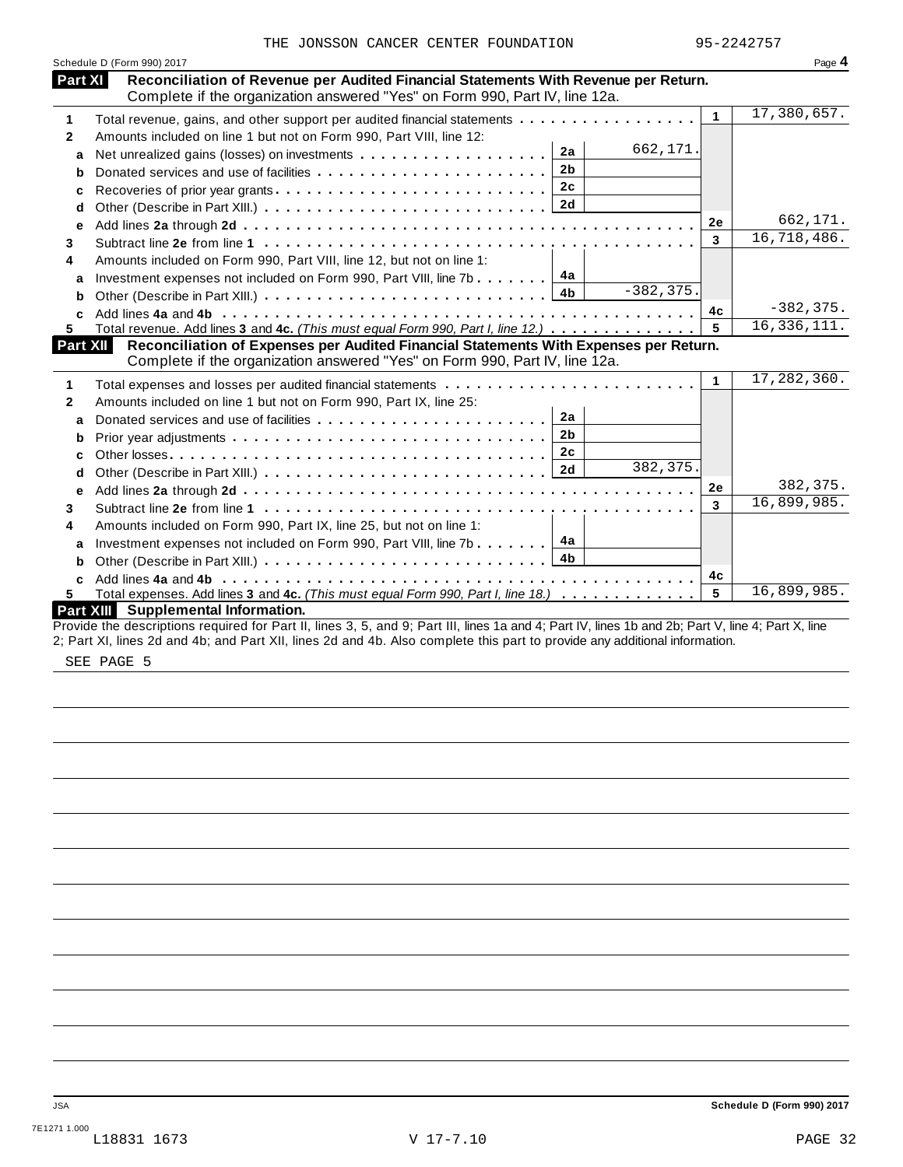|    |                                                                                                                                                                                  |              | 1            | 17,380,657.   |
|----|----------------------------------------------------------------------------------------------------------------------------------------------------------------------------------|--------------|--------------|---------------|
|    | Total revenue, gains, and other support per audited financial statements                                                                                                         |              |              |               |
|    | Amounts included on line 1 but not on Form 990, Part VIII, line 12:<br>2a                                                                                                        | 662,171.     |              |               |
| a  | 2 <sub>b</sub>                                                                                                                                                                   |              |              |               |
| b  | 2 <sub>c</sub>                                                                                                                                                                   |              |              |               |
| c  | Recoveries of prior year grants                                                                                                                                                  |              |              |               |
| d  |                                                                                                                                                                                  |              |              | 662,171.      |
| е  |                                                                                                                                                                                  |              | 2e           | 16,718,486.   |
|    |                                                                                                                                                                                  |              | 3            |               |
|    | Amounts included on Form 990, Part VIII, line 12, but not on line 1:                                                                                                             |              |              |               |
| a  | 4a<br>Investment expenses not included on Form 990, Part VIII, line 7b                                                                                                           |              |              |               |
| b  | 4b                                                                                                                                                                               | $-382, 375.$ |              |               |
| C  |                                                                                                                                                                                  |              | 4c           | $-382, 375.$  |
|    | Total revenue. Add lines 3 and 4c. (This must equal Form 990, Part I, line 12.) $\ldots \ldots \ldots \ldots$                                                                    |              |              | 16, 336, 111. |
|    | Reconciliation of Expenses per Audited Financial Statements With Expenses per Return.<br>Part XII<br>Complete if the organization answered "Yes" on Form 990, Part IV, line 12a. |              |              |               |
|    |                                                                                                                                                                                  |              | $\mathbf{1}$ | 17,282,360.   |
|    | Amounts included on line 1 but not on Form 990, Part IX, line 25:                                                                                                                |              |              |               |
| a  | 2a<br>Donated services and use of facilities                                                                                                                                     |              |              |               |
| b  | 2 <sub>b</sub>                                                                                                                                                                   |              |              |               |
| с  | 2c                                                                                                                                                                               |              |              |               |
| d  |                                                                                                                                                                                  | 382,375.     |              |               |
| е  |                                                                                                                                                                                  |              | 2e           | 382,375.      |
|    |                                                                                                                                                                                  |              | 3            | 16,899,985.   |
|    | Amounts included on Form 990, Part IX, line 25, but not on line 1:                                                                                                               |              |              |               |
| a  | 4a<br>Investment expenses not included on Form 990, Part VIII, line 7b                                                                                                           |              |              |               |
| b  | 4b                                                                                                                                                                               |              |              |               |
|    |                                                                                                                                                                                  |              | 4c           |               |
| C. | Total expenses. Add lines 3 and 4c. (This must equal Form 990, Part I, line 18.)                                                                                                 |              | 5            | 16,899,985.   |

SEE PAGE 5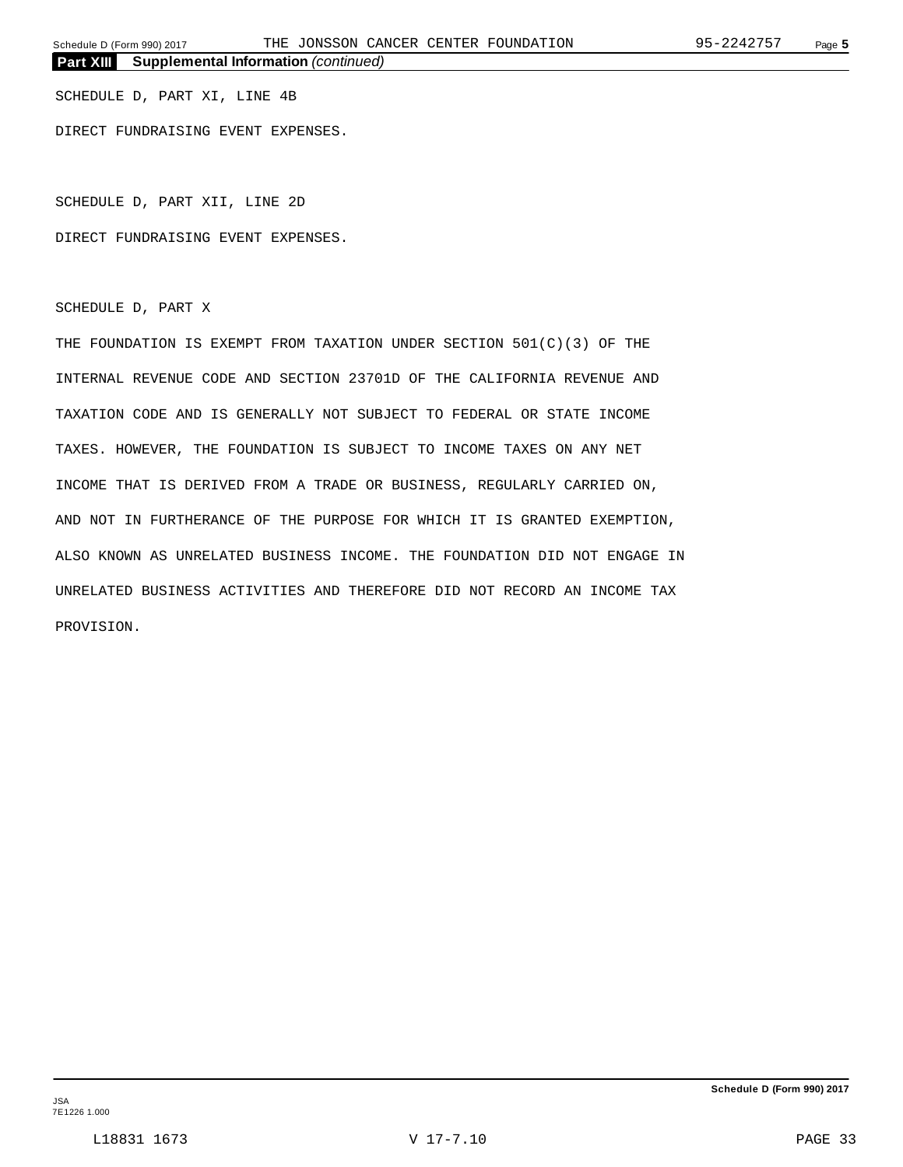SCHEDULE D, PART XI, LINE 4B

DIRECT FUNDRAISING EVENT EXPENSES.

SCHEDULE D, PART XII, LINE 2D DIRECT FUNDRAISING EVENT EXPENSES.

SCHEDULE D, PART X

THE FOUNDATION IS EXEMPT FROM TAXATION UNDER SECTION 501(C)(3) OF THE INTERNAL REVENUE CODE AND SECTION 23701D OF THE CALIFORNIA REVENUE AND TAXATION CODE AND IS GENERALLY NOT SUBJECT TO FEDERAL OR STATE INCOME TAXES. HOWEVER, THE FOUNDATION IS SUBJECT TO INCOME TAXES ON ANY NET INCOME THAT IS DERIVED FROM A TRADE OR BUSINESS, REGULARLY CARRIED ON, AND NOT IN FURTHERANCE OF THE PURPOSE FOR WHICH IT IS GRANTED EXEMPTION, ALSO KNOWN AS UNRELATED BUSINESS INCOME. THE FOUNDATION DID NOT ENGAGE IN UNRELATED BUSINESS ACTIVITIES AND THEREFORE DID NOT RECORD AN INCOME TAX PROVISION.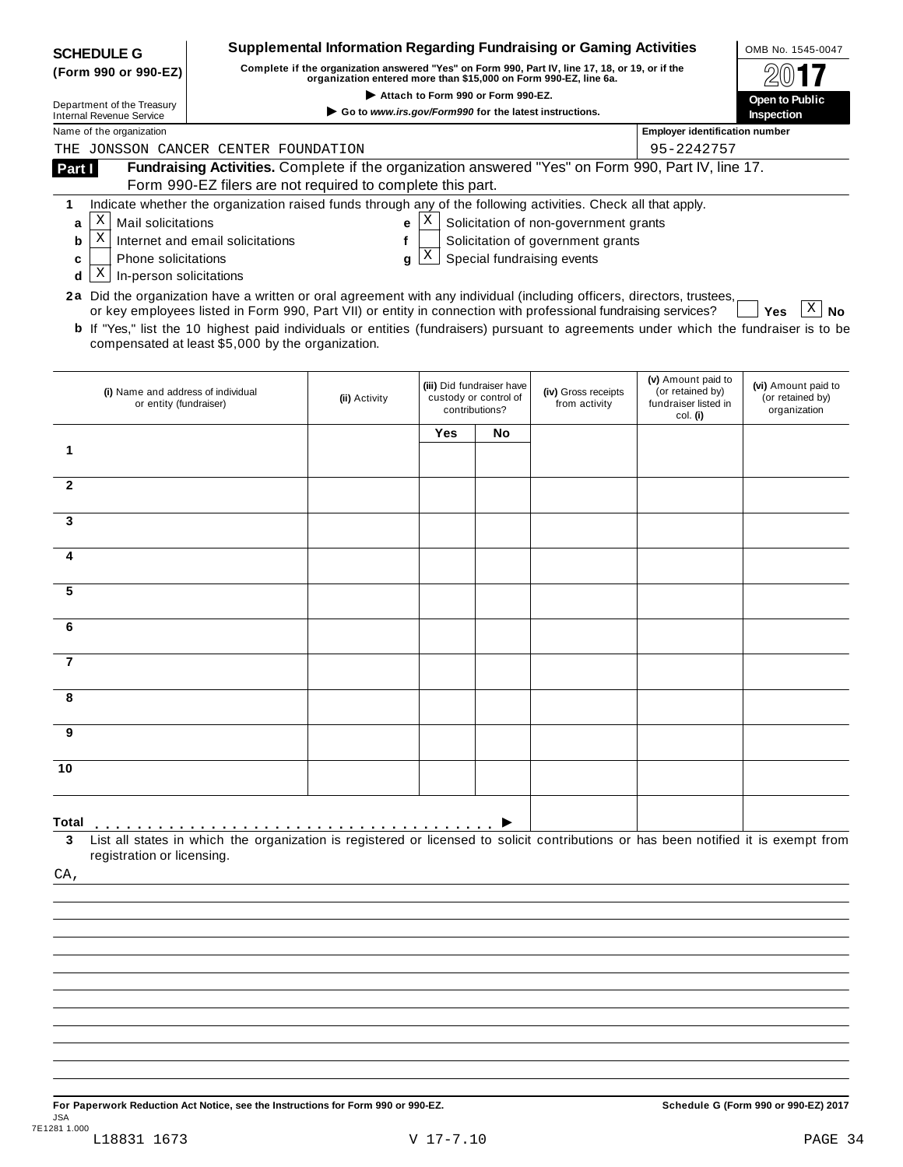| <b>SCHEDULE G</b>                                                                                                      |                                                                                                                                                                                                   | <b>Supplemental Information Regarding Fundraising or Gaming Activities</b>                                                                                          |     |                                         |                                                                 |                                                      | OMB No. 1545-0047                       |
|------------------------------------------------------------------------------------------------------------------------|---------------------------------------------------------------------------------------------------------------------------------------------------------------------------------------------------|---------------------------------------------------------------------------------------------------------------------------------------------------------------------|-----|-----------------------------------------|-----------------------------------------------------------------|------------------------------------------------------|-----------------------------------------|
| (Form 990 or 990-EZ)                                                                                                   |                                                                                                                                                                                                   | Complete if the organization answered "Yes" on Form 990, Part IV, line 17, 18, or 19, or if the<br>organization entered more than \$15,000 on Form 990-EZ, line 6a. |     |                                         |                                                                 |                                                      |                                         |
| Department of the Treasury                                                                                             |                                                                                                                                                                                                   |                                                                                                                                                                     |     | Attach to Form 990 or Form 990-EZ.      |                                                                 |                                                      | <b>Open to Public</b>                   |
| <b>Internal Revenue Service</b><br>Name of the organization                                                            |                                                                                                                                                                                                   | Go to www.irs.gov/Form990 for the latest instructions.                                                                                                              |     |                                         |                                                                 | <b>Employer identification number</b>                | Inspection                              |
| THE JONSSON CANCER CENTER FOUNDATION                                                                                   |                                                                                                                                                                                                   |                                                                                                                                                                     |     |                                         |                                                                 | 95-2242757                                           |                                         |
| Part I                                                                                                                 | Fundraising Activities. Complete if the organization answered "Yes" on Form 990, Part IV, line 17.                                                                                                |                                                                                                                                                                     |     |                                         |                                                                 |                                                      |                                         |
|                                                                                                                        | Form 990-EZ filers are not required to complete this part.                                                                                                                                        |                                                                                                                                                                     |     |                                         |                                                                 |                                                      |                                         |
| 1                                                                                                                      | Indicate whether the organization raised funds through any of the following activities. Check all that apply.                                                                                     |                                                                                                                                                                     |     |                                         |                                                                 |                                                      |                                         |
| Χ<br>Mail solicitations<br>a<br>Χ                                                                                      |                                                                                                                                                                                                   | e<br>f                                                                                                                                                              | Χ   |                                         | Solicitation of non-government grants                           |                                                      |                                         |
| b<br>Phone solicitations<br>c                                                                                          | Internet and email solicitations                                                                                                                                                                  | g                                                                                                                                                                   | Χ   |                                         | Solicitation of government grants<br>Special fundraising events |                                                      |                                         |
| Χ<br>In-person solicitations<br>d                                                                                      |                                                                                                                                                                                                   |                                                                                                                                                                     |     |                                         |                                                                 |                                                      |                                         |
| 2a Did the organization have a written or oral agreement with any individual (including officers, directors, trustees, |                                                                                                                                                                                                   |                                                                                                                                                                     |     |                                         |                                                                 |                                                      |                                         |
|                                                                                                                        | or key employees listed in Form 990, Part VII) or entity in connection with professional fundraising services?                                                                                    |                                                                                                                                                                     |     |                                         |                                                                 |                                                      | $\mathbf{X}$<br><b>No</b><br><b>Yes</b> |
|                                                                                                                        | <b>b</b> If "Yes," list the 10 highest paid individuals or entities (fundraisers) pursuant to agreements under which the fundraiser is to be<br>compensated at least \$5,000 by the organization. |                                                                                                                                                                     |     |                                         |                                                                 |                                                      |                                         |
|                                                                                                                        |                                                                                                                                                                                                   |                                                                                                                                                                     |     | (iii) Did fundraiser have               |                                                                 | (v) Amount paid to                                   | (vi) Amount paid to                     |
| (i) Name and address of individual<br>or entity (fundraiser)                                                           |                                                                                                                                                                                                   | (ii) Activity                                                                                                                                                       |     | custody or control of<br>contributions? | (iv) Gross receipts<br>from activity                            | (or retained by)<br>fundraiser listed in<br>col. (i) | (or retained by)<br>organization        |
|                                                                                                                        |                                                                                                                                                                                                   |                                                                                                                                                                     | Yes | No                                      |                                                                 |                                                      |                                         |
| 1                                                                                                                      |                                                                                                                                                                                                   |                                                                                                                                                                     |     |                                         |                                                                 |                                                      |                                         |
| $\mathbf{2}$                                                                                                           |                                                                                                                                                                                                   |                                                                                                                                                                     |     |                                         |                                                                 |                                                      |                                         |
| 3                                                                                                                      |                                                                                                                                                                                                   |                                                                                                                                                                     |     |                                         |                                                                 |                                                      |                                         |
| 4                                                                                                                      |                                                                                                                                                                                                   |                                                                                                                                                                     |     |                                         |                                                                 |                                                      |                                         |
| 5                                                                                                                      |                                                                                                                                                                                                   |                                                                                                                                                                     |     |                                         |                                                                 |                                                      |                                         |
| 6                                                                                                                      |                                                                                                                                                                                                   |                                                                                                                                                                     |     |                                         |                                                                 |                                                      |                                         |
| $\overline{7}$                                                                                                         |                                                                                                                                                                                                   |                                                                                                                                                                     |     |                                         |                                                                 |                                                      |                                         |
| 8                                                                                                                      |                                                                                                                                                                                                   |                                                                                                                                                                     |     |                                         |                                                                 |                                                      |                                         |
| 9                                                                                                                      |                                                                                                                                                                                                   |                                                                                                                                                                     |     |                                         |                                                                 |                                                      |                                         |
| 10                                                                                                                     |                                                                                                                                                                                                   |                                                                                                                                                                     |     |                                         |                                                                 |                                                      |                                         |
|                                                                                                                        |                                                                                                                                                                                                   |                                                                                                                                                                     |     |                                         |                                                                 |                                                      |                                         |
| Total<br>3                                                                                                             | List all states in which the organization is registered or licensed to solicit contributions or has been notified it is exempt from                                                               |                                                                                                                                                                     |     |                                         |                                                                 |                                                      |                                         |
| registration or licensing.<br>CA,                                                                                      |                                                                                                                                                                                                   |                                                                                                                                                                     |     |                                         |                                                                 |                                                      |                                         |
|                                                                                                                        |                                                                                                                                                                                                   |                                                                                                                                                                     |     |                                         |                                                                 |                                                      |                                         |
|                                                                                                                        |                                                                                                                                                                                                   |                                                                                                                                                                     |     |                                         |                                                                 |                                                      |                                         |
|                                                                                                                        |                                                                                                                                                                                                   |                                                                                                                                                                     |     |                                         |                                                                 |                                                      |                                         |
|                                                                                                                        |                                                                                                                                                                                                   |                                                                                                                                                                     |     |                                         |                                                                 |                                                      |                                         |
|                                                                                                                        |                                                                                                                                                                                                   |                                                                                                                                                                     |     |                                         |                                                                 |                                                      |                                         |
|                                                                                                                        |                                                                                                                                                                                                   |                                                                                                                                                                     |     |                                         |                                                                 |                                                      |                                         |
|                                                                                                                        |                                                                                                                                                                                                   |                                                                                                                                                                     |     |                                         |                                                                 |                                                      |                                         |
|                                                                                                                        |                                                                                                                                                                                                   |                                                                                                                                                                     |     |                                         |                                                                 |                                                      |                                         |
|                                                                                                                        |                                                                                                                                                                                                   |                                                                                                                                                                     |     |                                         |                                                                 |                                                      |                                         |
|                                                                                                                        | For Paperwork Reduction Act Notice, see the Instructions for Form 990 or 990-EZ.                                                                                                                  |                                                                                                                                                                     |     |                                         |                                                                 |                                                      | Schedule G (Form 990 or 990-EZ) 2017    |

JSA 7E1281 1.000 L18831 1673 V 17-7.10 PAGE 34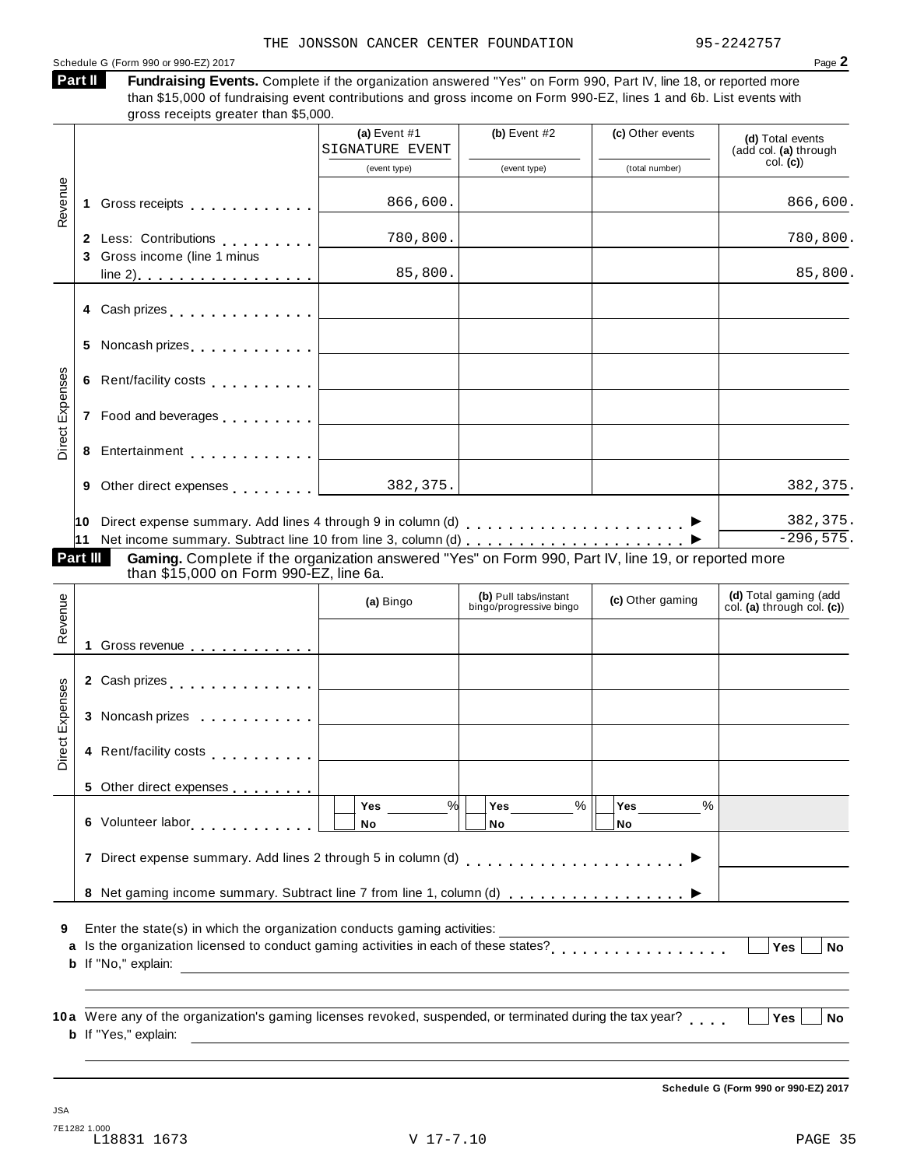#### Schedule <sup>G</sup> (Form <sup>990</sup> or 990-EZ) <sup>2017</sup> Page **2**

Fundraising Events. Complete if the organization answered "Yes" on Form 990, Part IV, line 18, or reported more than \$15,000 of fundraising event contributions and gross income on Form 990-EZ, lines 1 and 6b. List events with gross receipts greater than \$5,000. **Part II**

|                 |          |                                                                                                                                                                                                                                | (a) Event $#1$<br>SIGNATURE EVENT                                                                                    | (b) Event $#2$                                   | (c) Other events           | (d) Total events<br>(add col. (a) through            |
|-----------------|----------|--------------------------------------------------------------------------------------------------------------------------------------------------------------------------------------------------------------------------------|----------------------------------------------------------------------------------------------------------------------|--------------------------------------------------|----------------------------|------------------------------------------------------|
|                 |          |                                                                                                                                                                                                                                | (event type)                                                                                                         | (event type)                                     | (total number)             | col. (c)                                             |
| Revenue         |          |                                                                                                                                                                                                                                | 866,600.                                                                                                             |                                                  |                            | 866,600.                                             |
|                 |          | 2 Less: Contributions  <br>3 Gross income (line 1 minus                                                                                                                                                                        | 780,800.                                                                                                             |                                                  |                            | 780,800.                                             |
|                 |          |                                                                                                                                                                                                                                | 85,800.                                                                                                              |                                                  |                            | 85,800.                                              |
|                 |          |                                                                                                                                                                                                                                |                                                                                                                      |                                                  |                            |                                                      |
|                 |          |                                                                                                                                                                                                                                |                                                                                                                      |                                                  |                            |                                                      |
|                 |          |                                                                                                                                                                                                                                |                                                                                                                      |                                                  |                            |                                                      |
| Direct Expenses |          | 7 Food and beverages equal to the set of the set of the set of the set of the set of the set of the set of the set of the set of the set of the set of the set of the set of the set of the set of the set of the set of the s |                                                                                                                      |                                                  |                            |                                                      |
|                 |          |                                                                                                                                                                                                                                |                                                                                                                      |                                                  |                            |                                                      |
|                 |          | 9 Other direct expenses 282, 375.                                                                                                                                                                                              |                                                                                                                      |                                                  |                            | 382,375.                                             |
|                 |          |                                                                                                                                                                                                                                |                                                                                                                      |                                                  |                            | 382, 375.                                            |
|                 |          | 11 Net income summary. Subtract line 10 from line 3, column (d) $\ldots$ , $\ldots$ ,                                                                                                                                          |                                                                                                                      |                                                  |                            | $-296, 575.$                                         |
|                 | Part III | Gaming. Complete if the organization answered "Yes" on Form 990, Part IV, line 19, or reported more<br>than \$15,000 on Form 990-EZ, line 6a.                                                                                  |                                                                                                                      |                                                  |                            |                                                      |
| Revenue         |          |                                                                                                                                                                                                                                | (a) Bingo                                                                                                            | (b) Pull tabs/instant<br>bingo/progressive bingo | (c) Other gaming           | (d) Total gaming (add<br>col. (a) through col. $(c)$ |
|                 |          |                                                                                                                                                                                                                                | <u> 1989 - Jan Stein Stein Stein Stein Stein Stein Stein Stein Stein Stein Stein Stein Stein Stein Stein Stein S</u> |                                                  |                            |                                                      |
|                 |          |                                                                                                                                                                                                                                |                                                                                                                      |                                                  |                            |                                                      |
| Direct Expenses |          |                                                                                                                                                                                                                                |                                                                                                                      |                                                  |                            |                                                      |
|                 |          |                                                                                                                                                                                                                                |                                                                                                                      |                                                  |                            |                                                      |
|                 |          | 5 Other direct expenses                                                                                                                                                                                                        |                                                                                                                      |                                                  |                            |                                                      |
|                 |          | 6 Volunteer labor <b>6 Volunteer</b> labor                                                                                                                                                                                     | %<br>Yes<br>No                                                                                                       | $\%$<br>Yes<br>No                                | $\frac{0}{0}$<br>Yes<br>No |                                                      |
|                 |          | 7 Direct expense summary. Add lines 2 through 5 in column (d)                                                                                                                                                                  |                                                                                                                      | .                                                |                            |                                                      |
|                 |          | 8 Net gaming income summary. Subtract line 7 from line 1, column (d)                                                                                                                                                           |                                                                                                                      |                                                  |                            |                                                      |
| 9<br>a          |          | Enter the state(s) in which the organization conducts gaming activities:<br><b>b</b> If "No," explain:                                                                                                                         |                                                                                                                      |                                                  |                            | Yes<br><b>No</b>                                     |
|                 |          | 10a Were any of the organization's gaming licenses revoked, suspended, or terminated during the tax year?<br><b>b</b> If "Yes," explain:                                                                                       |                                                                                                                      |                                                  |                            | <b>Yes</b><br><b>No</b>                              |

**Schedule G (Form 990 or 990-EZ) 2017**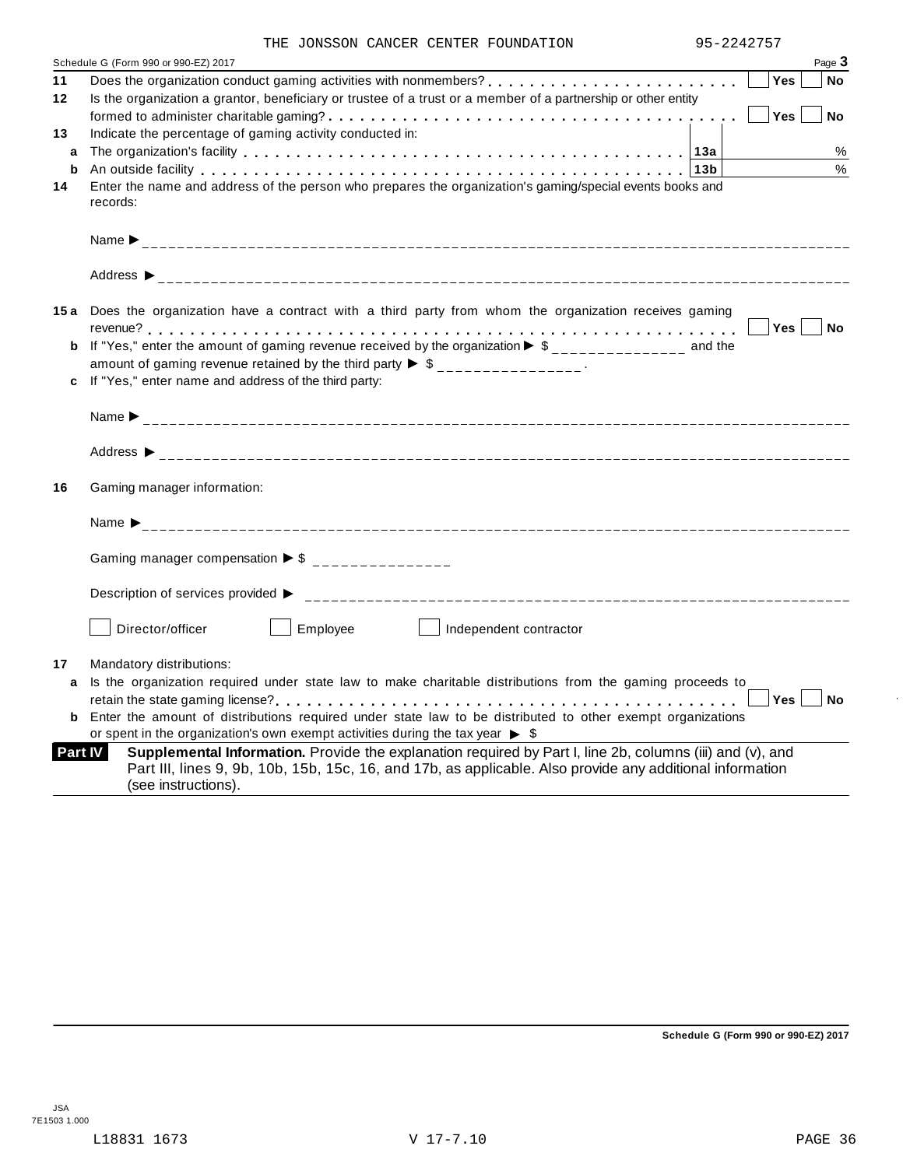|  |  | THE JONSSON CANCER CENTER FOUNDATION | 95-2242757 |
|--|--|--------------------------------------|------------|

|                | Schedule G (Form 990 or 990-EZ) 2017<br>Page 3                                                                                                                                                                                                |
|----------------|-----------------------------------------------------------------------------------------------------------------------------------------------------------------------------------------------------------------------------------------------|
| 11<br>12       | <b>Yes</b><br><b>No</b><br>Is the organization a grantor, beneficiary or trustee of a trust or a member of a partnership or other entity                                                                                                      |
| 13             | <b>Yes</b><br><b>No</b><br>Indicate the percentage of gaming activity conducted in:                                                                                                                                                           |
| a              | ℅                                                                                                                                                                                                                                             |
| b              | %<br>An outside facility enterpreteration of the control of the control of the control of the control of the control of the control of the control of the control of the control of the control of the control of the control of th           |
| 14             | Enter the name and address of the person who prepares the organization's gaming/special events books and<br>records:                                                                                                                          |
|                |                                                                                                                                                                                                                                               |
|                |                                                                                                                                                                                                                                               |
|                | 15a Does the organization have a contract with a third party from whom the organization receives gaming                                                                                                                                       |
|                | Yes No                                                                                                                                                                                                                                        |
|                | <b>b</b> If "Yes," enter the amount of gaming revenue received by the organization $\triangleright$ \$_______________ and the<br>amount of gaming revenue retained by the third party $\triangleright$ \$ _______________.                    |
|                | c If "Yes," enter name and address of the third party:                                                                                                                                                                                        |
|                |                                                                                                                                                                                                                                               |
|                |                                                                                                                                                                                                                                               |
|                |                                                                                                                                                                                                                                               |
| 16             | Gaming manager information:                                                                                                                                                                                                                   |
|                | Name $\sum_{-1}^{1}$                                                                                                                                                                                                                          |
|                | Gaming manager compensation $\triangleright$ \$ ________________                                                                                                                                                                              |
|                | Description of services provided ▶                                                                                                                                                                                                            |
|                | Employee<br>Director/officer<br>Independent contractor                                                                                                                                                                                        |
| 17             | Mandatory distributions:                                                                                                                                                                                                                      |
| a              | Is the organization required under state law to make charitable distributions from the gaming proceeds to                                                                                                                                     |
|                | Yes<br><b>No</b>                                                                                                                                                                                                                              |
| b              | Enter the amount of distributions required under state law to be distributed to other exempt organizations                                                                                                                                    |
|                | or spent in the organization's own exempt activities during the tax year $\triangleright$ \$                                                                                                                                                  |
| <b>Part IV</b> | Supplemental Information. Provide the explanation required by Part I, line 2b, columns (iii) and (v), and<br>Part III, lines 9, 9b, 10b, 15b, 15c, 16, and 17b, as applicable. Also provide any additional information<br>(see instructions). |
|                |                                                                                                                                                                                                                                               |

**Schedule G (Form 990 or 990-EZ) 2017**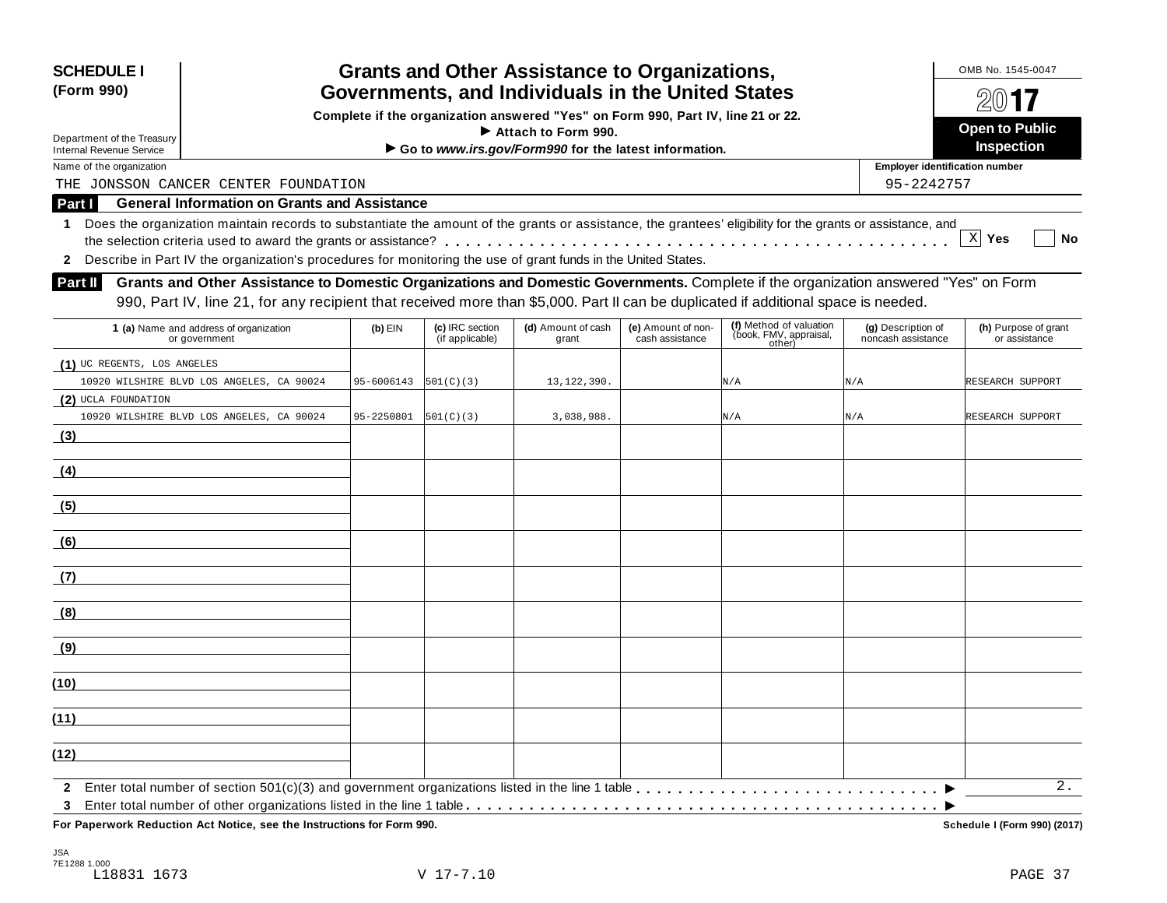| <b>SCHEDULE I</b>               |                                                                                                                                                            |            |                                    | <b>Grants and Other Assistance to Organizations,</b>  |                                       |                                                             |                                          | OMB No. 1545-0047                     |  |  |  |
|---------------------------------|------------------------------------------------------------------------------------------------------------------------------------------------------------|------------|------------------------------------|-------------------------------------------------------|---------------------------------------|-------------------------------------------------------------|------------------------------------------|---------------------------------------|--|--|--|
| (Form 990)                      |                                                                                                                                                            |            |                                    | Governments, and Individuals in the United States     |                                       |                                                             |                                          |                                       |  |  |  |
|                                 | Complete if the organization answered "Yes" on Form 990, Part IV, line 21 or 22.                                                                           |            |                                    |                                                       |                                       |                                                             |                                          |                                       |  |  |  |
| Department of the Treasury      |                                                                                                                                                            |            |                                    | Attach to Form 990.                                   |                                       |                                                             |                                          | <b>Open to Public</b>                 |  |  |  |
| <b>Internal Revenue Service</b> |                                                                                                                                                            |            |                                    | Go to www.irs.gov/Form990 for the latest information. |                                       |                                                             |                                          | <b>Inspection</b>                     |  |  |  |
| Name of the organization        |                                                                                                                                                            |            |                                    |                                                       |                                       |                                                             | <b>Employer identification number</b>    |                                       |  |  |  |
|                                 | THE JONSSON CANCER CENTER FOUNDATION                                                                                                                       |            |                                    |                                                       |                                       |                                                             | 95-2242757                               |                                       |  |  |  |
| Part I                          | <b>General Information on Grants and Assistance</b>                                                                                                        |            |                                    |                                                       |                                       |                                                             |                                          |                                       |  |  |  |
| 1                               | Does the organization maintain records to substantiate the amount of the grants or assistance, the grantees' eligibility for the grants or assistance, and |            |                                    |                                                       |                                       |                                                             |                                          |                                       |  |  |  |
|                                 |                                                                                                                                                            |            |                                    |                                                       |                                       |                                                             |                                          | $X$ Yes<br>No                         |  |  |  |
| $\mathbf{2}$                    | Describe in Part IV the organization's procedures for monitoring the use of grant funds in the United States.                                              |            |                                    |                                                       |                                       |                                                             |                                          |                                       |  |  |  |
| <b>Part II</b>                  | Grants and Other Assistance to Domestic Organizations and Domestic Governments. Complete if the organization answered "Yes" on Form                        |            |                                    |                                                       |                                       |                                                             |                                          |                                       |  |  |  |
|                                 | 990, Part IV, line 21, for any recipient that received more than \$5,000. Part II can be duplicated if additional space is needed.                         |            |                                    |                                                       |                                       |                                                             |                                          |                                       |  |  |  |
|                                 | 1 (a) Name and address of organization<br>or government                                                                                                    | $(b)$ EIN  | (c) IRC section<br>(if applicable) | (d) Amount of cash<br>grant                           | (e) Amount of non-<br>cash assistance | (f) Method of valuation<br>(book, FMV, appraisal,<br>other) | (g) Description of<br>noncash assistance | (h) Purpose of grant<br>or assistance |  |  |  |
| (1) UC REGENTS, LOS ANGELES     |                                                                                                                                                            |            |                                    |                                                       |                                       |                                                             |                                          |                                       |  |  |  |
|                                 | 10920 WILSHIRE BLVD LOS ANGELES, CA 90024                                                                                                                  | 95-6006143 | 501(C)(3)                          | 13, 122, 390.                                         |                                       | N/A                                                         | N/A                                      | RESEARCH SUPPORT                      |  |  |  |
| (2) UCLA FOUNDATION             |                                                                                                                                                            |            |                                    |                                                       |                                       |                                                             |                                          |                                       |  |  |  |
|                                 | 10920 WILSHIRE BLVD LOS ANGELES, CA 90024                                                                                                                  | 95-2250801 | 501(C)(3)                          | 3,038,988.                                            |                                       | N/A                                                         | N/A                                      | RESEARCH SUPPORT                      |  |  |  |
| (3)                             |                                                                                                                                                            |            |                                    |                                                       |                                       |                                                             |                                          |                                       |  |  |  |
|                                 |                                                                                                                                                            |            |                                    |                                                       |                                       |                                                             |                                          |                                       |  |  |  |
| (4)                             |                                                                                                                                                            |            |                                    |                                                       |                                       |                                                             |                                          |                                       |  |  |  |
|                                 |                                                                                                                                                            |            |                                    |                                                       |                                       |                                                             |                                          |                                       |  |  |  |
| (5)                             |                                                                                                                                                            |            |                                    |                                                       |                                       |                                                             |                                          |                                       |  |  |  |
|                                 |                                                                                                                                                            |            |                                    |                                                       |                                       |                                                             |                                          |                                       |  |  |  |
| (6)                             |                                                                                                                                                            |            |                                    |                                                       |                                       |                                                             |                                          |                                       |  |  |  |
|                                 |                                                                                                                                                            |            |                                    |                                                       |                                       |                                                             |                                          |                                       |  |  |  |
| (7)                             |                                                                                                                                                            |            |                                    |                                                       |                                       |                                                             |                                          |                                       |  |  |  |
| (8)                             |                                                                                                                                                            |            |                                    |                                                       |                                       |                                                             |                                          |                                       |  |  |  |
|                                 |                                                                                                                                                            |            |                                    |                                                       |                                       |                                                             |                                          |                                       |  |  |  |
| (9)                             |                                                                                                                                                            |            |                                    |                                                       |                                       |                                                             |                                          |                                       |  |  |  |
|                                 |                                                                                                                                                            |            |                                    |                                                       |                                       |                                                             |                                          |                                       |  |  |  |
| (10)                            |                                                                                                                                                            |            |                                    |                                                       |                                       |                                                             |                                          |                                       |  |  |  |
|                                 |                                                                                                                                                            |            |                                    |                                                       |                                       |                                                             |                                          |                                       |  |  |  |
| (11)                            |                                                                                                                                                            |            |                                    |                                                       |                                       |                                                             |                                          |                                       |  |  |  |
|                                 |                                                                                                                                                            |            |                                    |                                                       |                                       |                                                             |                                          |                                       |  |  |  |
| (12)                            |                                                                                                                                                            |            |                                    |                                                       |                                       |                                                             |                                          |                                       |  |  |  |
|                                 |                                                                                                                                                            |            |                                    |                                                       |                                       |                                                             |                                          |                                       |  |  |  |
| $\mathbf{2}$                    |                                                                                                                                                            |            |                                    |                                                       |                                       |                                                             |                                          | 2.                                    |  |  |  |
| 3                               |                                                                                                                                                            |            |                                    |                                                       |                                       |                                                             |                                          |                                       |  |  |  |
|                                 | For Paperwork Reduction Act Notice, see the Instructions for Form 990.                                                                                     |            |                                    |                                                       |                                       |                                                             |                                          | Schedule I (Form 990) (2017)          |  |  |  |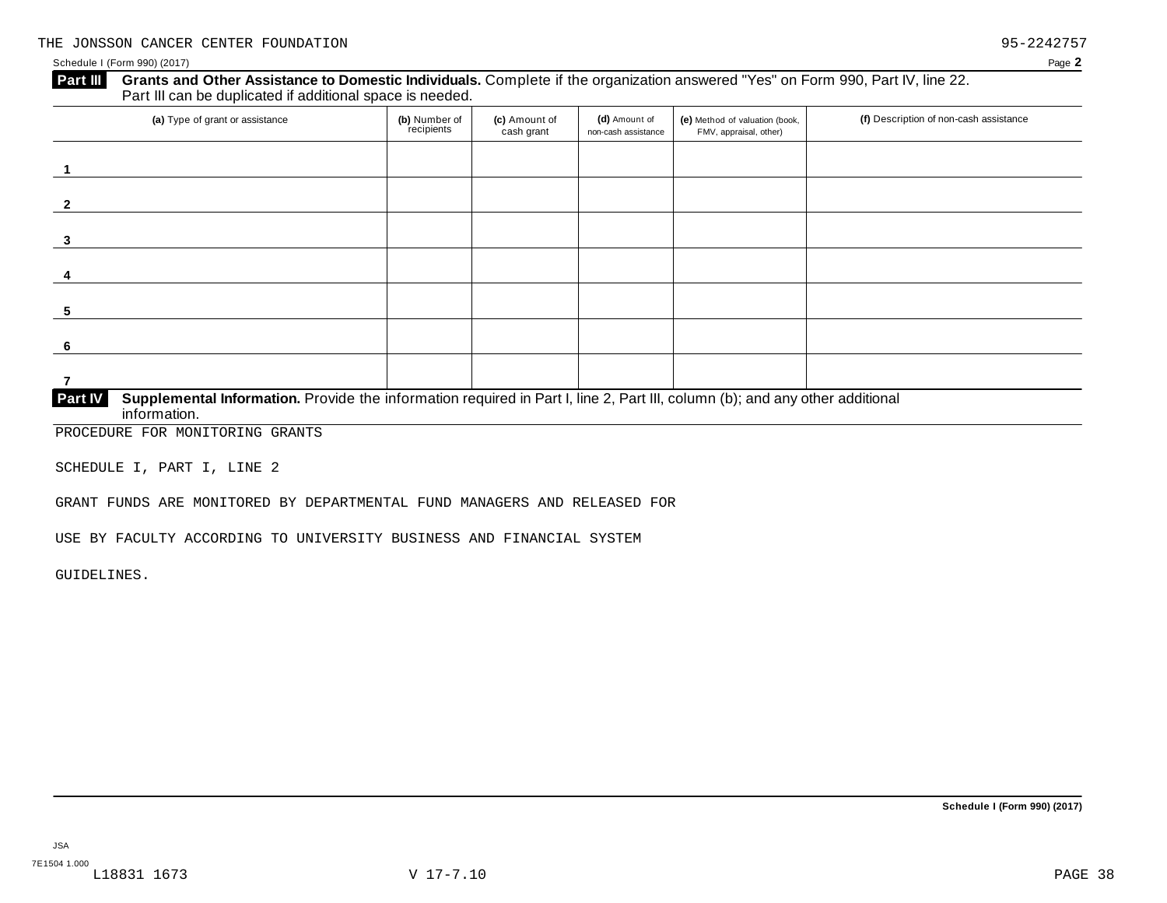### **Grants and Other Assistance to Domestic Individuals.** Complete ifthe organization answered "Yes" on Form 990, Part IV, line 22. **Part III** Grants and Other Assistance to Domestic Individuals<br>Part III can be duplicated if additional space is needed.

| (a) Type of grant or assistance                                                                                                                                | (b) Number of<br>recipients | (c) Amount of<br>cash grant | (d) Amount of<br>non-cash assistance | (e) Method of valuation (book,<br>FMV, appraisal, other) | (f) Description of non-cash assistance |
|----------------------------------------------------------------------------------------------------------------------------------------------------------------|-----------------------------|-----------------------------|--------------------------------------|----------------------------------------------------------|----------------------------------------|
|                                                                                                                                                                |                             |                             |                                      |                                                          |                                        |
| $\mathbf{2}$                                                                                                                                                   |                             |                             |                                      |                                                          |                                        |
| 3                                                                                                                                                              |                             |                             |                                      |                                                          |                                        |
| 4                                                                                                                                                              |                             |                             |                                      |                                                          |                                        |
| 5                                                                                                                                                              |                             |                             |                                      |                                                          |                                        |
| -6                                                                                                                                                             |                             |                             |                                      |                                                          |                                        |
|                                                                                                                                                                |                             |                             |                                      |                                                          |                                        |
| <b>Part IV</b><br>Supplemental Information. Provide the information required in Part I, line 2, Part III, column (b); and any other additional<br>information. |                             |                             |                                      |                                                          |                                        |

PROCEDURE FOR MONITORING GRANTS

SCHEDULE I, PART I, LINE 2

GRANT FUNDS ARE MONITORED BY DEPARTMENTAL FUND MANAGERS AND RELEASED FOR

USE BY FACULTY ACCORDING TO UNIVERSITY BUSINESS AND FINANCIAL SYSTEM

GUIDELINES.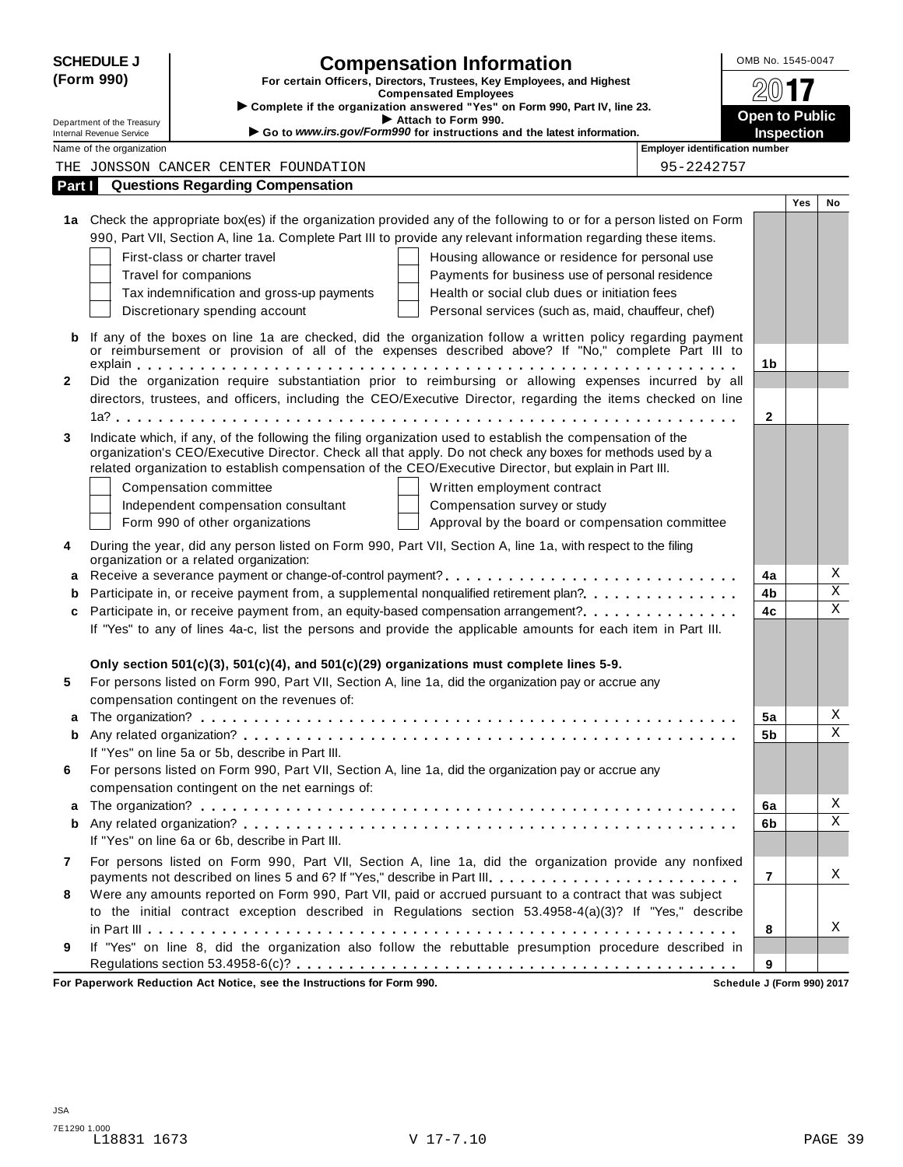| <b>SCHEDULE J</b> |                                                             | <b>Compensation Information</b>                                                                                                                                                                                   | OMB No. 1545-0047     |            |                       |
|-------------------|-------------------------------------------------------------|-------------------------------------------------------------------------------------------------------------------------------------------------------------------------------------------------------------------|-----------------------|------------|-----------------------|
|                   | (Form 990)                                                  | For certain Officers, Directors, Trustees, Key Employees, and Highest                                                                                                                                             |                       |            |                       |
|                   |                                                             | <b>Compensated Employees</b><br>Complete if the organization answered "Yes" on Form 990, Part IV, line 23.                                                                                                        |                       |            |                       |
|                   | Department of the Treasury                                  | Attach to Form 990.                                                                                                                                                                                               | <b>Open to Public</b> |            |                       |
|                   | <b>Internal Revenue Service</b><br>Name of the organization | Go to www.irs.gov/Form990 for instructions and the latest information.<br><b>Employer identification number</b>                                                                                                   | <b>Inspection</b>     |            |                       |
|                   |                                                             | 95-2242757<br>THE JONSSON CANCER CENTER FOUNDATION                                                                                                                                                                |                       |            |                       |
| Part I            |                                                             | <b>Questions Regarding Compensation</b>                                                                                                                                                                           |                       |            |                       |
|                   |                                                             |                                                                                                                                                                                                                   |                       | <b>Yes</b> | No                    |
|                   |                                                             | 1a Check the appropriate box(es) if the organization provided any of the following to or for a person listed on Form                                                                                              |                       |            |                       |
|                   |                                                             | 990, Part VII, Section A, line 1a. Complete Part III to provide any relevant information regarding these items.                                                                                                   |                       |            |                       |
|                   |                                                             | First-class or charter travel<br>Housing allowance or residence for personal use                                                                                                                                  |                       |            |                       |
|                   |                                                             | Payments for business use of personal residence<br>Travel for companions                                                                                                                                          |                       |            |                       |
|                   |                                                             | Health or social club dues or initiation fees<br>Tax indemnification and gross-up payments                                                                                                                        |                       |            |                       |
|                   |                                                             | Discretionary spending account<br>Personal services (such as, maid, chauffeur, chef)                                                                                                                              |                       |            |                       |
|                   |                                                             |                                                                                                                                                                                                                   |                       |            |                       |
| b                 |                                                             | If any of the boxes on line 1a are checked, did the organization follow a written policy regarding payment<br>or reimbursement or provision of all of the expenses described above? If "No," complete Part III to |                       |            |                       |
|                   |                                                             |                                                                                                                                                                                                                   | 1 <sub>b</sub>        |            |                       |
| $\mathbf{2}$      |                                                             | Did the organization require substantiation prior to reimbursing or allowing expenses incurred by all                                                                                                             |                       |            |                       |
|                   |                                                             | directors, trustees, and officers, including the CEO/Executive Director, regarding the items checked on line                                                                                                      |                       |            |                       |
|                   |                                                             |                                                                                                                                                                                                                   | $\mathbf{2}$          |            |                       |
| 3                 |                                                             | Indicate which, if any, of the following the filing organization used to establish the compensation of the                                                                                                        |                       |            |                       |
|                   |                                                             | organization's CEO/Executive Director. Check all that apply. Do not check any boxes for methods used by a                                                                                                         |                       |            |                       |
|                   |                                                             | related organization to establish compensation of the CEO/Executive Director, but explain in Part III.                                                                                                            |                       |            |                       |
|                   |                                                             | Compensation committee<br>Written employment contract                                                                                                                                                             |                       |            |                       |
|                   |                                                             | Independent compensation consultant<br>Compensation survey or study                                                                                                                                               |                       |            |                       |
|                   |                                                             | Approval by the board or compensation committee<br>Form 990 of other organizations                                                                                                                                |                       |            |                       |
| 4                 |                                                             | During the year, did any person listed on Form 990, Part VII, Section A, line 1a, with respect to the filing                                                                                                      |                       |            |                       |
|                   |                                                             | organization or a related organization:                                                                                                                                                                           |                       |            | Χ                     |
| а<br>b            |                                                             | Participate in, or receive payment from, a supplemental nonqualified retirement plan?.                                                                                                                            | 4a<br>4b              |            | $\overline{\text{X}}$ |
| c                 |                                                             | Participate in, or receive payment from, an equity-based compensation arrangement?                                                                                                                                | 4c                    |            | $\mathbf X$           |
|                   |                                                             | If "Yes" to any of lines 4a-c, list the persons and provide the applicable amounts for each item in Part III.                                                                                                     |                       |            |                       |
|                   |                                                             |                                                                                                                                                                                                                   |                       |            |                       |
|                   |                                                             | Only section $501(c)(3)$ , $501(c)(4)$ , and $501(c)(29)$ organizations must complete lines 5-9.                                                                                                                  |                       |            |                       |
| 5                 |                                                             | For persons listed on Form 990, Part VII, Section A, line 1a, did the organization pay or accrue any                                                                                                              |                       |            |                       |
|                   |                                                             | compensation contingent on the revenues of:                                                                                                                                                                       |                       |            |                       |
| a                 |                                                             |                                                                                                                                                                                                                   | 5a                    |            | Χ                     |
| b                 |                                                             |                                                                                                                                                                                                                   | 5b                    |            | Χ                     |
|                   |                                                             | If "Yes" on line 5a or 5b, describe in Part III.                                                                                                                                                                  |                       |            |                       |
| 6                 |                                                             | For persons listed on Form 990, Part VII, Section A, line 1a, did the organization pay or accrue any                                                                                                              |                       |            |                       |
|                   |                                                             | compensation contingent on the net earnings of:                                                                                                                                                                   |                       |            |                       |
| а                 |                                                             |                                                                                                                                                                                                                   | 6a                    |            | Χ                     |
| b                 |                                                             |                                                                                                                                                                                                                   | 6b                    |            | Χ                     |
|                   |                                                             | If "Yes" on line 6a or 6b, describe in Part III.                                                                                                                                                                  |                       |            |                       |
| 7                 |                                                             | For persons listed on Form 990, Part VII, Section A, line 1a, did the organization provide any nonfixed                                                                                                           |                       |            |                       |
|                   |                                                             | payments not described on lines 5 and 6? If "Yes," describe in Part III.                                                                                                                                          | 7                     |            | X                     |
| 8                 |                                                             | Were any amounts reported on Form 990, Part VII, paid or accrued pursuant to a contract that was subject                                                                                                          |                       |            |                       |
|                   |                                                             | to the initial contract exception described in Regulations section 53.4958-4(a)(3)? If "Yes," describe                                                                                                            |                       |            |                       |
|                   |                                                             |                                                                                                                                                                                                                   | 8                     |            | Χ                     |
| 9                 |                                                             | If "Yes" on line 8, did the organization also follow the rebuttable presumption procedure described in                                                                                                            |                       |            |                       |
|                   |                                                             |                                                                                                                                                                                                                   | 9                     |            |                       |

**For Paperwork Reduction Act Notice, see the Instructions for Form 990. Schedule J (Form 990) 2017**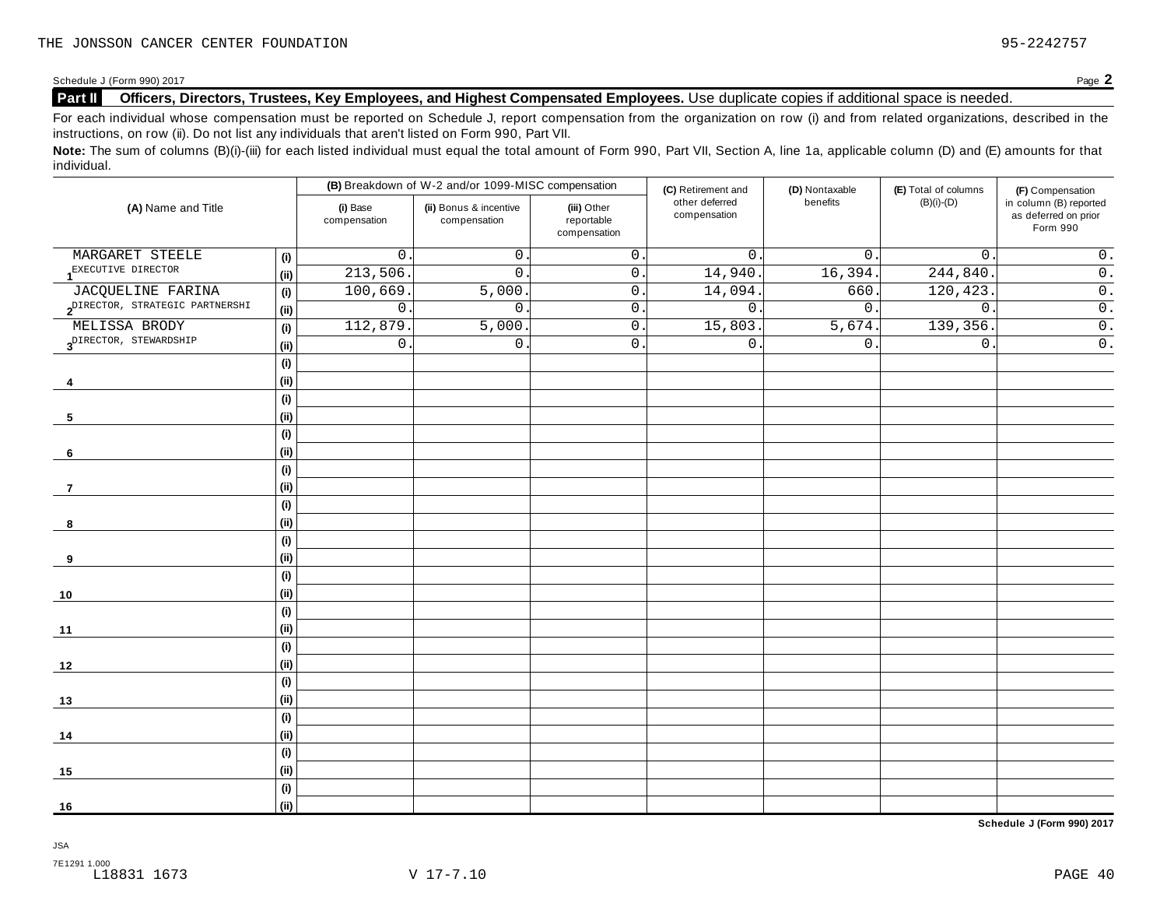#### **Part II Officers, Directors, Trustees, Key Employees, and Highest Compensated Employees.** Use duplicate copies ifadditional space is needed.

For each individual whose compensation must be reported on Schedule J, report compensation from the organization on row (i) and from related organizations, described in the instructions, on row (ii). Do not list any individuals that aren't listed on Form 990, Part VII.

Note: The sum of columns (B)(i)-(iii) for each listed individual must equal the total amount of Form 990, Part VII, Section A, line 1a, applicable column (D) and (E) amounts for that individual.

| (A) Name and Title                          |      |                          | (B) Breakdown of W-2 and/or 1099-MISC compensation |                                           | (C) Retirement and             | (D) Nontaxable   | (E) Total of columns | (F) Compensation                                           |  |
|---------------------------------------------|------|--------------------------|----------------------------------------------------|-------------------------------------------|--------------------------------|------------------|----------------------|------------------------------------------------------------|--|
|                                             |      | (i) Base<br>compensation | (ii) Bonus & incentive<br>compensation             | (iii) Other<br>reportable<br>compensation | other deferred<br>compensation | benefits         | $(B)(i)-(D)$         | in column (B) reported<br>as deferred on prior<br>Form 990 |  |
| MARGARET STEELE                             | (i)  | $\mathsf{O}$             | $\mathsf{O}$ .                                     | $\overline{0}$ .                          | $0$ .                          | $\overline{0}$ . | $\mathsf{O}$ .       | $\overline{0}$ .                                           |  |
| EXECUTIVE DIRECTOR                          | (i)  | 213,506                  | $\mathsf{O}$ .                                     | $\overline{0}$ .                          | 14,940.                        | 16,394.          | 244,840.             | $\overline{0}$ .                                           |  |
| JACQUELINE FARINA                           | (i)  | 100,669                  | 5,000                                              | $\mathsf 0$ .                             | 14,094.                        | 660.             | 120, 423.            | $\overline{0}$ .                                           |  |
| 2 <sup>DIRECTOR, STRATEGIC PARTNERSHI</sup> | (i)  | $\overline{0}$           | $\mathbf{0}$ .                                     | $\overline{0}$ .                          | $\overline{0}$ .               | $\overline{0}$ . | $\mathsf{O}$ .       | $\overline{0}$ .                                           |  |
| MELISSA BRODY                               | (i)  | 112,879                  | 5,000                                              | 0.                                        | 15,803.                        | 5,674.           | 139,356.             | $\overline{0}$ .                                           |  |
| 3 <sup>DIRECTOR, STEWARDSHIP</sup>          | (i)  | 0                        | $\mathsf{O}$ .                                     | $\mathsf 0$ .                             | $\mathbf{0}$ .                 | $0$ .            | $\mathbf 0$ .        | $\overline{\overline{\mathfrak{o}}\hspace{0.5pt}}$ .       |  |
|                                             | (i)  |                          |                                                    |                                           |                                |                  |                      |                                                            |  |
| -4                                          | (ii) |                          |                                                    |                                           |                                |                  |                      |                                                            |  |
|                                             | (i)  |                          |                                                    |                                           |                                |                  |                      |                                                            |  |
| 5                                           | (i)  |                          |                                                    |                                           |                                |                  |                      |                                                            |  |
|                                             | (i)  |                          |                                                    |                                           |                                |                  |                      |                                                            |  |
| 6                                           | (i)  |                          |                                                    |                                           |                                |                  |                      |                                                            |  |
|                                             | (i)  |                          |                                                    |                                           |                                |                  |                      |                                                            |  |
| $\overline{7}$                              | (ii) |                          |                                                    |                                           |                                |                  |                      |                                                            |  |
|                                             | (i)  |                          |                                                    |                                           |                                |                  |                      |                                                            |  |
| 8                                           | (i)  |                          |                                                    |                                           |                                |                  |                      |                                                            |  |
|                                             | (i)  |                          |                                                    |                                           |                                |                  |                      |                                                            |  |
| 9                                           | (i)  |                          |                                                    |                                           |                                |                  |                      |                                                            |  |
|                                             | (i)  |                          |                                                    |                                           |                                |                  |                      |                                                            |  |
| 10                                          | (i)  |                          |                                                    |                                           |                                |                  |                      |                                                            |  |
|                                             | (i)  |                          |                                                    |                                           |                                |                  |                      |                                                            |  |
| 11                                          | (i)  |                          |                                                    |                                           |                                |                  |                      |                                                            |  |
|                                             | (i)  |                          |                                                    |                                           |                                |                  |                      |                                                            |  |
| 12                                          | (i)  |                          |                                                    |                                           |                                |                  |                      |                                                            |  |
|                                             | (i)  |                          |                                                    |                                           |                                |                  |                      |                                                            |  |
| 13                                          | (i)  |                          |                                                    |                                           |                                |                  |                      |                                                            |  |
|                                             | (i)  |                          |                                                    |                                           |                                |                  |                      |                                                            |  |
| 14                                          | (i)  |                          |                                                    |                                           |                                |                  |                      |                                                            |  |
|                                             | (i)  |                          |                                                    |                                           |                                |                  |                      |                                                            |  |
| 15                                          | (i)  |                          |                                                    |                                           |                                |                  |                      |                                                            |  |
|                                             | (i)  |                          |                                                    |                                           |                                |                  |                      |                                                            |  |
| 16                                          | (ii) |                          |                                                    |                                           |                                |                  |                      |                                                            |  |

**Schedule J (Form 990) 2017**

JSA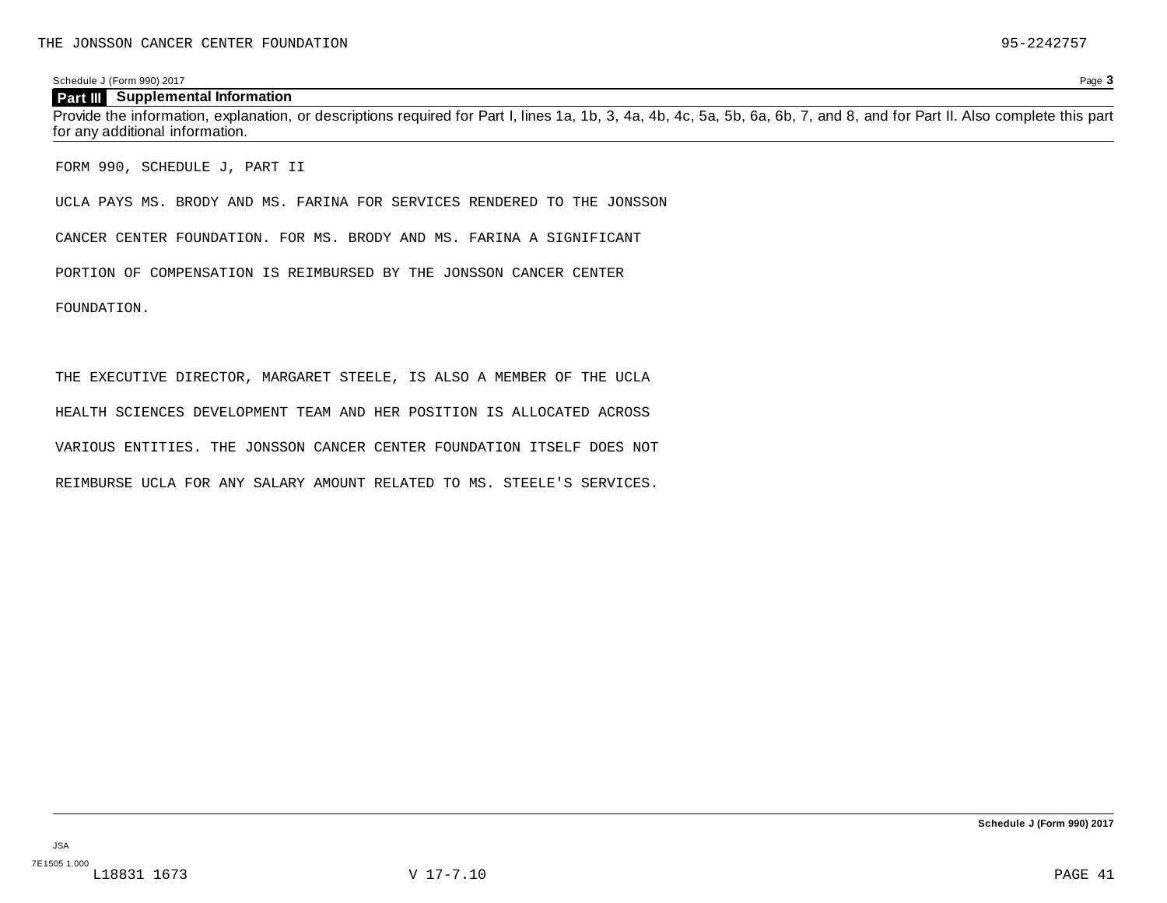Schedule J (Form 990) 2017 Page **3**

#### **Part III Supplemental Information**

Provide the information, explanation, or descriptions required for Part I, lines 1a, 1b, 3, 4a, 4b, 4c, 5a, 5b, 6a, 6b, 7, and 8, and for Part II. Also complete this part for any additional information.

FORM 990, SCHEDULE J, PART II

UCLA PAYS MS. BRODY AND MS. FARINA FOR SERVICES RENDERED TO THE JONSSON

CANCER CENTER FOUNDATION. FOR MS. BRODY AND MS. FARINA A SIGNIFICANT

PORTION OF COMPENSATION IS REIMBURSED BY THE JONSSON CANCER CENTER

FOUNDATION.

THE EXECUTIVE DIRECTOR, MARGARET STEELE, IS ALSO A MEMBER OF THE UCLA HEALTH SCIENCES DEVELOPMENT TEAM AND HER POSITION IS ALLOCATED ACROSS VARIOUS ENTITIES. THE JONSSON CANCER CENTER FOUNDATION ITSELF DOES NOT REIMBURSE UCLA FOR ANY SALARY AMOUNT RELATED TO MS. STEELE'S SERVICES.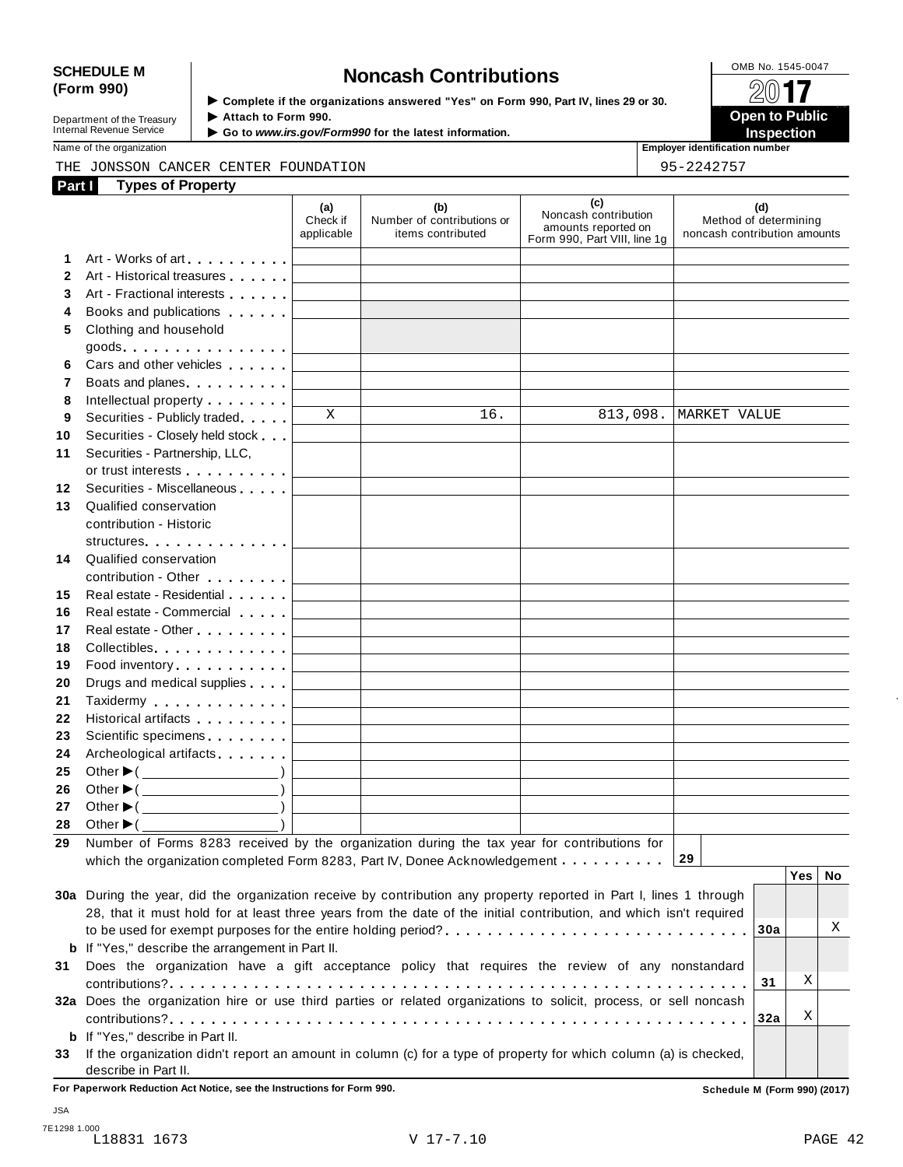# SCHEDULE M<br> **SCHEDULE M SCHEDULE M SCHEDULE M Noncash Contributions**<br> **SCHEDULE M None All <b>non- SCHEDULE M SCHEDULE M SCHEDULE M SCHEDULE M SCHEDULE M SCHEDULE M SCHEDULE M SC**

**Department of the Treasury<br>Internal Revenue Service** 

**(Form 990)** I **Complete if the organizations answered "Yes" on Form 990, Part IV, lines <sup>29</sup> or 30.** À¾µ» **Department of the Treasury ▶ Attach to Form 990.**<br>Internal Revenue Service ▶ Go to *www.irs.gov/Form990* for the latest information.<br>Nome of the organization, authorities in a support of the latest information.

#### THE JONSSON CANCER CENTER FOUNDATION

Name of the organization **intervalse of the organization intervalse of the organization <b>intervalse of the organization intervalse of the organization intervalse of the organization intervalse of the organization**

| $-224275$<br>OE. |  |
|------------------|--|
|                  |  |

| Part I           | <b>Types of Property</b>                                                                                             |                                                                                                                                                                                                                                                                                                                                                                                                                                                        |                                                                                                                                                                                    |                                                                                    |                                                              |
|------------------|----------------------------------------------------------------------------------------------------------------------|--------------------------------------------------------------------------------------------------------------------------------------------------------------------------------------------------------------------------------------------------------------------------------------------------------------------------------------------------------------------------------------------------------------------------------------------------------|------------------------------------------------------------------------------------------------------------------------------------------------------------------------------------|------------------------------------------------------------------------------------|--------------------------------------------------------------|
|                  |                                                                                                                      | (a)<br>Check if<br>applicable                                                                                                                                                                                                                                                                                                                                                                                                                          | (b)<br>Number of contributions or<br>items contributed                                                                                                                             | (c)<br>Noncash contribution<br>amounts reported on<br>Form 990, Part VIII, line 1g | (d)<br>Method of determining<br>noncash contribution amounts |
| 1                | Art - Works of art [19]                                                                                              |                                                                                                                                                                                                                                                                                                                                                                                                                                                        |                                                                                                                                                                                    |                                                                                    |                                                              |
| $\mathbf{2}$     | Art - Historical treasures                                                                                           |                                                                                                                                                                                                                                                                                                                                                                                                                                                        | the control of the control of the control of the                                                                                                                                   |                                                                                    |                                                              |
| 3                | Art - Fractional interests [100]                                                                                     | <b>Contract Contract Contract</b>                                                                                                                                                                                                                                                                                                                                                                                                                      |                                                                                                                                                                                    |                                                                                    |                                                              |
| 4                | Books and publications <b>Exercise 2.1 Students</b>                                                                  |                                                                                                                                                                                                                                                                                                                                                                                                                                                        |                                                                                                                                                                                    |                                                                                    |                                                              |
| 5                | Clothing and household                                                                                               |                                                                                                                                                                                                                                                                                                                                                                                                                                                        |                                                                                                                                                                                    |                                                                                    |                                                              |
|                  | $goods.$                                                                                                             | the company of the company                                                                                                                                                                                                                                                                                                                                                                                                                             |                                                                                                                                                                                    |                                                                                    |                                                              |
| 6                | Cars and other vehicles                                                                                              | <b>Contract Contract Contract</b>                                                                                                                                                                                                                                                                                                                                                                                                                      |                                                                                                                                                                                    |                                                                                    |                                                              |
| 7                | Boats and planes [19]                                                                                                |                                                                                                                                                                                                                                                                                                                                                                                                                                                        |                                                                                                                                                                                    |                                                                                    |                                                              |
| 8                | Intellectual property <b>Algebra</b>                                                                                 |                                                                                                                                                                                                                                                                                                                                                                                                                                                        |                                                                                                                                                                                    |                                                                                    |                                                              |
| 9                | Securities - Publicly traded                                                                                         | X                                                                                                                                                                                                                                                                                                                                                                                                                                                      | 16.                                                                                                                                                                                | 813,098.                                                                           | MARKET VALUE                                                 |
| 10               | Securities - Closely held stock                                                                                      |                                                                                                                                                                                                                                                                                                                                                                                                                                                        |                                                                                                                                                                                    |                                                                                    |                                                              |
| 11               | Securities - Partnership, LLC,                                                                                       |                                                                                                                                                                                                                                                                                                                                                                                                                                                        |                                                                                                                                                                                    |                                                                                    |                                                              |
|                  | or trust interests [1,1,1,1,1,1,1,1]                                                                                 |                                                                                                                                                                                                                                                                                                                                                                                                                                                        |                                                                                                                                                                                    |                                                                                    |                                                              |
| 12 <sup>12</sup> | Securities - Miscellaneous                                                                                           |                                                                                                                                                                                                                                                                                                                                                                                                                                                        |                                                                                                                                                                                    |                                                                                    |                                                              |
| 13 <sup>1</sup>  | Qualified conservation                                                                                               |                                                                                                                                                                                                                                                                                                                                                                                                                                                        |                                                                                                                                                                                    |                                                                                    |                                                              |
|                  | contribution - Historic                                                                                              |                                                                                                                                                                                                                                                                                                                                                                                                                                                        |                                                                                                                                                                                    |                                                                                    |                                                              |
|                  | structures experiences                                                                                               |                                                                                                                                                                                                                                                                                                                                                                                                                                                        |                                                                                                                                                                                    |                                                                                    |                                                              |
|                  | 14 Qualified conservation                                                                                            |                                                                                                                                                                                                                                                                                                                                                                                                                                                        |                                                                                                                                                                                    |                                                                                    |                                                              |
|                  | contribution - Other                                                                                                 | $\label{eq:2.1} \frac{1}{\sqrt{2}}\left(\frac{1}{\sqrt{2}}\right)^{2} \left(\frac{1}{\sqrt{2}}\right)^{2} \left(\frac{1}{\sqrt{2}}\right)^{2} \left(\frac{1}{\sqrt{2}}\right)^{2} \left(\frac{1}{\sqrt{2}}\right)^{2} \left(\frac{1}{\sqrt{2}}\right)^{2} \left(\frac{1}{\sqrt{2}}\right)^{2} \left(\frac{1}{\sqrt{2}}\right)^{2} \left(\frac{1}{\sqrt{2}}\right)^{2} \left(\frac{1}{\sqrt{2}}\right)^{2} \left(\frac{1}{\sqrt{2}}\right)^{2} \left(\$ | the control of the control of the control of the control of the control of                                                                                                         |                                                                                    |                                                              |
| 15               | Real estate - Residential                                                                                            |                                                                                                                                                                                                                                                                                                                                                                                                                                                        | <u> 1989 - Johann Barn, amerikansk politiker (</u>                                                                                                                                 |                                                                                    |                                                              |
| 16               | Real estate - Commercial                                                                                             |                                                                                                                                                                                                                                                                                                                                                                                                                                                        |                                                                                                                                                                                    |                                                                                    |                                                              |
| 17               | Real estate - Other New York 1997                                                                                    |                                                                                                                                                                                                                                                                                                                                                                                                                                                        | <u> 1989 - Johann John Stein, markin fan it ferstjer fan it ferstjer fan it ferstjer fan it ferstjer fan it fers</u><br><u> 1989 - Johann John Stein, fransk politik (f. 1989)</u> |                                                                                    |                                                              |
| 18               | Collectibles [19]                                                                                                    | <u> London a la</u>                                                                                                                                                                                                                                                                                                                                                                                                                                    |                                                                                                                                                                                    |                                                                                    |                                                              |
| 19               | Food inventory exercise the set of the set of the set of the set of the set of the set of the set of the set o       |                                                                                                                                                                                                                                                                                                                                                                                                                                                        | the control of the control of the control of the control of the control of                                                                                                         |                                                                                    |                                                              |
| 20               | Drugs and medical supplies                                                                                           |                                                                                                                                                                                                                                                                                                                                                                                                                                                        | the control of the control of the control of the control of the control of                                                                                                         |                                                                                    |                                                              |
| 21               | Taxidermy [19]                                                                                                       |                                                                                                                                                                                                                                                                                                                                                                                                                                                        | <u> 1989 - John Harry Harry Harry Harry Harry Harry Harry Harry Harry Harry Harry Harry Harry Harry Harry Harry H</u>                                                              | the control of the control of the control of the control of the control of         |                                                              |
| 22               | Historical artifacts [19] Nistorical artifacts                                                                       | <u> London Maria San I</u>                                                                                                                                                                                                                                                                                                                                                                                                                             | <u> 1989 - John Harry Harry Harry Harry Harry Harry Harry Harry Harry Harry Harry Harry Harry Harry Harry Harry H</u>                                                              |                                                                                    |                                                              |
| 23               | Scientific specimens [1994]                                                                                          | <u> 1999 - Jan James Barnett, politik e</u>                                                                                                                                                                                                                                                                                                                                                                                                            | the control of the control of the control of the control of the control of                                                                                                         |                                                                                    |                                                              |
| 24               | Archeological artifacts                                                                                              |                                                                                                                                                                                                                                                                                                                                                                                                                                                        | the control of the control of the control of the control of the control of<br>the control of the control of the control of the control of the control of the control of            |                                                                                    |                                                              |
| 25               | Other $\blacktriangleright$ ( $\_\_\_\_\_\_\_\_\_$ )                                                                 |                                                                                                                                                                                                                                                                                                                                                                                                                                                        |                                                                                                                                                                                    |                                                                                    |                                                              |
| 26               | Other $\blacktriangleright$ ( $\_\_\_\_\_\_\_\_\$ )                                                                  |                                                                                                                                                                                                                                                                                                                                                                                                                                                        | the control of the control of the control of the control of the control of the control of                                                                                          |                                                                                    |                                                              |
| 27               | Other $\blacktriangleright$ ( $\qquad \qquad$                                                                        |                                                                                                                                                                                                                                                                                                                                                                                                                                                        |                                                                                                                                                                                    |                                                                                    |                                                              |
| 28               | Other $\blacktriangleright$ ( $\_\_\_\_\_\_\_\_\_\_\_\_\_\_\_\_\_\_\_\_$                                             |                                                                                                                                                                                                                                                                                                                                                                                                                                                        |                                                                                                                                                                                    |                                                                                    |                                                              |
|                  | 29 Number of Forms 8283 received by the organization during the tax year for contributions for                       |                                                                                                                                                                                                                                                                                                                                                                                                                                                        |                                                                                                                                                                                    |                                                                                    |                                                              |
|                  | which the organization completed Form 8283, Part IV, Donee Acknowledgement                                           |                                                                                                                                                                                                                                                                                                                                                                                                                                                        |                                                                                                                                                                                    |                                                                                    | 29                                                           |
|                  |                                                                                                                      |                                                                                                                                                                                                                                                                                                                                                                                                                                                        |                                                                                                                                                                                    |                                                                                    | Yes<br>No                                                    |
|                  | 30a During the year, did the organization receive by contribution any property reported in Part I, lines 1 through   |                                                                                                                                                                                                                                                                                                                                                                                                                                                        |                                                                                                                                                                                    |                                                                                    |                                                              |
|                  | 28, that it must hold for at least three years from the date of the initial contribution, and which isn't required   |                                                                                                                                                                                                                                                                                                                                                                                                                                                        |                                                                                                                                                                                    |                                                                                    |                                                              |
|                  |                                                                                                                      |                                                                                                                                                                                                                                                                                                                                                                                                                                                        |                                                                                                                                                                                    |                                                                                    | Χ<br>30a                                                     |
|                  | <b>b</b> If "Yes," describe the arrangement in Part II.                                                              |                                                                                                                                                                                                                                                                                                                                                                                                                                                        |                                                                                                                                                                                    |                                                                                    |                                                              |
| 31               | Does the organization have a gift acceptance policy that requires the review of any nonstandard                      |                                                                                                                                                                                                                                                                                                                                                                                                                                                        |                                                                                                                                                                                    |                                                                                    |                                                              |
|                  |                                                                                                                      |                                                                                                                                                                                                                                                                                                                                                                                                                                                        |                                                                                                                                                                                    |                                                                                    | Χ<br>31                                                      |
|                  | 32a Does the organization hire or use third parties or related organizations to solicit, process, or sell noncash    |                                                                                                                                                                                                                                                                                                                                                                                                                                                        |                                                                                                                                                                                    |                                                                                    |                                                              |
|                  |                                                                                                                      |                                                                                                                                                                                                                                                                                                                                                                                                                                                        |                                                                                                                                                                                    |                                                                                    | Χ<br>32a                                                     |
|                  | <b>b</b> If "Yes," describe in Part II.                                                                              |                                                                                                                                                                                                                                                                                                                                                                                                                                                        |                                                                                                                                                                                    |                                                                                    |                                                              |
|                  | 33 If the organization didn't report an amount in column (c) for a type of property for which column (a) is checked, |                                                                                                                                                                                                                                                                                                                                                                                                                                                        |                                                                                                                                                                                    |                                                                                    |                                                              |
|                  | describe in Part II.                                                                                                 |                                                                                                                                                                                                                                                                                                                                                                                                                                                        |                                                                                                                                                                                    |                                                                                    |                                                              |
|                  | For Paperwork Reduction Act Notice, see the Instructions for Form 990.                                               |                                                                                                                                                                                                                                                                                                                                                                                                                                                        |                                                                                                                                                                                    |                                                                                    | Schedule M (Form 990) (2017)                                 |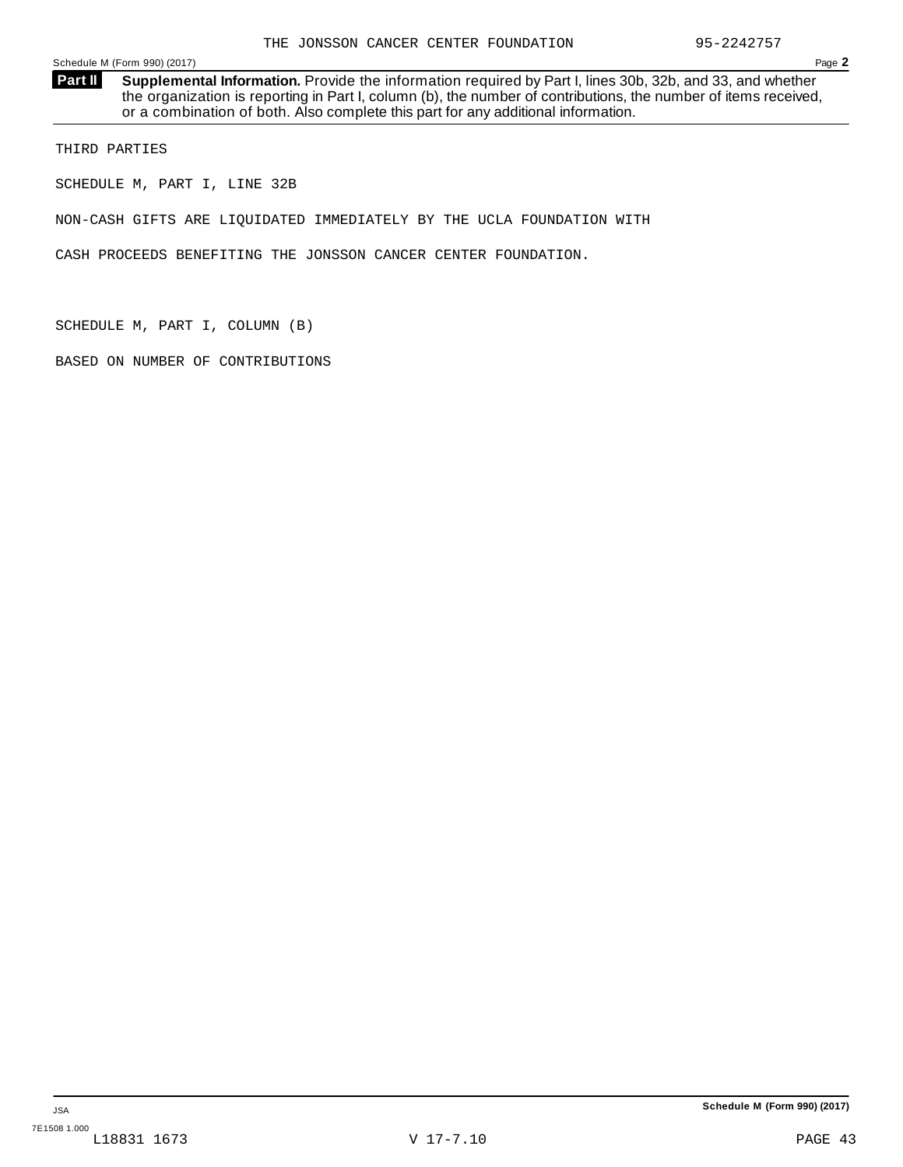Schedule M (Form 990) (2017) Page **2**

**Supplemental Information.** Provide the information required by Part I, lines 30b, 32b, and 33, and whether the organization is reporting in Part I, column (b), the number of contributions, the number of items received, or a combination of both. Also complete this part for any additional information. **Part II**

THIRD PARTIES

SCHEDULE M, PART I, LINE 32B

NON-CASH GIFTS ARE LIQUIDATED IMMEDIATELY BY THE UCLA FOUNDATION WITH

CASH PROCEEDS BENEFITING THE JONSSON CANCER CENTER FOUNDATION.

SCHEDULE M, PART I, COLUMN (B)

BASED ON NUMBER OF CONTRIBUTIONS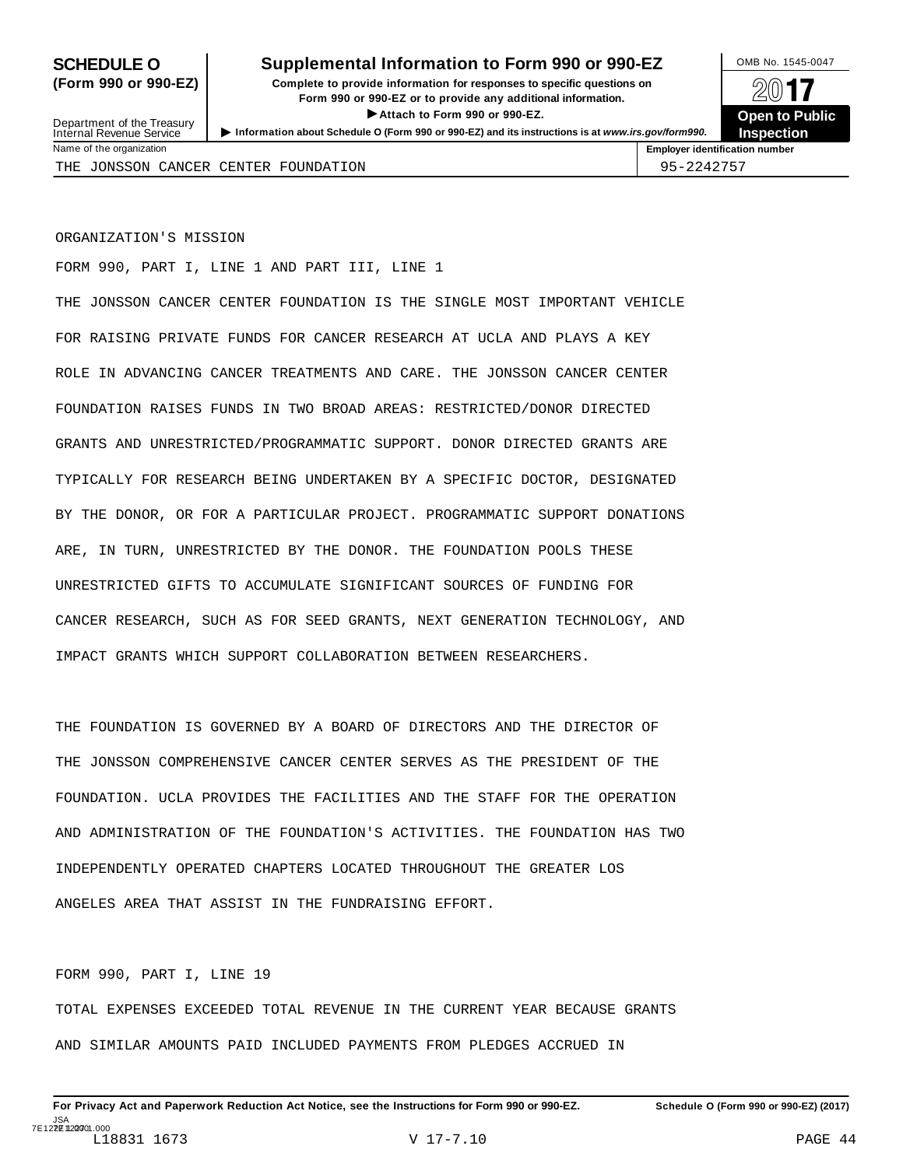### **SCHEDULE O** Supplemental Information to Form 990 or 990-EZ DMB No. 1545-0047

**(Form 990 or 990-EZ) Complete to provide information for responses to specific questions on** plete to provide information for responses to specific questions on  $\Box$   $\Box$   $\Box$ **EXECTED TO PUBLIC 2012 CONSIDER**<br> **EXECTED EXECTED CONSIDER**<br> **EXECUTED CONSIDERATION CONSIDERATION CONSIDERATION CONSIDERATION CONSIDERATION CONSIDERATION CONSIDERATION CONSIDERATION CONSIDERAT** Department of the Treasury <br>Depen to Public<br>Name of the organization<br>Name of the organization<br>Name of the organization<br>Name of the organization

**Inspection**

Department of the Treasury<br>Internal Revenue Service

ORGANIZATION'S MISSION

FORM 990, PART I, LINE 1 AND PART III, LINE 1

THE JONSSON CANCER CENTER FOUNDATION IS THE SINGLE MOST IMPORTANT VEHICLE FOR RAISING PRIVATE FUNDS FOR CANCER RESEARCH AT UCLA AND PLAYS A KEY ROLE IN ADVANCING CANCER TREATMENTS AND CARE. THE JONSSON CANCER CENTER FOUNDATION RAISES FUNDS IN TWO BROAD AREAS: RESTRICTED/DONOR DIRECTED GRANTS AND UNRESTRICTED/PROGRAMMATIC SUPPORT. DONOR DIRECTED GRANTS ARE TYPICALLY FOR RESEARCH BEING UNDERTAKEN BY A SPECIFIC DOCTOR, DESIGNATED BY THE DONOR, OR FOR A PARTICULAR PROJECT. PROGRAMMATIC SUPPORT DONATIONS ARE, IN TURN, UNRESTRICTED BY THE DONOR. THE FOUNDATION POOLS THESE UNRESTRICTED GIFTS TO ACCUMULATE SIGNIFICANT SOURCES OF FUNDING FOR CANCER RESEARCH, SUCH AS FOR SEED GRANTS, NEXT GENERATION TECHNOLOGY, AND IMPACT GRANTS WHICH SUPPORT COLLABORATION BETWEEN RESEARCHERS.

THE FOUNDATION IS GOVERNED BY A BOARD OF DIRECTORS AND THE DIRECTOR OF THE JONSSON COMPREHENSIVE CANCER CENTER SERVES AS THE PRESIDENT OF THE FOUNDATION. UCLA PROVIDES THE FACILITIES AND THE STAFF FOR THE OPERATION AND ADMINISTRATION OF THE FOUNDATION'S ACTIVITIES. THE FOUNDATION HAS TWO INDEPENDENTLY OPERATED CHAPTERS LOCATED THROUGHOUT THE GREATER LOS ANGELES AREA THAT ASSIST IN THE FUNDRAISING EFFORT.

FORM 990, PART I, LINE 19

TOTAL EXPENSES EXCEEDED TOTAL REVENUE IN THE CURRENT YEAR BECAUSE GRANTS AND SIMILAR AMOUNTS PAID INCLUDED PAYMENTS FROM PLEDGES ACCRUED IN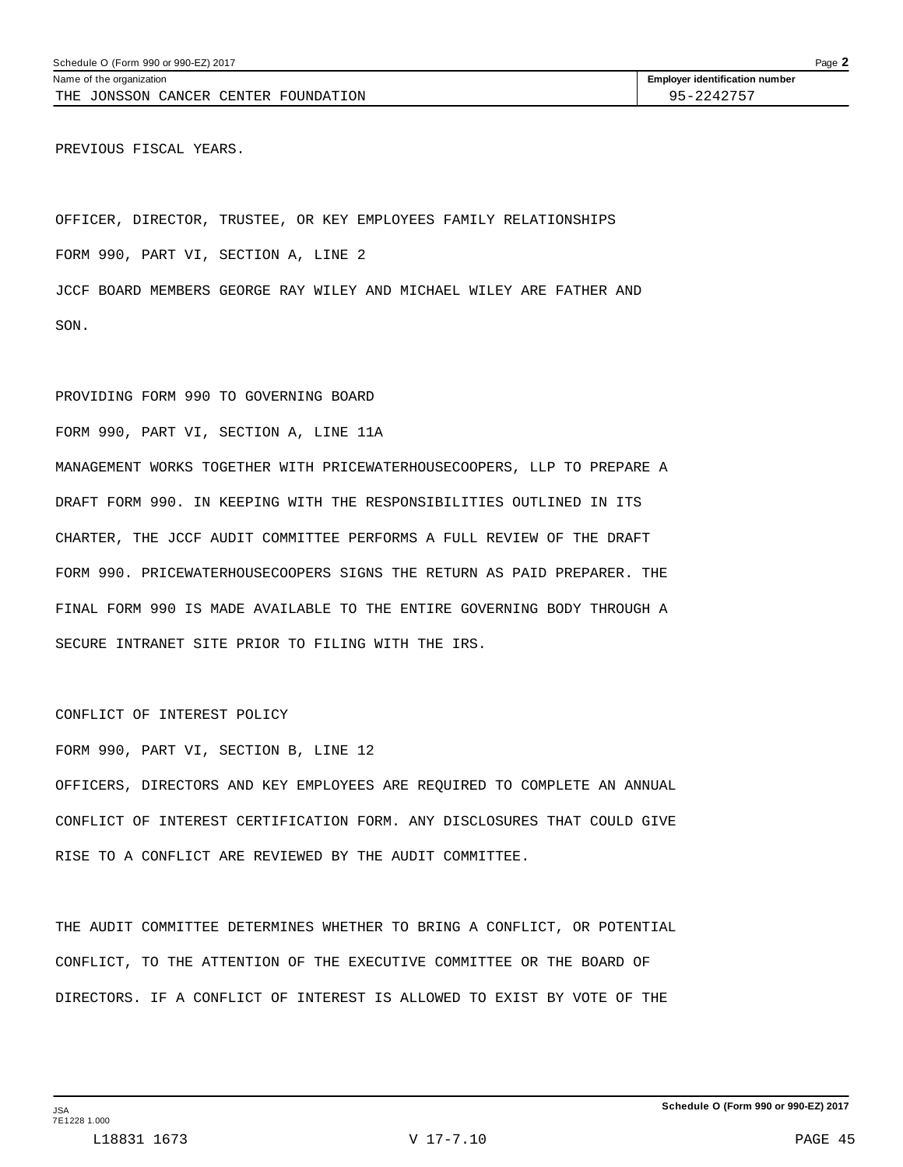THE JONSSON CANCER CENTER FOUNDATION  $\vert$  95-2242757

PREVIOUS FISCAL YEARS.

OFFICER, DIRECTOR, TRUSTEE, OR KEY EMPLOYEES FAMILY RELATIONSHIPS FORM 990, PART VI, SECTION A, LINE 2 JCCF BOARD MEMBERS GEORGE RAY WILEY AND MICHAEL WILEY ARE FATHER AND SON.

#### PROVIDING FORM 990 TO GOVERNING BOARD

FORM 990, PART VI, SECTION A, LINE 11A

MANAGEMENT WORKS TOGETHER WITH PRICEWATERHOUSECOOPERS, LLP TO PREPARE A DRAFT FORM 990. IN KEEPING WITH THE RESPONSIBILITIES OUTLINED IN ITS CHARTER, THE JCCF AUDIT COMMITTEE PERFORMS A FULL REVIEW OF THE DRAFT FORM 990. PRICEWATERHOUSECOOPERS SIGNS THE RETURN AS PAID PREPARER. THE FINAL FORM 990 IS MADE AVAILABLE TO THE ENTIRE GOVERNING BODY THROUGH A SECURE INTRANET SITE PRIOR TO FILING WITH THE IRS.

#### CONFLICT OF INTEREST POLICY

FORM 990, PART VI, SECTION B, LINE 12

OFFICERS, DIRECTORS AND KEY EMPLOYEES ARE REQUIRED TO COMPLETE AN ANNUAL CONFLICT OF INTEREST CERTIFICATION FORM. ANY DISCLOSURES THAT COULD GIVE RISE TO A CONFLICT ARE REVIEWED BY THE AUDIT COMMITTEE.

THE AUDIT COMMITTEE DETERMINES WHETHER TO BRING A CONFLICT, OR POTENTIAL CONFLICT, TO THE ATTENTION OF THE EXECUTIVE COMMITTEE OR THE BOARD OF DIRECTORS. IF A CONFLICT OF INTEREST IS ALLOWED TO EXIST BY VOTE OF THE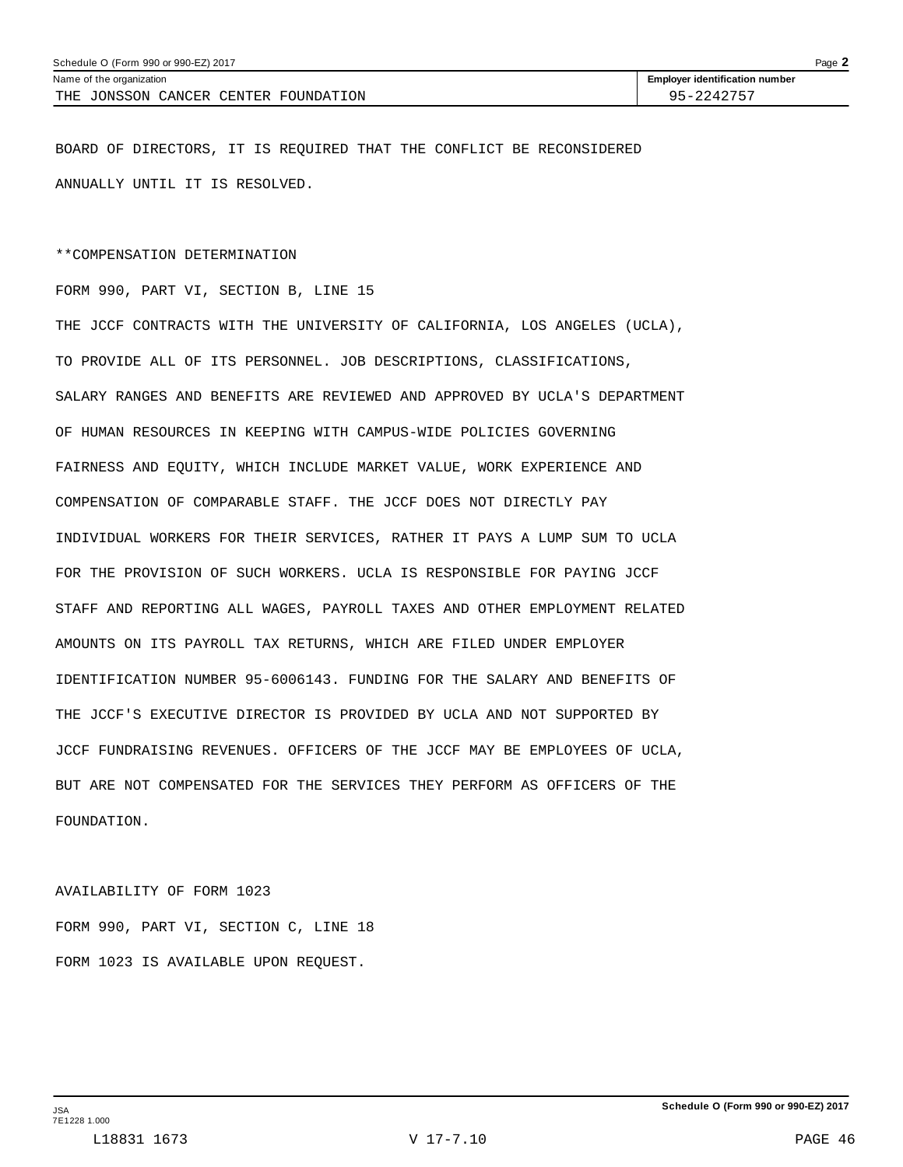BOARD OF DIRECTORS, IT IS REQUIRED THAT THE CONFLICT BE RECONSIDERED ANNUALLY UNTIL IT IS RESOLVED.

#### \*\*COMPENSATION DETERMINATION

FORM 990, PART VI, SECTION B, LINE 15

THE JCCF CONTRACTS WITH THE UNIVERSITY OF CALIFORNIA, LOS ANGELES (UCLA), TO PROVIDE ALL OF ITS PERSONNEL. JOB DESCRIPTIONS, CLASSIFICATIONS, SALARY RANGES AND BENEFITS ARE REVIEWED AND APPROVED BY UCLA'S DEPARTMENT OF HUMAN RESOURCES IN KEEPING WITH CAMPUS-WIDE POLICIES GOVERNING FAIRNESS AND EQUITY, WHICH INCLUDE MARKET VALUE, WORK EXPERIENCE AND COMPENSATION OF COMPARABLE STAFF. THE JCCF DOES NOT DIRECTLY PAY INDIVIDUAL WORKERS FOR THEIR SERVICES, RATHER IT PAYS A LUMP SUM TO UCLA FOR THE PROVISION OF SUCH WORKERS. UCLA IS RESPONSIBLE FOR PAYING JCCF STAFF AND REPORTING ALL WAGES, PAYROLL TAXES AND OTHER EMPLOYMENT RELATED AMOUNTS ON ITS PAYROLL TAX RETURNS, WHICH ARE FILED UNDER EMPLOYER IDENTIFICATION NUMBER 95-6006143. FUNDING FOR THE SALARY AND BENEFITS OF THE JCCF'S EXECUTIVE DIRECTOR IS PROVIDED BY UCLA AND NOT SUPPORTED BY JCCF FUNDRAISING REVENUES. OFFICERS OF THE JCCF MAY BE EMPLOYEES OF UCLA, BUT ARE NOT COMPENSATED FOR THE SERVICES THEY PERFORM AS OFFICERS OF THE FOUNDATION.

AVAILABILITY OF FORM 1023 FORM 990, PART VI, SECTION C, LINE 18 FORM 1023 IS AVAILABLE UPON REQUEST.